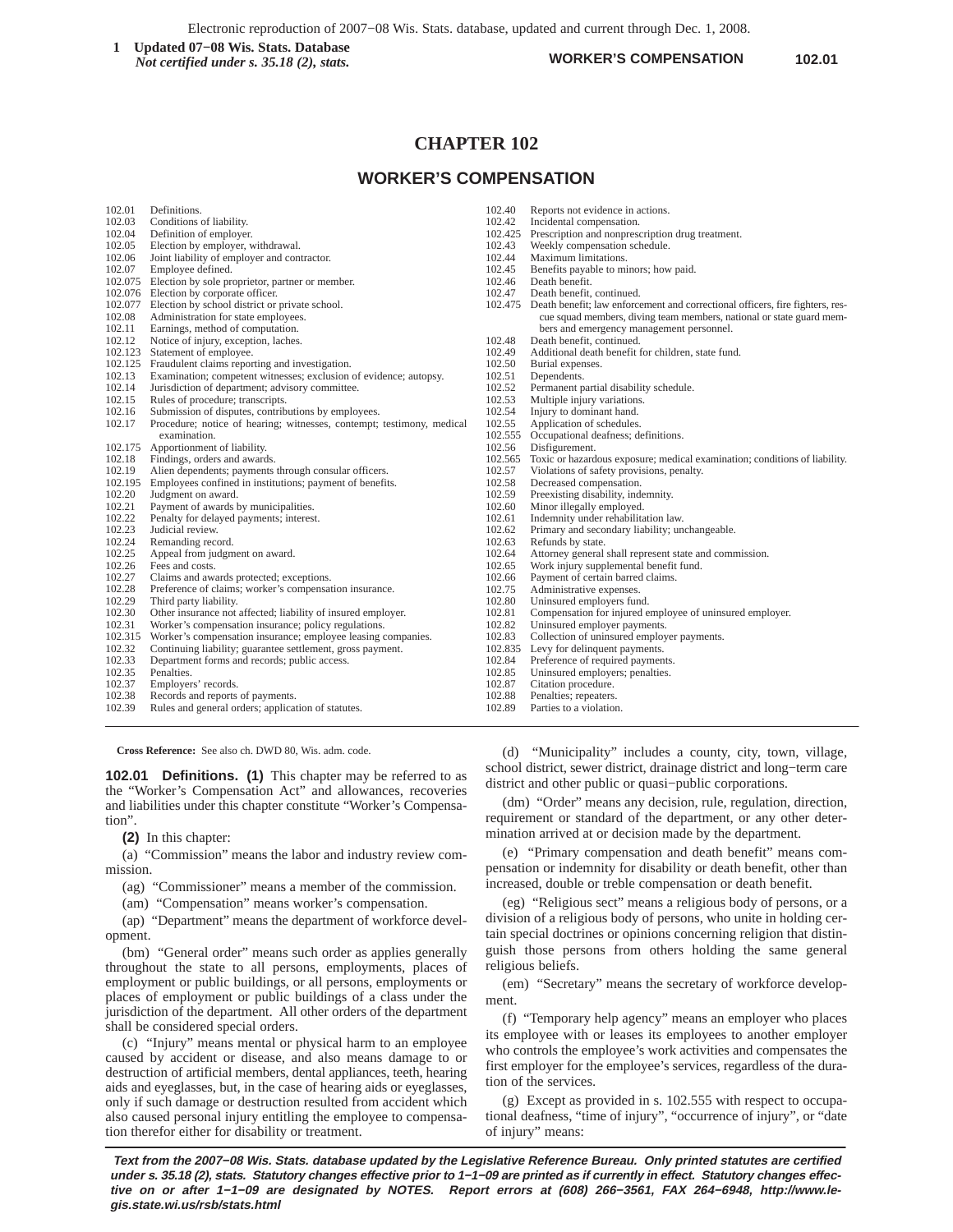Electronic reproduction of 2007−08 Wis. Stats. database, updated and current through Dec. 1, 2008.

**1** Updated 07–08 Wis. Stats. Database<br> *Not certified under* s 35.18 (2) stats<br> **102.01 102.01 102.01** *Not certified under s. 35.18 (2), stats.*

# **CHAPTER 102**

# **WORKER'S COMPENSATION**

| 102.01<br>102.03<br>102.04<br>102.05<br>102.06<br>102.07 | Definitions.<br>Conditions of liability.<br>Definition of employer.<br>Election by employer, withdrawal.<br>Joint liability of employer and contractor.<br>Employee defined.<br>102.075 Election by sole proprietor, partner or member. | 102.40<br>102.42<br>102.43<br>102.44<br>102.45<br>102.46 | Reports not evidence in actions.<br>Incidental compensation.<br>102.425 Prescription and nonprescription drug treatment.<br>Weekly compensation schedule.<br>Maximum limitations.<br>Benefits payable to minors; how paid.<br>Death benefit. |
|----------------------------------------------------------|-----------------------------------------------------------------------------------------------------------------------------------------------------------------------------------------------------------------------------------------|----------------------------------------------------------|----------------------------------------------------------------------------------------------------------------------------------------------------------------------------------------------------------------------------------------------|
|                                                          | 102.076 Election by corporate officer.                                                                                                                                                                                                  | 102.47                                                   | Death benefit, continued.                                                                                                                                                                                                                    |
| 102.077                                                  | Election by school district or private school.                                                                                                                                                                                          |                                                          | 102.475 Death benefit; law enforcement and correctional officers, fire fighters, res-                                                                                                                                                        |
| 102.08                                                   | Administration for state employees.                                                                                                                                                                                                     |                                                          | cue squad members, diving team members, national or state guard mem-                                                                                                                                                                         |
| 102.11                                                   | Earnings, method of computation.                                                                                                                                                                                                        |                                                          | bers and emergency management personnel.                                                                                                                                                                                                     |
| 102.12                                                   | Notice of injury, exception, laches.                                                                                                                                                                                                    | 102.48                                                   | Death benefit, continued.                                                                                                                                                                                                                    |
| 102.123                                                  | Statement of employee.                                                                                                                                                                                                                  | 102.49                                                   | Additional death benefit for children, state fund.                                                                                                                                                                                           |
| 102.125                                                  | Fraudulent claims reporting and investigation.                                                                                                                                                                                          | 102.50                                                   | Burial expenses.                                                                                                                                                                                                                             |
| 102.13                                                   | Examination; competent witnesses; exclusion of evidence; autopsy.                                                                                                                                                                       | 102.51                                                   | Dependents.                                                                                                                                                                                                                                  |
| 102.14                                                   | Jurisdiction of department; advisory committee.                                                                                                                                                                                         | 102.52                                                   | Permanent partial disability schedule.                                                                                                                                                                                                       |
| 102.15                                                   | Rules of procedure; transcripts.                                                                                                                                                                                                        | 102.53                                                   | Multiple injury variations.                                                                                                                                                                                                                  |
| 102.16                                                   | Submission of disputes, contributions by employees.                                                                                                                                                                                     | 102.54                                                   | Injury to dominant hand.                                                                                                                                                                                                                     |
| 102.17                                                   | Procedure; notice of hearing; witnesses, contempt; testimony, medical                                                                                                                                                                   | 102.55                                                   | Application of schedules.                                                                                                                                                                                                                    |
|                                                          | examination.                                                                                                                                                                                                                            |                                                          | 102.555 Occupational deafness; definitions.                                                                                                                                                                                                  |
| 102.175                                                  | Apportionment of liability.                                                                                                                                                                                                             | 102.56                                                   | Disfigurement.                                                                                                                                                                                                                               |
| 102.18                                                   | Findings, orders and awards.                                                                                                                                                                                                            | 102.565                                                  | Toxic or hazardous exposure; medical examination; conditions of liability.                                                                                                                                                                   |
| 102.19                                                   | Alien dependents; payments through consular officers.                                                                                                                                                                                   | 102.57                                                   | Violations of safety provisions, penalty.                                                                                                                                                                                                    |
| 102.195                                                  | Employees confined in institutions; payment of benefits.                                                                                                                                                                                | 102.58                                                   | Decreased compensation.                                                                                                                                                                                                                      |
| 102.20                                                   | Judgment on award.                                                                                                                                                                                                                      | 102.59                                                   | Preexisting disability, indemnity.                                                                                                                                                                                                           |
| 102.21                                                   | Payment of awards by municipalities.                                                                                                                                                                                                    | 102.60                                                   | Minor illegally employed.                                                                                                                                                                                                                    |
| 102.22                                                   | Penalty for delayed payments; interest.                                                                                                                                                                                                 | 102.61                                                   | Indemnity under rehabilitation law.                                                                                                                                                                                                          |
| 102.23                                                   | Judicial review.                                                                                                                                                                                                                        | 102.62                                                   | Primary and secondary liability; unchangeable.                                                                                                                                                                                               |
| 102.24                                                   | Remanding record.                                                                                                                                                                                                                       | 102.63                                                   | Refunds by state.                                                                                                                                                                                                                            |
| 102.25                                                   | Appeal from judgment on award.                                                                                                                                                                                                          | 102.64                                                   | Attorney general shall represent state and commission.                                                                                                                                                                                       |
| 102.26                                                   | Fees and costs.                                                                                                                                                                                                                         | 102.65                                                   | Work injury supplemental benefit fund.                                                                                                                                                                                                       |
| 102.27                                                   | Claims and awards protected; exceptions.                                                                                                                                                                                                | 102.66                                                   | Payment of certain barred claims.                                                                                                                                                                                                            |
| 102.28                                                   | Preference of claims; worker's compensation insurance.                                                                                                                                                                                  | 102.75                                                   | Administrative expenses.                                                                                                                                                                                                                     |
| 102.29                                                   | Third party liability.                                                                                                                                                                                                                  | 102.80                                                   | Uninsured employers fund.                                                                                                                                                                                                                    |
| 102.30                                                   | Other insurance not affected; liability of insured employer.                                                                                                                                                                            | 102.81                                                   | Compensation for injured employee of uninsured employer.                                                                                                                                                                                     |
| 102.31                                                   | Worker's compensation insurance; policy regulations.                                                                                                                                                                                    | 102.82                                                   | Uninsured employer payments.                                                                                                                                                                                                                 |
| 102.315                                                  | Worker's compensation insurance; employee leasing companies.                                                                                                                                                                            | 102.83                                                   | Collection of uninsured employer payments.                                                                                                                                                                                                   |
| 102.32                                                   | Continuing liability; guarantee settlement, gross payment.                                                                                                                                                                              |                                                          | 102.835 Levy for delinquent payments.                                                                                                                                                                                                        |
| 102.33                                                   | Department forms and records; public access.                                                                                                                                                                                            | 102.84                                                   | Preference of required payments.                                                                                                                                                                                                             |
| 102.35                                                   | Penalties.                                                                                                                                                                                                                              | 102.85                                                   | Uninsured employers; penalties.                                                                                                                                                                                                              |
| 102.37                                                   | Employers' records.                                                                                                                                                                                                                     | 102.87                                                   | Citation procedure.                                                                                                                                                                                                                          |
| 102.38                                                   | Records and reports of payments.                                                                                                                                                                                                        | 102.88                                                   | Penalties; repeaters.                                                                                                                                                                                                                        |
| 102.39                                                   | Rules and general orders; application of statutes.                                                                                                                                                                                      | 102.89                                                   | Parties to a violation.                                                                                                                                                                                                                      |

**Cross Reference:** See also ch. DWD 80, Wis. adm. code.

**102.01 Definitions. (1)** This chapter may be referred to as the "Worker's Compensation Act" and allowances, recoveries and liabilities under this chapter constitute "Worker's Compensation".

**(2)** In this chapter:

(a) "Commission" means the labor and industry review commission.

(ag) "Commissioner" means a member of the commission.

(am) "Compensation" means worker's compensation.

(ap) "Department" means the department of workforce development.

(bm) "General order" means such order as applies generally throughout the state to all persons, employments, places of employment or public buildings, or all persons, employments or places of employment or public buildings of a class under the jurisdiction of the department. All other orders of the department shall be considered special orders.

(c) "Injury" means mental or physical harm to an employee caused by accident or disease, and also means damage to or destruction of artificial members, dental appliances, teeth, hearing aids and eyeglasses, but, in the case of hearing aids or eyeglasses, only if such damage or destruction resulted from accident which also caused personal injury entitling the employee to compensation therefor either for disability or treatment.

(d) "Municipality" includes a county, city, town, village, school district, sewer district, drainage district and long−term care district and other public or quasi−public corporations.

(dm) "Order" means any decision, rule, regulation, direction, requirement or standard of the department, or any other determination arrived at or decision made by the department.

(e) "Primary compensation and death benefit" means compensation or indemnity for disability or death benefit, other than increased, double or treble compensation or death benefit.

(eg) "Religious sect" means a religious body of persons, or a division of a religious body of persons, who unite in holding certain special doctrines or opinions concerning religion that distinguish those persons from others holding the same general religious beliefs.

(em) "Secretary" means the secretary of workforce development.

(f) "Temporary help agency" means an employer who places its employee with or leases its employees to another employer who controls the employee's work activities and compensates the first employer for the employee's services, regardless of the duration of the services.

(g) Except as provided in s. 102.555 with respect to occupational deafness, "time of injury", "occurrence of injury", or "date of injury" means: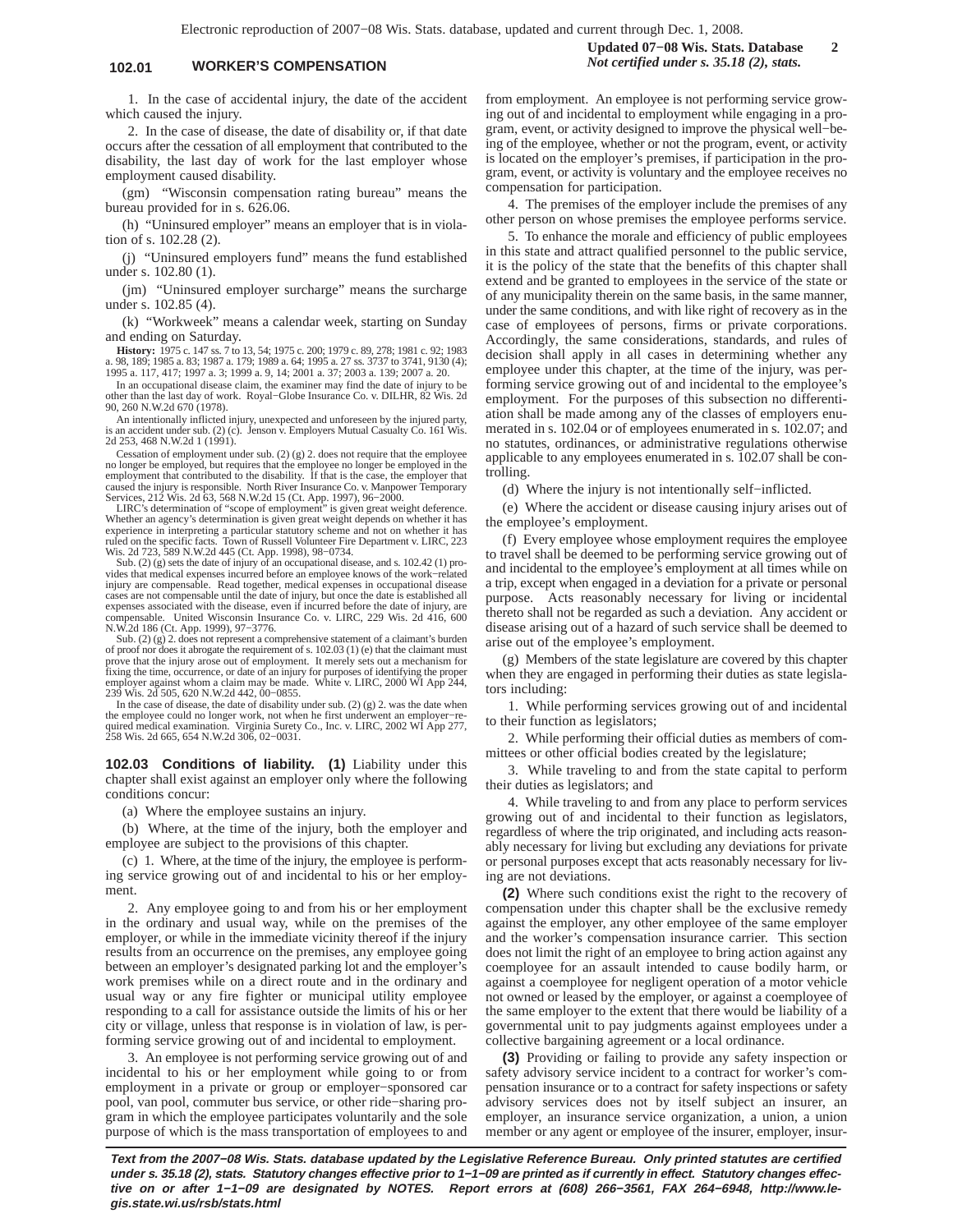**102.01 WORKER'S COMPENSATION** *Not certified under s. 35.18 (2), stats.*

**Updated 07−08 Wis. Stats. Database 2**

1. In the case of accidental injury, the date of the accident which caused the injury.

2. In the case of disease, the date of disability or, if that date occurs after the cessation of all employment that contributed to the disability, the last day of work for the last employer whose employment caused disability.

(gm) "Wisconsin compensation rating bureau" means the bureau provided for in s. 626.06.

(h) "Uninsured employer" means an employer that is in violation of s. 102.28 (2).

(j) "Uninsured employers fund" means the fund established under s. 102.80 (1).

(jm) "Uninsured employer surcharge" means the surcharge under s. 102.85 (4).

(k) "Workweek" means a calendar week, starting on Sunday and ending on Saturday.

**History:** 1975 c. 147 ss. 7 to 13, 54; 1975 c. 200; 1979 c. 89, 278; 1981 c. 92; 1983 a. 98, 189; 1985 a. 83; 1987 a. 179; 1989 a. 64; 1995 a. 27 ss. 3737 to 3741, 9130 (4); 1995 a. 117, 417; 1997 a. 3; 1999 a. 9, 14; 2001 a. 37; 2003 a. 139; 2007 a. 20.

In an occupational disease claim, the examiner may find the date of injury to be other than the last day of work. Royal−Globe Insurance Co. v. DILHR, 82 Wis. 2d 90, 260 N.W.2d 670 (1978).

An intentionally inflicted injury, unexpected and unforeseen by the injured party, is an accident under sub. (2) (c). Jenson v. Employers Mutual Casualty Co. 161 Wis. 2d 253, 468 N.W.2d 1 (1991).

Cessation of employment under sub. (2) (g) 2. does not require that the employee no longer be employed, but requires that the employee no longer be employed in the employment that contributed to the disability. If that is the case, the employer that caused the injury is responsible. North River Insuran

Whether an agency's determination is given great weight depends on whether it has<br>experience in interpreting a particular statutory scheme and not on whether it has<br>ruled on the specific facts. Town of Russell Volunteer Fi Experience in interpreting a particular control volunteer Fire<br>
ruled on the specific facts. Town of Russell Volunteer Fire<br>
Wis. 2d 723, 589 N.W.2d 445 (Ct. App. 1998), 98−0734.

Sub. (2) (g) sets the date of injury of an occupational disease, and s. 102.42 (1) provides that medical expenses incurred before an employee knows of the work–related<br>injury are compensable. Read together, medical expenses in occupational disease<br>cases are not compensable until the date of injury, but once expenses associated with the disease, even if incurred before the date of injury, are compensable. United Wisconsin Insurance Co. v. LIRC, 229 Wis. 2d 416, 600 N.W.2d 186 (Ct. App. 1999), 97−3776.

Sub. (2) (g) 2. does not represent a comprehensive statement of a claimant's burden<br>of proof nor does it abrogate the requirement of s.  $102.03$  (1) (e) that the claimant must<br>prove that the injury arose out of employment 239 Wis. 2d 505, 620 N.W.2d 442, 00−0855.

In the case of disease, the date of disability under sub. (2) (g) 2. was the date when the employee could no longer work, not when he first underwent an employer−required medical examination. Virginia Surety Co., Inc. v. LIRC, 2002 WI App 277, 258 Wis. 2d 665, 654 N.W.2d 306, 02−0031.

**102.03 Conditions of liability. (1)** Liability under this chapter shall exist against an employer only where the following conditions concur:

(a) Where the employee sustains an injury.

(b) Where, at the time of the injury, both the employer and employee are subject to the provisions of this chapter.

(c) 1. Where, at the time of the injury, the employee is performing service growing out of and incidental to his or her employment.

2. Any employee going to and from his or her employment in the ordinary and usual way, while on the premises of the employer, or while in the immediate vicinity thereof if the injury results from an occurrence on the premises, any employee going between an employer's designated parking lot and the employer's work premises while on a direct route and in the ordinary and usual way or any fire fighter or municipal utility employee responding to a call for assistance outside the limits of his or her city or village, unless that response is in violation of law, is performing service growing out of and incidental to employment.

3. An employee is not performing service growing out of and incidental to his or her employment while going to or from employment in a private or group or employer−sponsored car pool, van pool, commuter bus service, or other ride−sharing program in which the employee participates voluntarily and the sole purpose of which is the mass transportation of employees to and from employment. An employee is not performing service growing out of and incidental to employment while engaging in a program, event, or activity designed to improve the physical well−being of the employee, whether or not the program, event, or activity is located on the employer's premises, if participation in the program, event, or activity is voluntary and the employee receives no compensation for participation.

4. The premises of the employer include the premises of any other person on whose premises the employee performs service.

5. To enhance the morale and efficiency of public employees in this state and attract qualified personnel to the public service, it is the policy of the state that the benefits of this chapter shall extend and be granted to employees in the service of the state or of any municipality therein on the same basis, in the same manner, under the same conditions, and with like right of recovery as in the case of employees of persons, firms or private corporations. Accordingly, the same considerations, standards, and rules of decision shall apply in all cases in determining whether any employee under this chapter, at the time of the injury, was performing service growing out of and incidental to the employee's employment. For the purposes of this subsection no differentiation shall be made among any of the classes of employers enumerated in s. 102.04 or of employees enumerated in s. 102.07; and no statutes, ordinances, or administrative regulations otherwise applicable to any employees enumerated in s. 102.07 shall be controlling.

(d) Where the injury is not intentionally self−inflicted.

(e) Where the accident or disease causing injury arises out of the employee's employment.

(f) Every employee whose employment requires the employee to travel shall be deemed to be performing service growing out of and incidental to the employee's employment at all times while on a trip, except when engaged in a deviation for a private or personal purpose. Acts reasonably necessary for living or incidental thereto shall not be regarded as such a deviation. Any accident or disease arising out of a hazard of such service shall be deemed to arise out of the employee's employment.

(g) Members of the state legislature are covered by this chapter when they are engaged in performing their duties as state legislators including:

1. While performing services growing out of and incidental to their function as legislators;

2. While performing their official duties as members of committees or other official bodies created by the legislature;

3. While traveling to and from the state capital to perform their duties as legislators; and

4. While traveling to and from any place to perform services growing out of and incidental to their function as legislators, regardless of where the trip originated, and including acts reasonably necessary for living but excluding any deviations for private or personal purposes except that acts reasonably necessary for living are not deviations.

**(2)** Where such conditions exist the right to the recovery of compensation under this chapter shall be the exclusive remedy against the employer, any other employee of the same employer and the worker's compensation insurance carrier. This section does not limit the right of an employee to bring action against any coemployee for an assault intended to cause bodily harm, or against a coemployee for negligent operation of a motor vehicle not owned or leased by the employer, or against a coemployee of the same employer to the extent that there would be liability of a governmental unit to pay judgments against employees under a collective bargaining agreement or a local ordinance.

**(3)** Providing or failing to provide any safety inspection or safety advisory service incident to a contract for worker's compensation insurance or to a contract for safety inspections or safety advisory services does not by itself subject an insurer, an employer, an insurance service organization, a union, a union member or any agent or employee of the insurer, employer, insur-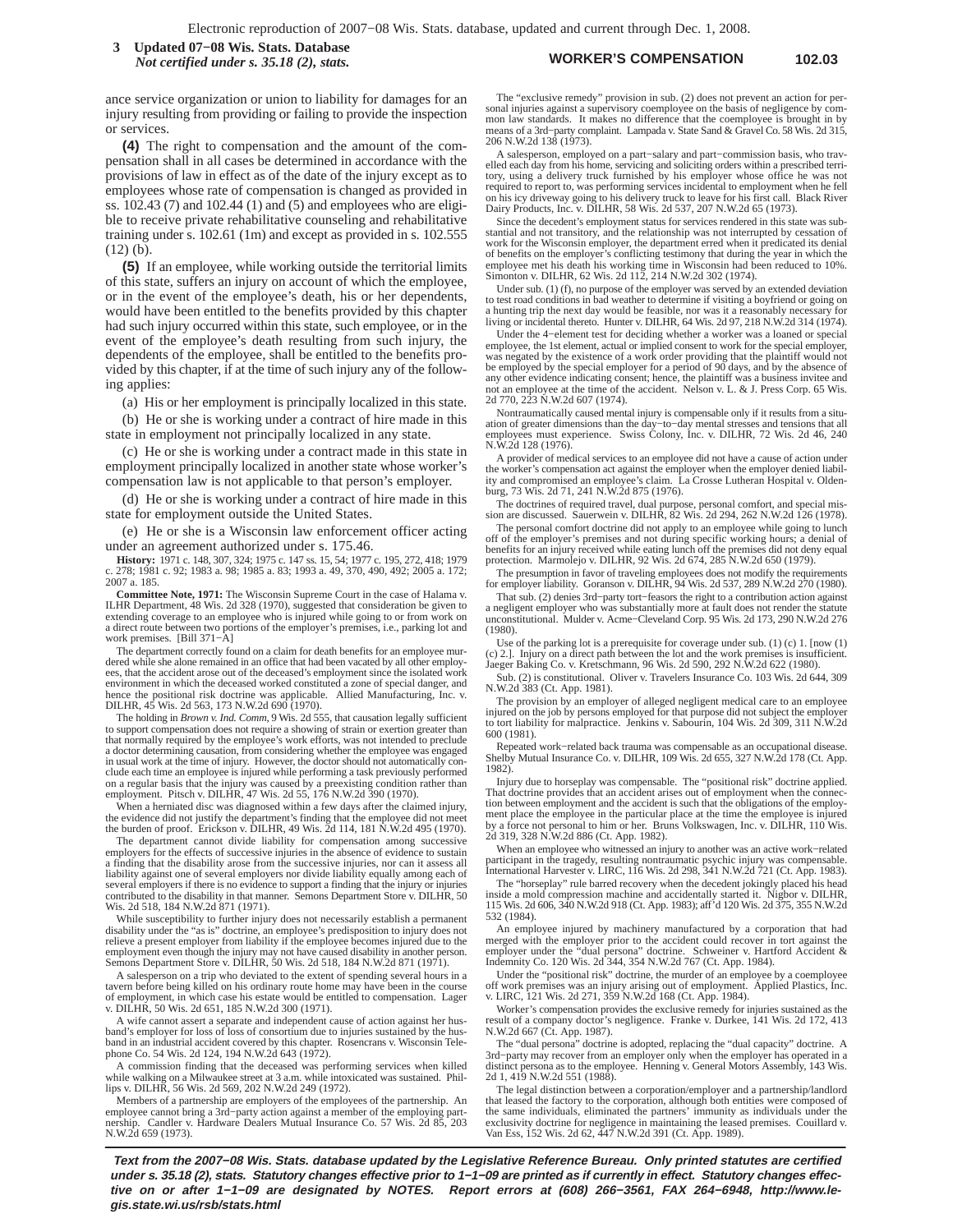### **WORKER'S COMPENSATION 102.03 3 Updated 07−08 Wis. Stats. Database** *Not certified under s. 35.18 (2), stats.*

ance service organization or union to liability for damages for an injury resulting from providing or failing to provide the inspection or services.

**(4)** The right to compensation and the amount of the compensation shall in all cases be determined in accordance with the provisions of law in effect as of the date of the injury except as to employees whose rate of compensation is changed as provided in ss. 102.43 (7) and 102.44 (1) and (5) and employees who are eligible to receive private rehabilitative counseling and rehabilitative training under s. 102.61 (1m) and except as provided in s. 102.555  $(12)$  (b).

**(5)** If an employee, while working outside the territorial limits of this state, suffers an injury on account of which the employee, or in the event of the employee's death, his or her dependents, would have been entitled to the benefits provided by this chapter had such injury occurred within this state, such employee, or in the event of the employee's death resulting from such injury, the dependents of the employee, shall be entitled to the benefits provided by this chapter, if at the time of such injury any of the following applies:

(a) His or her employment is principally localized in this state.

(b) He or she is working under a contract of hire made in this state in employment not principally localized in any state.

(c) He or she is working under a contract made in this state in employment principally localized in another state whose worker's compensation law is not applicable to that person's employer.

(d) He or she is working under a contract of hire made in this state for employment outside the United States.

(e) He or she is a Wisconsin law enforcement officer acting under an agreement authorized under s. 175.46.

**History:** 1971 c. 148, 307, 324; 1975 c. 147 ss. 15, 54; 1977 c. 195, 272, 418; 1979 c. 278; 1981 c. 92; 1983 a. 98; 1985 a. 83; 1993 a. 49, 370, 490, 492; 2005 a. 172; 2007 a. 185.

**Committee Note, 1971:** The Wisconsin Supreme Court in the case of Halama v. ILHR Department, 48 Wis. 2d 328 (1970), suggested that consideration be given to extending coverage to an employee who is injured while going to or from work on a direct route between two portions of the employer's premises, i.e., parking lot and work premises. [Bill 371−A]

The department correctly found on a claim for death benefits for an employee mur-<br>dered while she alone remained in an office that had been vacated by all other employees, that the accident arose out of the deceased's employment since the isolated work environment in which the deceased worked constituted a zone of special danger, and hence the positional risk doctrine was applicable. Allied Manufacturing, Inc. v. DILHR, 45 Wis. 2d 563, 173 N.W.2d 690 (1970).

The holding in *Brown v. Ind. Comm*, 9 Wis. 2d 555, that causation legally sufficient to support compensation does not require a showing of strain or exertion greater than that normally required by the employee's work efforts, was not intended to preclude a doctor determining causation, from considering whether the employee was engaged in usual work at the time of injury. However, the doctor should not automatically con-clude each time an employee is injured while performing a task previously performed on a regular basis that the injury was caused by a preexisting condition rather than employment. Pitsch v. DILHR, 47 Wis. 2d 55, 176 N.W.2d 390 (1970).

When a herniated disc was diagnosed within a few days after the claimed injury,<br>the evidence did not justify the department's finding that the emloyee did not meet<br>the burden of proof. Erickson v. DILHR, 49 Wis. 2d 114, 18

The department cannot divide liability for compensation among successive employers for the effects of successive injuries in the absence of evidence to sustain a finding that the disability arose from the successive injuries, nor can it assess all liability against one of several employers nor divide liability equally among each of several employers if there is no evidence to support a finding that the injury or injuries contributed to the disability in that manner. Semons Department Store v. DILHR, 50 Wis. 2d 518, 184 N.W.2d 871 (1971).

While susceptibility to further injury does not necessarily establish a permanent disability under the "as is" doctrine, an employee's predisposition to injury does not<br>relieve a present employer from liability if the employee becomes injured due to the<br>employment even though the injury may not have cau

A salesperson on a trip who deviated to the extent of spending several hours in a tavern before being killed on his ordinary route home may have been in the course of employment, in which case his estate would be entitled to compensation. Lager v. DILHR, 50 Wis. 2d 651, 185 N.W.2d 300 (1971).

A wife cannot assert a separate and independent cause of action against her husband's employer for loss of loss of consortium due to injuries sustained by the hus-band in an industrial accident covered by this chapter. Rosencrans v. Wisconsin Tele-phone Co. 54 Wis. 2d 124, 194 N.W.2d 643 (1972).

A commission finding that the deceased was performing services when killed while walking on a Milwaukee street at 3 a.m. while intoxicated was sustained. Phil-lips v. DILHR, 56 Wis. 2d 569, 202 N.W.2d 249 (1972).

Members of a partnership are employers of the employees of the partnership. An employee cannot bring a 3rd−party action against a member of the employing part-nership. Candler v. Hardware Dealers Mutual Insurance Co. 57 Wis. 2d 85, 203 N.W.2d 659 (1973).

The "exclusive remedy" provision in sub. (2) does not prevent an action for personal injuries against a supervisory coemployee on the basis of negligence by com-mon law standards. It makes no difference that the coemployee is brought in by eans of a 3rd−party complaint. Lampada v. State Sand & Gravel Co. 58 Wis. 2d 315, 206 N.W.2d 138 (1973).

A salesperson, employed on a part−salary and part−commission basis, who travelled each day from his home, servicing and soliciting orders within a prescribed terri-tory, using a delivery truck furnished by his employer whose office he was not required to report to, was performing services incidental to employment when he fell on his icy driveway going to his delivery truck to leave for his first call. Black River Dairy Products, Inc. v. DILHR, 58 Wis. 2d 537, 207 N.W.2d 65 (1973).

Since the decedent's employment status for services rendered in this state was substantial and not transitory, and the relationship was not interrupted by cessation of work for the Wisconsin employer, the department erred when it predicated its denial of benefits on the employer's conflicting testimony that during the year in which the employee met his death his working time in Wisconsin had been reduced to 10%. Simonton v. DILHR, 62 Wis. 2d 112, 214 N.W.2d 302 (1974).

Under sub. (1) (f), no purpose of the employer was served by an extended deviation to test road conditions in bad weather to determine if visiting a boyfriend or going on a hunting trip the next day would be feasible, nor was it a reasonably necessary for living or incidental thereto. Hunter v. DILHR, 64 Wis. 2d 97, 218 N.W.2d 314 (1974).

Under the 4−element test for deciding whether a worker was a loaned or special employee, the 1st element, actual or implied consent to work for the special employer, was negated by the existence of a work order providing that the plaintiff would not<br>be employed by the special employer for a period of 90 days, and by the absence of<br>any other evidence indicating consent; hence, the plain not an employee at the time of the accident. Nelson v. L. & J. Press Corp. 65 Wis. 2d 770, 223 N.W.2d 607 (1974).

Nontraumatically caused mental injury is compensable only if it results from a situ-ation of greater dimensions than the day−to−day mental stresses and tensions that all employees must experience. Swiss Colony, Inc. v. DILHR, 72 Wis. 2d 46, 240 N.W.2d 128 (1976).

A provider of medical services to an employee did not have a cause of action under the worker's compensation act against the employer when the employer denied liabil-ity and compromised an employee's claim. La Crosse Lutheran Hospital v. Olden-burg, 73 Wis. 2d 71, 241 N.W.2d 875 (1976).

The doctrines of required travel, dual purpose, personal comfort, and special mis-sion are discussed. Sauerwein v. DILHR, 82 Wis. 2d 294, 262 N.W.2d 126 (1978).

The personal comfort doctrine did not apply to an employee while going to lunch off of the employer's premises and not during specific working hours; a denial of benefits for an injury received while eating lunch off the premises did not deny equal protection. Marmolejo v. DILHR, 92 Wis. 2d 674, 285 N.W.2d 650 (1979).

The presumption in favor of traveling employees does not modify the requirements for employer liability. Goranson v. DILHR, 94 Wis. 2d 537, 289 N.W.2d 270 (1980).

That sub. (2) denies 3rd−party tort−feasors the right to a contribution action against a negligent employer who was substantially more at fault does not render the statute unconstitutional. Mulder v. Acme−Cleveland Corp. 95 Wis. 2d 173, 290 N.W.2d 276 (1980).

Use of the parking lot is a prerequisite for coverage under sub. (1) (c) 1. [now (1) (c) 2.]. Injury on a direct path between the lot and the work premises is insufficient. Jaeger Baking Co. v. Kretschmann, 96 Wis. 2d 590, 292 N.W.2d 622 (1980).

Sub. (2) is constitutional. Oliver v. Travelers Insurance Co. 103 Wis. 2d 644, 309 N.W.2d 383 (Ct. App. 1981).

The provision by an employer of alleged negligent medical care to an employee injured on the job by persons employed for that purpose did not subject the employer to tort liability for malpractice. Jenkins v. Sabourin, 104 Wis. 2d 309, 311 N.W.2d 600 (1981).

Repeated work−related back trauma was compensable as an occupational disease. Shelby Mutual Insurance Co. v. DILHR, 109 Wis. 2d 655, 327 N.W.2d 178 (Ct. App. 1982).

Injury due to horseplay was compensable. The "positional risk" doctrine applied. That doctrine provides that an accident arises out of employment when the connection between employment and the accident is such that the obligations of the employment place the employee in the particular place at the time the employee is injured by a force not personal to him or her. Bruns Volkswagen, Inc. v. DILHR, 110 Wis. 2d 319, 328 N.W.2d 886 (Ct. App. 1982).

When an employee who witnessed an injury to another was an active work−related participant in the tragedy, resulting nontraumatic psychic injury was compensable. International Harvester v. LIRC, 116 Wis. 2d 298, 341 N.W.2d 721 (Ct. App. 1983).

The "horseplay" rule barred recovery when the decedent jokingly placed his head side a mold compression machine and accidentally started it. Nigbor v. DILHR, inside a mold compression machine and accidentally started it. Nigbor v. DILHR, 115 Wis. 2d 606, 340 N.W.2d 918 (Ct. App. 1983); aff'd 120 Wis. 2d 375, 355 N.W.2d 532 (1984).

An employee injured by machinery manufactured by a corporation that had<br>merged with the employer prior to the accident could recover in tort against the<br>employer under the "dual persona" doctrine. Schweiner v. Hartford Acc Indemnity Co. 120 Wis. 2d 344, 354 N.W.2d 767 (Ct. App. 1984).

Under the "positional risk" doctrine, the murder of an employee by a coemployee of work premises was an injury arising out of employment. Applied Plastics, Inc. v. I.IRC, 121 Wis. 2d 271, 359 N.W.2d 168 (Ct. App. 1984).

Worker's compensation provides the exclusive remedy for injuries sustained as the result of a company doctor's negligence. Franke v. Durkee, 141 Wis. 2d 172, 413 N.W.2d 667 (Ct. App. 1987).

The "dual persona" doctrine is adopted, replacing the "dual capacity" doctrine. A 3rd−party may recover from an employer only when the employer has operated in a distinct persona as to the employee. Henning v. General Motors Assembly, 143 Wis. 2d 1, 419 N.W.2d 551 (1988).

The legal distinction between a corporation/employer and a partnership/landlord that leased the factory to the corporation, although both entities were composed of the same individuals, eliminated the partners' immunity as individuals under the exclusivity doctrine for negligence in maintaining the leased premises. Couillard v. Van Ess, 152 Wis. 2d 62, 447 N.W.2d 391 (Ct. App. 1989).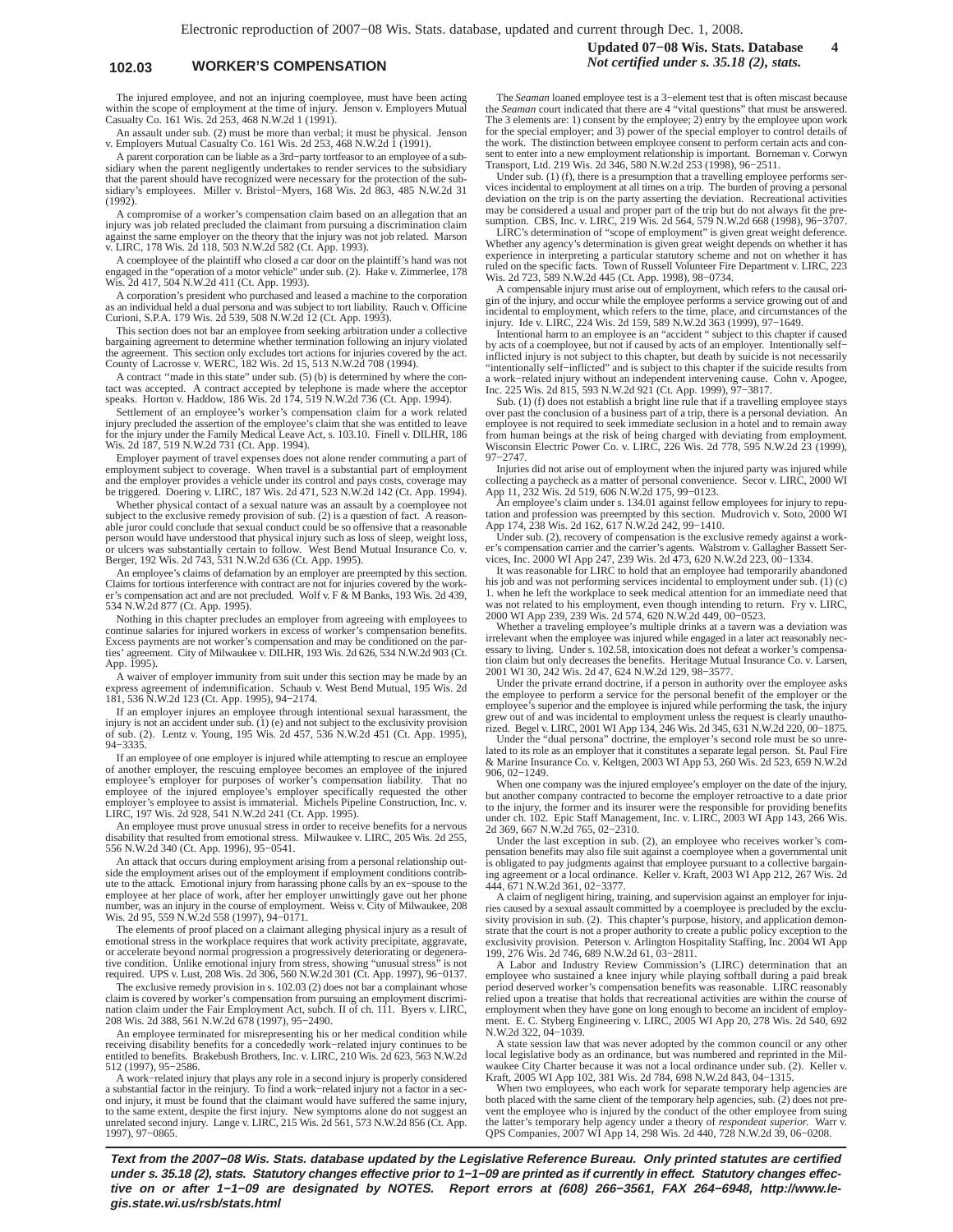### **102.03 WORKER'S COMPENSATION** *Not certified under s. 35.18 (2), stats.*

The injured employee, and not an injuring coemployee, must have been acting within the scope of employment at the time of injury. Jenson v. Employers Mutual Casualty Co. 161 Wis. 2d 253, 468 N.W.2d 1 (1991).

An assault under sub. (2) must be more than verbal; it must be physical. Jenson v. Employers Mutual Casualty Co. 161 Wis. 2d 253, 468 N.W.2d 1 (1991).

A parent corporation can be liable as a 3rd−party tortfeasor to an employee of a sub-sidiary when the parent negligently undertakes to render services to the subsidiary that the parent should have recognized were necessary for the protection of the sub-sidiary's employees. Miller v. Bristol−Myers, 168 Wis. 2d 863, 485 N.W.2d 31 (1992).

A compromise of a worker's compensation claim based on an allegation that an injury was job related precluded the claimant from pursuing a discrimination claim against the same employer on the theory that the injury was not job related. Marson v. LIRC, 178 Wis. 2d 118, 503 N.W.2d 582 (Ct. App. 1993).

A coemployee of the plaintiff who closed a car door on the plaintiff's hand was not engaged in the "operation of a motor vehicle" under sub. (2). Hake v. Zimmerlee, 178 Wis. 2d 417, 504 N.W.2d 411 (Ct. App. 1993).

A corporation's president who purchased and leased a machine to the corporation as an individual held a dual persona and was subject to tort liability. Rauch v. Officine Curioni, S.P.A. 179 Wis. 2d 539, 508 N.W.2d 12 (Ct. App. 1993).

This section does not bar an employee from seeking arbitration under a collective bargaining agreement to determine whether termination following an injury violated the agreement. This section only excludes tort actions for injuries covered by the act. County of Lacrosse v. WERC, 182 Wis. 2d 15, 513 N.W.2d 708 (1994).

A contract ''made in this state" under sub. (5) (b) is determined by where the contact was accepted. A contract accepted by telephone is made where the acceptor speaks. Horton v. Haddow, 186 Wis. 2d 174, 519 N.W.2d 736 (Ct. App. 1994).

Settlement of an employee's worker's compensation claim for a work related injury precluded the assertion of the employee's claim that she was entitled to leave for the injury under the Family Medical Leave Act, s. 103.10. Finell v. DILHR, 186 Wis. 2d 187, 519 N.W.2d 731 (Ct. App. 1994).

Employer payment of travel expenses does not alone render commuting a part of employment subject to coverage. When travel is a substantial part of employment and the employer provides a vehicle under its control and pays c be triggered. Doering v. LIRC, 187 Wis. 2d 471, 523 N.W.2d 142 (Ct. App. 1994).

Whether physical contact of a sexual nature was an assault by a coemployee not subject to the exclusive remedy provision of sub. (2) is a question of fact. A reasonable juror could conclude that sexual conduct could be so offensive that a reasonable person would have understood that physical injury such as loss of sleep, weight loss, or ulcers was substantially certain to follow. West Bend Mutual Insurance Co. v. Berger, 192 Wis. 2d 743, 531 N.W.2d 636 (Ct. App. 1995).

An employee's claims of defamation by an employer are preempted by this section. Claims for tortious interference with contract are not for injuries covered by the worker's compensation act and are not precluded. Wolf v. F & M Banks, 193 Wis. 2d 439, 534 N.W.2d 877 (Ct. App. 1995).

Nothing in this chapter precludes an employer from agreeing with employees to continue salaries for injured workers in excess of worker's compensation benefits. Excess payments are not worker's compensation and may be conditioned on the par-ties' agreement. City of Milwaukee v. DILHR, 193 Wis. 2d 626, 534 N.W.2d 903 (Ct. App. 1995).

A waiver of employer immunity from suit under this section may be made by an express agreement of indemnification. Schaub v. West Bend Mutual, 195 Wis. 2d 181, 536 N.W.2d 123 (Ct. App. 1995), 94−2174.

If an employer injures an employee through intentional sexual harassment, the injury is not an accident under sub. (1) (e) and not subject to the exclusivity provision of sub. (2). Lentz v. Young, 195 Wis. 2d 457, 536 N.W.2d 451 (Ct. App. 1995), 94−3335.

If an employee of one employer is injured while attempting to rescue an employee of another employer, the rescuing employee becomes an employee of the injured employee's employer for purposes of worker's compensation liability. That no employee of the injured employee's employer specifically requested the other employer's employee to assist is immaterial. Michels Pipeline Construction, Inc. v. LIRC, 197 Wis. 2d 928, 541 N.W.2d 241 (Ct. App. 1995).

An employee must prove unusual stress in order to receive benefits for a nervous disability that resulted from emotional stress. Milwaukee v. LIRC, 205 Wis. 2d 255, 556 N.W.2d 340 (Ct. App. 1996), 95−0541.

An attack that occurs during employment arising from a personal relationship outside the employment arises out of the employment if employment conditions contribute to the attack. Emotional injury from harassing phone calls by an ex−spouse to the employee at her place of work, after her employer unwittingly gave out her phone number, was an injury in the course of employment. Weiss v. City of Milwaukee, 208 Wis. 2d 95, 559 N.W.2d 558 (1997), 94−0171.

The elements of proof placed on a claimant alleging physical injury as a result of emotional stress in the workplace requires that work activity precipitate, aggravate, or accelerate beyond normal progression a progressively deteriorating or degenerative condition. Unlike emotional injury from stress, showing "unusual stress" is not required. UPS v. Lust, 208 Wis. 2d 306, 560 N.W.2d 301 (Ct. App. 1997), 96−0137.

The exclusive remedy provision in s. 102.03 (2) does not bar a complainant whose claim is covered by worker's compensation from pursuing an employment discrimination claim under the Fair Employment Act, subch. II of ch. 111. Byers v. LIRC, 208 Wis. 2d 388, 561 N.W.2d 678 (1997), 95−2490.

An employee terminated for misrepresenting his or her medical condition while receiving disability benefits for a concededly work−related injury continues to be entitled to benefits. Brakebush Brothers, Inc. v. LIRC, 210 Wis. 2d 623, 563 N.W.2d 512 (1997), 95−2586.

A work−related injury that plays any role in a second injury is properly considered a substantial factor in the reinjury. To find a work−related injury not a factor in a second injury, it must be found that the claimant would have suffered the same injury, to the same extent, despite the first injury. New symptoms alone do not suggest an unrelated second injury. Lange v. LIRC, 215 Wis. 2d 561, 573 N.W.2d 856 (Ct. App. 1997), 97−0865.

The *Seaman* loaned employee test is a 3−element test that is often miscast because the *Seaman* court indicated that there are 4 "vital questions" that must be answered. The 3 elements are: 1) consent by the employee; 2) entry by the employee upon work for the special employer; and 3) power of the special employer to control details of the work. The distinction between employee consent to perform certain acts and consent to enter into a new employment relationship is important. Borneman v. Corwyn Transport, Ltd. 219 Wis. 2d 346, 580 N.W.2d 253 (1998), 96−2511.

Under sub. (1) (f), there is a presumption that a travelling employee performs services incidental to employment at all times on a trip. The burden of proving a personal deviation on the trip is on the party asserting the deviation. Recreational activities may be considered a usual and proper part of the trip but do not always fit the presumption. CBS, Inc. v. LIRC, 219 Wis. 2d 564, 579 N.W.2d 668 (1998), 96−3707.

LIRC's determination of "scope of employment" is given great weight deference. Whether any agency's determination is given great weight depends on whether it has experience in interpreting a particular statutory scheme and not on whether it has ruled on the specific facts. Town of Russell Volunteer Fire Department v. LIRC, 223 Wis. 2d 723, 589 N.W.2d 445 (Ct. App. 1998), 98−0734.

A compensable injury must arise out of employment, which refers to the causal origin of the injury, and occur while the employee performs a service growing out of and incidental to employment, which refers to the time, pla injury. Ide v. LIRC, 224 Wis. 2d 159, 589 N.W.2d 363 (1999), 97−1649.

Intentional harm to an employee is an "accident " subject to this chapter if caused by acts of a coemployee, but not if caused by acts of an employer. Intentionally self− inflicted injury is not subject to this chapter, but death by suicide is not necessarily "intentionally self−inflicted" and is subject to this chapter if the suicide results from a work-related injury without an independent intervening cause. Cohn v. Apogee, Inc. 225 Wis. 2d 815, 593 N.W.2d 921 (Ct. App. 1999), 97–3817. Sub. (1) (f) does not establish a bright line rule that if a travelling employe

over past the conclusion of a business part of a trip, there is a personal deviation. An employee is not required to seek immediate seclusion in a hotel and to remain away from human beings at the risk of being charged with deviating from employment. Wisconsin Electric Power Co. v. LIRC, 226 Wis. 2d 778, 595 N.W.2d 23 (1999), 97−2747.

Injuries did not arise out of employment when the injured party was injured while collecting a paycheck as a matter of personal convenience. Secor v. LIRC, 2000 WI App 11, 232 Wis. 2d 519, 606 N.W.2d 175, 99−0123.

An employee's claim under s. 134.01 against fellow employees for injury to repu-tation and profession was preempted by this section. Mudrovich v. Soto, 2000 WI App 174, 238 Wis. 2d 162, 617 N.W.2d 242, 99−1410.

Under sub. (2), recovery of compensation is the exclusive remedy against a worker's compensation carrier and the carrier's agents. Walstrom v. Gallagher Bassett Services, Inc. 2000 WI App 247, 239 Wis. 2d 473, 620 N.W.2d 223, 00-1334.<br>It was reasonable for LIRC to hold that an employee had temporaril

his job and was not performing services incidental to employment under sub. (1) (c) 1. when he left the workplace to seek medical attention for an immediate need that was not related to his employment, even though intending to return. Fry v. LIRC, 2000 WI App 239, 239 Wis. 2d 574, 620 N.W.2d 449, 00−0523.

Whether a traveling employee's multiple drinks at a tavern was a deviation was irrelevant when the employee was injured while engaged in a later act reasonably necessary to living. Under s. 102.58, intoxication does not defeat a worker's compensation claim but only decreases the benefits. Heritage Mutual Insurance Co. v. Larsen, 2001 WI 30, 242 Wis. 2d 47, 624 N.W.2d 129, 98−3577.

Under the private errand doctrine, if a person in authority over the employee asks the employee to perform a service for the personal benefit of the employer or the employee's superior and the employee is injured while performing the task, the injury grew out of and was incidental to employment unless the request is clearly unautho-rized. Begel v. LIRC, 2001 WI App 134, 246 Wis. 2d 345, 631 N.W.2d 220, 00−1875.

Under the "dual persona" doctrine, the employer's second role must be so unrelated to its role as an employer that it constitutes a separate legal person. St. Paul Fire & Marine Insurance Co. v. Keltgen, 2003 WI App 53, 260 Wis. 2d 523, 659 N.W.2d 906, 02−1249.

When one company was the injured employee's employer on the date of the injury, but another company contracted to become the employer retroactive to a date prior to the injury, the former and its insurer were the responsible for providing benefits under ch. 102. Epic Staff Management, Inc. v. LIRC, 2003 WI App 143, 266 Wis. 2d 369, 667 N.W.2d 765, 02−2310.

Under the last exception in sub. (2), an employee who receives worker's compensation benefits may also file suit against a coemployee when a governmental unit<br>is obligated to pay judgments against that employee pursuant to a collective bargain-<br>ing agreement or a local ordinance. Keller v. Kraft, 444, 671 N.W.2d 361, 02−3377.

A claim of negligent hiring, training, and supervision against an employer for injuries caused by a sexual assault committed by a coemployee is precluded by the exclu-sivity provision in sub. (2). This chapter's purpose, history, and application demonstrate that the court is not a proper authority to create a public policy exception to the exclusivity provision. Peterson v. Arlington Hospitality Staffing, Inc. 2004 WI App 199, 276 Wis. 2d 746, 689 N.W.2d 61, 03−2811.

A Labor and Industry Review Commission's (LIRC) determination that an employee who sustained a knee injury while playing softball during a paid break<br>period deserved worker's compensation benefits was reasonable. LIRC reasonably<br>relied upon a treatise that holds that recreational activities employment when they have gone on long enough to become an incident of employ-ment. E. C. Styberg Engineering v. LIRC, 2005 WI App 20, 278 Wis. 2d 540, 692 N.W.2d 322, 04−1039.

A state session law that was never adopted by the common council or any other local legislative body as an ordinance, but was numbered and reprinted in the Milwaukee City Charter because it was not a local ordinance under sub. (2). Keller v. Kraft, 2005 WI App 102, 381 Wis. 2d 784, 698 N.W.2d 843, 04−1315.

When two employees, who each work for separate temporary help agencies are both placed with the same client of the temporary help agencies, sub. (2) does not prevent the employee who is injured by the conduct of the other employee from suing the latter's temporary help agency under a theory of *respondeat superior*. Warr v. QPS Companies, 2007 WI App 14, 298 Wis. 2d 440, 728 N.W.2d 39, 06−0208.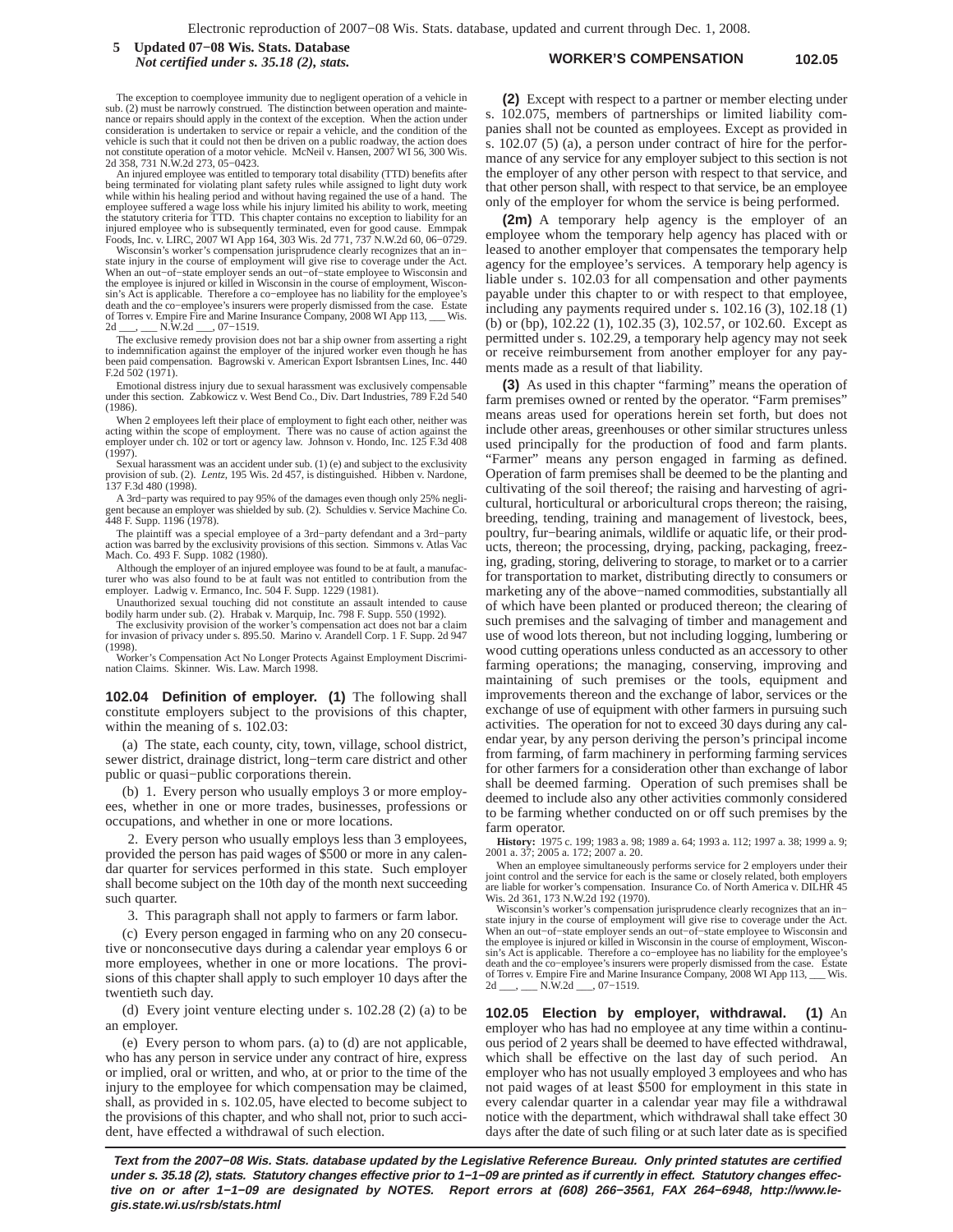**WORKER'S COMPENSATION 102.05 5 Updated 07−08 Wis. Stats. Database** *Not certified under s. 35.18 (2), stats.*

The exception to coemployee immunity due to negligent operation of a vehicle in sub. (2) must be narrowly construed. The distinction between operation and maintenance or repairs should apply in the context of the exception. When the action under consideration is undertaken to service or repair a vehicle, and the condition of the vehicle is such that it could not then be driven on a public roadway, the action does not constitute operation of a motor vehicle. McNeil v. Hansen, 2007 WI 56, 300 Wis. 2d 358, 731 N.W.2d 273, 05−0423.

An injured employee was entitled to temporary total disability (TTD) benefits after being terminated for violating plant safety rules while assigned to light duty work while within his healing period and without having regained the use of a hand. The employee suffered a wage loss while his injury limited his ability to work, meeting the statutory criteria for TTD. This chapter contains no exception to liability for an injured employee who is subsequently terminated, even for good cause. Emmpak

Foods, Inc. v. LIRC, 2007 WI App 164, 303 Wis. 2d 771, 737 N.W.2d 60, 06−0729. Wisconsin's worker's compensation jurisprudence clearly recognizes that an in− state injury in the course of employment will give rise to coverage under the Act. When an out−of−state employer sends an out−of−state employee to Wisconsin and the employee is injured or killed in Wisconsin in the course of employment, Wisconsin's Act is applicable. Therefore a co−employee has no liability for the employee's death and the co−employee's insurers were properly dismissed from the case. Estate of Torres v. Empire Fire and Marine Insurance Company, 2008 WI App 113, \_\_\_ Wis. 2d \_\_, 07−1519.

The exclusive remedy provision does not bar a ship owner from asserting a right to indemnification against the employer of the injured worker even though he has been paid compensation. Bagrowski v. American Export Isbrantsen Lines, Inc. 440 F.2d  $\frac{1}{2}02(1971)$ .

Emotional distress injury due to sexual harassment was exclusively compensable under this section. Zabkowicz v. West Bend Co., Div. Dart Industries, 789 F.2d 540 (1986).

When 2 employees left their place of employment to fight each other, neither was acting within the scope of employment. There was no cause of action against the employer under ch. 102 or tort or agency law. Johnson v. Hondo, Inc. 125 F.3d 408 (1997).

Sexual harassment was an accident under sub. (1) (e) and subject to the exclusivity provision of sub. (2). *Lentz,* 195 Wis. 2d 457, is distinguished. Hibben v. Nardone, 137 F.3d 480 (1998).

A 3rd−party was required to pay 95% of the damages even though only 25% negli-gent because an employer was shielded by sub. (2). Schuldies v. Service Machine Co. 448 F. Supp. 1196 (1978).

The plaintiff was a special employee of a 3rd−party defendant and a 3rd−party action was barred by the exclusivity provisions of this section. Simmons v. Atlas Vac Mach. Co. 493 F. Supp. 1082 (1980).

Although the employer of an injured employee was found to be at fault, a manufacturer who was also found to be at fault was not entitled to contribution from the employer. Ladwig v. Ermanco, Inc. 504 F. Supp. 1229 (1981).

Unauthorized sexual touching did not constitute an assault intended to cause bodily harm under sub. (2). Hrabak v. Marquip, Inc. 798 F. Supp. 550 (1992).

The exclusivity provision of the worker's compensation act does not bar a claim for invasion of privacy under s. 895.50. Marino v. Arandell Corp. 1 F. Supp. 2d 947 (1998).

Worker's Compensation Act No Longer Protects Against Employment Discrimi-nation Claims. Skinner. Wis. Law. March 1998.

**102.04 Definition of employer. (1)** The following shall constitute employers subject to the provisions of this chapter, within the meaning of s. 102.03:

(a) The state, each county, city, town, village, school district, sewer district, drainage district, long−term care district and other public or quasi−public corporations therein.

(b) 1. Every person who usually employs 3 or more employees, whether in one or more trades, businesses, professions or occupations, and whether in one or more locations.

2. Every person who usually employs less than 3 employees, provided the person has paid wages of \$500 or more in any calendar quarter for services performed in this state. Such employer shall become subject on the 10th day of the month next succeeding such quarter.

3. This paragraph shall not apply to farmers or farm labor.

(c) Every person engaged in farming who on any 20 consecutive or nonconsecutive days during a calendar year employs 6 or more employees, whether in one or more locations. The provisions of this chapter shall apply to such employer 10 days after the twentieth such day.

(d) Every joint venture electing under s. 102.28 (2) (a) to be an employer.

(e) Every person to whom pars. (a) to (d) are not applicable, who has any person in service under any contract of hire, express or implied, oral or written, and who, at or prior to the time of the injury to the employee for which compensation may be claimed, shall, as provided in s. 102.05, have elected to become subject to the provisions of this chapter, and who shall not, prior to such accident, have effected a withdrawal of such election.

**(2)** Except with respect to a partner or member electing under s. 102.075, members of partnerships or limited liability companies shall not be counted as employees. Except as provided in s. 102.07 (5) (a), a person under contract of hire for the performance of any service for any employer subject to this section is not the employer of any other person with respect to that service, and that other person shall, with respect to that service, be an employee only of the employer for whom the service is being performed.

**(2m)** A temporary help agency is the employer of an employee whom the temporary help agency has placed with or leased to another employer that compensates the temporary help agency for the employee's services. A temporary help agency is liable under s. 102.03 for all compensation and other payments payable under this chapter to or with respect to that employee, including any payments required under s. 102.16 (3), 102.18 (1) (b) or (bp), 102.22 (1), 102.35 (3), 102.57, or 102.60. Except as permitted under s. 102.29, a temporary help agency may not seek or receive reimbursement from another employer for any payments made as a result of that liability.

**(3)** As used in this chapter "farming" means the operation of farm premises owned or rented by the operator. "Farm premises" means areas used for operations herein set forth, but does not include other areas, greenhouses or other similar structures unless used principally for the production of food and farm plants. "Farmer" means any person engaged in farming as defined. Operation of farm premises shall be deemed to be the planting and cultivating of the soil thereof; the raising and harvesting of agricultural, horticultural or arboricultural crops thereon; the raising, breeding, tending, training and management of livestock, bees, poultry, fur−bearing animals, wildlife or aquatic life, or their products, thereon; the processing, drying, packing, packaging, freezing, grading, storing, delivering to storage, to market or to a carrier for transportation to market, distributing directly to consumers or marketing any of the above−named commodities, substantially all of which have been planted or produced thereon; the clearing of such premises and the salvaging of timber and management and use of wood lots thereon, but not including logging, lumbering or wood cutting operations unless conducted as an accessory to other farming operations; the managing, conserving, improving and maintaining of such premises or the tools, equipment and improvements thereon and the exchange of labor, services or the exchange of use of equipment with other farmers in pursuing such activities. The operation for not to exceed 30 days during any calendar year, by any person deriving the person's principal income from farming, of farm machinery in performing farming services for other farmers for a consideration other than exchange of labor shall be deemed farming. Operation of such premises shall be deemed to include also any other activities commonly considered to be farming whether conducted on or off such premises by the farm operator.

**History:** 1975 c. 199; 1983 a. 98; 1989 a. 64; 1993 a. 112; 1997 a. 38; 1999 a. 9; 2001 a. 37; 2005 a. 172; 2007 a. 20.

When an employee simultaneously performs service for 2 employers under their joint control and the service for each is the same or closely related, both employers are liable for worker's compensation. Insurance Co. of North America v. DILHR 45 Wis. 2d 361, 173 N.W.2d 192 (1970).

Wisconsin's worker's compensation jurisprudence clearly recognizes that an in− state injury in the course of employment will give rise to coverage under the Act. When an out−of–state employer sends an out–of–state employee to Wisconsin and the employee is injured or killed in Wisconsin in the course of employment, Wisconsin's Act is applicable. Therefore a co−employee has no liability for the employee's death and the co−employee's insurers were properly dismissed from the case. Estate of Torres v. Empire Fire and Marine Insurance Company, 2008 WI App 113, \_\_\_ Wis. 2d \_\_\_, \_\_\_ N.W.2d \_\_\_, 07–1519.

**102.05 Election by employer, withdrawal. (1)** An employer who has had no employee at any time within a continuous period of 2 years shall be deemed to have effected withdrawal, which shall be effective on the last day of such period. An employer who has not usually employed 3 employees and who has not paid wages of at least \$500 for employment in this state in every calendar quarter in a calendar year may file a withdrawal notice with the department, which withdrawal shall take effect 30 days after the date of such filing or at such later date as is specified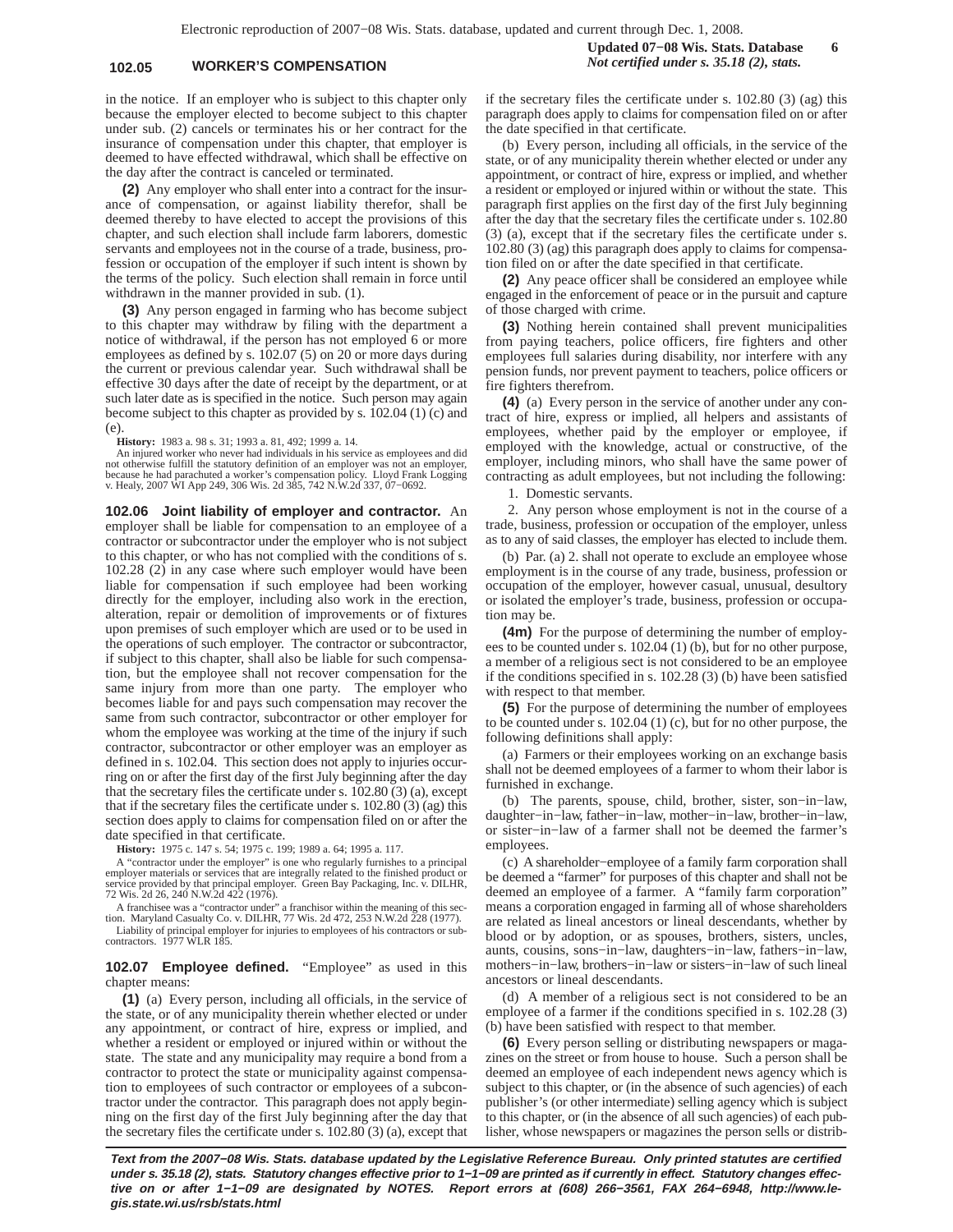## **102.05 WORKER'S COMPENSATION** *Not certified under s. 35.18 (2), stats.*

**Updated 07−08 Wis. Stats. Database 6**

in the notice. If an employer who is subject to this chapter only because the employer elected to become subject to this chapter under sub. (2) cancels or terminates his or her contract for the insurance of compensation under this chapter, that employer is deemed to have effected withdrawal, which shall be effective on the day after the contract is canceled or terminated.

**(2)** Any employer who shall enter into a contract for the insurance of compensation, or against liability therefor, shall be deemed thereby to have elected to accept the provisions of this chapter, and such election shall include farm laborers, domestic servants and employees not in the course of a trade, business, profession or occupation of the employer if such intent is shown by the terms of the policy. Such election shall remain in force until withdrawn in the manner provided in sub. (1).

**(3)** Any person engaged in farming who has become subject to this chapter may withdraw by filing with the department a notice of withdrawal, if the person has not employed 6 or more employees as defined by s. 102.07 (5) on 20 or more days during the current or previous calendar year. Such withdrawal shall be effective 30 days after the date of receipt by the department, or at such later date as is specified in the notice. Such person may again become subject to this chapter as provided by s. 102.04 (1) (c) and  $(e)$ 

**History:** 1983 a. 98 s. 31; 1993 a. 81, 492; 1999 a. 14.

An injured worker who never had individuals in his service as employees and did<br>not otherwise fulfill the statutory definition of an employer was not an employer,<br>because he had parachuted a worker's compensation policy. L

**102.06 Joint liability of employer and contractor.** An employer shall be liable for compensation to an employee of a contractor or subcontractor under the employer who is not subject to this chapter, or who has not complied with the conditions of s. 102.28 (2) in any case where such employer would have been liable for compensation if such employee had been working directly for the employer, including also work in the erection, alteration, repair or demolition of improvements or of fixtures upon premises of such employer which are used or to be used in the operations of such employer. The contractor or subcontractor, if subject to this chapter, shall also be liable for such compensation, but the employee shall not recover compensation for the same injury from more than one party. The employer who becomes liable for and pays such compensation may recover the same from such contractor, subcontractor or other employer for whom the employee was working at the time of the injury if such contractor, subcontractor or other employer was an employer as defined in s. 102.04. This section does not apply to injuries occurring on or after the first day of the first July beginning after the day that the secretary files the certificate under s. 102.80 (3) (a), except that if the secretary files the certificate under s. 102.80 (3) (ag) this section does apply to claims for compensation filed on or after the date specified in that certificate.

**History:** 1975 c. 147 s. 54; 1975 c. 199; 1989 a. 64; 1995 a. 117.

A "contractor under the employer" is one who regularly furnishes to a principal employer materials or services that are integrally related to the finished product service provided by that principal employer. Green Bay Packaging, Inc. v. DILHR, 72 Wis. 2d 26, 240 N.W.2d 422 (1976).

A franchisee was a "contractor under" a franchisor within the meaning of this sec-tion. Maryland Casualty Co. v. DILHR, 77 Wis. 2d 472, 253 N.W.2d 228 (1977).

Liability of principal employer for injuries to employees of his contractors or sub-contractors. 1977 WLR 185.

**102.07 Employee defined.** "Employee" as used in this chapter means:

**(1)** (a) Every person, including all officials, in the service of the state, or of any municipality therein whether elected or under any appointment, or contract of hire, express or implied, and whether a resident or employed or injured within or without the state. The state and any municipality may require a bond from a contractor to protect the state or municipality against compensation to employees of such contractor or employees of a subcontractor under the contractor. This paragraph does not apply beginning on the first day of the first July beginning after the day that the secretary files the certificate under s. 102.80 (3) (a), except that if the secretary files the certificate under s. 102.80 (3) (ag) this paragraph does apply to claims for compensation filed on or after the date specified in that certificate.

(b) Every person, including all officials, in the service of the state, or of any municipality therein whether elected or under any appointment, or contract of hire, express or implied, and whether a resident or employed or injured within or without the state. This paragraph first applies on the first day of the first July beginning after the day that the secretary files the certificate under s. 102.80 (3) (a), except that if the secretary files the certificate under s. 102.80 (3) (ag) this paragraph does apply to claims for compensation filed on or after the date specified in that certificate.

**(2)** Any peace officer shall be considered an employee while engaged in the enforcement of peace or in the pursuit and capture of those charged with crime.

**(3)** Nothing herein contained shall prevent municipalities from paying teachers, police officers, fire fighters and other employees full salaries during disability, nor interfere with any pension funds, nor prevent payment to teachers, police officers or fire fighters therefrom.

**(4)** (a) Every person in the service of another under any contract of hire, express or implied, all helpers and assistants of employees, whether paid by the employer or employee, if employed with the knowledge, actual or constructive, of the employer, including minors, who shall have the same power of contracting as adult employees, but not including the following:

1. Domestic servants.

2. Any person whose employment is not in the course of a trade, business, profession or occupation of the employer, unless as to any of said classes, the employer has elected to include them.

(b) Par. (a) 2. shall not operate to exclude an employee whose employment is in the course of any trade, business, profession or occupation of the employer, however casual, unusual, desultory or isolated the employer's trade, business, profession or occupation may be.

**(4m)** For the purpose of determining the number of employees to be counted under s. 102.04 (1) (b), but for no other purpose, a member of a religious sect is not considered to be an employee if the conditions specified in s. 102.28 (3) (b) have been satisfied with respect to that member.

**(5)** For the purpose of determining the number of employees to be counted under s. 102.04 (1) (c), but for no other purpose, the following definitions shall apply:

(a) Farmers or their employees working on an exchange basis shall not be deemed employees of a farmer to whom their labor is furnished in exchange.

(b) The parents, spouse, child, brother, sister, son−in−law, daughter−in−law, father−in−law, mother−in−law, brother−in−law, or sister−in−law of a farmer shall not be deemed the farmer's employees.

(c) A shareholder−employee of a family farm corporation shall be deemed a "farmer" for purposes of this chapter and shall not be deemed an employee of a farmer. A "family farm corporation" means a corporation engaged in farming all of whose shareholders are related as lineal ancestors or lineal descendants, whether by blood or by adoption, or as spouses, brothers, sisters, uncles, aunts, cousins, sons−in−law, daughters−in−law, fathers−in−law, mothers−in−law, brothers−in−law or sisters−in−law of such lineal ancestors or lineal descendants.

(d) A member of a religious sect is not considered to be an employee of a farmer if the conditions specified in s. 102.28 (3) (b) have been satisfied with respect to that member.

**(6)** Every person selling or distributing newspapers or magazines on the street or from house to house. Such a person shall be deemed an employee of each independent news agency which is subject to this chapter, or (in the absence of such agencies) of each publisher's (or other intermediate) selling agency which is subject to this chapter, or (in the absence of all such agencies) of each publisher, whose newspapers or magazines the person sells or distrib-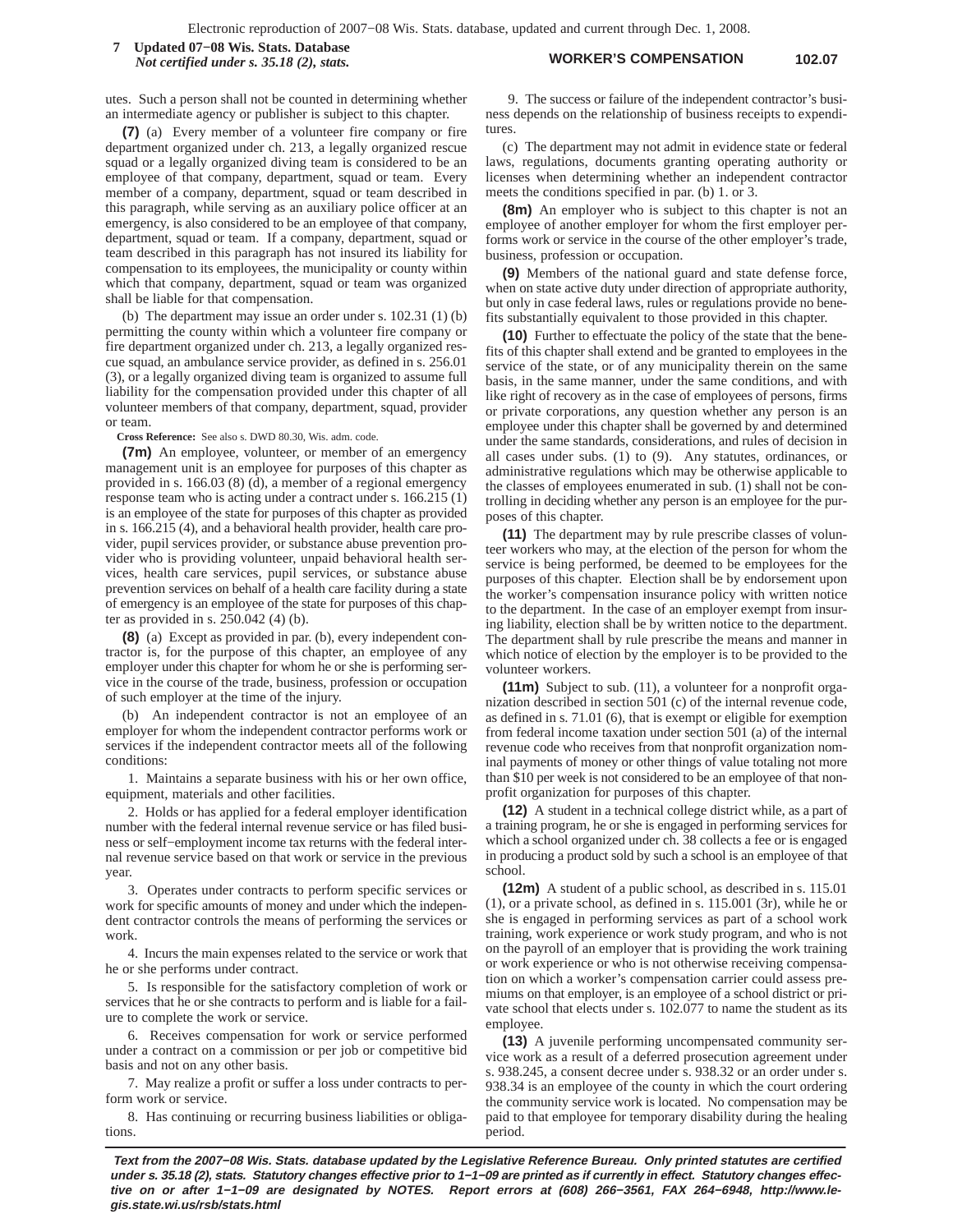#### **WORKER'S COMPENSATION 102.07 7 Updated 07−08 Wis. Stats. Database** *Not certified under s. 35.18 (2), stats.*

utes. Such a person shall not be counted in determining whether an intermediate agency or publisher is subject to this chapter.

**(7)** (a) Every member of a volunteer fire company or fire department organized under ch. 213, a legally organized rescue squad or a legally organized diving team is considered to be an employee of that company, department, squad or team. Every member of a company, department, squad or team described in this paragraph, while serving as an auxiliary police officer at an emergency, is also considered to be an employee of that company, department, squad or team. If a company, department, squad or team described in this paragraph has not insured its liability for compensation to its employees, the municipality or county within which that company, department, squad or team was organized shall be liable for that compensation.

(b) The department may issue an order under s. 102.31 (1) (b) permitting the county within which a volunteer fire company or fire department organized under ch. 213, a legally organized rescue squad, an ambulance service provider, as defined in s. 256.01 (3), or a legally organized diving team is organized to assume full liability for the compensation provided under this chapter of all volunteer members of that company, department, squad, provider or team.

**Cross Reference:** See also s. DWD 80.30, Wis. adm. code.

**(7m)** An employee, volunteer, or member of an emergency management unit is an employee for purposes of this chapter as provided in s. 166.03 (8) (d), a member of a regional emergency response team who is acting under a contract under s. 166.215 (1) is an employee of the state for purposes of this chapter as provided in s. 166.215 (4), and a behavioral health provider, health care provider, pupil services provider, or substance abuse prevention provider who is providing volunteer, unpaid behavioral health services, health care services, pupil services, or substance abuse prevention services on behalf of a health care facility during a state of emergency is an employee of the state for purposes of this chapter as provided in s. 250.042 (4) (b).

**(8)** (a) Except as provided in par. (b), every independent contractor is, for the purpose of this chapter, an employee of any employer under this chapter for whom he or she is performing service in the course of the trade, business, profession or occupation of such employer at the time of the injury.

(b) An independent contractor is not an employee of an employer for whom the independent contractor performs work or services if the independent contractor meets all of the following conditions:

1. Maintains a separate business with his or her own office, equipment, materials and other facilities.

2. Holds or has applied for a federal employer identification number with the federal internal revenue service or has filed business or self−employment income tax returns with the federal internal revenue service based on that work or service in the previous year.

3. Operates under contracts to perform specific services or work for specific amounts of money and under which the independent contractor controls the means of performing the services or work.

4. Incurs the main expenses related to the service or work that he or she performs under contract.

5. Is responsible for the satisfactory completion of work or services that he or she contracts to perform and is liable for a failure to complete the work or service.

6. Receives compensation for work or service performed under a contract on a commission or per job or competitive bid basis and not on any other basis.

7. May realize a profit or suffer a loss under contracts to perform work or service.

8. Has continuing or recurring business liabilities or obligations.

9. The success or failure of the independent contractor's business depends on the relationship of business receipts to expenditures

(c) The department may not admit in evidence state or federal laws, regulations, documents granting operating authority or licenses when determining whether an independent contractor meets the conditions specified in par. (b) 1. or 3.

**(8m)** An employer who is subject to this chapter is not an employee of another employer for whom the first employer performs work or service in the course of the other employer's trade, business, profession or occupation.

**(9)** Members of the national guard and state defense force, when on state active duty under direction of appropriate authority, but only in case federal laws, rules or regulations provide no benefits substantially equivalent to those provided in this chapter.

**(10)** Further to effectuate the policy of the state that the benefits of this chapter shall extend and be granted to employees in the service of the state, or of any municipality therein on the same basis, in the same manner, under the same conditions, and with like right of recovery as in the case of employees of persons, firms or private corporations, any question whether any person is an employee under this chapter shall be governed by and determined under the same standards, considerations, and rules of decision in all cases under subs. (1) to (9). Any statutes, ordinances, or administrative regulations which may be otherwise applicable to the classes of employees enumerated in sub. (1) shall not be controlling in deciding whether any person is an employee for the purposes of this chapter.

**(11)** The department may by rule prescribe classes of volunteer workers who may, at the election of the person for whom the service is being performed, be deemed to be employees for the purposes of this chapter. Election shall be by endorsement upon the worker's compensation insurance policy with written notice to the department. In the case of an employer exempt from insuring liability, election shall be by written notice to the department. The department shall by rule prescribe the means and manner in which notice of election by the employer is to be provided to the volunteer workers.

**(11m)** Subject to sub. (11), a volunteer for a nonprofit organization described in section 501 (c) of the internal revenue code, as defined in s. 71.01 (6), that is exempt or eligible for exemption from federal income taxation under section 501 (a) of the internal revenue code who receives from that nonprofit organization nominal payments of money or other things of value totaling not more than \$10 per week is not considered to be an employee of that nonprofit organization for purposes of this chapter.

**(12)** A student in a technical college district while, as a part of a training program, he or she is engaged in performing services for which a school organized under ch. 38 collects a fee or is engaged in producing a product sold by such a school is an employee of that school.

**(12m)** A student of a public school, as described in s. 115.01 (1), or a private school, as defined in s. 115.001 (3r), while he or she is engaged in performing services as part of a school work training, work experience or work study program, and who is not on the payroll of an employer that is providing the work training or work experience or who is not otherwise receiving compensation on which a worker's compensation carrier could assess premiums on that employer, is an employee of a school district or private school that elects under s. 102.077 to name the student as its employee.

**(13)** A juvenile performing uncompensated community service work as a result of a deferred prosecution agreement under s. 938.245, a consent decree under s. 938.32 or an order under s. 938.34 is an employee of the county in which the court ordering the community service work is located. No compensation may be paid to that employee for temporary disability during the healing period.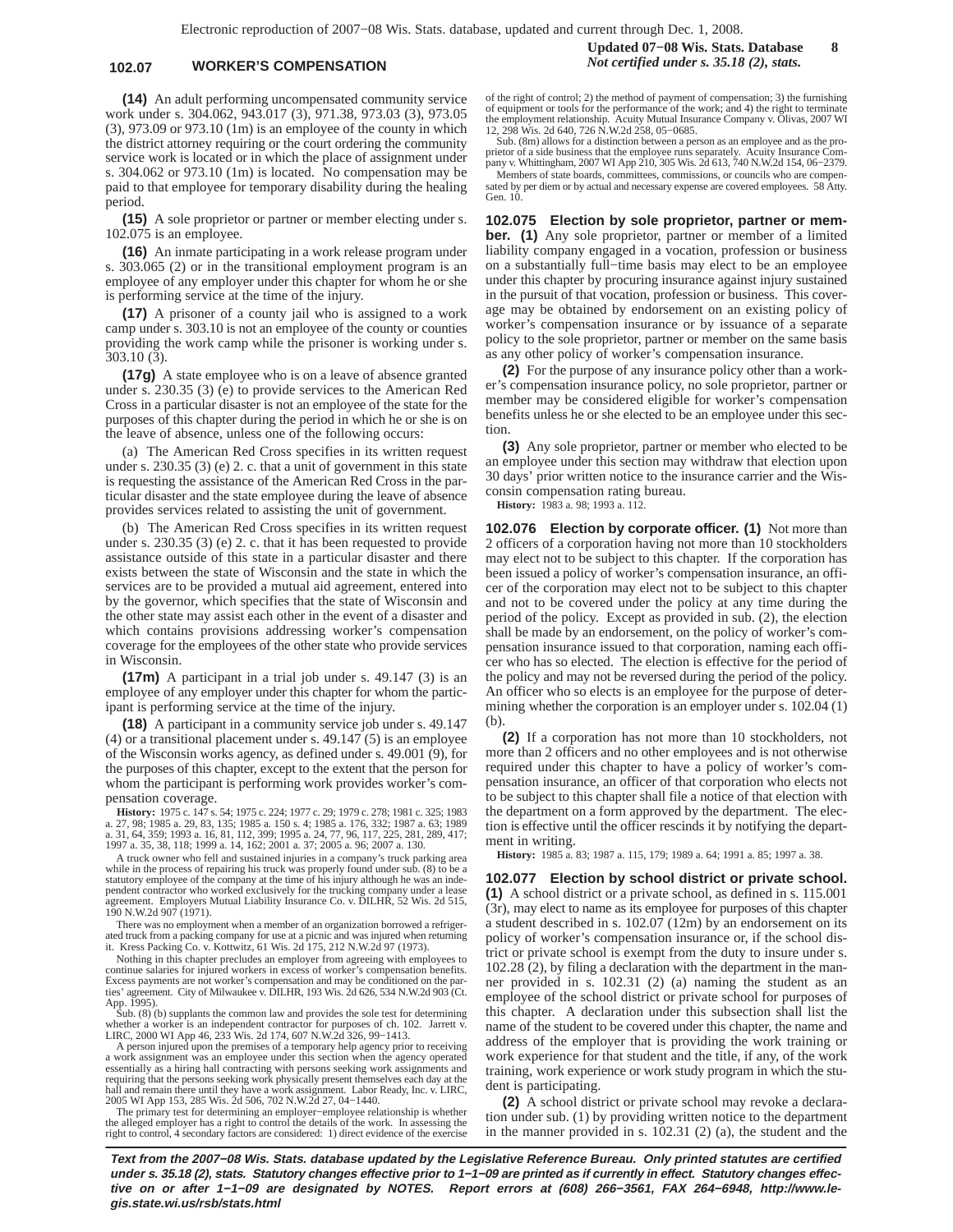### **102.07 WORKER'S COMPENSATION** *Not certified under s. 35.18 (2), stats.*

**(14)** An adult performing uncompensated community service work under s. 304.062, 943.017 (3), 971.38, 973.03 (3), 973.05 (3), 973.09 or 973.10 (1m) is an employee of the county in which the district attorney requiring or the court ordering the community service work is located or in which the place of assignment under s. 304.062 or 973.10 (1m) is located. No compensation may be paid to that employee for temporary disability during the healing period.

**(15)** A sole proprietor or partner or member electing under s. 102.075 is an employee.

**(16)** An inmate participating in a work release program under s. 303.065 (2) or in the transitional employment program is an employee of any employer under this chapter for whom he or she is performing service at the time of the injury.

**(17)** A prisoner of a county jail who is assigned to a work camp under s. 303.10 is not an employee of the county or counties providing the work camp while the prisoner is working under s. 303.10 (3).

**(17g)** A state employee who is on a leave of absence granted under s. 230.35 (3) (e) to provide services to the American Red Cross in a particular disaster is not an employee of the state for the purposes of this chapter during the period in which he or she is on the leave of absence, unless one of the following occurs:

(a) The American Red Cross specifies in its written request under s. 230.35 (3) (e) 2. c. that a unit of government in this state is requesting the assistance of the American Red Cross in the particular disaster and the state employee during the leave of absence provides services related to assisting the unit of government.

(b) The American Red Cross specifies in its written request under s. 230.35 (3) (e) 2. c. that it has been requested to provide assistance outside of this state in a particular disaster and there exists between the state of Wisconsin and the state in which the services are to be provided a mutual aid agreement, entered into by the governor, which specifies that the state of Wisconsin and the other state may assist each other in the event of a disaster and which contains provisions addressing worker's compensation coverage for the employees of the other state who provide services in Wisconsin.

**(17m)** A participant in a trial job under s. 49.147 (3) is an employee of any employer under this chapter for whom the participant is performing service at the time of the injury.

**(18)** A participant in a community service job under s. 49.147 (4) or a transitional placement under s. 49.147 (5) is an employee of the Wisconsin works agency, as defined under s. 49.001 (9), for the purposes of this chapter, except to the extent that the person for whom the participant is performing work provides worker's compensation coverage.

**History:** 1975 c. 147 s. 54; 1975 c. 224; 1977 c. 29; 1979 c. 278; 1981 c. 325; 1983 a. 27, 98; 1985 a. 29, 83, 135; 1985 a. 150 s. 4; 1985 a. 176, 332; 1987 a. 63; 1989 a. 31, 64, 359; 1993 a. 16, 81, 112, 399; 1995 a. 24, 77, 96, 117, 225, 281, 289, 417; 1997 a. 35, 38, 118; 1999 a. 14, 162; 2001 a. 37; 2005 a. 96; 2007 a. 130.

A truck owner who fell and sustained injuries in a company's truck parking area while in the process of repairing his truck was properly found under sub. (8) to be a statutory employee of the company at the time of his injury although he was an independent contractor who worked exclusively for the trucking company under a lease agreement. Employers Mutual Liability Insurance Co. v. DILHR, 52 Wis. 2d 515, 190 N.W.2d 907 (1971).

There was no employment when a member of an organization borrowed a refrigerated truck from a packing company for use at a picnic and was injured when returning it. Kress Packing Co. v. Kottwitz, 61 Wis. 2d 175, 212 N.W.2d 97 (1973).

Nothing in this chapter precludes an employer from agreeing with employees to continue salaries for injured workers in excess of worker's compensation benefits.<br>Excess payments are not worker's compensation and may be conditioned on the parties' agreement. City of Milwaukee v. DILHR, 193 Wis. 2d 626, 534 N.W.2d 903 (Ct.

App. 1995). Sub. (8) (b) supplants the common law and provides the sole test for determining whether a worker is an independent contractor for purposes of ch. 102. Jarrett v. LIRC, 2000 WI App 46, 233 Wis. 2d 174, 607 N.W.2d 326, 99−1413.

A person injured upon the premises of a temporary help agency prior to receiving a work assignment was an employee under this section when the agency operated essentially as a hiring hall contracting with persons seeking work assignments and requiring that the persons seeking work physically present themselves each day at the hall and remain there until they have a work assignment. Labor Ready, Inc. v. LIRC, 2005 WI App 153, 285 Wis. 2d 506, 702 N.W.2d 27, 04−1440.

The primary test for determining an employer−employee relationship is whether the alleged employer has a right to control the details of the work. In assessing the right to control, 4 secondary factors are considered: 1) direct evidence of the exercise of the right of control; 2) the method of payment of compensation; 3) the furnishing of equipment or tools for the performance of the work; and 4) the right to terminate the employment relationship. Acuity Mutual Insurance Company v. Olivas, 2007 WI 12, 298 Wis. 2d 640, 726 N.W.2d 258, 05−0685.

Sub. (8m) allows for a distinction between a person as an employee and as the proprietor of a side business that the employee runs separately. Acuity Insurance Com-pany v. Whittingham, 2007 WI App 210, 305 Wis. 2d 613, 740 N.W.2d 154, 06−2379.

Members of state boards, committees, commissions, or councils who are compensated by per diem or by actual and necessary expense are covered employees. 58 Atty. Gen. 10.

**102.075 Election by sole proprietor, partner or member. (1)** Any sole proprietor, partner or member of a limited liability company engaged in a vocation, profession or business on a substantially full−time basis may elect to be an employee under this chapter by procuring insurance against injury sustained in the pursuit of that vocation, profession or business. This coverage may be obtained by endorsement on an existing policy of worker's compensation insurance or by issuance of a separate policy to the sole proprietor, partner or member on the same basis as any other policy of worker's compensation insurance.

**(2)** For the purpose of any insurance policy other than a worker's compensation insurance policy, no sole proprietor, partner or member may be considered eligible for worker's compensation benefits unless he or she elected to be an employee under this section.

**(3)** Any sole proprietor, partner or member who elected to be an employee under this section may withdraw that election upon 30 days' prior written notice to the insurance carrier and the Wisconsin compensation rating bureau.

**History:** 1983 a. 98; 1993 a. 112.

**102.076 Election by corporate officer. (1)** Not more than 2 officers of a corporation having not more than 10 stockholders may elect not to be subject to this chapter. If the corporation has been issued a policy of worker's compensation insurance, an officer of the corporation may elect not to be subject to this chapter and not to be covered under the policy at any time during the period of the policy. Except as provided in sub. (2), the election shall be made by an endorsement, on the policy of worker's compensation insurance issued to that corporation, naming each officer who has so elected. The election is effective for the period of the policy and may not be reversed during the period of the policy. An officer who so elects is an employee for the purpose of determining whether the corporation is an employer under s. 102.04 (1)  $(b)$ 

**(2)** If a corporation has not more than 10 stockholders, not more than 2 officers and no other employees and is not otherwise required under this chapter to have a policy of worker's compensation insurance, an officer of that corporation who elects not to be subject to this chapter shall file a notice of that election with the department on a form approved by the department. The election is effective until the officer rescinds it by notifying the department in writing.

**History:** 1985 a. 83; 1987 a. 115, 179; 1989 a. 64; 1991 a. 85; 1997 a. 38.

**102.077 Election by school district or private school. (1)** A school district or a private school, as defined in s. 115.001 (3r), may elect to name as its employee for purposes of this chapter a student described in s. 102.07 (12m) by an endorsement on its policy of worker's compensation insurance or, if the school district or private school is exempt from the duty to insure under s. 102.28 (2), by filing a declaration with the department in the manner provided in s. 102.31 (2) (a) naming the student as an employee of the school district or private school for purposes of this chapter. A declaration under this subsection shall list the name of the student to be covered under this chapter, the name and address of the employer that is providing the work training or work experience for that student and the title, if any, of the work training, work experience or work study program in which the student is participating.

**(2)** A school district or private school may revoke a declaration under sub. (1) by providing written notice to the department in the manner provided in s. 102.31 (2) (a), the student and the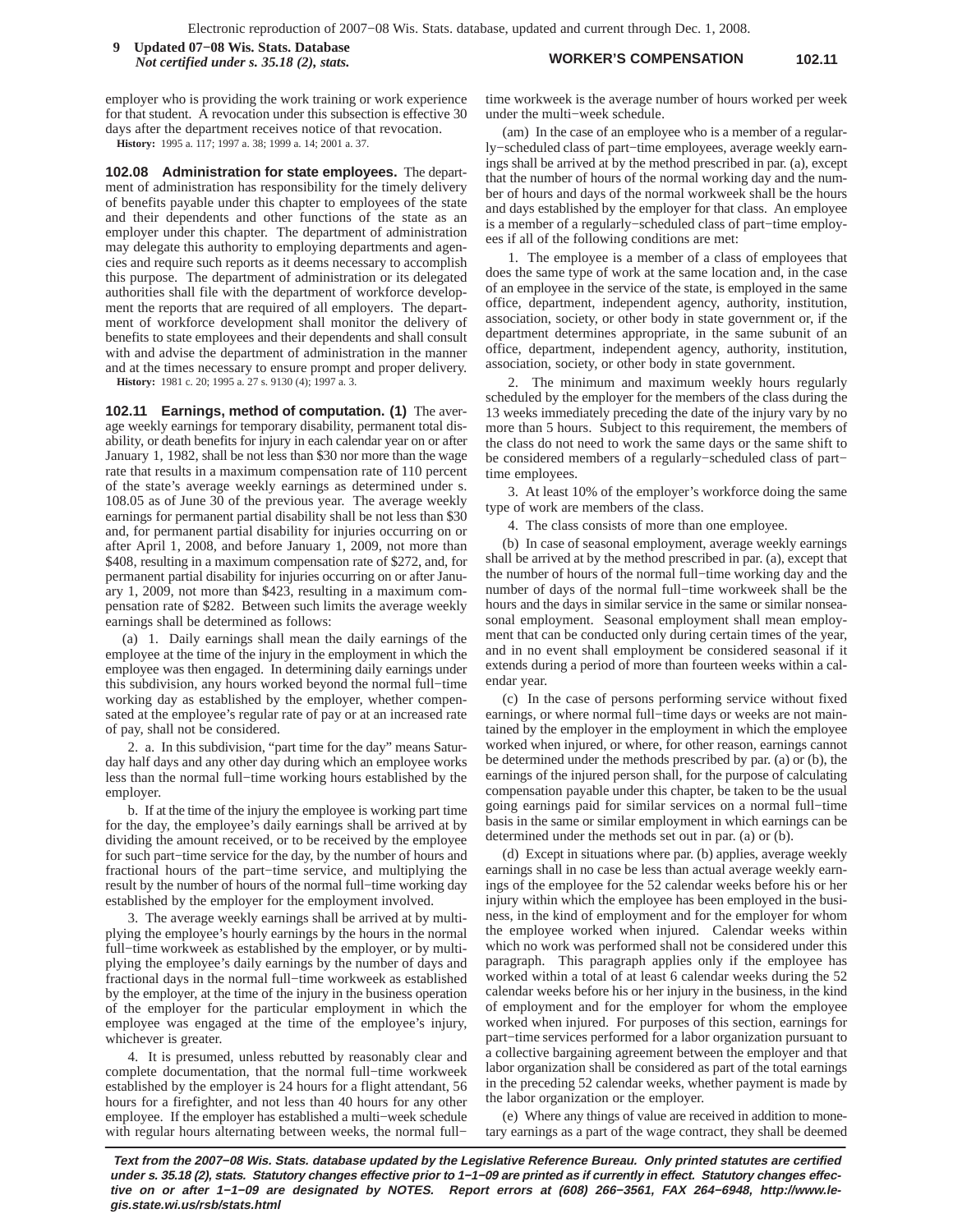**WORKER'S COMPENSATION 102.11 9 Updated 07−08 Wis. Stats. Database** *Not certified under s. 35.18 (2), stats.*

employer who is providing the work training or work experience for that student. A revocation under this subsection is effective 30 days after the department receives notice of that revocation. **History:** 1995 a. 117; 1997 a. 38; 1999 a. 14; 2001 a. 37.

**102.08 Administration for state employees.** The department of administration has responsibility for the timely delivery of benefits payable under this chapter to employees of the state and their dependents and other functions of the state as an employer under this chapter. The department of administration may delegate this authority to employing departments and agencies and require such reports as it deems necessary to accomplish this purpose. The department of administration or its delegated authorities shall file with the department of workforce development the reports that are required of all employers. The department of workforce development shall monitor the delivery of benefits to state employees and their dependents and shall consult with and advise the department of administration in the manner and at the times necessary to ensure prompt and proper delivery.

**History:** 1981 c. 20; 1995 a. 27 s. 9130 (4); 1997 a. 3.

**102.11 Earnings, method of computation. (1)** The average weekly earnings for temporary disability, permanent total disability, or death benefits for injury in each calendar year on or after January 1, 1982, shall be not less than \$30 nor more than the wage rate that results in a maximum compensation rate of 110 percent of the state's average weekly earnings as determined under s. 108.05 as of June 30 of the previous year. The average weekly earnings for permanent partial disability shall be not less than \$30 and, for permanent partial disability for injuries occurring on or after April 1, 2008, and before January 1, 2009, not more than \$408, resulting in a maximum compensation rate of \$272, and, for permanent partial disability for injuries occurring on or after January 1, 2009, not more than \$423, resulting in a maximum compensation rate of \$282. Between such limits the average weekly earnings shall be determined as follows:

(a) 1. Daily earnings shall mean the daily earnings of the employee at the time of the injury in the employment in which the employee was then engaged. In determining daily earnings under this subdivision, any hours worked beyond the normal full−time working day as established by the employer, whether compensated at the employee's regular rate of pay or at an increased rate of pay, shall not be considered.

2. a. In this subdivision, "part time for the day" means Saturday half days and any other day during which an employee works less than the normal full−time working hours established by the employer.

b. If at the time of the injury the employee is working part time for the day, the employee's daily earnings shall be arrived at by dividing the amount received, or to be received by the employee for such part−time service for the day, by the number of hours and fractional hours of the part−time service, and multiplying the result by the number of hours of the normal full−time working day established by the employer for the employment involved.

3. The average weekly earnings shall be arrived at by multiplying the employee's hourly earnings by the hours in the normal full−time workweek as established by the employer, or by multiplying the employee's daily earnings by the number of days and fractional days in the normal full−time workweek as established by the employer, at the time of the injury in the business operation of the employer for the particular employment in which the employee was engaged at the time of the employee's injury, whichever is greater.

4. It is presumed, unless rebutted by reasonably clear and complete documentation, that the normal full−time workweek established by the employer is 24 hours for a flight attendant, 56 hours for a firefighter, and not less than 40 hours for any other employee. If the employer has established a multi−week schedule with regular hours alternating between weeks, the normal full−

time workweek is the average number of hours worked per week under the multi−week schedule.

(am) In the case of an employee who is a member of a regularly−scheduled class of part−time employees, average weekly earnings shall be arrived at by the method prescribed in par. (a), except that the number of hours of the normal working day and the number of hours and days of the normal workweek shall be the hours and days established by the employer for that class. An employee is a member of a regularly−scheduled class of part−time employees if all of the following conditions are met:

1. The employee is a member of a class of employees that does the same type of work at the same location and, in the case of an employee in the service of the state, is employed in the same office, department, independent agency, authority, institution, association, society, or other body in state government or, if the department determines appropriate, in the same subunit of an office, department, independent agency, authority, institution, association, society, or other body in state government.

2. The minimum and maximum weekly hours regularly scheduled by the employer for the members of the class during the 13 weeks immediately preceding the date of the injury vary by no more than 5 hours. Subject to this requirement, the members of the class do not need to work the same days or the same shift to be considered members of a regularly−scheduled class of part− time employees.

3. At least 10% of the employer's workforce doing the same type of work are members of the class.

4. The class consists of more than one employee.

(b) In case of seasonal employment, average weekly earnings shall be arrived at by the method prescribed in par. (a), except that the number of hours of the normal full−time working day and the number of days of the normal full−time workweek shall be the hours and the days in similar service in the same or similar nonseasonal employment. Seasonal employment shall mean employment that can be conducted only during certain times of the year, and in no event shall employment be considered seasonal if it extends during a period of more than fourteen weeks within a calendar year.

(c) In the case of persons performing service without fixed earnings, or where normal full−time days or weeks are not maintained by the employer in the employment in which the employee worked when injured, or where, for other reason, earnings cannot be determined under the methods prescribed by par. (a) or (b), the earnings of the injured person shall, for the purpose of calculating compensation payable under this chapter, be taken to be the usual going earnings paid for similar services on a normal full−time basis in the same or similar employment in which earnings can be determined under the methods set out in par. (a) or (b).

(d) Except in situations where par. (b) applies, average weekly earnings shall in no case be less than actual average weekly earnings of the employee for the 52 calendar weeks before his or her injury within which the employee has been employed in the business, in the kind of employment and for the employer for whom the employee worked when injured. Calendar weeks within which no work was performed shall not be considered under this paragraph. This paragraph applies only if the employee has worked within a total of at least 6 calendar weeks during the 52 calendar weeks before his or her injury in the business, in the kind of employment and for the employer for whom the employee worked when injured. For purposes of this section, earnings for part−time services performed for a labor organization pursuant to a collective bargaining agreement between the employer and that labor organization shall be considered as part of the total earnings in the preceding 52 calendar weeks, whether payment is made by the labor organization or the employer.

(e) Where any things of value are received in addition to monetary earnings as a part of the wage contract, they shall be deemed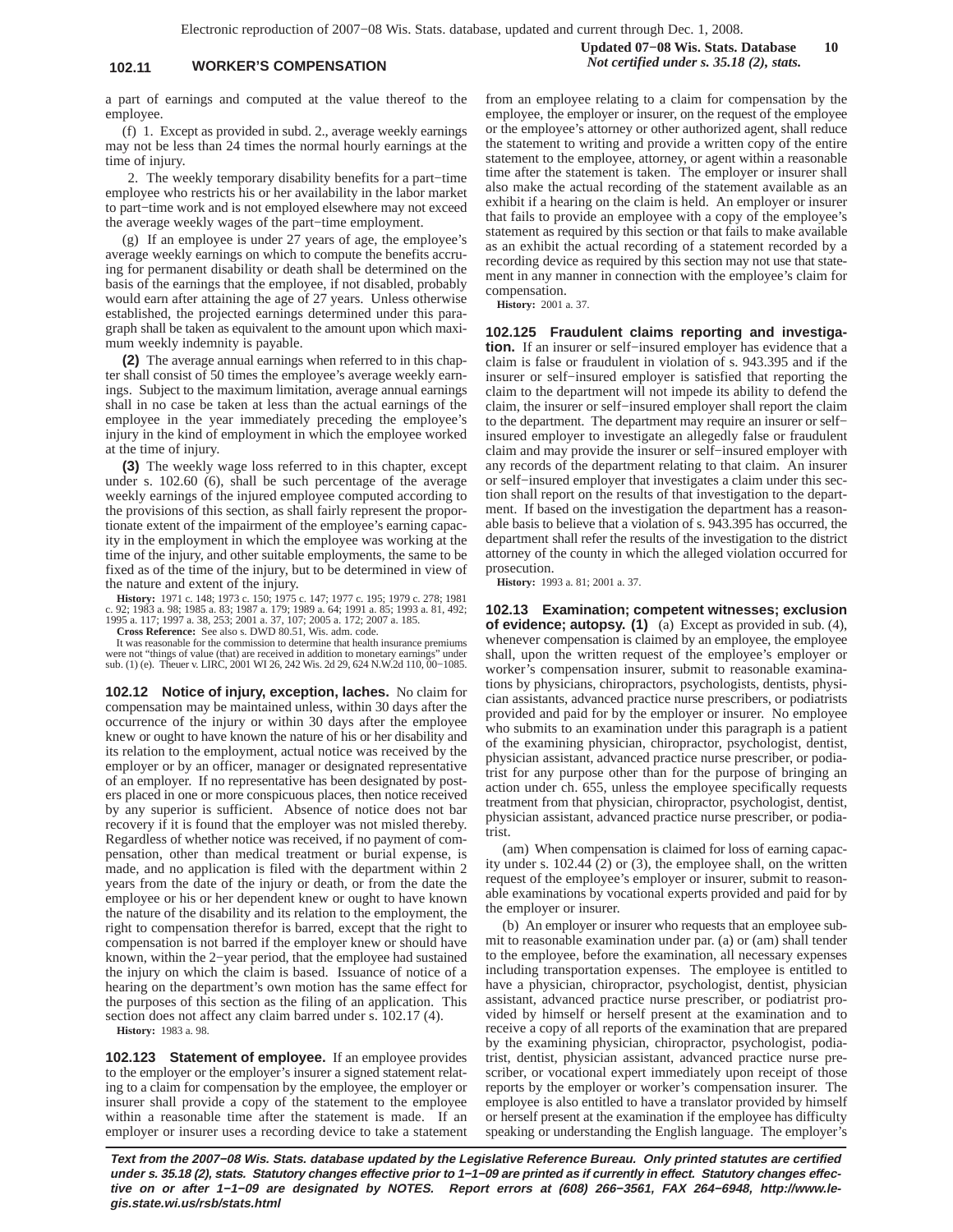## **102.11 WORKER'S COMPENSATION** *Not certified under s. 35.18 (2), stats.*

a part of earnings and computed at the value thereof to the employee.

(f) 1. Except as provided in subd. 2., average weekly earnings may not be less than 24 times the normal hourly earnings at the time of injury.

2. The weekly temporary disability benefits for a part−time employee who restricts his or her availability in the labor market to part−time work and is not employed elsewhere may not exceed the average weekly wages of the part−time employment.

(g) If an employee is under 27 years of age, the employee's average weekly earnings on which to compute the benefits accruing for permanent disability or death shall be determined on the basis of the earnings that the employee, if not disabled, probably would earn after attaining the age of 27 years. Unless otherwise established, the projected earnings determined under this paragraph shall be taken as equivalent to the amount upon which maximum weekly indemnity is payable.

**(2)** The average annual earnings when referred to in this chapter shall consist of 50 times the employee's average weekly earnings. Subject to the maximum limitation, average annual earnings shall in no case be taken at less than the actual earnings of the employee in the year immediately preceding the employee's injury in the kind of employment in which the employee worked at the time of injury.

**(3)** The weekly wage loss referred to in this chapter, except under s. 102.60 (6), shall be such percentage of the average weekly earnings of the injured employee computed according to the provisions of this section, as shall fairly represent the proportionate extent of the impairment of the employee's earning capacity in the employment in which the employee was working at the time of the injury, and other suitable employments, the same to be fixed as of the time of the injury, but to be determined in view of the nature and extent of the injury.

**History:** 1971 c. 148; 1973 c. 150; 1975 c. 147; 1977 c. 195; 1979 c. 278; 1981<br>c. 92; 1983 a. 98; 1985 a. 83; 1987 a. 179; 1989 a. 64; 1991 a. 85; 1993 a. 81, 492;<br>1995 a. 117; 1997 a. 38, 253; 2001 a. 37, 107; 2005 a. 1

**Cross Reference:** See also s. DWD 80.51, Wis. adm. code.

It was reasonable for the commission to determine that health insurance premiums were not "things of value (that) are received in addition to monetary earn sub. (1) (e). Theuer v. LIRC, 2001 WI 26, 242 Wis. 2d 29, 624 N.W.2d 110, 00–1085.

**102.12 Notice of injury, exception, laches.** No claim for compensation may be maintained unless, within 30 days after the occurrence of the injury or within 30 days after the employee knew or ought to have known the nature of his or her disability and its relation to the employment, actual notice was received by the employer or by an officer, manager or designated representative of an employer. If no representative has been designated by posters placed in one or more conspicuous places, then notice received by any superior is sufficient. Absence of notice does not bar recovery if it is found that the employer was not misled thereby. Regardless of whether notice was received, if no payment of compensation, other than medical treatment or burial expense, is made, and no application is filed with the department within 2 years from the date of the injury or death, or from the date the employee or his or her dependent knew or ought to have known the nature of the disability and its relation to the employment, the right to compensation therefor is barred, except that the right to compensation is not barred if the employer knew or should have known, within the 2−year period, that the employee had sustained the injury on which the claim is based. Issuance of notice of a hearing on the department's own motion has the same effect for the purposes of this section as the filing of an application. This section does not affect any claim barred under s. 102.17 (4).

**History:** 1983 a. 98.

**102.123 Statement of employee.** If an employee provides to the employer or the employer's insurer a signed statement relating to a claim for compensation by the employee, the employer or insurer shall provide a copy of the statement to the employee within a reasonable time after the statement is made. If an employer or insurer uses a recording device to take a statement

from an employee relating to a claim for compensation by the employee, the employer or insurer, on the request of the employee or the employee's attorney or other authorized agent, shall reduce the statement to writing and provide a written copy of the entire statement to the employee, attorney, or agent within a reasonable time after the statement is taken. The employer or insurer shall also make the actual recording of the statement available as an exhibit if a hearing on the claim is held. An employer or insurer that fails to provide an employee with a copy of the employee's statement as required by this section or that fails to make available as an exhibit the actual recording of a statement recorded by a recording device as required by this section may not use that statement in any manner in connection with the employee's claim for compensation.

**History:** 2001 a. 37.

**102.125 Fraudulent claims reporting and investigation.** If an insurer or self−insured employer has evidence that a claim is false or fraudulent in violation of s. 943.395 and if the insurer or self−insured employer is satisfied that reporting the claim to the department will not impede its ability to defend the claim, the insurer or self−insured employer shall report the claim to the department. The department may require an insurer or self− insured employer to investigate an allegedly false or fraudulent claim and may provide the insurer or self−insured employer with any records of the department relating to that claim. An insurer or self−insured employer that investigates a claim under this section shall report on the results of that investigation to the department. If based on the investigation the department has a reasonable basis to believe that a violation of s. 943.395 has occurred, the department shall refer the results of the investigation to the district attorney of the county in which the alleged violation occurred for prosecution.

**History:** 1993 a. 81; 2001 a. 37.

**102.13 Examination; competent witnesses; exclusion of evidence; autopsy. (1)** (a) Except as provided in sub. (4), whenever compensation is claimed by an employee, the employee shall, upon the written request of the employee's employer or worker's compensation insurer, submit to reasonable examinations by physicians, chiropractors, psychologists, dentists, physician assistants, advanced practice nurse prescribers, or podiatrists provided and paid for by the employer or insurer. No employee who submits to an examination under this paragraph is a patient of the examining physician, chiropractor, psychologist, dentist, physician assistant, advanced practice nurse prescriber, or podiatrist for any purpose other than for the purpose of bringing an action under ch. 655, unless the employee specifically requests treatment from that physician, chiropractor, psychologist, dentist, physician assistant, advanced practice nurse prescriber, or podiatrist.

(am) When compensation is claimed for loss of earning capacity under s. 102.44 (2) or (3), the employee shall, on the written request of the employee's employer or insurer, submit to reasonable examinations by vocational experts provided and paid for by the employer or insurer.

(b) An employer or insurer who requests that an employee submit to reasonable examination under par. (a) or (am) shall tender to the employee, before the examination, all necessary expenses including transportation expenses. The employee is entitled to have a physician, chiropractor, psychologist, dentist, physician assistant, advanced practice nurse prescriber, or podiatrist provided by himself or herself present at the examination and to receive a copy of all reports of the examination that are prepared by the examining physician, chiropractor, psychologist, podiatrist, dentist, physician assistant, advanced practice nurse prescriber, or vocational expert immediately upon receipt of those reports by the employer or worker's compensation insurer. The employee is also entitled to have a translator provided by himself or herself present at the examination if the employee has difficulty speaking or understanding the English language. The employer's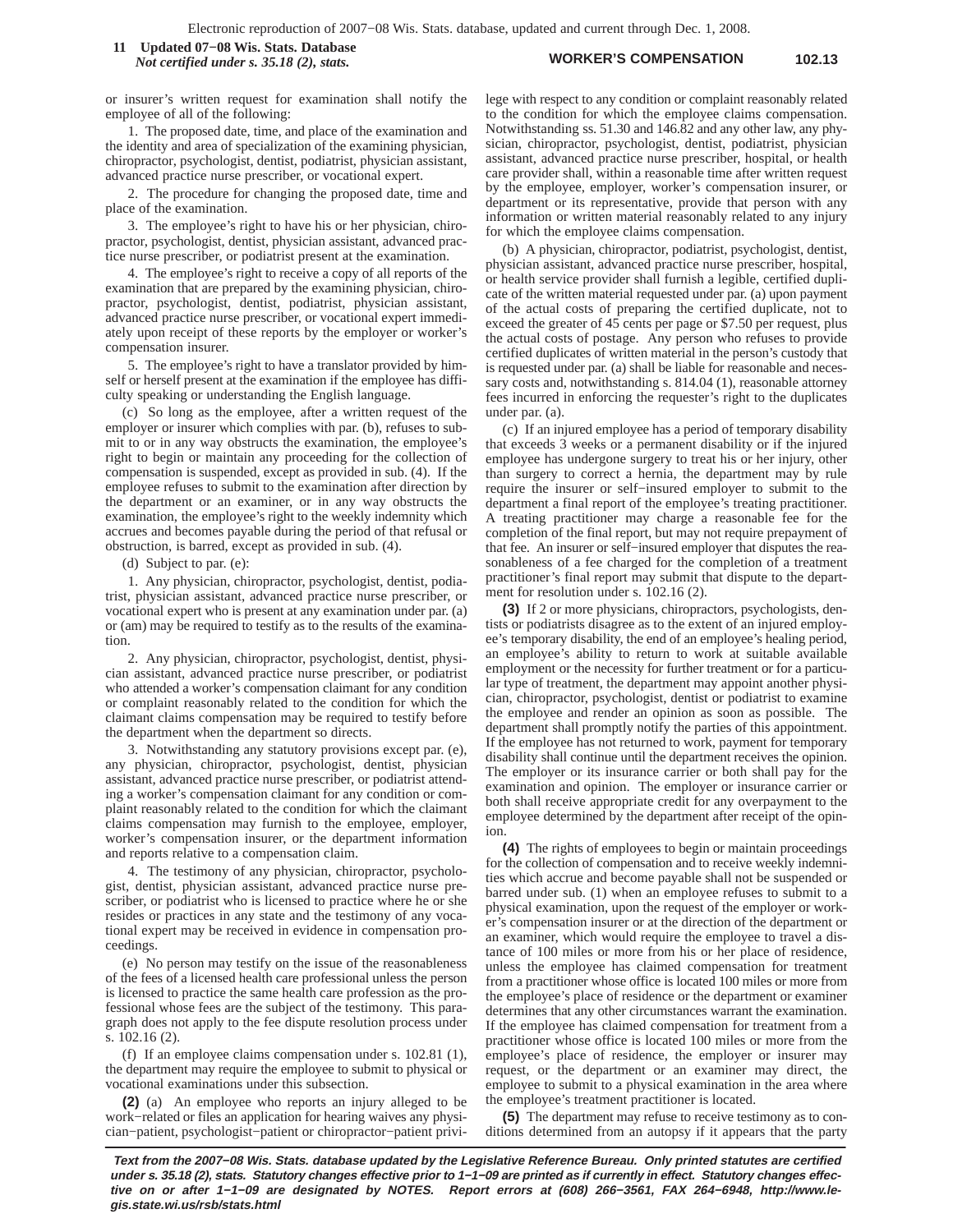#### **WORKER'S COMPENSATION 102.13 11 Updated 07−08 Wis. Stats. Database** *Not certified under s. 35.18 (2), stats.*

or insurer's written request for examination shall notify the employee of all of the following:

1. The proposed date, time, and place of the examination and the identity and area of specialization of the examining physician, chiropractor, psychologist, dentist, podiatrist, physician assistant, advanced practice nurse prescriber, or vocational expert.

2. The procedure for changing the proposed date, time and place of the examination.

3. The employee's right to have his or her physician, chiropractor, psychologist, dentist, physician assistant, advanced practice nurse prescriber, or podiatrist present at the examination.

4. The employee's right to receive a copy of all reports of the examination that are prepared by the examining physician, chiropractor, psychologist, dentist, podiatrist, physician assistant, advanced practice nurse prescriber, or vocational expert immediately upon receipt of these reports by the employer or worker's compensation insurer.

5. The employee's right to have a translator provided by himself or herself present at the examination if the employee has difficulty speaking or understanding the English language.

(c) So long as the employee, after a written request of the employer or insurer which complies with par. (b), refuses to submit to or in any way obstructs the examination, the employee's right to begin or maintain any proceeding for the collection of compensation is suspended, except as provided in sub. (4). If the employee refuses to submit to the examination after direction by the department or an examiner, or in any way obstructs the examination, the employee's right to the weekly indemnity which accrues and becomes payable during the period of that refusal or obstruction, is barred, except as provided in sub. (4).

(d) Subject to par. (e):

1. Any physician, chiropractor, psychologist, dentist, podiatrist, physician assistant, advanced practice nurse prescriber, or vocational expert who is present at any examination under par. (a) or (am) may be required to testify as to the results of the examination.

2. Any physician, chiropractor, psychologist, dentist, physician assistant, advanced practice nurse prescriber, or podiatrist who attended a worker's compensation claimant for any condition or complaint reasonably related to the condition for which the claimant claims compensation may be required to testify before the department when the department so directs.

3. Notwithstanding any statutory provisions except par. (e), any physician, chiropractor, psychologist, dentist, physician assistant, advanced practice nurse prescriber, or podiatrist attending a worker's compensation claimant for any condition or complaint reasonably related to the condition for which the claimant claims compensation may furnish to the employee, employer, worker's compensation insurer, or the department information and reports relative to a compensation claim.

4. The testimony of any physician, chiropractor, psychologist, dentist, physician assistant, advanced practice nurse prescriber, or podiatrist who is licensed to practice where he or she resides or practices in any state and the testimony of any vocational expert may be received in evidence in compensation proceedings.

(e) No person may testify on the issue of the reasonableness of the fees of a licensed health care professional unless the person is licensed to practice the same health care profession as the professional whose fees are the subject of the testimony. This paragraph does not apply to the fee dispute resolution process under s. 102.16 (2).

(f) If an employee claims compensation under s. 102.81 (1), the department may require the employee to submit to physical or vocational examinations under this subsection.

**(2)** (a) An employee who reports an injury alleged to be work−related or files an application for hearing waives any physician−patient, psychologist−patient or chiropractor−patient privilege with respect to any condition or complaint reasonably related to the condition for which the employee claims compensation. Notwithstanding ss. 51.30 and 146.82 and any other law, any physician, chiropractor, psychologist, dentist, podiatrist, physician assistant, advanced practice nurse prescriber, hospital, or health care provider shall, within a reasonable time after written request by the employee, employer, worker's compensation insurer, or department or its representative, provide that person with any information or written material reasonably related to any injury for which the employee claims compensation.

(b) A physician, chiropractor, podiatrist, psychologist, dentist, physician assistant, advanced practice nurse prescriber, hospital, or health service provider shall furnish a legible, certified duplicate of the written material requested under par. (a) upon payment of the actual costs of preparing the certified duplicate, not to exceed the greater of 45 cents per page or \$7.50 per request, plus the actual costs of postage. Any person who refuses to provide certified duplicates of written material in the person's custody that is requested under par. (a) shall be liable for reasonable and necessary costs and, notwithstanding s. 814.04 (1), reasonable attorney fees incurred in enforcing the requester's right to the duplicates under par. (a).

(c) If an injured employee has a period of temporary disability that exceeds 3 weeks or a permanent disability or if the injured employee has undergone surgery to treat his or her injury, other than surgery to correct a hernia, the department may by rule require the insurer or self−insured employer to submit to the department a final report of the employee's treating practitioner. A treating practitioner may charge a reasonable fee for the completion of the final report, but may not require prepayment of that fee. An insurer or self−insured employer that disputes the reasonableness of a fee charged for the completion of a treatment practitioner's final report may submit that dispute to the department for resolution under s. 102.16 (2).

**(3)** If 2 or more physicians, chiropractors, psychologists, dentists or podiatrists disagree as to the extent of an injured employee's temporary disability, the end of an employee's healing period, an employee's ability to return to work at suitable available employment or the necessity for further treatment or for a particular type of treatment, the department may appoint another physician, chiropractor, psychologist, dentist or podiatrist to examine the employee and render an opinion as soon as possible. The department shall promptly notify the parties of this appointment. If the employee has not returned to work, payment for temporary disability shall continue until the department receives the opinion. The employer or its insurance carrier or both shall pay for the examination and opinion. The employer or insurance carrier or both shall receive appropriate credit for any overpayment to the employee determined by the department after receipt of the opinion.

**(4)** The rights of employees to begin or maintain proceedings for the collection of compensation and to receive weekly indemnities which accrue and become payable shall not be suspended or barred under sub. (1) when an employee refuses to submit to a physical examination, upon the request of the employer or worker's compensation insurer or at the direction of the department or an examiner, which would require the employee to travel a distance of 100 miles or more from his or her place of residence, unless the employee has claimed compensation for treatment from a practitioner whose office is located 100 miles or more from the employee's place of residence or the department or examiner determines that any other circumstances warrant the examination. If the employee has claimed compensation for treatment from a practitioner whose office is located 100 miles or more from the employee's place of residence, the employer or insurer may request, or the department or an examiner may direct, the employee to submit to a physical examination in the area where the employee's treatment practitioner is located.

**(5)** The department may refuse to receive testimony as to conditions determined from an autopsy if it appears that the party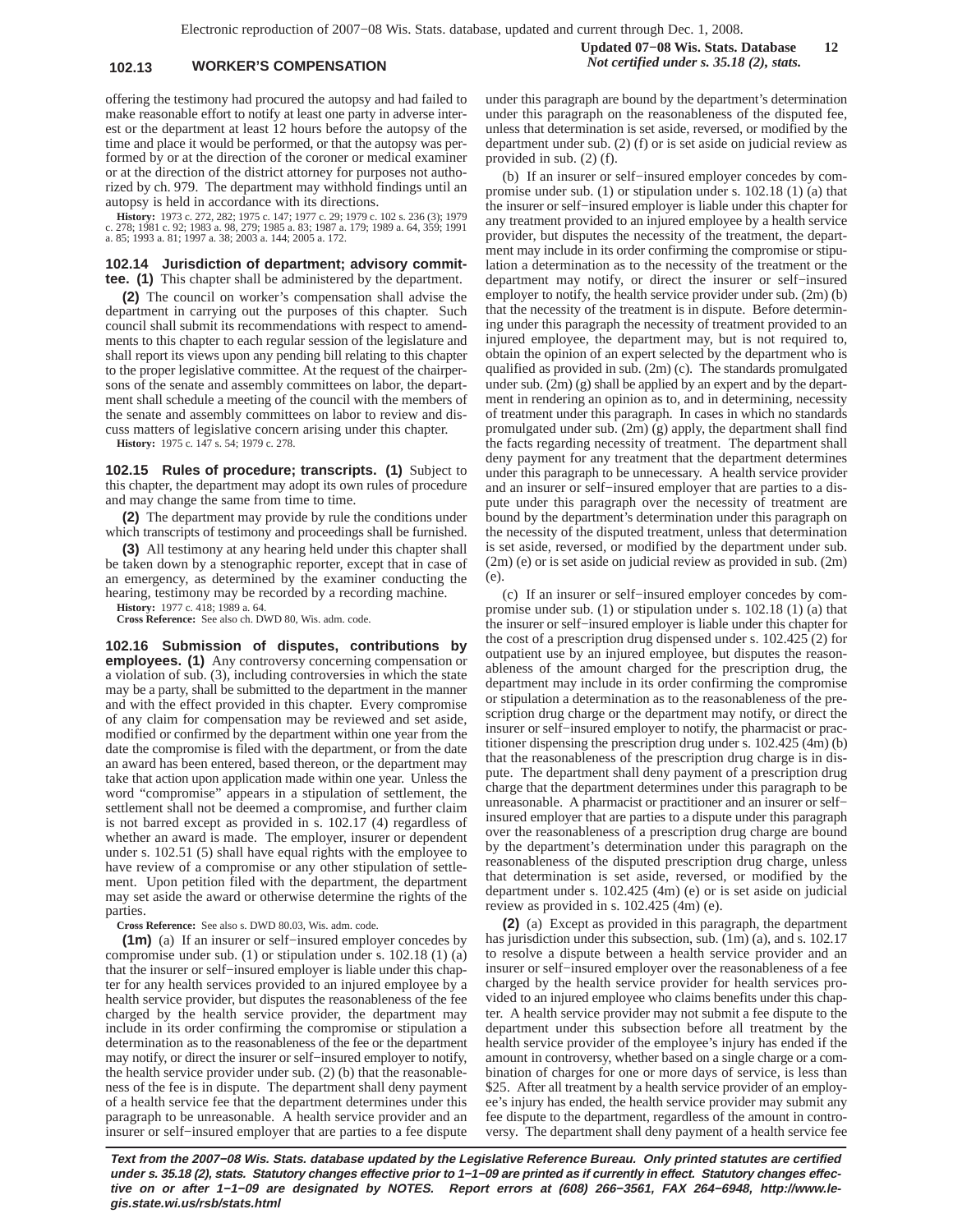Electronic reproduction of 2007−08 Wis. Stats. database, updated and current through Dec. 1, 2008.

### **102.13 WORKER'S COMPENSATION** *Not certified under s. 35.18 (2), stats.*

**Updated 07−08 Wis. Stats. Database 12**

offering the testimony had procured the autopsy and had failed to make reasonable effort to notify at least one party in adverse interest or the department at least 12 hours before the autopsy of the time and place it would be performed, or that the autopsy was performed by or at the direction of the coroner or medical examiner or at the direction of the district attorney for purposes not authorized by ch. 979. The department may withhold findings until an autopsy is held in accordance with its directions.

**History:** 1973 c. 272, 282; 1975 c. 147; 1977 c. 29; 1979 c. 102 s. 236 (3); 1979 c. 278; 1981 c. 92; 1983 a. 98, 279; 1985 a. 83; 1987 a. 179; 1989 a. 64, 359; 1991 a. 85; 1993 a. 81; 1997 a. 38; 2003 a. 144; 2005 a. 172.

#### **102.14 Jurisdiction of department; advisory committee. (1)** This chapter shall be administered by the department.

**(2)** The council on worker's compensation shall advise the department in carrying out the purposes of this chapter. Such council shall submit its recommendations with respect to amendments to this chapter to each regular session of the legislature and shall report its views upon any pending bill relating to this chapter to the proper legislative committee. At the request of the chairpersons of the senate and assembly committees on labor, the department shall schedule a meeting of the council with the members of the senate and assembly committees on labor to review and discuss matters of legislative concern arising under this chapter.

**History:** 1975 c. 147 s. 54; 1979 c. 278.

**102.15 Rules of procedure; transcripts. (1)** Subject to this chapter, the department may adopt its own rules of procedure and may change the same from time to time.

**(2)** The department may provide by rule the conditions under which transcripts of testimony and proceedings shall be furnished.

**(3)** All testimony at any hearing held under this chapter shall be taken down by a stenographic reporter, except that in case of an emergency, as determined by the examiner conducting the hearing, testimony may be recorded by a recording machine.

**History:** 1977 c. 418; 1989 a. 64.

**Cross Reference:** See also ch. DWD 80, Wis. adm. code.

**102.16 Submission of disputes, contributions by employees. (1)** Any controversy concerning compensation or a violation of sub. (3), including controversies in which the state may be a party, shall be submitted to the department in the manner and with the effect provided in this chapter. Every compromise of any claim for compensation may be reviewed and set aside, modified or confirmed by the department within one year from the date the compromise is filed with the department, or from the date an award has been entered, based thereon, or the department may take that action upon application made within one year. Unless the word "compromise" appears in a stipulation of settlement, the settlement shall not be deemed a compromise, and further claim is not barred except as provided in s. 102.17 (4) regardless of whether an award is made. The employer, insurer or dependent under s. 102.51 (5) shall have equal rights with the employee to have review of a compromise or any other stipulation of settlement. Upon petition filed with the department, the department may set aside the award or otherwise determine the rights of the parties.

**Cross Reference:** See also s. DWD 80.03, Wis. adm. code.

**(1m)** (a) If an insurer or self−insured employer concedes by compromise under sub. (1) or stipulation under s. 102.18 (1) (a) that the insurer or self−insured employer is liable under this chapter for any health services provided to an injured employee by a health service provider, but disputes the reasonableness of the fee charged by the health service provider, the department may include in its order confirming the compromise or stipulation a determination as to the reasonableness of the fee or the department may notify, or direct the insurer or self−insured employer to notify, the health service provider under sub. (2) (b) that the reasonableness of the fee is in dispute. The department shall deny payment of a health service fee that the department determines under this paragraph to be unreasonable. A health service provider and an insurer or self−insured employer that are parties to a fee dispute

under this paragraph are bound by the department's determination under this paragraph on the reasonableness of the disputed fee, unless that determination is set aside, reversed, or modified by the department under sub. (2) (f) or is set aside on judicial review as provided in sub. (2) (f).

(b) If an insurer or self−insured employer concedes by compromise under sub. (1) or stipulation under s. 102.18 (1) (a) that the insurer or self−insured employer is liable under this chapter for any treatment provided to an injured employee by a health service provider, but disputes the necessity of the treatment, the department may include in its order confirming the compromise or stipulation a determination as to the necessity of the treatment or the department may notify, or direct the insurer or self−insured employer to notify, the health service provider under sub. (2m) (b) that the necessity of the treatment is in dispute. Before determining under this paragraph the necessity of treatment provided to an injured employee, the department may, but is not required to, obtain the opinion of an expert selected by the department who is qualified as provided in sub. (2m) (c). The standards promulgated under sub. (2m) (g) shall be applied by an expert and by the department in rendering an opinion as to, and in determining, necessity of treatment under this paragraph. In cases in which no standards promulgated under sub. (2m) (g) apply, the department shall find the facts regarding necessity of treatment. The department shall deny payment for any treatment that the department determines under this paragraph to be unnecessary. A health service provider and an insurer or self−insured employer that are parties to a dispute under this paragraph over the necessity of treatment are bound by the department's determination under this paragraph on the necessity of the disputed treatment, unless that determination is set aside, reversed, or modified by the department under sub. (2m) (e) or is set aside on judicial review as provided in sub. (2m) (e).

(c) If an insurer or self−insured employer concedes by compromise under sub. (1) or stipulation under s. 102.18 (1) (a) that the insurer or self−insured employer is liable under this chapter for the cost of a prescription drug dispensed under s. 102.425 (2) for outpatient use by an injured employee, but disputes the reasonableness of the amount charged for the prescription drug, the department may include in its order confirming the compromise or stipulation a determination as to the reasonableness of the prescription drug charge or the department may notify, or direct the insurer or self−insured employer to notify, the pharmacist or practitioner dispensing the prescription drug under s. 102.425 (4m) (b) that the reasonableness of the prescription drug charge is in dispute. The department shall deny payment of a prescription drug charge that the department determines under this paragraph to be unreasonable. A pharmacist or practitioner and an insurer or self− insured employer that are parties to a dispute under this paragraph over the reasonableness of a prescription drug charge are bound by the department's determination under this paragraph on the reasonableness of the disputed prescription drug charge, unless that determination is set aside, reversed, or modified by the department under s. 102.425 (4m) (e) or is set aside on judicial review as provided in s. 102.425 (4m) (e).

**(2)** (a) Except as provided in this paragraph, the department has jurisdiction under this subsection, sub. (1m) (a), and s. 102.17 to resolve a dispute between a health service provider and an insurer or self−insured employer over the reasonableness of a fee charged by the health service provider for health services provided to an injured employee who claims benefits under this chapter. A health service provider may not submit a fee dispute to the department under this subsection before all treatment by the health service provider of the employee's injury has ended if the amount in controversy, whether based on a single charge or a combination of charges for one or more days of service, is less than \$25. After all treatment by a health service provider of an employee's injury has ended, the health service provider may submit any fee dispute to the department, regardless of the amount in controversy. The department shall deny payment of a health service fee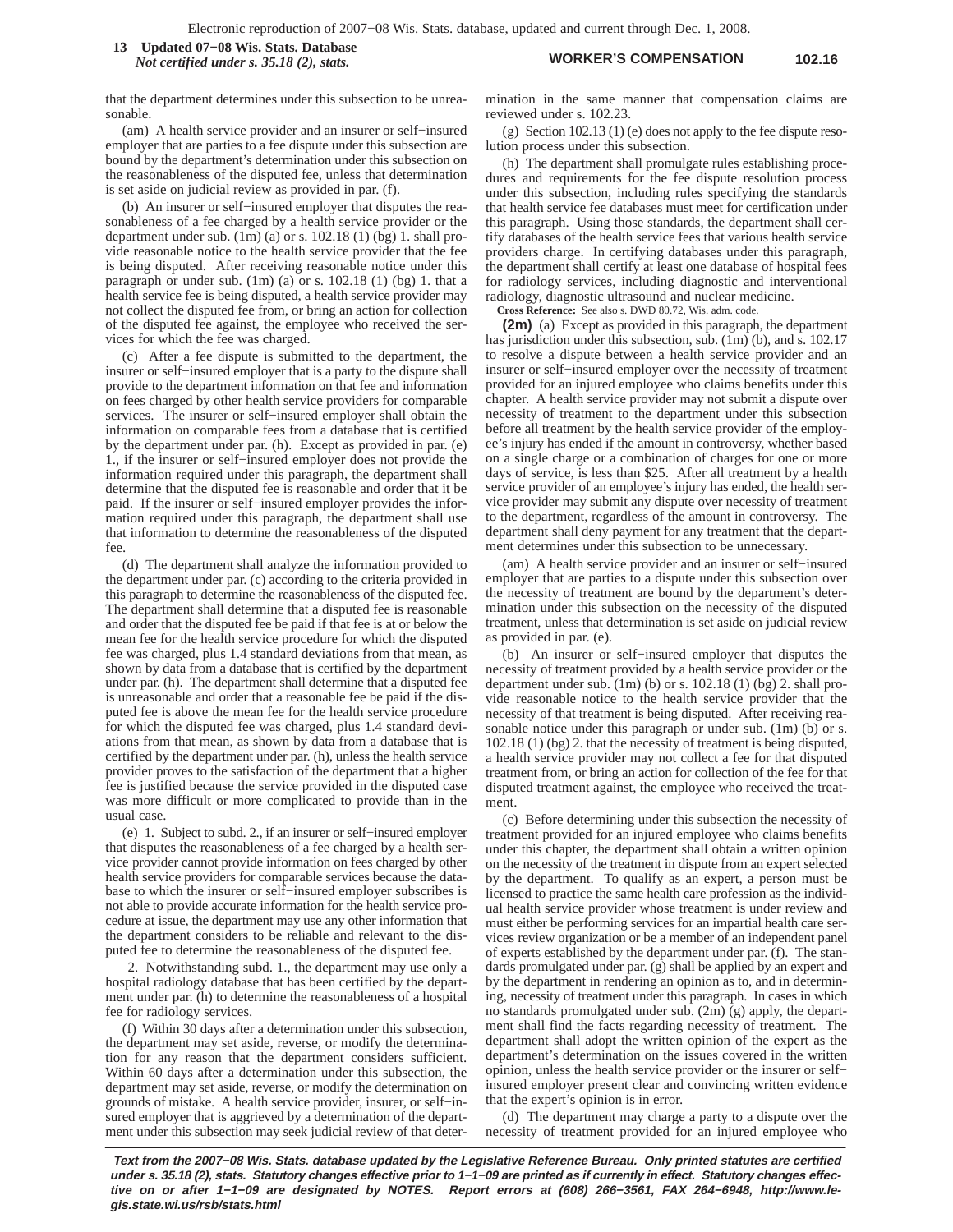**WORKER'S COMPENSATION 102.16 13 Updated 07−08 Wis. Stats. Database** *Not certified under s. 35.18 (2), stats.*

that the department determines under this subsection to be unreasonable.

(am) A health service provider and an insurer or self−insured employer that are parties to a fee dispute under this subsection are bound by the department's determination under this subsection on the reasonableness of the disputed fee, unless that determination is set aside on judicial review as provided in par. (f).

(b) An insurer or self−insured employer that disputes the reasonableness of a fee charged by a health service provider or the department under sub. (1m) (a) or s. 102.18 (1) (bg) 1. shall provide reasonable notice to the health service provider that the fee is being disputed. After receiving reasonable notice under this paragraph or under sub. (1m) (a) or s. 102.18 (1) (bg) 1. that a health service fee is being disputed, a health service provider may not collect the disputed fee from, or bring an action for collection of the disputed fee against, the employee who received the services for which the fee was charged.

(c) After a fee dispute is submitted to the department, the insurer or self−insured employer that is a party to the dispute shall provide to the department information on that fee and information on fees charged by other health service providers for comparable services. The insurer or self−insured employer shall obtain the information on comparable fees from a database that is certified by the department under par. (h). Except as provided in par. (e) 1., if the insurer or self−insured employer does not provide the information required under this paragraph, the department shall determine that the disputed fee is reasonable and order that it be paid. If the insurer or self−insured employer provides the information required under this paragraph, the department shall use that information to determine the reasonableness of the disputed fee.

(d) The department shall analyze the information provided to the department under par. (c) according to the criteria provided in this paragraph to determine the reasonableness of the disputed fee. The department shall determine that a disputed fee is reasonable and order that the disputed fee be paid if that fee is at or below the mean fee for the health service procedure for which the disputed fee was charged, plus 1.4 standard deviations from that mean, as shown by data from a database that is certified by the department under par. (h). The department shall determine that a disputed fee is unreasonable and order that a reasonable fee be paid if the disputed fee is above the mean fee for the health service procedure for which the disputed fee was charged, plus 1.4 standard deviations from that mean, as shown by data from a database that is certified by the department under par. (h), unless the health service provider proves to the satisfaction of the department that a higher fee is justified because the service provided in the disputed case was more difficult or more complicated to provide than in the usual case.

(e) 1. Subject to subd. 2., if an insurer or self−insured employer that disputes the reasonableness of a fee charged by a health service provider cannot provide information on fees charged by other health service providers for comparable services because the database to which the insurer or self−insured employer subscribes is not able to provide accurate information for the health service procedure at issue, the department may use any other information that the department considers to be reliable and relevant to the disputed fee to determine the reasonableness of the disputed fee.

2. Notwithstanding subd. 1., the department may use only a hospital radiology database that has been certified by the department under par. (h) to determine the reasonableness of a hospital fee for radiology services.

(f) Within 30 days after a determination under this subsection, the department may set aside, reverse, or modify the determination for any reason that the department considers sufficient. Within 60 days after a determination under this subsection, the department may set aside, reverse, or modify the determination on grounds of mistake. A health service provider, insurer, or self−insured employer that is aggrieved by a determination of the department under this subsection may seek judicial review of that determination in the same manner that compensation claims are reviewed under s. 102.23.

(g) Section 102.13 (1) (e) does not apply to the fee dispute resolution process under this subsection.

(h) The department shall promulgate rules establishing procedures and requirements for the fee dispute resolution process under this subsection, including rules specifying the standards that health service fee databases must meet for certification under this paragraph. Using those standards, the department shall certify databases of the health service fees that various health service providers charge. In certifying databases under this paragraph, the department shall certify at least one database of hospital fees for radiology services, including diagnostic and interventional radiology, diagnostic ultrasound and nuclear medicine.

**Cross Reference:** See also s. DWD 80.72, Wis. adm. code.

**(2m)** (a) Except as provided in this paragraph, the department has jurisdiction under this subsection, sub.  $(\overline{1m})$  (b), and s. 102.17 to resolve a dispute between a health service provider and an insurer or self−insured employer over the necessity of treatment provided for an injured employee who claims benefits under this chapter. A health service provider may not submit a dispute over necessity of treatment to the department under this subsection before all treatment by the health service provider of the employee's injury has ended if the amount in controversy, whether based on a single charge or a combination of charges for one or more days of service, is less than \$25. After all treatment by a health service provider of an employee's injury has ended, the health service provider may submit any dispute over necessity of treatment to the department, regardless of the amount in controversy. The department shall deny payment for any treatment that the department determines under this subsection to be unnecessary.

(am) A health service provider and an insurer or self−insured employer that are parties to a dispute under this subsection over the necessity of treatment are bound by the department's determination under this subsection on the necessity of the disputed treatment, unless that determination is set aside on judicial review as provided in par. (e).

(b) An insurer or self−insured employer that disputes the necessity of treatment provided by a health service provider or the department under sub. (1m) (b) or s. 102.18 (1) (bg) 2. shall provide reasonable notice to the health service provider that the necessity of that treatment is being disputed. After receiving reasonable notice under this paragraph or under sub. (1m) (b) or s. 102.18 (1) (bg) 2. that the necessity of treatment is being disputed, a health service provider may not collect a fee for that disputed treatment from, or bring an action for collection of the fee for that disputed treatment against, the employee who received the treatment.

(c) Before determining under this subsection the necessity of treatment provided for an injured employee who claims benefits under this chapter, the department shall obtain a written opinion on the necessity of the treatment in dispute from an expert selected by the department. To qualify as an expert, a person must be licensed to practice the same health care profession as the individual health service provider whose treatment is under review and must either be performing services for an impartial health care services review organization or be a member of an independent panel of experts established by the department under par. (f). The standards promulgated under par. (g) shall be applied by an expert and by the department in rendering an opinion as to, and in determining, necessity of treatment under this paragraph. In cases in which no standards promulgated under sub. (2m) (g) apply, the department shall find the facts regarding necessity of treatment. The department shall adopt the written opinion of the expert as the department's determination on the issues covered in the written opinion, unless the health service provider or the insurer or self− insured employer present clear and convincing written evidence that the expert's opinion is in error.

(d) The department may charge a party to a dispute over the necessity of treatment provided for an injured employee who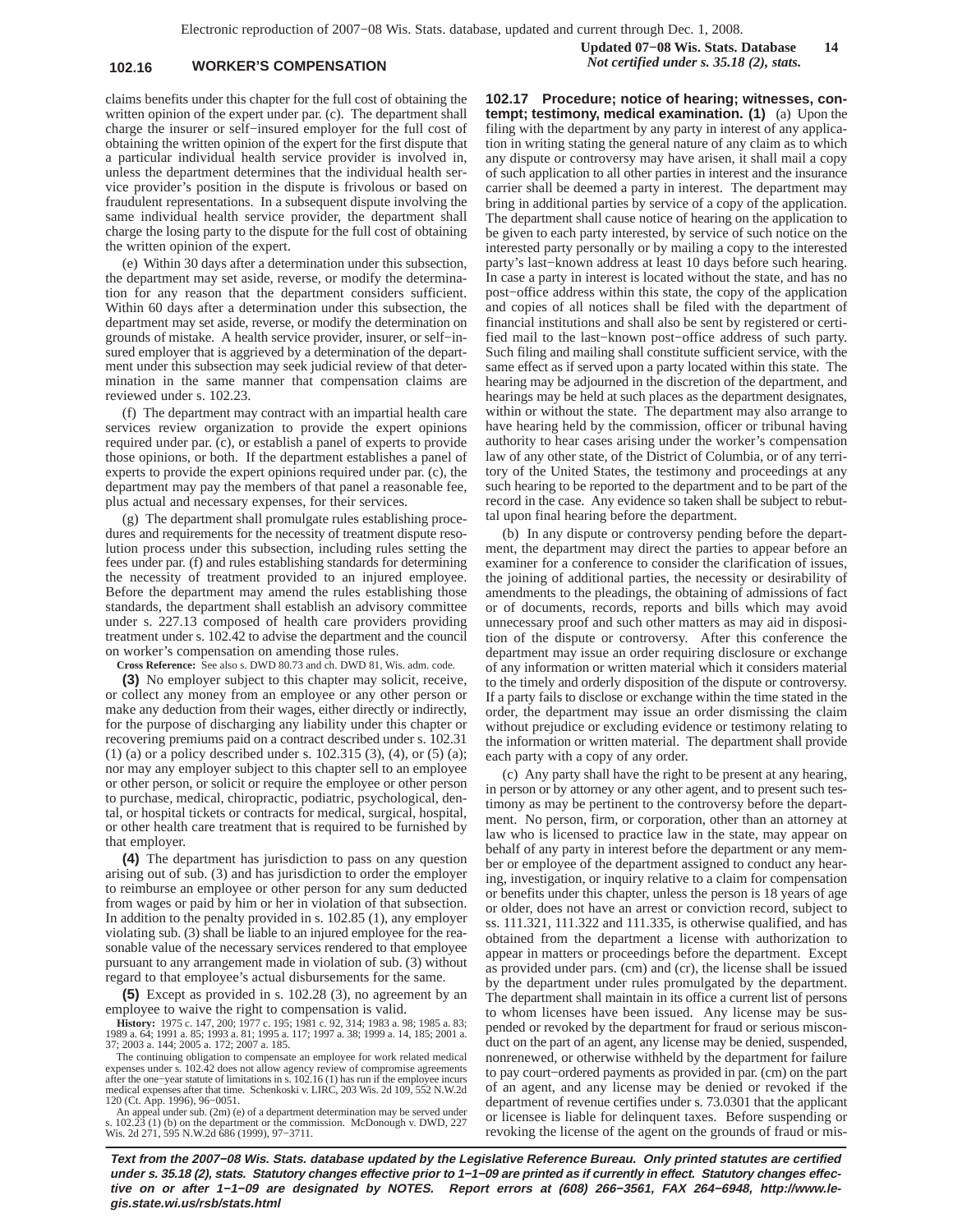## **102.16 WORKER'S COMPENSATION** *Not certified under s. 35.18 (2), stats.*

claims benefits under this chapter for the full cost of obtaining the written opinion of the expert under par. (c). The department shall charge the insurer or self−insured employer for the full cost of obtaining the written opinion of the expert for the first dispute that a particular individual health service provider is involved in, unless the department determines that the individual health service provider's position in the dispute is frivolous or based on fraudulent representations. In a subsequent dispute involving the same individual health service provider, the department shall charge the losing party to the dispute for the full cost of obtaining the written opinion of the expert.

(e) Within 30 days after a determination under this subsection, the department may set aside, reverse, or modify the determination for any reason that the department considers sufficient. Within 60 days after a determination under this subsection, the department may set aside, reverse, or modify the determination on grounds of mistake. A health service provider, insurer, or self−insured employer that is aggrieved by a determination of the department under this subsection may seek judicial review of that determination in the same manner that compensation claims are reviewed under s. 102.23.

(f) The department may contract with an impartial health care services review organization to provide the expert opinions required under par. (c), or establish a panel of experts to provide those opinions, or both. If the department establishes a panel of experts to provide the expert opinions required under par. (c), the department may pay the members of that panel a reasonable fee, plus actual and necessary expenses, for their services.

(g) The department shall promulgate rules establishing procedures and requirements for the necessity of treatment dispute resolution process under this subsection, including rules setting the fees under par. (f) and rules establishing standards for determining the necessity of treatment provided to an injured employee. Before the department may amend the rules establishing those standards, the department shall establish an advisory committee under s. 227.13 composed of health care providers providing treatment under s. 102.42 to advise the department and the council on worker's compensation on amending those rules.

**Cross Reference:** See also s. DWD 80.73 and ch. DWD 81, Wis. adm. code.

**(3)** No employer subject to this chapter may solicit, receive, or collect any money from an employee or any other person or make any deduction from their wages, either directly or indirectly, for the purpose of discharging any liability under this chapter or recovering premiums paid on a contract described under s. 102.31 (1) (a) or a policy described under s. 102.315 (3), (4), or (5) (a); nor may any employer subject to this chapter sell to an employee or other person, or solicit or require the employee or other person to purchase, medical, chiropractic, podiatric, psychological, dental, or hospital tickets or contracts for medical, surgical, hospital, or other health care treatment that is required to be furnished by that employer.

**(4)** The department has jurisdiction to pass on any question arising out of sub. (3) and has jurisdiction to order the employer to reimburse an employee or other person for any sum deducted from wages or paid by him or her in violation of that subsection. In addition to the penalty provided in s. 102.85 (1), any employer violating sub. (3) shall be liable to an injured employee for the reasonable value of the necessary services rendered to that employee pursuant to any arrangement made in violation of sub. (3) without regard to that employee's actual disbursements for the same.

**(5)** Except as provided in s. 102.28 (3), no agreement by an employee to waive the right to compensation is valid.

**History:** 1975 c. 147, 200; 1977 c. 195; 1981 c. 92, 314; 1983 a. 98; 1985 a. 83; 1989 a. 64; 1991 a. 85; 1993 a. 81; 1995 a. 117; 1997 a. 38; 1999 a. 14, 185; 2001 a. 37; 2003 a. 144; 2005 a. 172; 2007 a. 185.

The continuing obligation to compensate an employee for work related medical expenses under s. 102.42 does not allow agency review of compromise agreements after the one−year statute of limitations in s. 102.16 (1) has run if the employee incurs medical expenses after that time. Schenkoski v. LIRC, 203 Wis. 2d 109, 552 N.W.2d

120 (Ct. App. 1996), 96−0051. An appeal under sub. (2m) (e) of a department determination may be served under s. 102.23 (1) (b) on the department or the commission. McDonough v. DWD, 227 Wis. 2d 271, 595 N.W.2d 686 (1999), 97–3711.

**102.17 Procedure; notice of hearing; witnesses, contempt; testimony, medical examination. (1)** (a) Upon the filing with the department by any party in interest of any application in writing stating the general nature of any claim as to which any dispute or controversy may have arisen, it shall mail a copy of such application to all other parties in interest and the insurance carrier shall be deemed a party in interest. The department may bring in additional parties by service of a copy of the application. The department shall cause notice of hearing on the application to be given to each party interested, by service of such notice on the interested party personally or by mailing a copy to the interested party's last−known address at least 10 days before such hearing. In case a party in interest is located without the state, and has no post−office address within this state, the copy of the application and copies of all notices shall be filed with the department of financial institutions and shall also be sent by registered or certified mail to the last−known post−office address of such party. Such filing and mailing shall constitute sufficient service, with the same effect as if served upon a party located within this state. The hearing may be adjourned in the discretion of the department, and hearings may be held at such places as the department designates, within or without the state. The department may also arrange to have hearing held by the commission, officer or tribunal having authority to hear cases arising under the worker's compensation law of any other state, of the District of Columbia, or of any territory of the United States, the testimony and proceedings at any such hearing to be reported to the department and to be part of the record in the case. Any evidence so taken shall be subject to rebuttal upon final hearing before the department.

(b) In any dispute or controversy pending before the department, the department may direct the parties to appear before an examiner for a conference to consider the clarification of issues, the joining of additional parties, the necessity or desirability of amendments to the pleadings, the obtaining of admissions of fact or of documents, records, reports and bills which may avoid unnecessary proof and such other matters as may aid in disposition of the dispute or controversy. After this conference the department may issue an order requiring disclosure or exchange of any information or written material which it considers material to the timely and orderly disposition of the dispute or controversy. If a party fails to disclose or exchange within the time stated in the order, the department may issue an order dismissing the claim without prejudice or excluding evidence or testimony relating to the information or written material. The department shall provide each party with a copy of any order.

(c) Any party shall have the right to be present at any hearing, in person or by attorney or any other agent, and to present such testimony as may be pertinent to the controversy before the department. No person, firm, or corporation, other than an attorney at law who is licensed to practice law in the state, may appear on behalf of any party in interest before the department or any member or employee of the department assigned to conduct any hearing, investigation, or inquiry relative to a claim for compensation or benefits under this chapter, unless the person is 18 years of age or older, does not have an arrest or conviction record, subject to ss. 111.321, 111.322 and 111.335, is otherwise qualified, and has obtained from the department a license with authorization to appear in matters or proceedings before the department. Except as provided under pars. (cm) and (cr), the license shall be issued by the department under rules promulgated by the department. The department shall maintain in its office a current list of persons to whom licenses have been issued. Any license may be suspended or revoked by the department for fraud or serious misconduct on the part of an agent, any license may be denied, suspended, nonrenewed, or otherwise withheld by the department for failure to pay court−ordered payments as provided in par. (cm) on the part of an agent, and any license may be denied or revoked if the department of revenue certifies under s. 73.0301 that the applicant or licensee is liable for delinquent taxes. Before suspending or revoking the license of the agent on the grounds of fraud or mis-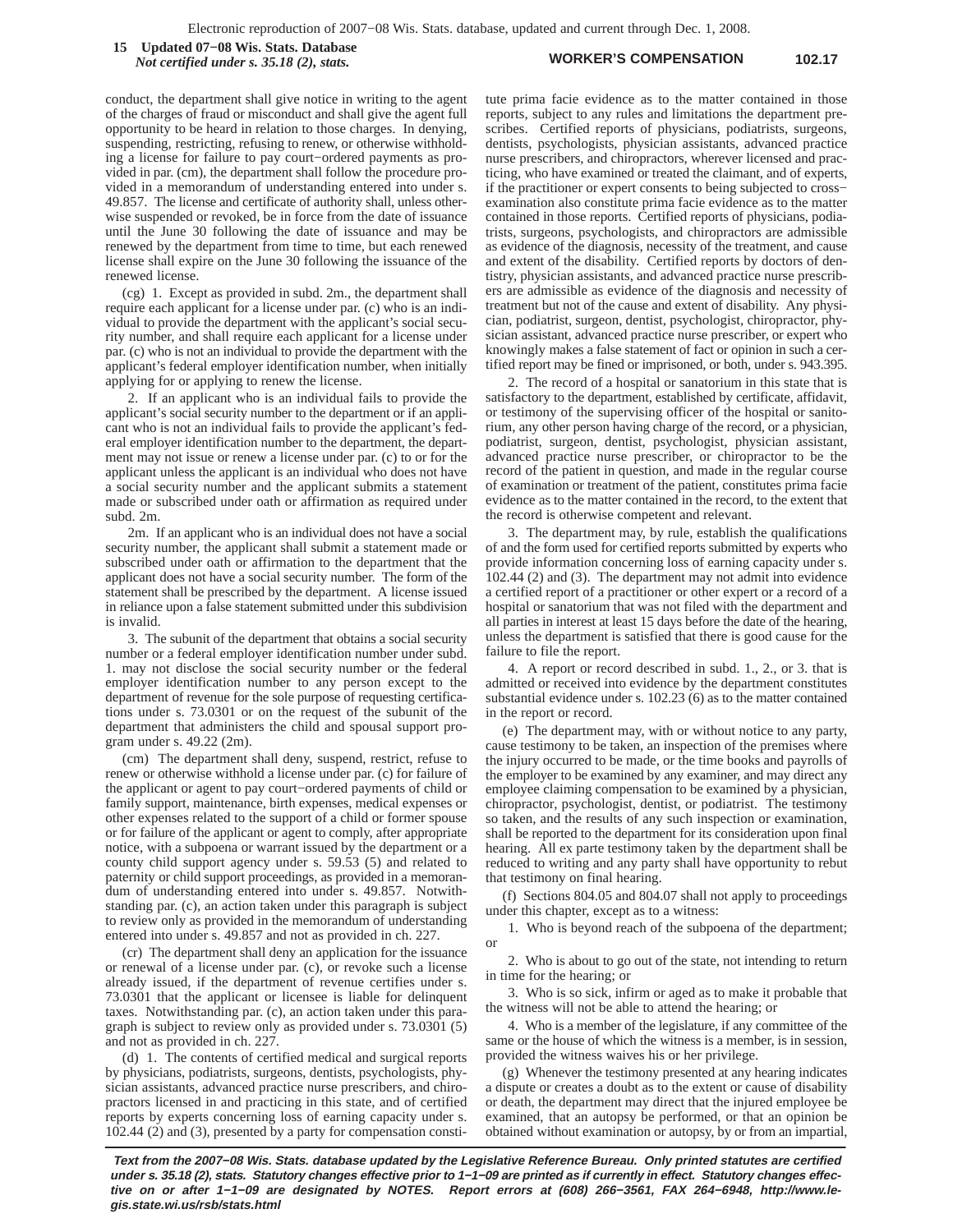**WORKER'S COMPENSATION 102.17 15 Updated 07−08 Wis. Stats. Database** *Not certified under s. 35.18 (2), stats.*

conduct, the department shall give notice in writing to the agent of the charges of fraud or misconduct and shall give the agent full opportunity to be heard in relation to those charges. In denying, suspending, restricting, refusing to renew, or otherwise withholding a license for failure to pay court−ordered payments as provided in par. (cm), the department shall follow the procedure provided in a memorandum of understanding entered into under s. 49.857. The license and certificate of authority shall, unless otherwise suspended or revoked, be in force from the date of issuance until the June 30 following the date of issuance and may be renewed by the department from time to time, but each renewed license shall expire on the June 30 following the issuance of the renewed license.

(cg) 1. Except as provided in subd. 2m., the department shall require each applicant for a license under par. (c) who is an individual to provide the department with the applicant's social security number, and shall require each applicant for a license under par. (c) who is not an individual to provide the department with the applicant's federal employer identification number, when initially applying for or applying to renew the license.

2. If an applicant who is an individual fails to provide the applicant's social security number to the department or if an applicant who is not an individual fails to provide the applicant's federal employer identification number to the department, the department may not issue or renew a license under par. (c) to or for the applicant unless the applicant is an individual who does not have a social security number and the applicant submits a statement made or subscribed under oath or affirmation as required under subd. 2m.

2m. If an applicant who is an individual does not have a social security number, the applicant shall submit a statement made or subscribed under oath or affirmation to the department that the applicant does not have a social security number. The form of the statement shall be prescribed by the department. A license issued in reliance upon a false statement submitted under this subdivision is invalid.

3. The subunit of the department that obtains a social security number or a federal employer identification number under subd. 1. may not disclose the social security number or the federal employer identification number to any person except to the department of revenue for the sole purpose of requesting certifications under s. 73.0301 or on the request of the subunit of the department that administers the child and spousal support program under s. 49.22 (2m).

(cm) The department shall deny, suspend, restrict, refuse to renew or otherwise withhold a license under par. (c) for failure of the applicant or agent to pay court−ordered payments of child or family support, maintenance, birth expenses, medical expenses or other expenses related to the support of a child or former spouse or for failure of the applicant or agent to comply, after appropriate notice, with a subpoena or warrant issued by the department or a county child support agency under s. 59.53 (5) and related to paternity or child support proceedings, as provided in a memorandum of understanding entered into under s. 49.857. Notwithstanding par. (c), an action taken under this paragraph is subject to review only as provided in the memorandum of understanding entered into under s. 49.857 and not as provided in ch. 227.

(cr) The department shall deny an application for the issuance or renewal of a license under par. (c), or revoke such a license already issued, if the department of revenue certifies under s. 73.0301 that the applicant or licensee is liable for delinquent taxes. Notwithstanding par. (c), an action taken under this paragraph is subject to review only as provided under s. 73.0301 (5) and not as provided in ch. 227.

(d) 1. The contents of certified medical and surgical reports by physicians, podiatrists, surgeons, dentists, psychologists, physician assistants, advanced practice nurse prescribers, and chiropractors licensed in and practicing in this state, and of certified reports by experts concerning loss of earning capacity under s. 102.44 (2) and (3), presented by a party for compensation constitute prima facie evidence as to the matter contained in those reports, subject to any rules and limitations the department prescribes. Certified reports of physicians, podiatrists, surgeons, dentists, psychologists, physician assistants, advanced practice nurse prescribers, and chiropractors, wherever licensed and practicing, who have examined or treated the claimant, and of experts, if the practitioner or expert consents to being subjected to cross− examination also constitute prima facie evidence as to the matter contained in those reports. Certified reports of physicians, podiatrists, surgeons, psychologists, and chiropractors are admissible as evidence of the diagnosis, necessity of the treatment, and cause and extent of the disability. Certified reports by doctors of dentistry, physician assistants, and advanced practice nurse prescribers are admissible as evidence of the diagnosis and necessity of treatment but not of the cause and extent of disability. Any physician, podiatrist, surgeon, dentist, psychologist, chiropractor, physician assistant, advanced practice nurse prescriber, or expert who knowingly makes a false statement of fact or opinion in such a certified report may be fined or imprisoned, or both, under s. 943.395.

2. The record of a hospital or sanatorium in this state that is satisfactory to the department, established by certificate, affidavit, or testimony of the supervising officer of the hospital or sanitorium, any other person having charge of the record, or a physician, podiatrist, surgeon, dentist, psychologist, physician assistant, advanced practice nurse prescriber, or chiropractor to be the record of the patient in question, and made in the regular course of examination or treatment of the patient, constitutes prima facie evidence as to the matter contained in the record, to the extent that the record is otherwise competent and relevant.

3. The department may, by rule, establish the qualifications of and the form used for certified reports submitted by experts who provide information concerning loss of earning capacity under s. 102.44 (2) and (3). The department may not admit into evidence a certified report of a practitioner or other expert or a record of a hospital or sanatorium that was not filed with the department and all parties in interest at least 15 days before the date of the hearing, unless the department is satisfied that there is good cause for the failure to file the report.

4. A report or record described in subd. 1., 2., or 3. that is admitted or received into evidence by the department constitutes substantial evidence under s. 102.23 (6) as to the matter contained in the report or record.

(e) The department may, with or without notice to any party, cause testimony to be taken, an inspection of the premises where the injury occurred to be made, or the time books and payrolls of the employer to be examined by any examiner, and may direct any employee claiming compensation to be examined by a physician, chiropractor, psychologist, dentist, or podiatrist. The testimony so taken, and the results of any such inspection or examination, shall be reported to the department for its consideration upon final hearing. All ex parte testimony taken by the department shall be reduced to writing and any party shall have opportunity to rebut that testimony on final hearing.

(f) Sections 804.05 and 804.07 shall not apply to proceedings under this chapter, except as to a witness:

1. Who is beyond reach of the subpoena of the department; or

2. Who is about to go out of the state, not intending to return in time for the hearing; or

3. Who is so sick, infirm or aged as to make it probable that the witness will not be able to attend the hearing; or

4. Who is a member of the legislature, if any committee of the same or the house of which the witness is a member, is in session, provided the witness waives his or her privilege.

(g) Whenever the testimony presented at any hearing indicates a dispute or creates a doubt as to the extent or cause of disability or death, the department may direct that the injured employee be examined, that an autopsy be performed, or that an opinion be obtained without examination or autopsy, by or from an impartial,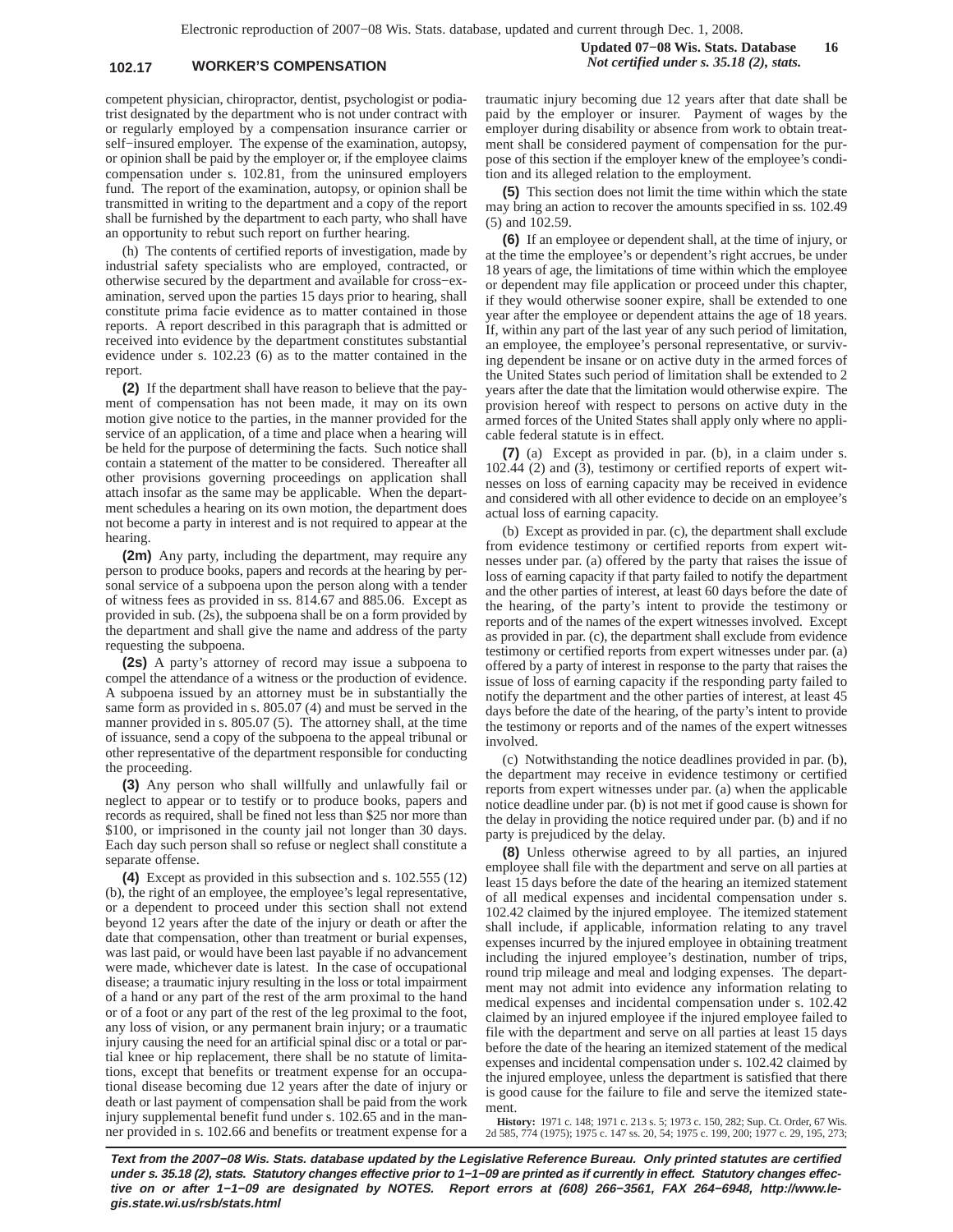## **102.17 WORKER'S COMPENSATION** *Not certified under s. 35.18 (2), stats.*

**Updated 07−08 Wis. Stats. Database 16**

competent physician, chiropractor, dentist, psychologist or podiatrist designated by the department who is not under contract with or regularly employed by a compensation insurance carrier or self−insured employer. The expense of the examination, autopsy, or opinion shall be paid by the employer or, if the employee claims compensation under s. 102.81, from the uninsured employers fund. The report of the examination, autopsy, or opinion shall be transmitted in writing to the department and a copy of the report shall be furnished by the department to each party, who shall have an opportunity to rebut such report on further hearing.

(h) The contents of certified reports of investigation, made by industrial safety specialists who are employed, contracted, or otherwise secured by the department and available for cross−examination, served upon the parties 15 days prior to hearing, shall constitute prima facie evidence as to matter contained in those reports. A report described in this paragraph that is admitted or received into evidence by the department constitutes substantial evidence under s. 102.23 (6) as to the matter contained in the report.

**(2)** If the department shall have reason to believe that the payment of compensation has not been made, it may on its own motion give notice to the parties, in the manner provided for the service of an application, of a time and place when a hearing will be held for the purpose of determining the facts. Such notice shall contain a statement of the matter to be considered. Thereafter all other provisions governing proceedings on application shall attach insofar as the same may be applicable. When the department schedules a hearing on its own motion, the department does not become a party in interest and is not required to appear at the hearing.

**(2m)** Any party, including the department, may require any person to produce books, papers and records at the hearing by personal service of a subpoena upon the person along with a tender of witness fees as provided in ss. 814.67 and 885.06. Except as provided in sub. (2s), the subpoena shall be on a form provided by the department and shall give the name and address of the party requesting the subpoena.

**(2s)** A party's attorney of record may issue a subpoena to compel the attendance of a witness or the production of evidence. A subpoena issued by an attorney must be in substantially the same form as provided in s. 805.07 (4) and must be served in the manner provided in s. 805.07 (5). The attorney shall, at the time of issuance, send a copy of the subpoena to the appeal tribunal or other representative of the department responsible for conducting the proceeding.

**(3)** Any person who shall willfully and unlawfully fail or neglect to appear or to testify or to produce books, papers and records as required, shall be fined not less than \$25 nor more than \$100, or imprisoned in the county jail not longer than 30 days. Each day such person shall so refuse or neglect shall constitute a separate offense.

**(4)** Except as provided in this subsection and s. 102.555 (12) (b), the right of an employee, the employee's legal representative, or a dependent to proceed under this section shall not extend beyond 12 years after the date of the injury or death or after the date that compensation, other than treatment or burial expenses, was last paid, or would have been last payable if no advancement were made, whichever date is latest. In the case of occupational disease; a traumatic injury resulting in the loss or total impairment of a hand or any part of the rest of the arm proximal to the hand or of a foot or any part of the rest of the leg proximal to the foot, any loss of vision, or any permanent brain injury; or a traumatic injury causing the need for an artificial spinal disc or a total or partial knee or hip replacement, there shall be no statute of limitations, except that benefits or treatment expense for an occupational disease becoming due 12 years after the date of injury or death or last payment of compensation shall be paid from the work injury supplemental benefit fund under s. 102.65 and in the manner provided in s. 102.66 and benefits or treatment expense for a traumatic injury becoming due 12 years after that date shall be paid by the employer or insurer. Payment of wages by the employer during disability or absence from work to obtain treatment shall be considered payment of compensation for the purpose of this section if the employer knew of the employee's condition and its alleged relation to the employment.

**(5)** This section does not limit the time within which the state may bring an action to recover the amounts specified in ss. 102.49 (5) and 102.59.

**(6)** If an employee or dependent shall, at the time of injury, or at the time the employee's or dependent's right accrues, be under 18 years of age, the limitations of time within which the employee or dependent may file application or proceed under this chapter, if they would otherwise sooner expire, shall be extended to one year after the employee or dependent attains the age of 18 years. If, within any part of the last year of any such period of limitation, an employee, the employee's personal representative, or surviving dependent be insane or on active duty in the armed forces of the United States such period of limitation shall be extended to 2 years after the date that the limitation would otherwise expire. The provision hereof with respect to persons on active duty in the armed forces of the United States shall apply only where no applicable federal statute is in effect.

**(7)** (a) Except as provided in par. (b), in a claim under s. 102.44 (2) and (3), testimony or certified reports of expert witnesses on loss of earning capacity may be received in evidence and considered with all other evidence to decide on an employee's actual loss of earning capacity.

(b) Except as provided in par. (c), the department shall exclude from evidence testimony or certified reports from expert witnesses under par. (a) offered by the party that raises the issue of loss of earning capacity if that party failed to notify the department and the other parties of interest, at least 60 days before the date of the hearing, of the party's intent to provide the testimony or reports and of the names of the expert witnesses involved. Except as provided in par. (c), the department shall exclude from evidence testimony or certified reports from expert witnesses under par. (a) offered by a party of interest in response to the party that raises the issue of loss of earning capacity if the responding party failed to notify the department and the other parties of interest, at least 45 days before the date of the hearing, of the party's intent to provide the testimony or reports and of the names of the expert witnesses involved.

(c) Notwithstanding the notice deadlines provided in par. (b), the department may receive in evidence testimony or certified reports from expert witnesses under par. (a) when the applicable notice deadline under par. (b) is not met if good cause is shown for the delay in providing the notice required under par. (b) and if no party is prejudiced by the delay.

**(8)** Unless otherwise agreed to by all parties, an injured employee shall file with the department and serve on all parties at least 15 days before the date of the hearing an itemized statement of all medical expenses and incidental compensation under s. 102.42 claimed by the injured employee. The itemized statement shall include, if applicable, information relating to any travel expenses incurred by the injured employee in obtaining treatment including the injured employee's destination, number of trips, round trip mileage and meal and lodging expenses. The department may not admit into evidence any information relating to medical expenses and incidental compensation under s. 102.42 claimed by an injured employee if the injured employee failed to file with the department and serve on all parties at least 15 days before the date of the hearing an itemized statement of the medical expenses and incidental compensation under s. 102.42 claimed by the injured employee, unless the department is satisfied that there is good cause for the failure to file and serve the itemized statement.

**History:** 1971 c. 148; 1971 c. 213 s. 5; 1973 c. 150, 282; Sup. Ct. Order, 67 Wis. 2d 585, 774 (1975); 1975 c. 147 ss. 20, 54; 1975 c. 199, 200; 1977 c. 29, 195, 273;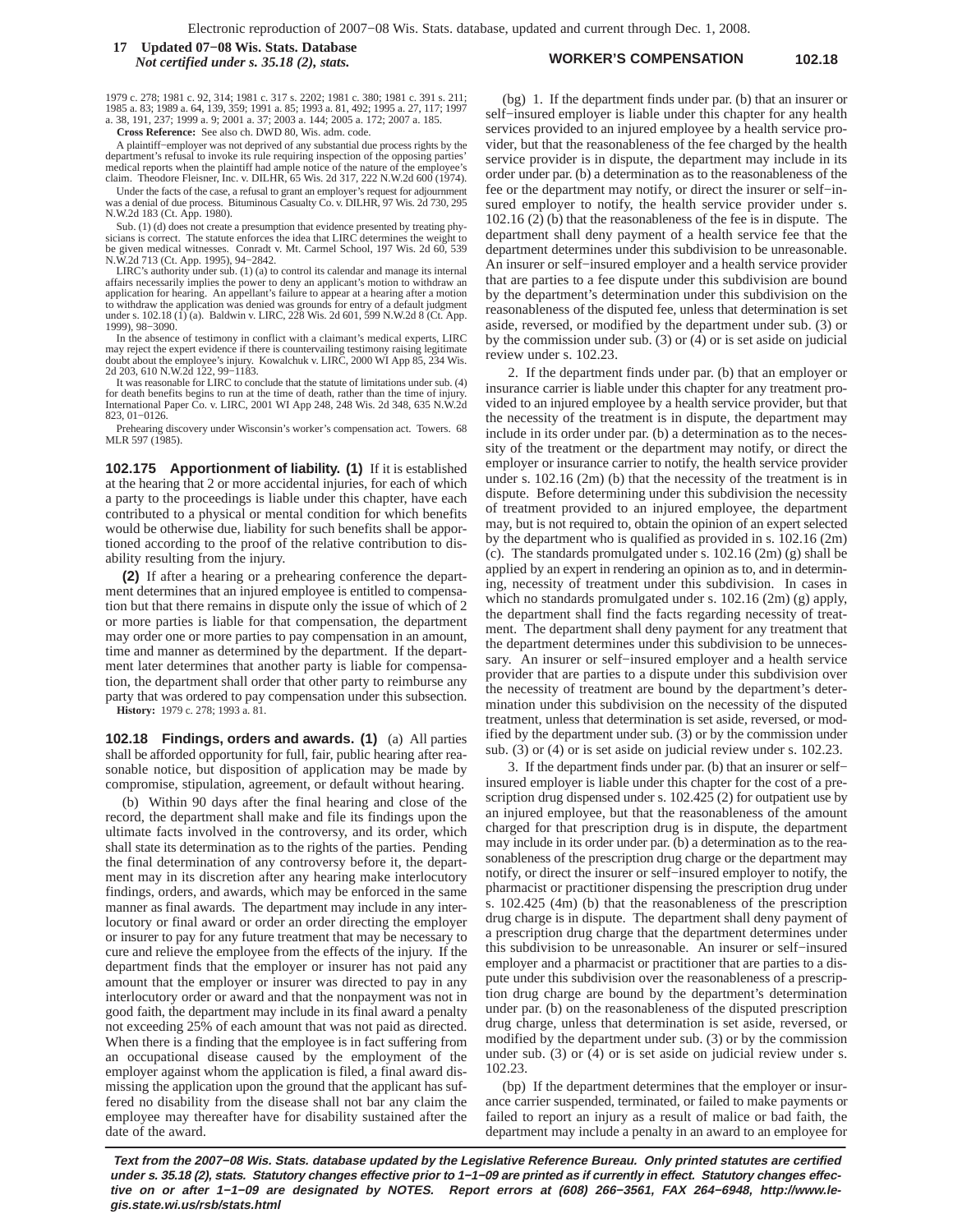#### **WORKER'S COMPENSATION 102.18 17 Updated 07−08 Wis. Stats. Database** *Not certified under s. 35.18 (2), stats.*

1979 c. 278; 1981 c. 92, 314; 1981 c. 317 s. 2202; 1981 c. 380; 1981 c. 391 s. 211; 1985 a. 83; 1989 a. 64, 139, 359; 1991 a. 85; 1993 a. 81, 492; 1995 a. 27, 117; 1997 a. 38, 191, 237; 1999 a. 9; 2001 a. 37; 2003 a. 144; 2005 a. 172; 2007 a. 185.

**Cross Reference:** See also ch. DWD 80, Wis. adm. code.

A plaintiff−employer was not deprived of any substantial due process rights by the department's refusal to invoke its rule requiring inspection of the opposing parties' medical reports when the plaintiff had ample notice of the nature of the employee's claim. Theodore Fleisner, Inc. v. DILHR, 65 Wis. 2d 317, 222 N.W.2d 600 (1974).

Under the facts of the case, a refusal to grant an employer's request for adjournment was a denial of due process. Bituminous Casualty Co. v. DILHR, 97 Wis. 2d 730, 295 N.W.2d 183 (Ct. App. 1980).

Sub. (1) (d) does not create a presumption that evidence presented by treating phy-sicians is correct. The statute enforces the idea that LIRC determines the weight to be given medical witnesses. Conradt v. Mt. Carmel School, 197 Wis. 2d 60, 539 N.W.2d 713 (Ct. App. 1995), 94−2842.

LIRC's authority under sub. (1) (a) to control its calendar and manage its internal affairs necessarily implies the power to deny an applicant's motion to withdraw an application for hearing. An appellant's failure to appear at a hearing after a motion to withdraw the application was denied was grounds for entry of a default judgment under s. 102.18 (1) (a). Baldwin v. LIRC, 228 Wis. 2d 601, 599 N.W.2d 8 (Ct. App. 1999), 98−3090.

In the absence of testimony in conflict with a claimant's medical experts, LIRC may reject the expert evidence if there is countervailing testimony raising legitimate doubt about the employee's injury. Kowalchuk v. LIRC, 2000 WI App 85, 234 Wis. 2d 203, 610 N.W.2d 122, 99−1183.

It was reasonable for LIRC to conclude that the statute of limitations under sub. (4) for death benefits begins to run at the time of death, rather than the time of injury. International Paper Co. v. LIRC, 2001 WI App 248, 248 Wis. 2d 348, 635 N.W.2d 823, 01−0126.

Prehearing discovery under Wisconsin's worker's compensation act. Towers. 68 MLR 597 (1985).

**102.175 Apportionment of liability. (1)** If it is established at the hearing that 2 or more accidental injuries, for each of which a party to the proceedings is liable under this chapter, have each contributed to a physical or mental condition for which benefits would be otherwise due, liability for such benefits shall be apportioned according to the proof of the relative contribution to disability resulting from the injury.

**(2)** If after a hearing or a prehearing conference the department determines that an injured employee is entitled to compensation but that there remains in dispute only the issue of which of 2 or more parties is liable for that compensation, the department may order one or more parties to pay compensation in an amount, time and manner as determined by the department. If the department later determines that another party is liable for compensation, the department shall order that other party to reimburse any party that was ordered to pay compensation under this subsection.

**History:** 1979 c. 278; 1993 a. 81.

**102.18 Findings, orders and awards. (1)** (a) All parties shall be afforded opportunity for full, fair, public hearing after reasonable notice, but disposition of application may be made by compromise, stipulation, agreement, or default without hearing.

(b) Within 90 days after the final hearing and close of the record, the department shall make and file its findings upon the ultimate facts involved in the controversy, and its order, which shall state its determination as to the rights of the parties. Pending the final determination of any controversy before it, the department may in its discretion after any hearing make interlocutory findings, orders, and awards, which may be enforced in the same manner as final awards. The department may include in any interlocutory or final award or order an order directing the employer or insurer to pay for any future treatment that may be necessary to cure and relieve the employee from the effects of the injury. If the department finds that the employer or insurer has not paid any amount that the employer or insurer was directed to pay in any interlocutory order or award and that the nonpayment was not in good faith, the department may include in its final award a penalty not exceeding 25% of each amount that was not paid as directed. When there is a finding that the employee is in fact suffering from an occupational disease caused by the employment of the employer against whom the application is filed, a final award dismissing the application upon the ground that the applicant has suffered no disability from the disease shall not bar any claim the employee may thereafter have for disability sustained after the date of the award.

(bg) 1. If the department finds under par. (b) that an insurer or self–insured employer is liable under this chapter for any health services provided to an injured employee by a health service provider, but that the reasonableness of the fee charged by the health service provider is in dispute, the department may include in its order under par. (b) a determination as to the reasonableness of the fee or the department may notify, or direct the insurer or self−insured employer to notify, the health service provider under s. 102.16 (2) (b) that the reasonableness of the fee is in dispute. The department shall deny payment of a health service fee that the department determines under this subdivision to be unreasonable. An insurer or self−insured employer and a health service provider that are parties to a fee dispute under this subdivision are bound by the department's determination under this subdivision on the reasonableness of the disputed fee, unless that determination is set aside, reversed, or modified by the department under sub. (3) or by the commission under sub.  $(3)$  or  $(4)$  or is set aside on judicial review under s. 102.23.

2. If the department finds under par. (b) that an employer or insurance carrier is liable under this chapter for any treatment provided to an injured employee by a health service provider, but that the necessity of the treatment is in dispute, the department may include in its order under par. (b) a determination as to the necessity of the treatment or the department may notify, or direct the employer or insurance carrier to notify, the health service provider under s. 102.16 (2m) (b) that the necessity of the treatment is in dispute. Before determining under this subdivision the necessity of treatment provided to an injured employee, the department may, but is not required to, obtain the opinion of an expert selected by the department who is qualified as provided in s. 102.16 (2m) (c). The standards promulgated under s. 102.16 (2m) (g) shall be applied by an expert in rendering an opinion as to, and in determining, necessity of treatment under this subdivision. In cases in which no standards promulgated under s. 102.16 (2m) (g) apply, the department shall find the facts regarding necessity of treatment. The department shall deny payment for any treatment that the department determines under this subdivision to be unnecessary. An insurer or self−insured employer and a health service provider that are parties to a dispute under this subdivision over the necessity of treatment are bound by the department's determination under this subdivision on the necessity of the disputed treatment, unless that determination is set aside, reversed, or modified by the department under sub. (3) or by the commission under sub. (3) or (4) or is set aside on judicial review under s. 102.23.

3. If the department finds under par. (b) that an insurer or self− insured employer is liable under this chapter for the cost of a prescription drug dispensed under s. 102.425 (2) for outpatient use by an injured employee, but that the reasonableness of the amount charged for that prescription drug is in dispute, the department may include in its order under par. (b) a determination as to the reasonableness of the prescription drug charge or the department may notify, or direct the insurer or self−insured employer to notify, the pharmacist or practitioner dispensing the prescription drug under s. 102.425 (4m) (b) that the reasonableness of the prescription drug charge is in dispute. The department shall deny payment of a prescription drug charge that the department determines under this subdivision to be unreasonable. An insurer or self−insured employer and a pharmacist or practitioner that are parties to a dispute under this subdivision over the reasonableness of a prescription drug charge are bound by the department's determination under par. (b) on the reasonableness of the disputed prescription drug charge, unless that determination is set aside, reversed, or modified by the department under sub. (3) or by the commission under sub. (3) or (4) or is set aside on judicial review under s. 102.23.

(bp) If the department determines that the employer or insurance carrier suspended, terminated, or failed to make payments or failed to report an injury as a result of malice or bad faith, the department may include a penalty in an award to an employee for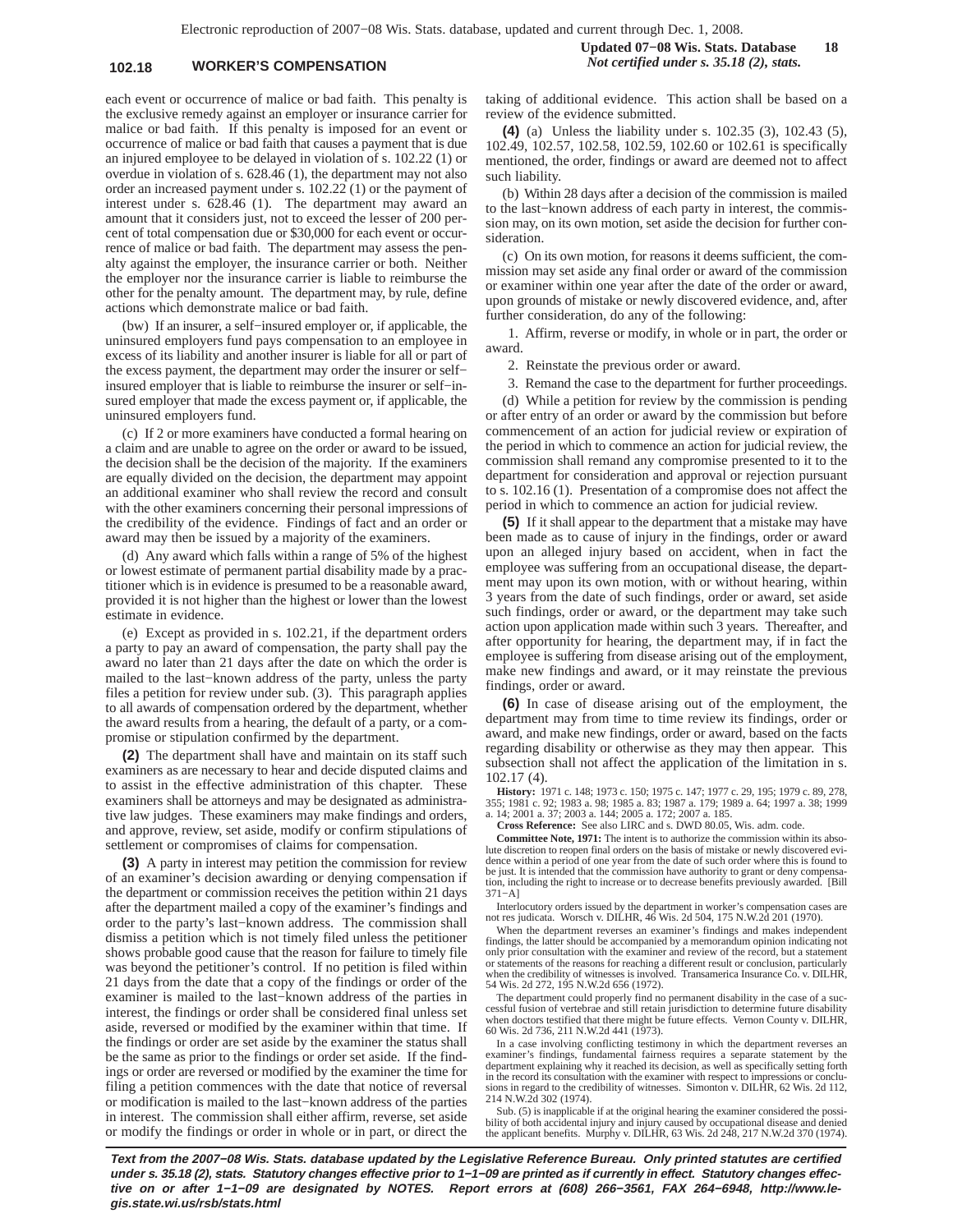## **102.18 WORKER'S COMPENSATION** *Not certified under s. 35.18 (2), stats.*

each event or occurrence of malice or bad faith. This penalty is the exclusive remedy against an employer or insurance carrier for malice or bad faith. If this penalty is imposed for an event or occurrence of malice or bad faith that causes a payment that is due an injured employee to be delayed in violation of s. 102.22 (1) or overdue in violation of s. 628.46 (1), the department may not also order an increased payment under s. 102.22 (1) or the payment of interest under s. 628.46 (1). The department may award an amount that it considers just, not to exceed the lesser of 200 percent of total compensation due or \$30,000 for each event or occurrence of malice or bad faith. The department may assess the penalty against the employer, the insurance carrier or both. Neither the employer nor the insurance carrier is liable to reimburse the other for the penalty amount. The department may, by rule, define actions which demonstrate malice or bad faith.

(bw) If an insurer, a self−insured employer or, if applicable, the uninsured employers fund pays compensation to an employee in excess of its liability and another insurer is liable for all or part of the excess payment, the department may order the insurer or self− insured employer that is liable to reimburse the insurer or self−insured employer that made the excess payment or, if applicable, the uninsured employers fund.

(c) If 2 or more examiners have conducted a formal hearing on a claim and are unable to agree on the order or award to be issued, the decision shall be the decision of the majority. If the examiners are equally divided on the decision, the department may appoint an additional examiner who shall review the record and consult with the other examiners concerning their personal impressions of the credibility of the evidence. Findings of fact and an order or award may then be issued by a majority of the examiners.

(d) Any award which falls within a range of 5% of the highest or lowest estimate of permanent partial disability made by a practitioner which is in evidence is presumed to be a reasonable award, provided it is not higher than the highest or lower than the lowest estimate in evidence.

(e) Except as provided in s. 102.21, if the department orders a party to pay an award of compensation, the party shall pay the award no later than 21 days after the date on which the order is mailed to the last−known address of the party, unless the party files a petition for review under sub. (3). This paragraph applies to all awards of compensation ordered by the department, whether the award results from a hearing, the default of a party, or a compromise or stipulation confirmed by the department.

**(2)** The department shall have and maintain on its staff such examiners as are necessary to hear and decide disputed claims and to assist in the effective administration of this chapter. These examiners shall be attorneys and may be designated as administrative law judges. These examiners may make findings and orders, and approve, review, set aside, modify or confirm stipulations of settlement or compromises of claims for compensation.

**(3)** A party in interest may petition the commission for review of an examiner's decision awarding or denying compensation if the department or commission receives the petition within 21 days after the department mailed a copy of the examiner's findings and order to the party's last−known address. The commission shall dismiss a petition which is not timely filed unless the petitioner shows probable good cause that the reason for failure to timely file was beyond the petitioner's control. If no petition is filed within 21 days from the date that a copy of the findings or order of the examiner is mailed to the last−known address of the parties in interest, the findings or order shall be considered final unless set aside, reversed or modified by the examiner within that time. If the findings or order are set aside by the examiner the status shall be the same as prior to the findings or order set aside. If the findings or order are reversed or modified by the examiner the time for filing a petition commences with the date that notice of reversal or modification is mailed to the last−known address of the parties in interest. The commission shall either affirm, reverse, set aside or modify the findings or order in whole or in part, or direct the

taking of additional evidence. This action shall be based on a review of the evidence submitted.

**(4)** (a) Unless the liability under s. 102.35 (3), 102.43 (5), 102.49, 102.57, 102.58, 102.59, 102.60 or 102.61 is specifically mentioned, the order, findings or award are deemed not to affect such liability.

(b) Within 28 days after a decision of the commission is mailed to the last−known address of each party in interest, the commission may, on its own motion, set aside the decision for further consideration.

(c) On its own motion, for reasons it deems sufficient, the commission may set aside any final order or award of the commission or examiner within one year after the date of the order or award, upon grounds of mistake or newly discovered evidence, and, after further consideration, do any of the following:

1. Affirm, reverse or modify, in whole or in part, the order or award.

2. Reinstate the previous order or award.

3. Remand the case to the department for further proceedings.

(d) While a petition for review by the commission is pending or after entry of an order or award by the commission but before commencement of an action for judicial review or expiration of the period in which to commence an action for judicial review, the commission shall remand any compromise presented to it to the department for consideration and approval or rejection pursuant to s. 102.16 (1). Presentation of a compromise does not affect the period in which to commence an action for judicial review.

**(5)** If it shall appear to the department that a mistake may have been made as to cause of injury in the findings, order or award upon an alleged injury based on accident, when in fact the employee was suffering from an occupational disease, the department may upon its own motion, with or without hearing, within 3 years from the date of such findings, order or award, set aside such findings, order or award, or the department may take such action upon application made within such 3 years. Thereafter, and after opportunity for hearing, the department may, if in fact the employee is suffering from disease arising out of the employment, make new findings and award, or it may reinstate the previous findings, order or award.

**(6)** In case of disease arising out of the employment, the department may from time to time review its findings, order or award, and make new findings, order or award, based on the facts regarding disability or otherwise as they may then appear. This subsection shall not affect the application of the limitation in s. 102.17 (4).

**History:** 1971 c. 148; 1973 c. 150; 1975 c. 147; 1977 c. 29, 195; 1979 c. 89, 278, 355; 1981 c. 92; 1983 a. 98; 1985 a. 83; 1987 a. 179; 1989 a. 64; 1997 a. 38; 1999 a. 14; 2001 a. 37; 2003 a. 144; 2005 a. 172; 2007 a. 185.

**Cross Reference:** See also LIRC and s. DWD 80.05, Wis. adm. code.

**Committee Note, 1971:** The intent is to authorize the commission within its absolute discretion to reopen final orders on the basis of mistake or newly discovered evidence within a period of one year from the date of such order where this is found to be just. It is intended that the commission have authority to grant or deny compensation, including the right to increase or to decrease benefits previously awarded. [Bill 371−A]

Interlocutory orders issued by the department in worker's compensation cases are not res judicata. Worsch v. DILHR, 46 Wis. 2d 504, 175 N.W.2d 201 (1970).

When the department reverses an examiner's findings and makes independent findings, the latter should be accompanied by a memorandum opinion indicating not only prior consultation with the examiner and review of the record, but a statement or statements of the reasons for reaching a different result or conclusion, particularly when the credibility of witnesses is involved. Transamerica Insurance Co. v. DILHR, 54 Wis. 2d 272, 195 N.W.2d 656 (1972).

The department could properly find no permanent disability in the case of a suc-<br>cessful fusion of vertebrae and still retain jurisdiction to determine future disability<br>when doctors testified that there might be future ef 60 Wis. 2d 736, 211 N.W.2d 441 (1973).

In a case involving conflicting testimony in which the department reverses an examiner's findings, fundamental fairness requires a separate statement by the department explaining why it reached its decision, as well as specifically setting forth in the record its consultation with the examiner with respect to impressions or conclusions in regard to the credibility of witnesses. Simonton v. DILHR, 62 Wis. 2d 112, 214 N.W.2d 302 (1974).

Sub. (5) is inapplicable if at the original hearing the examiner considered the possi-bility of both accidental injury and injury caused by occupational disease and denied the applicant benefits. Murphy v. DILHR, 63 Wis. 2d 248, 217 N.W.2d 370 (1974).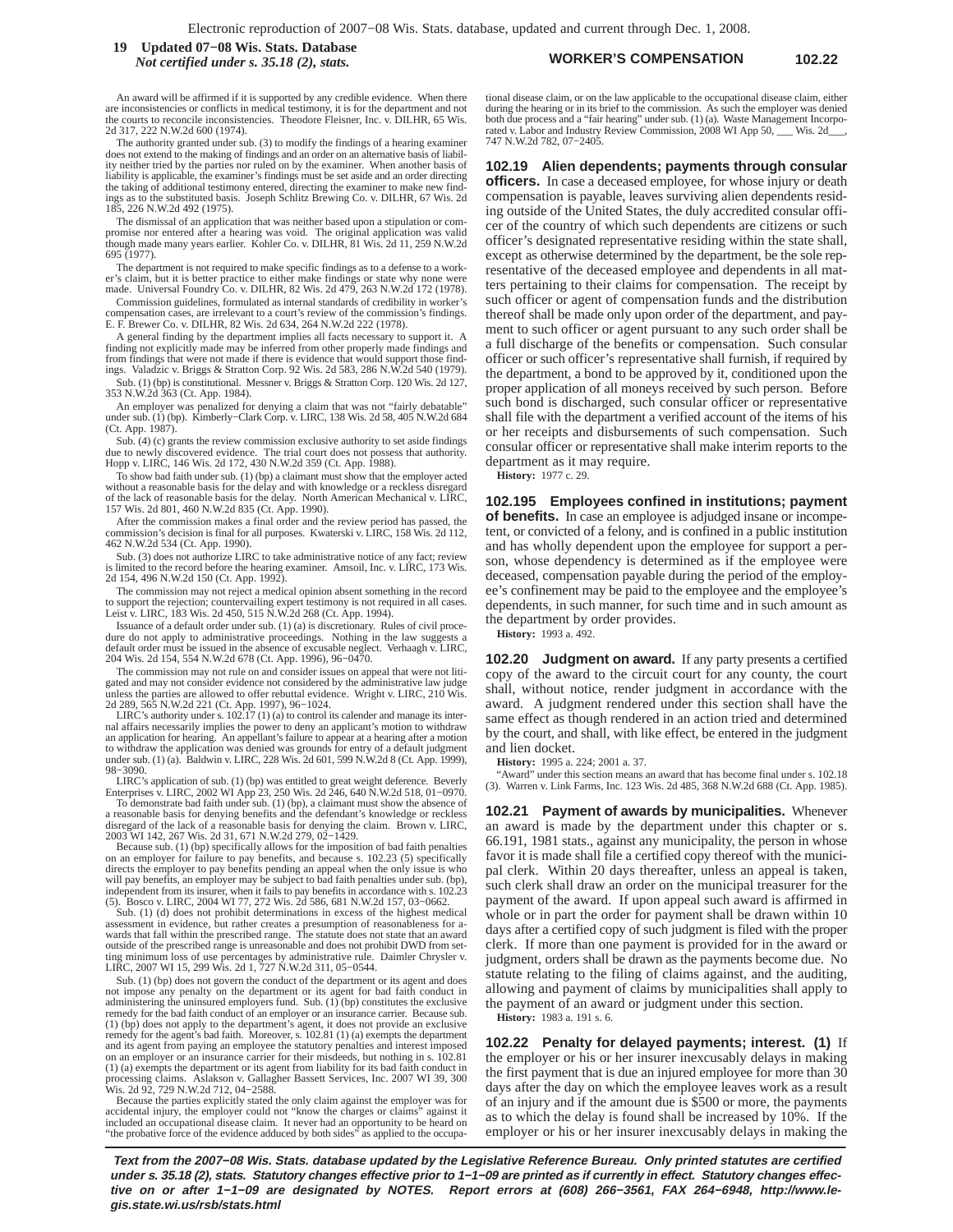**WORKER'S COMPENSATION 102.22 19 Updated 07−08 Wis. Stats. Database** *Not certified under s. 35.18 (2), stats.*

An award will be affirmed if it is supported by any credible evidence. When there are inconsistencies or conflicts in medical testimony, it is for the department and not the courts to reconcile inconsistencies. Theodore Fleisner, Inc. v. DILHR, 65 Wis. 2d 317, 222 N.W.2d 600 (1974).

The authority granted under sub. (3) to modify the findings of a hearing examiner does not extend to the making of findings and an order on an alternative basis of liability neither tried by the parties nor ruled on by the examiner. When another basis of liability is applicable, the examiner's findings must be set aside and an order directing the taking of additional testimony entered, directing the examiner to make new findas to the substituted basis. Joseph Schlitz Brewing Co. v. DILHR, 67 Wis. 2d 185, 226 N.W.2d 492 (1975).

The dismissal of an application that was neither based upon a stipulation or compromise nor entered after a hearing was void. The original application was valid though made many years earlier. Kohler Co. v. DILHR, 81 Wis. 2d 11, 259 N.W.2d 695 (1977).

The department is not required to make specific findings as to a defense to a worker's claim, but it is better practice to either make findings or state why none were made. Universal Foundry Co. v. DILHR, 82 Wis. 2d 479, 263 N.W.2d 172 (1978).

Commission guidelines, formulated as internal standards of credibility in worker's compensation cases, are irrelevant to a court's review of the commission's findings. E. F. Brewer Co. v. DILHR, 82 Wis. 2d 634, 264 N.W.2d 222 (1978).

A general finding by the department implies all facts necessary to support it. A finding not explicitly made may be inferred from other properly made findings and from findings that were not made if there is evidence that would support those find-ings. Valadzic v. Briggs & Stratton Corp. 92 Wis. 2d 583, 286 N.W.2d 540 (1979).

Sub. (1) (bp) is constitutional. Messner v. Briggs & Stratton Corp. 120 Wis. 2d 127, 353 N.W.2d 363 (Ct. App. 1984).

An employer was penalized for denying a claim that was not "fairly debatable" under sub. (1) (bp). Kimberly−Clark Corp. v. LIRC, 138 Wis. 2d 58, 405 N.W.2d 684 (Ct. App. 1987).

Sub. (4) (c) grants the review commission exclusive authority to set aside findings<br>due to newly discovered evidence. The trial court does not possess that authority.<br>Hopp v. LIRC, 146 Wis. 2d 172, 430 N.W.2d 359 (Ct. App.

To show bad faith under sub. (1) (bp) a claimant must show that the employer acted without a reasonable basis for the delay and with knowledge or a reckless disregard of the lack of reasonable basis for the delay. North American Mechanical v. LIRC, 157 Wis. 2d 801, 460 N.W.2d 835 (Ct. App. 1990).

After the commission makes a final order and the review period has passed, the commission's decision is final for all purposes. Kwaterski v. LIRC, 158 Wis. 2d 112, 462 N.W.2d 534 (Ct. App. 1990).

Sub. (3) does not authorize LIRC to take administrative notice of any fact; review is limited to the record before the hearing examiner. Amsoil, Inc. v. LIRC, 173 Wis. 2d 154, 496 N.W.2d 150 (Ct. App. 1992).

The commission may not reject a medical opinion absent something in the record to support the rejection; countervailing expert testimony is not required in all cases. Leist v. LIRC, 183 Wis. 2d 450, 515 N.W.2d 268 (Ct. App. 1994).

Issuance of a default order under sub. (1) (a) is discretionary. Rules of civil proce-dure do not apply to administrative proceedings. Nothing in the law suggests a default order must be issued in the absence of excusable neglect. Verhaagh v. LIRC, 204 Wis. 2d 154, 554 N.W.2d 678 (Ct. App. 1996), 96−0470.

The commission may not rule on and consider issues on appeal that were not liti-gated and may not consider evidence not considered by the administrative law judge unless the parties are allowed to offer rebuttal evidence. Wright v. LIRC, 210 Wis. 2d 289, 565 N.W.2d 221 (Ct. App. 1997), 96−1024.

LIRC's authority under s. 102.17 (1) (a) to control its calender and manage its inter-nal affairs necessarily implies the power to deny an applicant's motion to withdraw an application for hearing. An appellant's failure to appear at a hearing after a motion to withdraw the application was denied was grounds for entry of a default judgment under sub. (1) (a). Baldwin v. LIRC, 228 Wis. 2d 601, 599 N.W.2d 8 (Ct. App. 1999), 98−3090.

LIRC's application of sub. (1) (bp) was entitled to great weight deference. Beverly Enterprises v. LIRC, 2002 WI App 23, 250 Wis. 2d 246, 640 N.W.2d 518, 01−0970.

To demonstrate bad faith under sub. (1) (bp), a claimant must show the absence of a reasonable basis for denying benefits and the defendant's knowledge or reckless disregard of the lack of a reasonable basis for denying the claim. Brown v. LIRC, 2003 WI 142, 267 Wis. 2d 31, 671 N.W.2d 279, 02−1429.

Because sub. (1) (bp) specifically allows for the imposition of bad faith penalties on an employer for failure to pay benefits, and because s. 102.23 (5) specifically directs the employer to pay benefits pending an appeal when the only issue is who will pay benefits, an employer may be subject to bad faith penalties under sub. (bp),<br>independent from its insurer, when it fails to pay benefits in accordance with s. 102.23<br>(5). Bosco v. LIRC, 2004 W1 77, 272 Wis. 2d 586

Sub. (1) (d) does not prohibit determinations in excess of the highest medical<br>assessment in evidence, but rather creates a presumption of reasonableness for a-<br>wards that fall within the prescribed range. The statute does outside of the prescribed range is unreasonable and does not prohibit DWD from set-ting minimum loss of use percentages by administrative rule. Daimler Chrysler v. LIRC, 2007 WI 15, 299 Wis. 2d 1, 727 N.W.2d 311, 05−0544.

Sub. (1) (bp) does not govern the conduct of the department or its agent and does not impose any penalty on the department or its agent for bad faith conduct in administering the uninsured employers fund. Sub. (1) (bp) constitutes the exclusive remedy for the bad faith conduct of an employer or an insurance carrier. Because sub. (1) (bp) does not apply to the department's agent, it does not provide an exclusive remedy for the agent's bad faith. Moreover, s. 102.81 (1) (a) exempts the department and its agent from paying an employee the statutory penalties and interest imposed on an employer or an insurance carrier for their misdeeds, but nothing in s. 102.81 (1) (a) exempts the department or its agent from liability for its bad faith conduct in processing claims. Aslakson v. Gallagher Bassett Services, Inc. 2007 WI 39, 300 Wis. 2d 92, 729 N.W.2d 712, 04−2588.

Because the parties explicitly stated the only claim against the employer was for accidental injury, the employer could not "know the charges or claims" against it<br>included an occupational disease claim. It never had an opportunity to be heard on<br>"the probative force of the evidence adduced by both side tional disease claim, or on the law applicable to the occupational disease claim, either during the hearing or in its brief to the commission. As such the employer was denied both due process and a "fair hearing" under sub. (1) (a). Waste Management Incorpoabor and Industry Review Commission, 2008 WI App 50, \_\_\_ Wis. 2d\_ 747 N.W.2d 782, 07−2405.

**102.19 Alien dependents; payments through consular officers.** In case a deceased employee, for whose injury or death compensation is payable, leaves surviving alien dependents residing outside of the United States, the duly accredited consular officer of the country of which such dependents are citizens or such officer's designated representative residing within the state shall, except as otherwise determined by the department, be the sole representative of the deceased employee and dependents in all matters pertaining to their claims for compensation. The receipt by such officer or agent of compensation funds and the distribution thereof shall be made only upon order of the department, and payment to such officer or agent pursuant to any such order shall be a full discharge of the benefits or compensation. Such consular officer or such officer's representative shall furnish, if required by the department, a bond to be approved by it, conditioned upon the proper application of all moneys received by such person. Before such bond is discharged, such consular officer or representative shall file with the department a verified account of the items of his or her receipts and disbursements of such compensation. Such consular officer or representative shall make interim reports to the department as it may require.

**History:** 1977 c. 29.

**102.195 Employees confined in institutions; payment of benefits.** In case an employee is adjudged insane or incompetent, or convicted of a felony, and is confined in a public institution and has wholly dependent upon the employee for support a person, whose dependency is determined as if the employee were deceased, compensation payable during the period of the employee's confinement may be paid to the employee and the employee's dependents, in such manner, for such time and in such amount as the department by order provides.

**History:** 1993 a. 492.

**102.20 Judgment on award.** If any party presents a certified copy of the award to the circuit court for any county, the court shall, without notice, render judgment in accordance with the award. A judgment rendered under this section shall have the same effect as though rendered in an action tried and determined by the court, and shall, with like effect, be entered in the judgment and lien docket.

**History:** 1995 a. 224; 2001 a. 37.

"Award" under this section means an award that has become final under s. 102.18 (3). Warren v. Link Farms, Inc. 123 Wis. 2d 485, 368 N.W.2d 688 (Ct. App. 1985).

**102.21 Payment of awards by municipalities.** Whenever an award is made by the department under this chapter or s. 66.191, 1981 stats., against any municipality, the person in whose favor it is made shall file a certified copy thereof with the municipal clerk. Within 20 days thereafter, unless an appeal is taken, such clerk shall draw an order on the municipal treasurer for the payment of the award. If upon appeal such award is affirmed in whole or in part the order for payment shall be drawn within 10 days after a certified copy of such judgment is filed with the proper clerk. If more than one payment is provided for in the award or judgment, orders shall be drawn as the payments become due. No statute relating to the filing of claims against, and the auditing, allowing and payment of claims by municipalities shall apply to the payment of an award or judgment under this section.

**History:** 1983 a. 191 s. 6.

**102.22 Penalty for delayed payments; interest. (1)** If the employer or his or her insurer inexcusably delays in making the first payment that is due an injured employee for more than 30 days after the day on which the employee leaves work as a result of an injury and if the amount due is \$500 or more, the payments as to which the delay is found shall be increased by 10%. If the employer or his or her insurer inexcusably delays in making the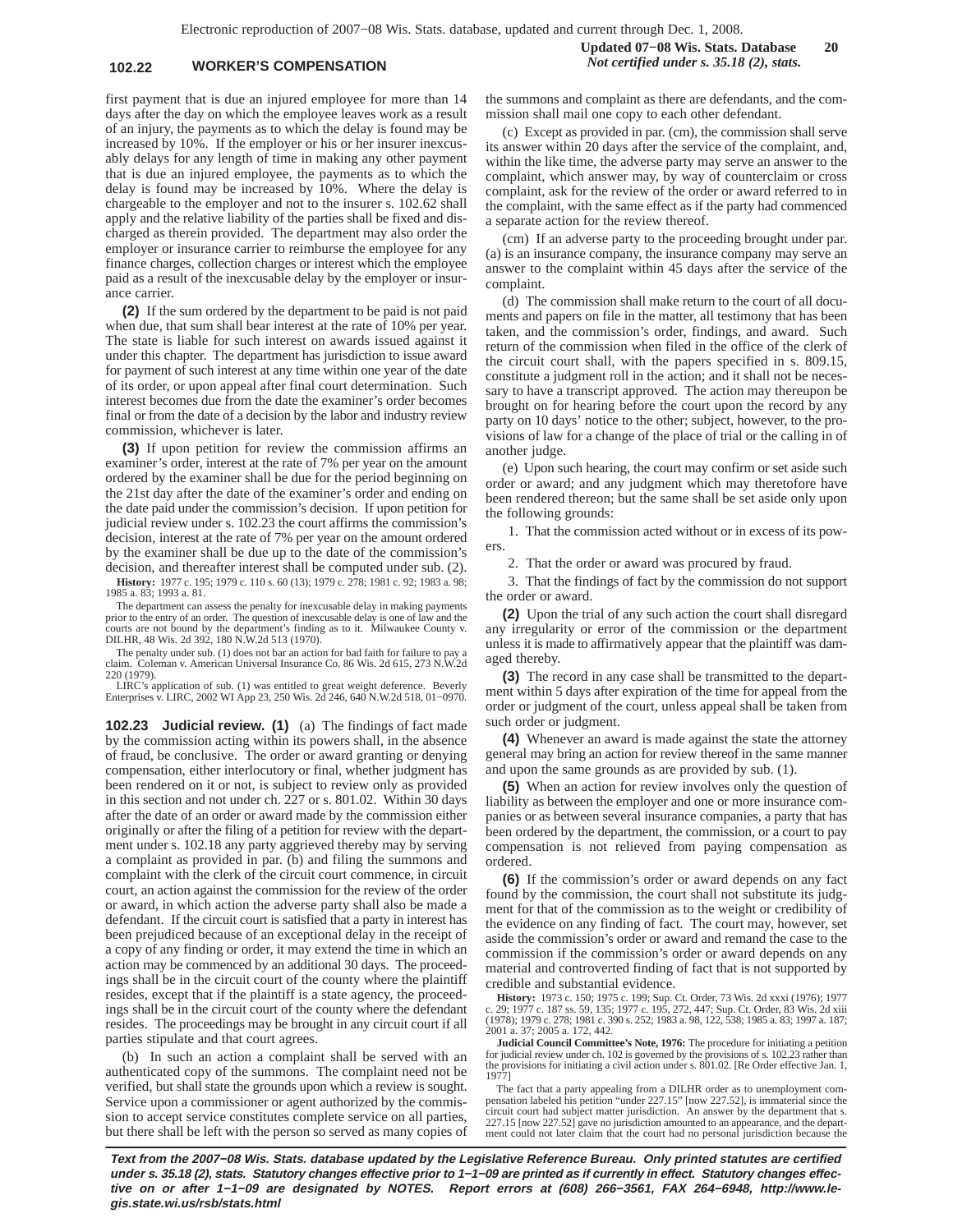## **102.22 WORKER'S COMPENSATION** *Not certified under s. 35.18 (2), stats.*

first payment that is due an injured employee for more than 14 days after the day on which the employee leaves work as a result of an injury, the payments as to which the delay is found may be increased by 10%. If the employer or his or her insurer inexcusably delays for any length of time in making any other payment that is due an injured employee, the payments as to which the delay is found may be increased by 10%. Where the delay is chargeable to the employer and not to the insurer s. 102.62 shall apply and the relative liability of the parties shall be fixed and discharged as therein provided. The department may also order the employer or insurance carrier to reimburse the employee for any finance charges, collection charges or interest which the employee paid as a result of the inexcusable delay by the employer or insurance carrier.

**(2)** If the sum ordered by the department to be paid is not paid when due, that sum shall bear interest at the rate of 10% per year. The state is liable for such interest on awards issued against it under this chapter. The department has jurisdiction to issue award for payment of such interest at any time within one year of the date of its order, or upon appeal after final court determination. Such interest becomes due from the date the examiner's order becomes final or from the date of a decision by the labor and industry review commission, whichever is later.

**(3)** If upon petition for review the commission affirms an examiner's order, interest at the rate of 7% per year on the amount ordered by the examiner shall be due for the period beginning on the 21st day after the date of the examiner's order and ending on the date paid under the commission's decision. If upon petition for judicial review under s. 102.23 the court affirms the commission's decision, interest at the rate of 7% per year on the amount ordered by the examiner shall be due up to the date of the commission's decision, and thereafter interest shall be computed under sub. (2).

**History:** 1977 c. 195; 1979 c. 110 s. 60 (13); 1979 c. 278; 1981 c. 92; 1983 a. 98; 1985 a. 83; 1993 a. 81.

The department can assess the penalty for inexcusable delay in making payments prior to the entry of an order. The question of inexcusable delay is one of law and the courts are not bound by the department's finding as to it. Milwaukee County v. DILHR, 48 Wis. 2d 392, 180 N.W.2d 513 (1970).

The penalty under sub. (1) does not bar an action for bad faith for failure to pay claim. Coleman v. American Universal Insurance Co. 86 Wis. 2d 615, 273 N.W. Coleman v. American Universal Insurance Co. 86 Wis. 2d 615, 273 N.W.2d 220 (1979).

LIRC's application of sub. (1) was entitled to great weight deference. Beverly Enterprises v. LIRC, 2002 WI App 23, 250 Wis. 2d 246, 640 N.W.2d 518, 01−0970.

**102.23 Judicial review. (1)** (a) The findings of fact made by the commission acting within its powers shall, in the absence of fraud, be conclusive. The order or award granting or denying compensation, either interlocutory or final, whether judgment has been rendered on it or not, is subject to review only as provided in this section and not under ch. 227 or s. 801.02. Within 30 days after the date of an order or award made by the commission either originally or after the filing of a petition for review with the department under s. 102.18 any party aggrieved thereby may by serving a complaint as provided in par. (b) and filing the summons and complaint with the clerk of the circuit court commence, in circuit court, an action against the commission for the review of the order or award, in which action the adverse party shall also be made a defendant. If the circuit court is satisfied that a party in interest has been prejudiced because of an exceptional delay in the receipt of a copy of any finding or order, it may extend the time in which an action may be commenced by an additional 30 days. The proceedings shall be in the circuit court of the county where the plaintiff resides, except that if the plaintiff is a state agency, the proceedings shall be in the circuit court of the county where the defendant resides. The proceedings may be brought in any circuit court if all parties stipulate and that court agrees.

(b) In such an action a complaint shall be served with an authenticated copy of the summons. The complaint need not be verified, but shall state the grounds upon which a review is sought. Service upon a commissioner or agent authorized by the commission to accept service constitutes complete service on all parties, but there shall be left with the person so served as many copies of the summons and complaint as there are defendants, and the commission shall mail one copy to each other defendant.

(c) Except as provided in par. (cm), the commission shall serve its answer within 20 days after the service of the complaint, and, within the like time, the adverse party may serve an answer to the complaint, which answer may, by way of counterclaim or cross complaint, ask for the review of the order or award referred to in the complaint, with the same effect as if the party had commenced a separate action for the review thereof.

(cm) If an adverse party to the proceeding brought under par. (a) is an insurance company, the insurance company may serve an answer to the complaint within 45 days after the service of the complaint.

(d) The commission shall make return to the court of all documents and papers on file in the matter, all testimony that has been taken, and the commission's order, findings, and award. Such return of the commission when filed in the office of the clerk of the circuit court shall, with the papers specified in s. 809.15, constitute a judgment roll in the action; and it shall not be necessary to have a transcript approved. The action may thereupon be brought on for hearing before the court upon the record by any party on 10 days' notice to the other; subject, however, to the provisions of law for a change of the place of trial or the calling in of another judge.

(e) Upon such hearing, the court may confirm or set aside such order or award; and any judgment which may theretofore have been rendered thereon; but the same shall be set aside only upon the following grounds:

1. That the commission acted without or in excess of its powers.

2. That the order or award was procured by fraud.

3. That the findings of fact by the commission do not support the order or award.

**(2)** Upon the trial of any such action the court shall disregard any irregularity or error of the commission or the department unless it is made to affirmatively appear that the plaintiff was damaged thereby.

**(3)** The record in any case shall be transmitted to the department within 5 days after expiration of the time for appeal from the order or judgment of the court, unless appeal shall be taken from such order or judgment.

**(4)** Whenever an award is made against the state the attorney general may bring an action for review thereof in the same manner and upon the same grounds as are provided by sub. (1).

**(5)** When an action for review involves only the question of liability as between the employer and one or more insurance companies or as between several insurance companies, a party that has been ordered by the department, the commission, or a court to pay compensation is not relieved from paying compensation as ordered.

**(6)** If the commission's order or award depends on any fact found by the commission, the court shall not substitute its judgment for that of the commission as to the weight or credibility of the evidence on any finding of fact. The court may, however, set aside the commission's order or award and remand the case to the commission if the commission's order or award depends on any material and controverted finding of fact that is not supported by credible and substantial evidence.

**History:** 1973 c. 150; 1975 c. 199; Sup. Ct. Order, 73 Wis. 2d xxxi (1976); 1977 c. 29; 1977 c. 187 ss. 59, 135; 1977 c. 195, 272, 447; Sup. Ct. Order, 83 Wis. 2d xiii (1978); 1979 c. 278; 1981 c. 390 s. 252; 1983 a. 98, 122, 538; 1985 a. 83; 1997 a. 187; 2001 a. 37; 2005 a. 172, 442.

**Judicial Council Committee's Note, 1976:** The procedure for initiating a petition for judicial review under ch. 102 is governed by the provisions of s. 102.23 rather than the provisions for initiating a civil action under s. 801.02. [Re Order effective Jan. 1, 1977]

The fact that a party appealing from a DILHR order as to unemployment com-pensation labeled his petition "under 227.15" [now 227.52], is immaterial since the circuit court had subject matter jurisdiction. An answer by the department that s. 227.15 [now 227.52] gave no jurisdiction amounted to an appearance, and the department could not later claim that the court had no personal jurisdiction because the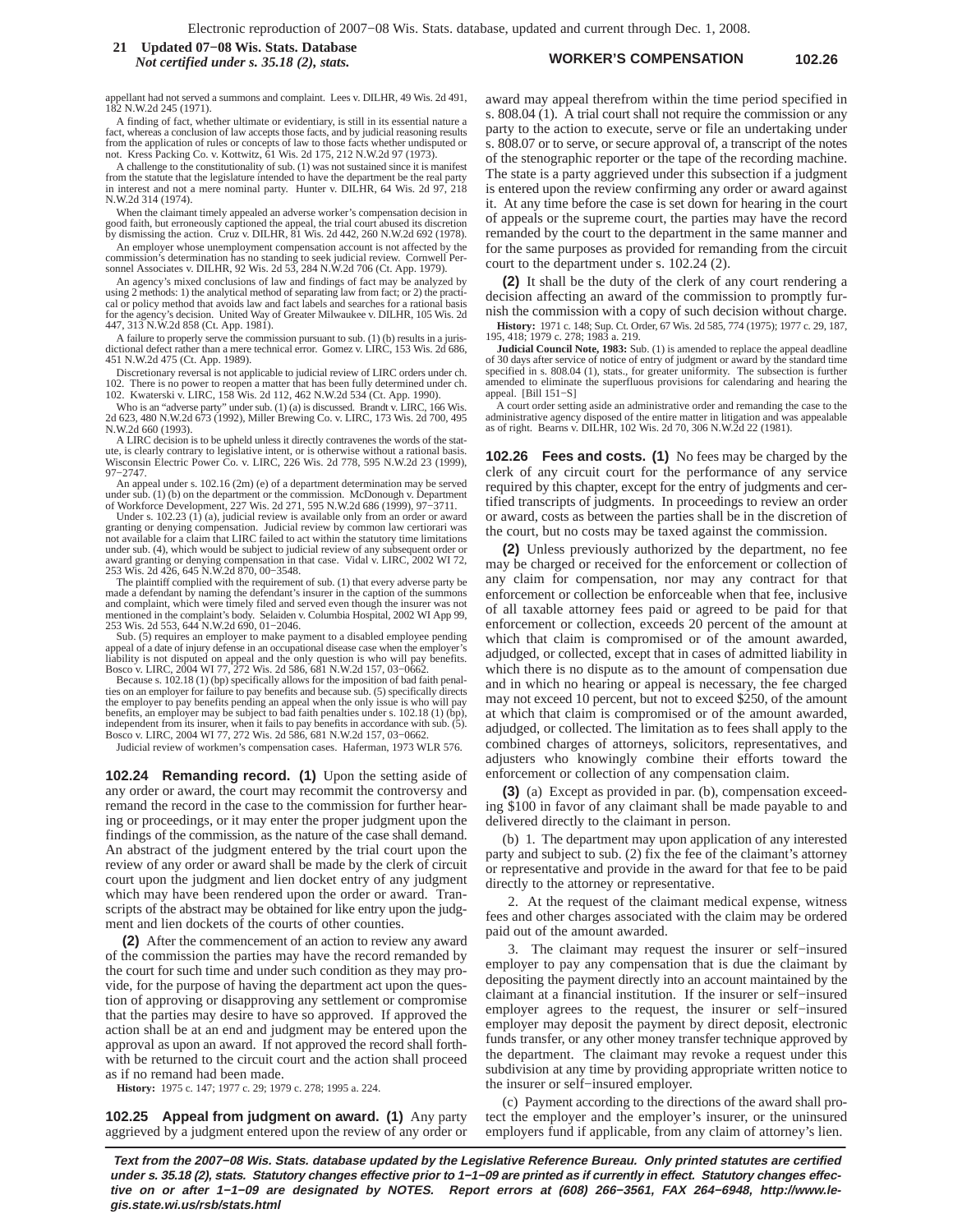#### **WORKER'S COMPENSATION 102.26 21 Updated 07−08 Wis. Stats. Database** *Not certified under s. 35.18 (2), stats.*

appellant had not served a summons and complaint. Lees v. DILHR, 49 Wis. 2d 491, 182 N.W.2d 245 (1971).

A finding of fact, whether ultimate or evidentiary, is still in its essential nature a fact, whereas a conclusion of law accepts those facts, and by judicial reasoning results from the application of rules or concepts of law to those facts whether undisputed or not. Kress Packing Co. v. Kottwitz, 61 Wis. 2d 175, 212 N.W.2d 97 (1973).

A challenge to the constitutionality of sub. (1) was not sustained since it is manifest from the statute that the legislature intended to have the department be the real party in interest and not a mere nominal party. Hunter v. DILHR, 64 Wis. 2d 97, 218 N.W.2d 314 (1974).

When the claimant timely appealed an adverse worker's compensation decision in good faith, but erroneously captioned the appeal, the trial court abused its discretion by dismissing the action. Cruz v. DILHR, 81 Wis. 2d 442, 260 N.W.2d 692 (1978).

An employer whose unemployment compensation account is not affected by the commission's determination has no standing to seek judicial review. Cornwell Personnel Associates v. DILHR, 92 Wis. 2d 53, 284 N.W.2d 706 (Ct. App. 1979).

An agency's mixed conclusions of law and findings of fact may be analyzed by using 2 methods: 1) the analytical method of separating law from fact; or 2) the practi-cal or policy method that avoids law and fact labels and searches for a rational basis for the agency's decision. United Way of Greater Milwaukee v. DILHR, 105 Wis. 2d 447, 313 N.W.2d 858 (Ct. App. 1981).

A failure to properly serve the commission pursuant to sub. (1) (b) results in a juris-dictional defect rather than a mere technical error. Gomez v. LIRC, 153 Wis. 2d 686, 451 N.W.2d 475 (Ct. App. 1989).

Discretionary reversal is not applicable to judicial review of LIRC orders under ch. 102. There is no power to reopen a matter that has been fully determined under ch. 102. Kwaterski v. LIRC, 158 Wis. 2d 112, 462 N.W.2d 534 (Ct. App. 1990).

Who is an "adverse party" under sub. (1) (a) is discussed. Brandt v. LIRC, 166 Wis. 2d 623, 480 N.W.2d 673 (1992), Miller Brewing Co. v. LIRC, 173 Wis. 2d 700, 495 N.W.2d 660 (1993).

A LIRC decision is to be upheld unless it directly contravenes the words of the statute, is clearly contrary to legislative intent, or is otherwise without a rational basis. Wisconsin Electric Power Co. v. LIRC, 226 Wis. 2d 778, 595 N.W.2d 23 (1999), 97−2747.

An appeal under s. 102.16 (2m) (e) of a department determination may be served under sub. (1) (b) on the department or the commission. McDonough v. Department of Workforce Development, 227 Wis. 2d 271, 595 N.W.2d 686 (1999), 97−3711.

Under s. 102.23 (1) (a), judicial review is available only from an order or award granting or denying compensation. Judicial review by common law certiorari was not available for a claim that LIRC failed to act within the statutory time limitations under sub. (4), which would be subject to judicial review of any subsequent order or award granting or denying compensation in that case. Vidal v. LIRC, 2002 WI 72, 253 Wis. 2d 426, 645 N.W.2d 870, 00−3548.

The plaintiff complied with the requirement of sub. (1) that every adverse party be made a defendant by naming the defendant's insurer in the caption of the summons and complaint, which were timely filed and served even though the insurer was not mentioned in the complaint's body. Selaiden v. Columbia Hospital, 2002 WI App 99, 253 Wis. 2d 553, 644 N.W.2d 690, 01−2046.

Sub. (5) requires an employer to make payment to a disabled employee pending appeal of a date of injury defense in an occupational disease case when the employer's liability is not disputed on appeal and the only question is who will pay benefits. Bosco v. LIRC, 2004 WI 77, 272 Wis. 2d 586, 681 N.W.2d 157, 03−0662.

Because s. 102.18 (1) (bp) specifically allows for the imposition of bad faith penalties on an employer for failure to pay benefits and because sub. (5) specifically directs<br>the employer to pay benefits pending an appeal when the only issue is who will pay<br>benefits, an employer may be subject to bad faith independent from its insurer, when it fails to pay benefits in accordance with sub. (5). Bosco v. LIRC, 2004 WI 77, 272 Wis. 2d 586, 681 N.W.2d 157, 03−0662.

Judicial review of workmen's compensation cases. Haferman, 1973 WLR 576.

**102.24 Remanding record. (1)** Upon the setting aside of any order or award, the court may recommit the controversy and remand the record in the case to the commission for further hearing or proceedings, or it may enter the proper judgment upon the findings of the commission, as the nature of the case shall demand. An abstract of the judgment entered by the trial court upon the review of any order or award shall be made by the clerk of circuit court upon the judgment and lien docket entry of any judgment which may have been rendered upon the order or award. Transcripts of the abstract may be obtained for like entry upon the judgment and lien dockets of the courts of other counties.

**(2)** After the commencement of an action to review any award of the commission the parties may have the record remanded by the court for such time and under such condition as they may provide, for the purpose of having the department act upon the question of approving or disapproving any settlement or compromise that the parties may desire to have so approved. If approved the action shall be at an end and judgment may be entered upon the approval as upon an award. If not approved the record shall forthwith be returned to the circuit court and the action shall proceed as if no remand had been made.

**History:** 1975 c. 147; 1977 c. 29; 1979 c. 278; 1995 a. 224.

**102.25 Appeal from judgment on award. (1)** Any party aggrieved by a judgment entered upon the review of any order or award may appeal therefrom within the time period specified in s. 808.04 (1). A trial court shall not require the commission or any party to the action to execute, serve or file an undertaking under s. 808.07 or to serve, or secure approval of, a transcript of the notes of the stenographic reporter or the tape of the recording machine. The state is a party aggrieved under this subsection if a judgment is entered upon the review confirming any order or award against it. At any time before the case is set down for hearing in the court of appeals or the supreme court, the parties may have the record remanded by the court to the department in the same manner and for the same purposes as provided for remanding from the circuit court to the department under s. 102.24 (2).

**(2)** It shall be the duty of the clerk of any court rendering a decision affecting an award of the commission to promptly furnish the commission with a copy of such decision without charge.

**History:** 1971 c. 148; Sup. Ct. Order, 67 Wis. 2d 585, 774 (1975); 1977 c. 29, 187, 195, 418; 1979 c. 278; 1983 a. 219.

**Judicial Council Note, 1983:** Sub. (1) is amended to replace the appeal deadline of 30 days after service of notice of entry of judgment or award by the standard time specified in s. 808.04 (1), stats., for greater uniformity. The subsection is further amended to eliminate the superfluous provisions for calendaring and hearing the appeal. [Bill 151−S]

A court order setting aside an administrative order and remanding the case to the administrative agency disposed of the entire matter in litigation and was appealable as of right. Bearns v. DILHR, 102 Wis. 2d 70, 306 N.W.2d 22 (1981).

**102.26 Fees and costs. (1)** No fees may be charged by the clerk of any circuit court for the performance of any service required by this chapter, except for the entry of judgments and certified transcripts of judgments. In proceedings to review an order or award, costs as between the parties shall be in the discretion of the court, but no costs may be taxed against the commission.

**(2)** Unless previously authorized by the department, no fee may be charged or received for the enforcement or collection of any claim for compensation, nor may any contract for that enforcement or collection be enforceable when that fee, inclusive of all taxable attorney fees paid or agreed to be paid for that enforcement or collection, exceeds 20 percent of the amount at which that claim is compromised or of the amount awarded, adjudged, or collected, except that in cases of admitted liability in which there is no dispute as to the amount of compensation due and in which no hearing or appeal is necessary, the fee charged may not exceed 10 percent, but not to exceed \$250, of the amount at which that claim is compromised or of the amount awarded, adjudged, or collected. The limitation as to fees shall apply to the combined charges of attorneys, solicitors, representatives, and adjusters who knowingly combine their efforts toward the enforcement or collection of any compensation claim.

**(3)** (a) Except as provided in par. (b), compensation exceeding \$100 in favor of any claimant shall be made payable to and delivered directly to the claimant in person.

(b) 1. The department may upon application of any interested party and subject to sub. (2) fix the fee of the claimant's attorney or representative and provide in the award for that fee to be paid directly to the attorney or representative.

2. At the request of the claimant medical expense, witness fees and other charges associated with the claim may be ordered paid out of the amount awarded.

3. The claimant may request the insurer or self−insured employer to pay any compensation that is due the claimant by depositing the payment directly into an account maintained by the claimant at a financial institution. If the insurer or self−insured employer agrees to the request, the insurer or self−insured employer may deposit the payment by direct deposit, electronic funds transfer, or any other money transfer technique approved by the department. The claimant may revoke a request under this subdivision at any time by providing appropriate written notice to the insurer or self−insured employer.

(c) Payment according to the directions of the award shall protect the employer and the employer's insurer, or the uninsured employers fund if applicable, from any claim of attorney's lien.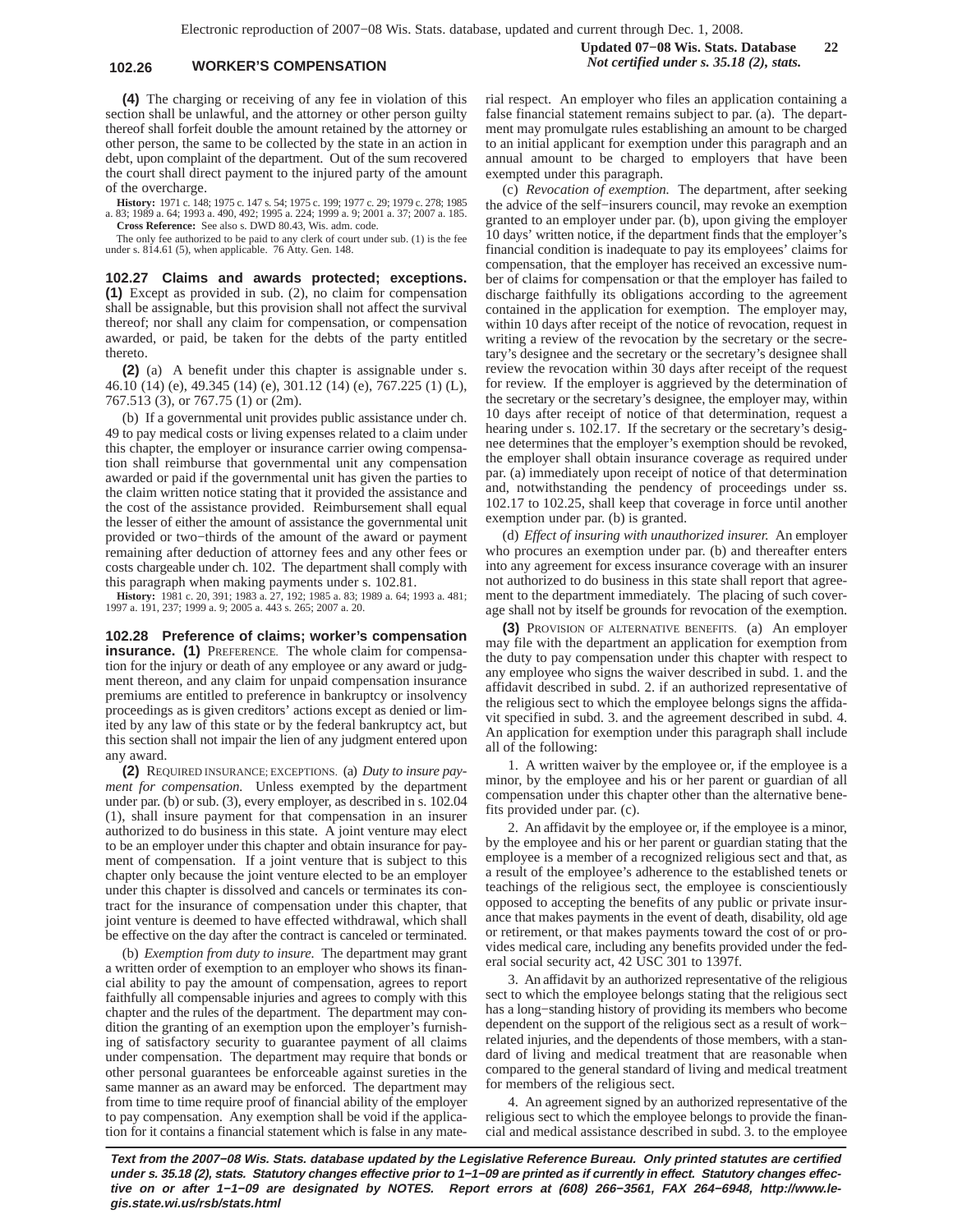### **102.26 WORKER'S COMPENSATION** *Not certified under s. 35.18 (2), stats.*

**Updated 07−08 Wis. Stats. Database 22**

**(4)** The charging or receiving of any fee in violation of this section shall be unlawful, and the attorney or other person guilty thereof shall forfeit double the amount retained by the attorney or other person, the same to be collected by the state in an action in debt, upon complaint of the department. Out of the sum recovered the court shall direct payment to the injured party of the amount of the overcharge.

**History:** 1971 c. 148; 1975 c. 147 s. 54; 1975 c. 199; 1977 c. 29; 1979 c. 278; 1985 a. 83; 1989 a. 64; 1993 a. 490, 492; 1995 a. 224; 1999 a. 9; 2001 a. 37; 2007 a. 185. **Cross Reference:** See also s. DWD 80.43, Wis. adm. code.

The only fee authorized to be paid to any clerk of court under sub. (1) is the fee under s. 814.61 (5), when applicable. 76 Atty. Gen. 148.

**102.27 Claims and awards protected; exceptions. (1)** Except as provided in sub. (2), no claim for compensation shall be assignable, but this provision shall not affect the survival thereof; nor shall any claim for compensation, or compensation awarded, or paid, be taken for the debts of the party entitled thereto.

**(2)** (a) A benefit under this chapter is assignable under s. 46.10 (14) (e), 49.345 (14) (e), 301.12 (14) (e), 767.225 (1) (L), 767.513 (3), or 767.75 (1) or (2m).

(b) If a governmental unit provides public assistance under ch. 49 to pay medical costs or living expenses related to a claim under this chapter, the employer or insurance carrier owing compensation shall reimburse that governmental unit any compensation awarded or paid if the governmental unit has given the parties to the claim written notice stating that it provided the assistance and the cost of the assistance provided. Reimbursement shall equal the lesser of either the amount of assistance the governmental unit provided or two−thirds of the amount of the award or payment remaining after deduction of attorney fees and any other fees or costs chargeable under ch. 102. The department shall comply with this paragraph when making payments under s. 102.81.

**History:** 1981 c. 20, 391; 1983 a. 27, 192; 1985 a. 83; 1989 a. 64; 1993 a. 481; 1997 a. 191, 237; 1999 a. 9; 2005 a. 443 s. 265; 2007 a. 20.

**102.28 Preference of claims; worker's compensation insurance.** (1) PREFERENCE. The whole claim for compensation for the injury or death of any employee or any award or judgment thereon, and any claim for unpaid compensation insurance premiums are entitled to preference in bankruptcy or insolvency proceedings as is given creditors' actions except as denied or limited by any law of this state or by the federal bankruptcy act, but this section shall not impair the lien of any judgment entered upon any award.

**(2)** REQUIRED INSURANCE; EXCEPTIONS. (a) *Duty to insure payment for compensation.* Unless exempted by the department under par. (b) or sub. (3), every employer, as described in s. 102.04 (1), shall insure payment for that compensation in an insurer authorized to do business in this state. A joint venture may elect to be an employer under this chapter and obtain insurance for payment of compensation. If a joint venture that is subject to this chapter only because the joint venture elected to be an employer under this chapter is dissolved and cancels or terminates its contract for the insurance of compensation under this chapter, that joint venture is deemed to have effected withdrawal, which shall be effective on the day after the contract is canceled or terminated.

(b) *Exemption from duty to insure.* The department may grant a written order of exemption to an employer who shows its financial ability to pay the amount of compensation, agrees to report faithfully all compensable injuries and agrees to comply with this chapter and the rules of the department. The department may condition the granting of an exemption upon the employer's furnishing of satisfactory security to guarantee payment of all claims under compensation. The department may require that bonds or other personal guarantees be enforceable against sureties in the same manner as an award may be enforced. The department may from time to time require proof of financial ability of the employer to pay compensation. Any exemption shall be void if the application for it contains a financial statement which is false in any material respect. An employer who files an application containing a false financial statement remains subject to par. (a). The department may promulgate rules establishing an amount to be charged to an initial applicant for exemption under this paragraph and an annual amount to be charged to employers that have been exempted under this paragraph.

(c) *Revocation of exemption.* The department, after seeking the advice of the self−insurers council, may revoke an exemption granted to an employer under par. (b), upon giving the employer 10 days' written notice, if the department finds that the employer's financial condition is inadequate to pay its employees' claims for compensation, that the employer has received an excessive number of claims for compensation or that the employer has failed to discharge faithfully its obligations according to the agreement contained in the application for exemption. The employer may, within 10 days after receipt of the notice of revocation, request in writing a review of the revocation by the secretary or the secretary's designee and the secretary or the secretary's designee shall review the revocation within 30 days after receipt of the request for review. If the employer is aggrieved by the determination of the secretary or the secretary's designee, the employer may, within 10 days after receipt of notice of that determination, request a hearing under s. 102.17. If the secretary or the secretary's designee determines that the employer's exemption should be revoked, the employer shall obtain insurance coverage as required under par. (a) immediately upon receipt of notice of that determination and, notwithstanding the pendency of proceedings under ss. 102.17 to 102.25, shall keep that coverage in force until another exemption under par. (b) is granted.

(d) *Effect of insuring with unauthorized insurer.* An employer who procures an exemption under par. (b) and thereafter enters into any agreement for excess insurance coverage with an insurer not authorized to do business in this state shall report that agreement to the department immediately. The placing of such coverage shall not by itself be grounds for revocation of the exemption.

**(3)** PROVISION OF ALTERNATIVE BENEFITS. (a) An employer may file with the department an application for exemption from the duty to pay compensation under this chapter with respect to any employee who signs the waiver described in subd. 1. and the affidavit described in subd. 2. if an authorized representative of the religious sect to which the employee belongs signs the affidavit specified in subd. 3. and the agreement described in subd. 4. An application for exemption under this paragraph shall include all of the following:

1. A written waiver by the employee or, if the employee is a minor, by the employee and his or her parent or guardian of all compensation under this chapter other than the alternative benefits provided under par. (c).

2. An affidavit by the employee or, if the employee is a minor, by the employee and his or her parent or guardian stating that the employee is a member of a recognized religious sect and that, as a result of the employee's adherence to the established tenets or teachings of the religious sect, the employee is conscientiously opposed to accepting the benefits of any public or private insurance that makes payments in the event of death, disability, old age or retirement, or that makes payments toward the cost of or provides medical care, including any benefits provided under the federal social security act, 42 USC 301 to 1397f.

3. An affidavit by an authorized representative of the religious sect to which the employee belongs stating that the religious sect has a long−standing history of providing its members who become dependent on the support of the religious sect as a result of work− related injuries, and the dependents of those members, with a standard of living and medical treatment that are reasonable when compared to the general standard of living and medical treatment for members of the religious sect.

4. An agreement signed by an authorized representative of the religious sect to which the employee belongs to provide the financial and medical assistance described in subd. 3. to the employee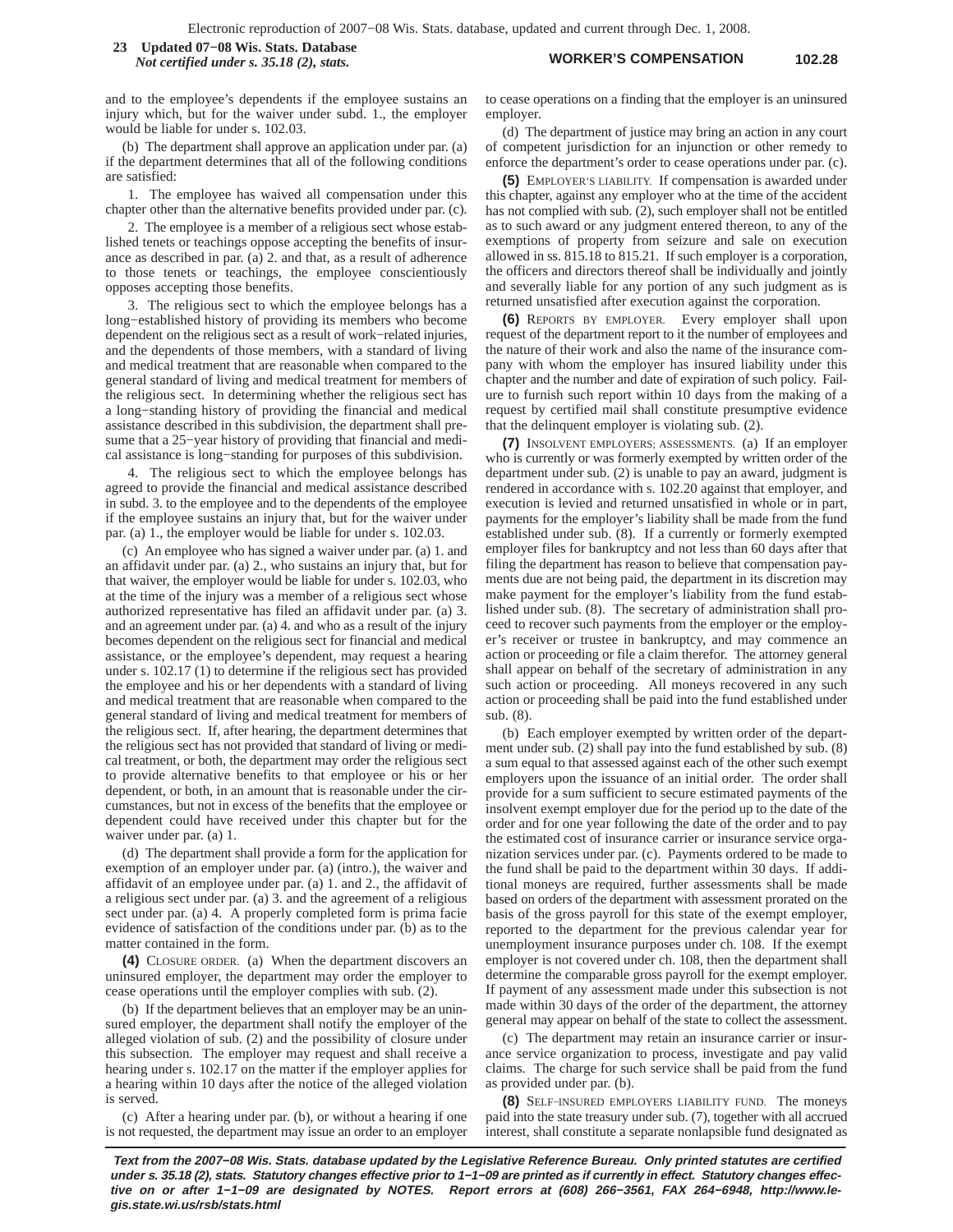**WORKER'S COMPENSATION 102.28 23 Updated 07−08 Wis. Stats. Database** *Not certified under s. 35.18 (2), stats.*

and to the employee's dependents if the employee sustains an injury which, but for the waiver under subd. 1., the employer would be liable for under s. 102.03.

(b) The department shall approve an application under par. (a) if the department determines that all of the following conditions are satisfied:

1. The employee has waived all compensation under this chapter other than the alternative benefits provided under par. (c).

2. The employee is a member of a religious sect whose established tenets or teachings oppose accepting the benefits of insurance as described in par. (a) 2. and that, as a result of adherence to those tenets or teachings, the employee conscientiously opposes accepting those benefits.

3. The religious sect to which the employee belongs has a long−established history of providing its members who become dependent on the religious sect as a result of work−related injuries, and the dependents of those members, with a standard of living and medical treatment that are reasonable when compared to the general standard of living and medical treatment for members of the religious sect. In determining whether the religious sect has a long−standing history of providing the financial and medical assistance described in this subdivision, the department shall presume that a 25−year history of providing that financial and medical assistance is long−standing for purposes of this subdivision.

4. The religious sect to which the employee belongs has agreed to provide the financial and medical assistance described in subd. 3. to the employee and to the dependents of the employee if the employee sustains an injury that, but for the waiver under par. (a) 1., the employer would be liable for under s. 102.03.

(c) An employee who has signed a waiver under par. (a) 1. and an affidavit under par. (a) 2., who sustains an injury that, but for that waiver, the employer would be liable for under s. 102.03, who at the time of the injury was a member of a religious sect whose authorized representative has filed an affidavit under par. (a) 3. and an agreement under par. (a) 4. and who as a result of the injury becomes dependent on the religious sect for financial and medical assistance, or the employee's dependent, may request a hearing under s. 102.17 (1) to determine if the religious sect has provided the employee and his or her dependents with a standard of living and medical treatment that are reasonable when compared to the general standard of living and medical treatment for members of the religious sect. If, after hearing, the department determines that the religious sect has not provided that standard of living or medical treatment, or both, the department may order the religious sect to provide alternative benefits to that employee or his or her dependent, or both, in an amount that is reasonable under the circumstances, but not in excess of the benefits that the employee or dependent could have received under this chapter but for the waiver under par. (a) 1.

(d) The department shall provide a form for the application for exemption of an employer under par. (a) (intro.), the waiver and affidavit of an employee under par. (a) 1. and 2., the affidavit of a religious sect under par. (a) 3. and the agreement of a religious sect under par. (a) 4. A properly completed form is prima facie evidence of satisfaction of the conditions under par. (b) as to the matter contained in the form.

**(4)** CLOSURE ORDER. (a) When the department discovers an uninsured employer, the department may order the employer to cease operations until the employer complies with sub. (2).

(b) If the department believes that an employer may be an uninsured employer, the department shall notify the employer of the alleged violation of sub. (2) and the possibility of closure under this subsection. The employer may request and shall receive a hearing under s. 102.17 on the matter if the employer applies for a hearing within 10 days after the notice of the alleged violation is served.

(c) After a hearing under par. (b), or without a hearing if one is not requested, the department may issue an order to an employer to cease operations on a finding that the employer is an uninsured employer.

(d) The department of justice may bring an action in any court of competent jurisdiction for an injunction or other remedy to enforce the department's order to cease operations under par. (c).

**(5)** EMPLOYER'S LIABILITY. If compensation is awarded under this chapter, against any employer who at the time of the accident has not complied with sub. (2), such employer shall not be entitled as to such award or any judgment entered thereon, to any of the exemptions of property from seizure and sale on execution allowed in ss. 815.18 to 815.21. If such employer is a corporation, the officers and directors thereof shall be individually and jointly and severally liable for any portion of any such judgment as is returned unsatisfied after execution against the corporation.

**(6)** REPORTS BY EMPLOYER. Every employer shall upon request of the department report to it the number of employees and the nature of their work and also the name of the insurance company with whom the employer has insured liability under this chapter and the number and date of expiration of such policy. Failure to furnish such report within 10 days from the making of a request by certified mail shall constitute presumptive evidence that the delinquent employer is violating sub. (2).

**(7)** INSOLVENT EMPLOYERS; ASSESSMENTS. (a) If an employer who is currently or was formerly exempted by written order of the department under sub. (2) is unable to pay an award, judgment is rendered in accordance with s. 102.20 against that employer, and execution is levied and returned unsatisfied in whole or in part, payments for the employer's liability shall be made from the fund established under sub. (8). If a currently or formerly exempted employer files for bankruptcy and not less than 60 days after that filing the department has reason to believe that compensation payments due are not being paid, the department in its discretion may make payment for the employer's liability from the fund established under sub. (8). The secretary of administration shall proceed to recover such payments from the employer or the employer's receiver or trustee in bankruptcy, and may commence an action or proceeding or file a claim therefor. The attorney general shall appear on behalf of the secretary of administration in any such action or proceeding. All moneys recovered in any such action or proceeding shall be paid into the fund established under sub. (8).

(b) Each employer exempted by written order of the department under sub. (2) shall pay into the fund established by sub. (8) a sum equal to that assessed against each of the other such exempt employers upon the issuance of an initial order. The order shall provide for a sum sufficient to secure estimated payments of the insolvent exempt employer due for the period up to the date of the order and for one year following the date of the order and to pay the estimated cost of insurance carrier or insurance service organization services under par. (c). Payments ordered to be made to the fund shall be paid to the department within 30 days. If additional moneys are required, further assessments shall be made based on orders of the department with assessment prorated on the basis of the gross payroll for this state of the exempt employer, reported to the department for the previous calendar year for unemployment insurance purposes under ch. 108. If the exempt employer is not covered under ch. 108, then the department shall determine the comparable gross payroll for the exempt employer. If payment of any assessment made under this subsection is not made within 30 days of the order of the department, the attorney general may appear on behalf of the state to collect the assessment.

(c) The department may retain an insurance carrier or insurance service organization to process, investigate and pay valid claims. The charge for such service shall be paid from the fund as provided under par. (b).

**(8)** SELF−INSURED EMPLOYERS LIABILITY FUND. The moneys paid into the state treasury under sub. (7), together with all accrued interest, shall constitute a separate nonlapsible fund designated as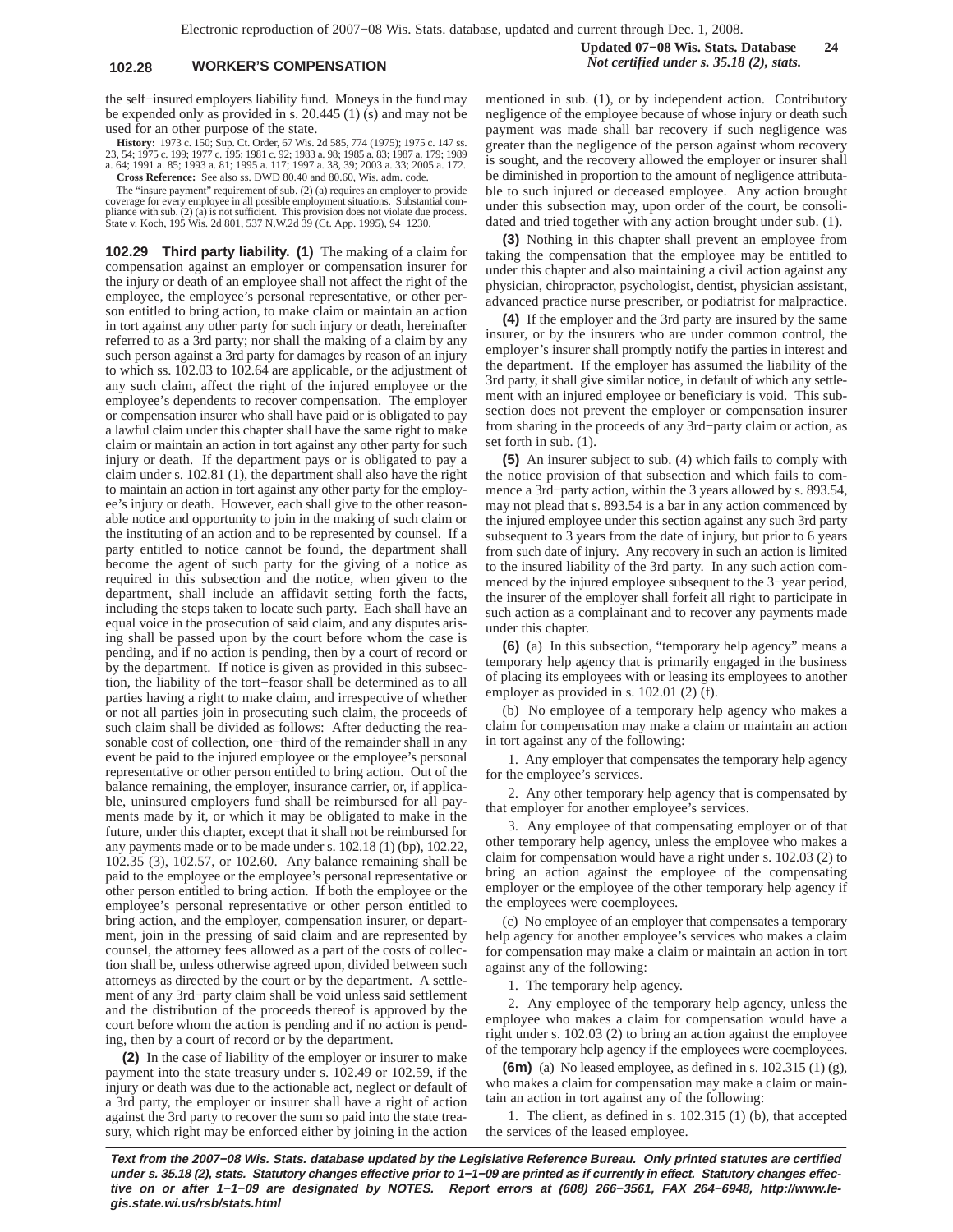**Updated 07−08 Wis. Stats. Database 24 102.28 WORKER'S COMPENSATION** *Not certified under s. 35.18 (2), stats.*

the self−insured employers liability fund. Moneys in the fund may be expended only as provided in s. 20.445 (1) (s) and may not be used for an other purpose of the state.

**History:** 1973 c. 150; Sup. Ct. Order, 67 Wis. 2d 585, 774 (1975); 1975 c. 147 ss.<br>23, 54; 1975 c. 199; 1977 c. 195; 1981 c. 92; 1983 a. 98; 1985 a. 83; 1987 a. 179; 1989<br>a. 64; 1991 a. 85; 1993 a. 81; 1995 a. 117; 1997 a **Cross Reference:** See also ss. DWD 80.40 and 80.60, Wis. adm. code.

The "insure payment" requirement of sub. (2) (a) requires an employer to provide coverage for every employee in all possible employment situations. Substantial compliance with sub. (2) (a) is not sufficient. This provision does not violate due process. State v. Koch, 195 Wis. 2d 801, 537 N.W.2d 39 (Ct. App. 1995), 94−1230.

**102.29 Third party liability. (1)** The making of a claim for compensation against an employer or compensation insurer for the injury or death of an employee shall not affect the right of the employee, the employee's personal representative, or other person entitled to bring action, to make claim or maintain an action in tort against any other party for such injury or death, hereinafter referred to as a 3rd party; nor shall the making of a claim by any such person against a 3rd party for damages by reason of an injury to which ss. 102.03 to 102.64 are applicable, or the adjustment of any such claim, affect the right of the injured employee or the employee's dependents to recover compensation. The employer or compensation insurer who shall have paid or is obligated to pay a lawful claim under this chapter shall have the same right to make claim or maintain an action in tort against any other party for such injury or death. If the department pays or is obligated to pay a claim under s. 102.81 (1), the department shall also have the right to maintain an action in tort against any other party for the employee's injury or death. However, each shall give to the other reasonable notice and opportunity to join in the making of such claim or the instituting of an action and to be represented by counsel. If a party entitled to notice cannot be found, the department shall become the agent of such party for the giving of a notice as required in this subsection and the notice, when given to the department, shall include an affidavit setting forth the facts, including the steps taken to locate such party. Each shall have an equal voice in the prosecution of said claim, and any disputes arising shall be passed upon by the court before whom the case is pending, and if no action is pending, then by a court of record or by the department. If notice is given as provided in this subsection, the liability of the tort−feasor shall be determined as to all parties having a right to make claim, and irrespective of whether or not all parties join in prosecuting such claim, the proceeds of such claim shall be divided as follows: After deducting the reasonable cost of collection, one−third of the remainder shall in any event be paid to the injured employee or the employee's personal representative or other person entitled to bring action. Out of the balance remaining, the employer, insurance carrier, or, if applicable, uninsured employers fund shall be reimbursed for all payments made by it, or which it may be obligated to make in the future, under this chapter, except that it shall not be reimbursed for any payments made or to be made under s. 102.18 (1) (bp), 102.22, 102.35 (3), 102.57, or 102.60. Any balance remaining shall be paid to the employee or the employee's personal representative or other person entitled to bring action. If both the employee or the employee's personal representative or other person entitled to bring action, and the employer, compensation insurer, or department, join in the pressing of said claim and are represented by counsel, the attorney fees allowed as a part of the costs of collection shall be, unless otherwise agreed upon, divided between such attorneys as directed by the court or by the department. A settlement of any 3rd−party claim shall be void unless said settlement and the distribution of the proceeds thereof is approved by the court before whom the action is pending and if no action is pending, then by a court of record or by the department.

**(2)** In the case of liability of the employer or insurer to make payment into the state treasury under s. 102.49 or 102.59, if the injury or death was due to the actionable act, neglect or default of a 3rd party, the employer or insurer shall have a right of action against the 3rd party to recover the sum so paid into the state treasury, which right may be enforced either by joining in the action mentioned in sub. (1), or by independent action. Contributory negligence of the employee because of whose injury or death such payment was made shall bar recovery if such negligence was greater than the negligence of the person against whom recovery is sought, and the recovery allowed the employer or insurer shall be diminished in proportion to the amount of negligence attributable to such injured or deceased employee. Any action brought under this subsection may, upon order of the court, be consolidated and tried together with any action brought under sub. (1).

**(3)** Nothing in this chapter shall prevent an employee from taking the compensation that the employee may be entitled to under this chapter and also maintaining a civil action against any physician, chiropractor, psychologist, dentist, physician assistant, advanced practice nurse prescriber, or podiatrist for malpractice.

**(4)** If the employer and the 3rd party are insured by the same insurer, or by the insurers who are under common control, the employer's insurer shall promptly notify the parties in interest and the department. If the employer has assumed the liability of the 3rd party, it shall give similar notice, in default of which any settlement with an injured employee or beneficiary is void. This subsection does not prevent the employer or compensation insurer from sharing in the proceeds of any 3rd−party claim or action, as set forth in sub. (1).

**(5)** An insurer subject to sub. (4) which fails to comply with the notice provision of that subsection and which fails to commence a 3rd−party action, within the 3 years allowed by s. 893.54, may not plead that s. 893.54 is a bar in any action commenced by the injured employee under this section against any such 3rd party subsequent to 3 years from the date of injury, but prior to 6 years from such date of injury. Any recovery in such an action is limited to the insured liability of the 3rd party. In any such action commenced by the injured employee subsequent to the 3−year period, the insurer of the employer shall forfeit all right to participate in such action as a complainant and to recover any payments made under this chapter.

**(6)** (a) In this subsection, "temporary help agency" means a temporary help agency that is primarily engaged in the business of placing its employees with or leasing its employees to another employer as provided in s. 102.01 (2) (f).

(b) No employee of a temporary help agency who makes a claim for compensation may make a claim or maintain an action in tort against any of the following:

1. Any employer that compensates the temporary help agency for the employee's services.

2. Any other temporary help agency that is compensated by that employer for another employee's services.

3. Any employee of that compensating employer or of that other temporary help agency, unless the employee who makes a claim for compensation would have a right under s. 102.03 (2) to bring an action against the employee of the compensating employer or the employee of the other temporary help agency if the employees were coemployees.

(c) No employee of an employer that compensates a temporary help agency for another employee's services who makes a claim for compensation may make a claim or maintain an action in tort against any of the following:

1. The temporary help agency.

2. Any employee of the temporary help agency, unless the employee who makes a claim for compensation would have a right under s. 102.03 (2) to bring an action against the employee of the temporary help agency if the employees were coemployees.

**(6m)** (a) No leased employee, as defined in s. 102.315 (1) (g), who makes a claim for compensation may make a claim or maintain an action in tort against any of the following:

1. The client, as defined in s. 102.315 (1) (b), that accepted the services of the leased employee.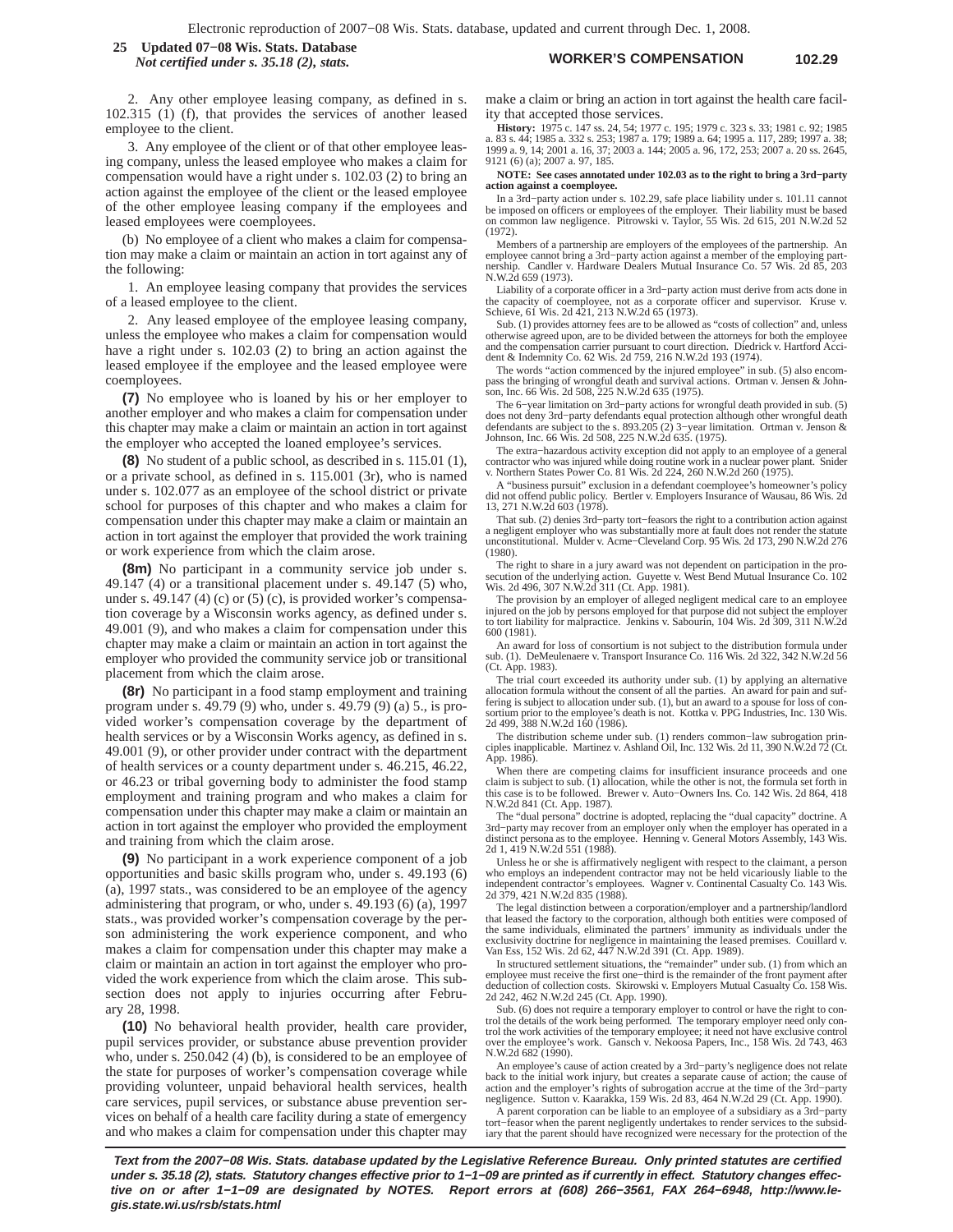#### **WORKER'S COMPENSATION 102.29 25 Updated 07−08 Wis. Stats. Database** *Not certified under s. 35.18 (2), stats.*

2. Any other employee leasing company, as defined in s. 102.315 (1) (f), that provides the services of another leased employee to the client.

3. Any employee of the client or of that other employee leasing company, unless the leased employee who makes a claim for compensation would have a right under s. 102.03 (2) to bring an action against the employee of the client or the leased employee of the other employee leasing company if the employees and leased employees were coemployees.

(b) No employee of a client who makes a claim for compensation may make a claim or maintain an action in tort against any of the following:

1. An employee leasing company that provides the services of a leased employee to the client.

2. Any leased employee of the employee leasing company, unless the employee who makes a claim for compensation would have a right under s. 102.03 (2) to bring an action against the leased employee if the employee and the leased employee were coemployees.

**(7)** No employee who is loaned by his or her employer to another employer and who makes a claim for compensation under this chapter may make a claim or maintain an action in tort against the employer who accepted the loaned employee's services.

**(8)** No student of a public school, as described in s. 115.01 (1), or a private school, as defined in s. 115.001 (3r), who is named under s. 102.077 as an employee of the school district or private school for purposes of this chapter and who makes a claim for compensation under this chapter may make a claim or maintain an action in tort against the employer that provided the work training or work experience from which the claim arose.

**(8m)** No participant in a community service job under s. 49.147 (4) or a transitional placement under s. 49.147 (5) who, under s. 49.147 (4) (c) or  $(5)$  (c), is provided worker's compensation coverage by a Wisconsin works agency, as defined under s. 49.001 (9), and who makes a claim for compensation under this chapter may make a claim or maintain an action in tort against the employer who provided the community service job or transitional placement from which the claim arose.

**(8r)** No participant in a food stamp employment and training program under s. 49.79 (9) who, under s. 49.79 (9) (a) 5., is provided worker's compensation coverage by the department of health services or by a Wisconsin Works agency, as defined in s. 49.001 (9), or other provider under contract with the department of health services or a county department under s. 46.215, 46.22, or 46.23 or tribal governing body to administer the food stamp employment and training program and who makes a claim for compensation under this chapter may make a claim or maintain an action in tort against the employer who provided the employment and training from which the claim arose.

**(9)** No participant in a work experience component of a job opportunities and basic skills program who, under s. 49.193 (6) (a), 1997 stats., was considered to be an employee of the agency administering that program, or who, under s. 49.193 (6) (a), 1997 stats., was provided worker's compensation coverage by the person administering the work experience component, and who makes a claim for compensation under this chapter may make a claim or maintain an action in tort against the employer who provided the work experience from which the claim arose. This subsection does not apply to injuries occurring after February 28, 1998.

**(10)** No behavioral health provider, health care provider, pupil services provider, or substance abuse prevention provider who, under s. 250.042 (4) (b), is considered to be an employee of the state for purposes of worker's compensation coverage while providing volunteer, unpaid behavioral health services, health care services, pupil services, or substance abuse prevention services on behalf of a health care facility during a state of emergency and who makes a claim for compensation under this chapter may

make a claim or bring an action in tort against the health care facility that accepted those services.

**History:** 1975 c. 147 ss. 24, 54; 1977 c. 195; 1979 c. 323 s. 33; 1981 c. 92; 1985 a. 83 s. 44; 1985 a. 332 s. 253; 1987 a. 179; 1989 a. 64; 1995 a. 117, 289; 1997 a. 38; 1999 a. 9, 14; 2001 a. 16, 37; 2003 a. 144; 2005 a. 96, 172, 253; 2007 a. 20 ss. 2645, 9121 (6) (a); 2007 a. 97, 185.

**NOTE: See cases annotated under 102.03 as to the right to bring a 3rd−party action against a coemployee.**

In a 3rd−party action under s. 102.29, safe place liability under s. 101.11 cannot be imposed on officers or employees of the employer. Their liability must be based on common law negligence. Pitrowski v. Taylor, 55 Wis. 2d 615, 201 N.W.2d 52 (1972).

Members of a partnership are employers of the employees of the partnership. An employee cannot bring a 3rd−party action against a member of the employing partnership. Candler v. Hardware Dealers Mutual Insurance Co. 57 Wis. 2d 85, 203 N.W.2d 659 (1973).

Liability of a corporate officer in a 3rd−party action must derive from acts done in the capacity of coemployee, not as a corporate officer and supervisor. Kruse v. Schieve, 61 Wis. 2d 421, 213 N.W.2d 65 (1973).

Sub. (1) provides attorney fees are to be allowed as "costs of collection" and, unless otherwise agreed upon, are to be divided between the attorneys for both the employee and the compensation carrier pursuant to court direction. Diedrick v. Hartford Accident & Indemnity Co. 62 Wis. 2d 759, 216 N.W.2d 193 (1974).

The words "action commenced by the injured employee" in sub. (5) also encompass the bringing of wrongful death and survival actions. Ortman v. Jensen & John-son, Inc. 66 Wis. 2d 508, 225 N.W.2d 635 (1975).

The 6−year limitation on 3rd−party actions for wrongful death provided in sub. (5) does not deny 3rd−party defendants equal protection although other wrongful death defendants are subject to the s. 893.205 (2) 3−year limitation. Ortman v. Jenson & Johnson, Inc. 66 Wis. 2d 508, 225 N.W.2d 635. (1975).

The extra–hazardous activity exception did not apply to an employee of a general<br>contractor who was injured while doing routine work in a nuclear power plant. Snider<br>v. Northern States Power Co. 81 Wis. 2d 224, 260 N.W.2d

A "business pursuit" exclusion in a defendant coemployee's homeowner's policy did not offend public policy. Bertler v. Employers Insurance of Wausau, 86 Wis. 2d 13, 271 N.W.2d 603 (1978).

That sub. (2) denies 3rd−party tort−feasors the right to a contribution action against a negligent employer who was substantially more at fault does not render the statute unconstitutional. Mulder v. Acme−Cleveland Corp. 95 Wis. 2d 173, 290 N.W.2d 276 (1980).

The right to share in a jury award was not dependent on participation in the pro-secution of the underlying action. Guyette v. West Bend Mutual Insurance Co. 102 Wis. 2d 496, 307 N.W.2d 311 (Ct. App. 1981).

The provision by an employer of alleged negligent medical care to an employee injured on the job by persons employed for that purpose did not subject the empl to tort liability for malpractice. Jenkins v. Sabourin, 104 Wis. 2d 309, 311 N.W.2d 600 (1981).

An award for loss of consortium is not subject to the distribution formula under sub. (1). DeMeulenaere v. Transport Insurance Co. 116 Wis. 2d 322, 342 N.W.2d 56 (Ct. App. 1983).

The trial court exceeded its authority under sub. (1) by applying an alternative allocation formula without the consent of all the parties. An award for pain and suf-fering is subject to allocation under sub. (1), but an award to a spouse for loss of consortium prior to the employee's death is not. Kottka v. PPG Industries, Inc. 130 Wis. 2d 499, 388 N.W.2d 160 (1986).

The distribution scheme under sub. (1) renders common−law subrogation prin-ciples inapplicable. Martinez v. Ashland Oil, Inc. 132 Wis. 2d 11, 390 N.W.2d 72 (Ct. App. 1986).

When there are competing claims for insufficient insurance proceeds and one claim is subject to sub. (1) allocation, while the other is not, the formula set forth in this case is to be followed. Brewer v. Auto−Owners Ins. Co. 142 Wis. 2d 864, 418 N.W.2d 841 (Ct. App. 1987).

The "dual persona" doctrine is adopted, replacing the "dual capacity" doctrine. A 3rd−party may recover from an employer only when the employer has operated in a distinct persona as to the employee. Henning v. General Motors Assembly, 143 Wis. 2d 1, 419 N.W.2d 551 (1988).

Unless he or she is affirmatively negligent with respect to the claimant, a person who employs an independent contractor may not be held vicariously liable to the independent contractor's employees. Wagner v. Continental Casualty Co. 143 Wis. 2d 379, 421 N.W.2d 835 (1988).

The legal distinction between a corporation/employer and a partnership/landlord that leased the factory to the corporation, although both entities were composed of the same individuals, eliminated the partners' immunity as individuals under the exclusivity doctrine for negligence in maintaining the leased premises. Couillard v. Van Ess, 152 Wis. 2d 62, 447 N.W.2d 391 (Ct. App. 1989).

In structured settlement situations, the "remainder" under sub. (1) from which an employee must receive the first one−third is the remainder of the front payment after deduction of collection costs. Skirowski v. Employers Mutual Casualty Co. 158 Wis. 2d 242, 462 N.W.2d 245 (Ct. App. 1990).

Sub. (6) does not require a temporary employer to control or have the right to control the details of the work being performed. The temporary employer need only con-trol the work activities of the temporary employee; it need not have exclusive control over the employee's work. Gansch v. Nekoosa Papers, Inc., 158 Wis. 2d 743, 463 N.W.2d 682 (1990).

An employee's cause of action created by a 3rd−party's negligence does not relate back to the initial work injury, but creates a separate cause of action; the cause of action and the employer's rights of subrogation accrue at the time of the 3rd−party negligence. Sutton v. Kaarakka, 159 Wis. 2d 83, 464 N.W.2d 29 (Ct. App. 1990).

A parent corporation can be liable to an employee of a subsidiary as a 3rd−party tort−feasor when the parent negligently undertakes to render services to the subsidiary that the parent should have recognized were necessary for the protection of the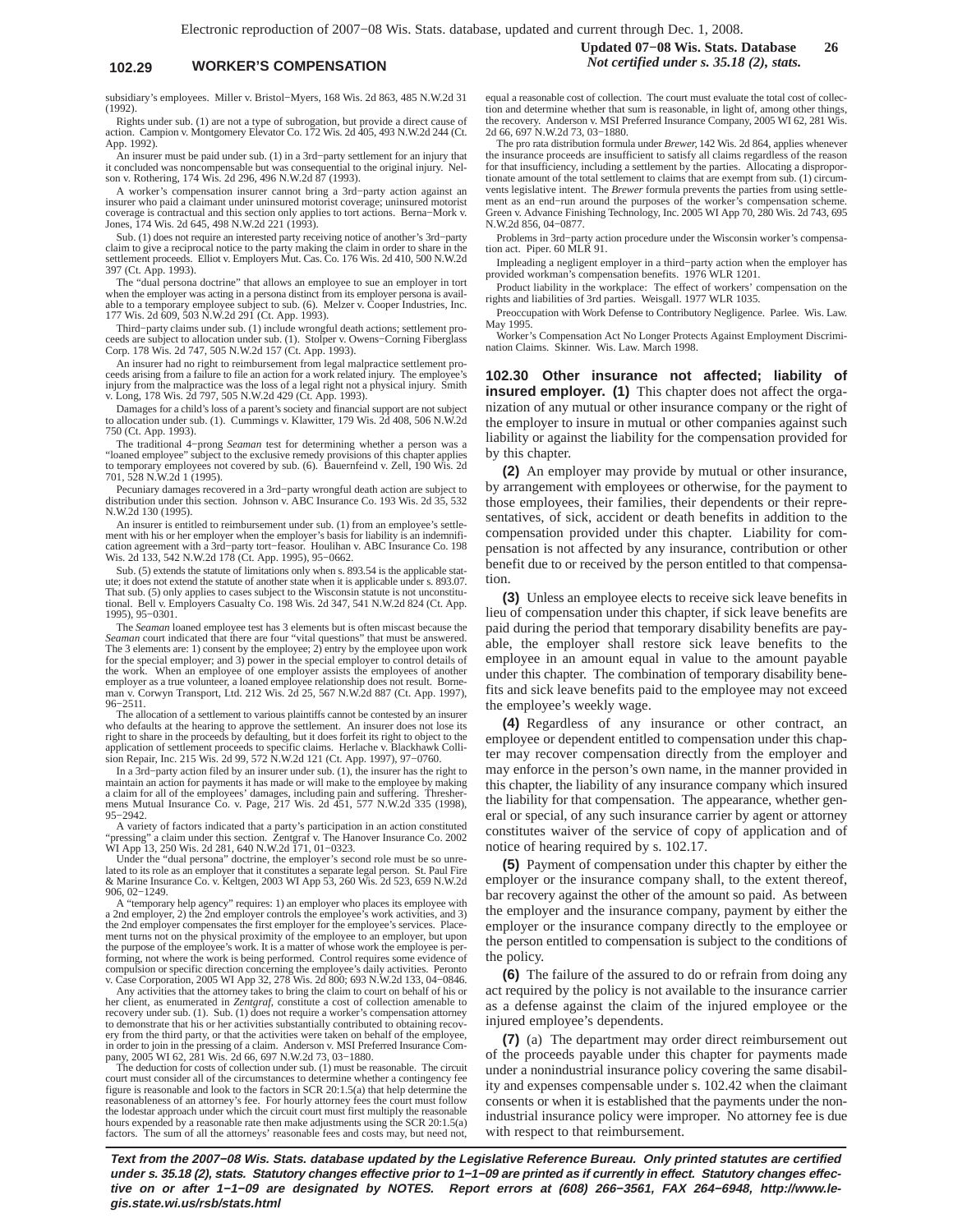## **102.29 WORKER'S COMPENSATION** *Not certified under s. 35.18 (2), stats.*

subsidiary's employees. Miller v. Bristol−Myers, 168 Wis. 2d 863, 485 N.W.2d 31 (1992).

Rights under sub. (1) are not a type of subrogation, but provide a direct cause of action. Campion v. Montgomery Elevator Co. 172 Wis. 2d 405, 493 N.W.2d 244 (Ct. App. 1992).

An insurer must be paid under sub. (1) in a 3rd−party settlement for an injury that it concluded was noncompensable but was consequential to the original injury. Nelson v. Rothering, 174 Wis. 2d 296, 496 N.W.2d 87 (1993).

A worker's compensation insurer cannot bring a 3rd−party action against an insurer who paid a claimant under uninsured motorist coverage; uninsured motorist coverage is contractual and this section only applies to tort actions. Berna−Mork v. Jones, 174 Wis. 2d 645, 498 N.W.2d 221 (1993).

Sub. (1) does not require an interested party receiving notice of another's 3rd−party claim to give a reciprocal notice to the party making the claim in order to share in the settlement proceeds. Elliot v. Employers Mut. Cas. Co. 176 Wis. 2d 410, 500 N.W.2d 397 (Ct. App. 1993).

The "dual persona doctrine" that allows an employee to sue an employer in tort when the employer was acting in a persona distinct from its employer persona is avail-able to a temporary employee subject to sub. (6). Melzer v. Cooper Industries, Inc. 177 Wis. 2d 609, 503 N.W.2d 291 (Ct. App. 1993).

Third−party claims under sub. (1) include wrongful death actions; settlement proceeds are subject to allocation under sub. (1). Stolper v. Owens−Corning Fiberglass Corp. 178 Wis. 2d 747, 505 N.W.2d 157 (Ct. App. 1993).

An insurer had no right to reimbursement from legal malpractice settlement pro-ceeds arising from a failure to file an action for a work related injury. The employee's injury from the malpractice was the loss of a legal right not a physical injury. Smith v. Long, 178 Wis. 2d 797, 505 N.W.2d 429 (Ct. App. 1993).

Damages for a child's loss of a parent's society and financial support are not subject to allocation under sub. (1). Cummings v. Klawitter, 179 Wis. 2d 408, 506 N.W.2d 750 (Ct. App. 1993).

The traditional 4−prong *Seaman* test for determining whether a person was a "loaned employee" subject to the exclusive remedy provisions of this chapter applies to temporary employees not covered by sub. (6). Bauernfeind v. Zell, 190 Wis. 2d 701, 528 N.W.2d 1 (1995).

Pecuniary damages recovered in a 3rd−party wrongful death action are subject to distribution under this section. Johnson v. ABC Insurance Co. 193 Wis. 2d 35, 532 N.W.2d 130 (1995).

An insurer is entitled to reimbursement under sub. (1) from an employee's settlement with his or her employer when the employer's basis for liability is an indemnifi-cation agreement with a 3rd−party tort−feasor. Houlihan v. ABC Insurance Co. 198 Wis. 2d 133, 542 N.W.2d 178 (Ct. App. 1995), 95−0662.

Sub. (5) extends the statute of limitations only when s. 893.54 is the applicable statute; it does not extend the statute of another state when it is applicable under s. 893.07.<br>That sub. (5) only applies to cases subject to the Wisconsin statute is not unconstitu-<br>tional. Bell v. Employers Casualty Co. 198 1995), 95−0301.

The *Seaman* loaned employee test has 3 elements but is often miscast because the *Seaman* court indicated that there are four "vital questions" that must be answered. The 3 elements are: 1) consent by the employee; 2) entry by the employee upon work for the special employer; and 3) power in the special employer to control details of<br>the work. When an employee of one employer assists the employees of another<br>employer as a true volunteer, a loaned employee relationship

The allocation of a settlement to various plaintiffs cannot be contested by an insurer who defaults at the hearing to approve the settlement. An insurer does not lose its right to share in the proceeds by defaulting, but it does forfeit its right to object to the application of settlement proceeds to specific claims. Herlache v. Blackhawk Colli-sion Repair, Inc. 215 Wis. 2d 99, 572 N.W.2d 121 (Ct. App. 1997), 97−0760.

In a 3rd−party action filed by an insurer under sub. (1), the insurer has the right to maintain an action for payments it has made or will make to the employee by making a claim for all of the employees' damages, including pain and suffering. Threshermens Mutual Insurance Co. v. Page, 217 Wis. 2d 451, 577 N.W.2d 335 (1998), 95−2942.

A variety of factors indicated that a party's participation in an action constituted "pressing" a claim under this section. Zentgraf v. The Hanover Insurance Co. 2002 WI App 13, 250 Wis. 2d 281, 640 N.W.2d 171, 01–0323.<br>WI

& Marine Insurance Co. v. Keltgen, 2003 WI App 53, 260 Wis. 2d 523, 659 N.W.2d 906, 02−1249.

A "temporary help agency" requires: 1) an employer who places its employee with a 2nd employer, 2) the 2nd employer controls the employee's work activities, and 3) the 2nd employer compensates the first employer for the employee's services. Placement turns not on the physical proximity of the employee to an employer, but upon the purpose of the employee's work. It is a matter of whose work the employee is per-forming, not where the work is being performed. Control requires some evidence of compulsion or specific direction concerning the employee's daily activities. Peronto v. Case Corporation, 2005 WI App 32, 278 Wis. 2d 800; 693 N.W.2d 133, 04−0846.

Any activities that the attorney takes to bring the claim to court on behalf of his or her client, as enumerated in *Zentgraf*, constitute a cost of collection amenable to recovery under sub. (1). Sub. (1) does not require a worker's compensation attorney to demonstrate that his or her activities substantially contributed to obtaining recov-ery from the third party, or that the activities were taken on behalf of the employee, in order to join in the pressing of a claim. Anderson v. MSI Preferred Insurance Company, 2005 WI 62, 281 Wis. 2d 66, 697 N.W.2d 73, 03–1880.<br>The deduction for costs of collection under sub. (1) must be reasonable. The cir

court must consider all of the circumstances to determine whether a contingency fee figure is reasonable and look to the factors in SCR 20:1.5(a) that help determine the reasonableness of an attorney's fee. For hourly attorney fees the court must follow the lodestar approach under which the circuit court must first multiply the reasonable hours expended by a reasonable rate then make adjustments using the SCR 20:1.5(a) factors. The sum of all the attorneys' reasonable fees and costs may, but need not, equal a reasonable cost of collection. The court must evaluate the total cost of collection and determine whether that sum is reasonable, in light of, among other things,

the recovery. Anderson v. MSI Preferred Insurance Company, 2005 WI 62, 281 Wis. 2d 66, 697 N.W.2d 73, 03−1880. The pro rata distribution formula under *Brewer,* 142 Wis. 2d 864, applies whenever the insurance proceeds are insufficient to satisfy all claims regardless of the reason for that insufficiency, including a settlement by the parties. Allocating a disproportionate amount of the total settlement to claims that are exempt from sub. (1) circumvents legislative intent. The *Brewer* formula prevents the parties from using settlement as an end−run around the purposes of the worker's compensation scheme. Green v. Advance Finishing Technology, Inc. 2005 WI App 70, 280 Wis. 2d 743, 695 N.W.2d 856, 04−0877.

Problems in 3rd−party action procedure under the Wisconsin worker's compensation act. Piper. 60 MLR 91.

Impleading a negligent employer in a third−party action when the employer has provided workman's compensation benefits. 1976 WLR 1201.

Product liability in the workplace: The effect of workers' compensation on the rights and liabilities of 3rd parties. Weisgall. 1977 WLR 1035.

Preoccupation with Work Defense to Contributory Negligence. Parlee. Wis. Law. May 1995.

Worker's Compensation Act No Longer Protects Against Employment Discrimination Claims. Skinner. Wis. Law. March 1998.

**102.30 Other insurance not affected; liability of insured employer. (1)** This chapter does not affect the organization of any mutual or other insurance company or the right of the employer to insure in mutual or other companies against such liability or against the liability for the compensation provided for by this chapter.

**(2)** An employer may provide by mutual or other insurance, by arrangement with employees or otherwise, for the payment to those employees, their families, their dependents or their representatives, of sick, accident or death benefits in addition to the compensation provided under this chapter. Liability for compensation is not affected by any insurance, contribution or other benefit due to or received by the person entitled to that compensation.

**(3)** Unless an employee elects to receive sick leave benefits in lieu of compensation under this chapter, if sick leave benefits are paid during the period that temporary disability benefits are payable, the employer shall restore sick leave benefits to the employee in an amount equal in value to the amount payable under this chapter. The combination of temporary disability benefits and sick leave benefits paid to the employee may not exceed the employee's weekly wage.

**(4)** Regardless of any insurance or other contract, an employee or dependent entitled to compensation under this chapter may recover compensation directly from the employer and may enforce in the person's own name, in the manner provided in this chapter, the liability of any insurance company which insured the liability for that compensation. The appearance, whether general or special, of any such insurance carrier by agent or attorney constitutes waiver of the service of copy of application and of notice of hearing required by s. 102.17.

**(5)** Payment of compensation under this chapter by either the employer or the insurance company shall, to the extent thereof, bar recovery against the other of the amount so paid. As between the employer and the insurance company, payment by either the employer or the insurance company directly to the employee or the person entitled to compensation is subject to the conditions of the policy.

**(6)** The failure of the assured to do or refrain from doing any act required by the policy is not available to the insurance carrier as a defense against the claim of the injured employee or the injured employee's dependents.

**(7)** (a) The department may order direct reimbursement out of the proceeds payable under this chapter for payments made under a nonindustrial insurance policy covering the same disability and expenses compensable under s. 102.42 when the claimant consents or when it is established that the payments under the nonindustrial insurance policy were improper. No attorney fee is due with respect to that reimbursement.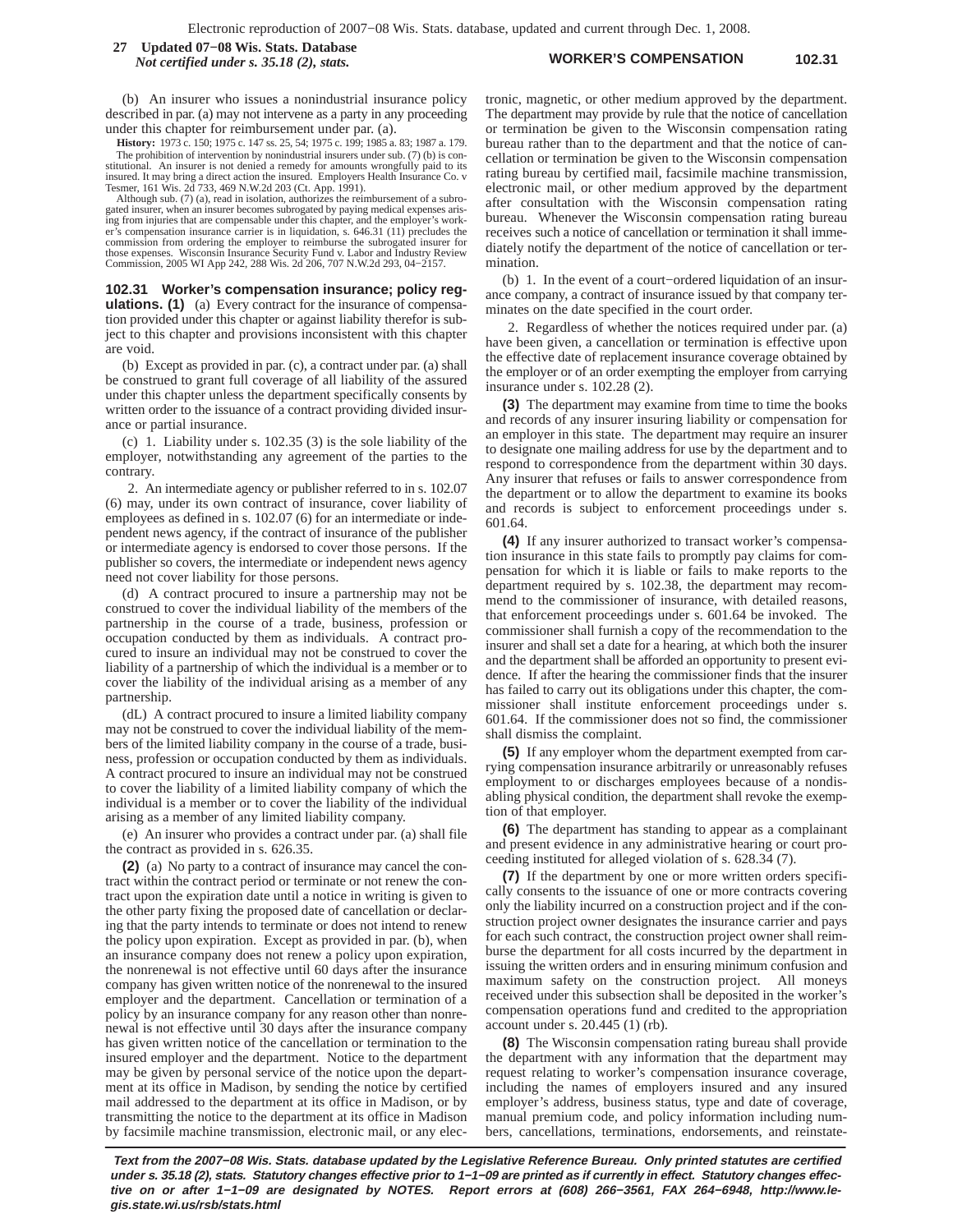**WORKER'S COMPENSATION 102.31 27 Updated 07−08 Wis. Stats. Database** *Not certified under s. 35.18 (2), stats.*

(b) An insurer who issues a nonindustrial insurance policy described in par. (a) may not intervene as a party in any proceeding under this chapter for reimbursement under par. (a).

**History:** 1973 c. 150; 1975 c. 147 ss. 25, 54; 1975 c. 199; 1985 a. 83; 1987 a. 179. The prohibition of intervention by nonindustrial insurers under sub. (7) (b) is constitutional. An insurer is not denied a remedy for amounts wrongfully paid to its insured. It may bring a direct action the insured. Employers Health Insurance Co. v Tesmer, 161 Wis. 2d 733, 469 N.W.2d 203 (Ct. App. 1991).

Although sub. (7) (a), read in isolation, authorizes the reimbursement of a subro-gated insurer, when an insurer becomes subrogated by paying medical expenses arising from injuries that are compensable under this chapter, and the employer's worker's compensation insurance carrier is in liquidation, s. 646.31 (11) precludes the commission from ordering the employer to reimburse the subrogated insurer for<br>those expenses. Wisconsin Insurance Security Fund v. Labor and Industry Review<br>Commission, 2005 WI App 242, 288 Wis. 2d 206, 707 N.W.2d 293, 04–

**102.31 Worker's compensation insurance; policy regulations. (1)** (a) Every contract for the insurance of compensation provided under this chapter or against liability therefor is subject to this chapter and provisions inconsistent with this chapter are void.

(b) Except as provided in par. (c), a contract under par. (a) shall be construed to grant full coverage of all liability of the assured under this chapter unless the department specifically consents by written order to the issuance of a contract providing divided insurance or partial insurance.

(c) 1. Liability under s. 102.35 (3) is the sole liability of the employer, notwithstanding any agreement of the parties to the contrary.

2. An intermediate agency or publisher referred to in s. 102.07 (6) may, under its own contract of insurance, cover liability of employees as defined in s. 102.07 (6) for an intermediate or independent news agency, if the contract of insurance of the publisher or intermediate agency is endorsed to cover those persons. If the publisher so covers, the intermediate or independent news agency need not cover liability for those persons.

(d) A contract procured to insure a partnership may not be construed to cover the individual liability of the members of the partnership in the course of a trade, business, profession or occupation conducted by them as individuals. A contract procured to insure an individual may not be construed to cover the liability of a partnership of which the individual is a member or to cover the liability of the individual arising as a member of any partnership.

(dL) A contract procured to insure a limited liability company may not be construed to cover the individual liability of the members of the limited liability company in the course of a trade, business, profession or occupation conducted by them as individuals. A contract procured to insure an individual may not be construed to cover the liability of a limited liability company of which the individual is a member or to cover the liability of the individual arising as a member of any limited liability company.

(e) An insurer who provides a contract under par. (a) shall file the contract as provided in s. 626.35.

**(2)** (a) No party to a contract of insurance may cancel the contract within the contract period or terminate or not renew the contract upon the expiration date until a notice in writing is given to the other party fixing the proposed date of cancellation or declaring that the party intends to terminate or does not intend to renew the policy upon expiration. Except as provided in par. (b), when an insurance company does not renew a policy upon expiration, the nonrenewal is not effective until 60 days after the insurance company has given written notice of the nonrenewal to the insured employer and the department. Cancellation or termination of a policy by an insurance company for any reason other than nonrenewal is not effective until 30 days after the insurance company has given written notice of the cancellation or termination to the insured employer and the department. Notice to the department may be given by personal service of the notice upon the department at its office in Madison, by sending the notice by certified mail addressed to the department at its office in Madison, or by transmitting the notice to the department at its office in Madison by facsimile machine transmission, electronic mail, or any electronic, magnetic, or other medium approved by the department. The department may provide by rule that the notice of cancellation or termination be given to the Wisconsin compensation rating bureau rather than to the department and that the notice of cancellation or termination be given to the Wisconsin compensation rating bureau by certified mail, facsimile machine transmission, electronic mail, or other medium approved by the department after consultation with the Wisconsin compensation rating bureau. Whenever the Wisconsin compensation rating bureau receives such a notice of cancellation or termination it shall immediately notify the department of the notice of cancellation or termination.

(b) 1. In the event of a court−ordered liquidation of an insurance company, a contract of insurance issued by that company terminates on the date specified in the court order.

2. Regardless of whether the notices required under par. (a) have been given, a cancellation or termination is effective upon the effective date of replacement insurance coverage obtained by the employer or of an order exempting the employer from carrying insurance under s. 102.28 (2).

**(3)** The department may examine from time to time the books and records of any insurer insuring liability or compensation for an employer in this state. The department may require an insurer to designate one mailing address for use by the department and to respond to correspondence from the department within 30 days. Any insurer that refuses or fails to answer correspondence from the department or to allow the department to examine its books and records is subject to enforcement proceedings under s. 601.64.

**(4)** If any insurer authorized to transact worker's compensation insurance in this state fails to promptly pay claims for compensation for which it is liable or fails to make reports to the department required by s. 102.38, the department may recommend to the commissioner of insurance, with detailed reasons, that enforcement proceedings under s. 601.64 be invoked. The commissioner shall furnish a copy of the recommendation to the insurer and shall set a date for a hearing, at which both the insurer and the department shall be afforded an opportunity to present evidence. If after the hearing the commissioner finds that the insurer has failed to carry out its obligations under this chapter, the commissioner shall institute enforcement proceedings under s. 601.64. If the commissioner does not so find, the commissioner shall dismiss the complaint.

**(5)** If any employer whom the department exempted from carrying compensation insurance arbitrarily or unreasonably refuses employment to or discharges employees because of a nondisabling physical condition, the department shall revoke the exemption of that employer.

**(6)** The department has standing to appear as a complainant and present evidence in any administrative hearing or court proceeding instituted for alleged violation of s. 628.34 (7).

**(7)** If the department by one or more written orders specifically consents to the issuance of one or more contracts covering only the liability incurred on a construction project and if the construction project owner designates the insurance carrier and pays for each such contract, the construction project owner shall reimburse the department for all costs incurred by the department in issuing the written orders and in ensuring minimum confusion and maximum safety on the construction project. All moneys received under this subsection shall be deposited in the worker's compensation operations fund and credited to the appropriation account under s. 20.445 (1) (rb).

**(8)** The Wisconsin compensation rating bureau shall provide the department with any information that the department may request relating to worker's compensation insurance coverage, including the names of employers insured and any insured employer's address, business status, type and date of coverage, manual premium code, and policy information including numbers, cancellations, terminations, endorsements, and reinstate-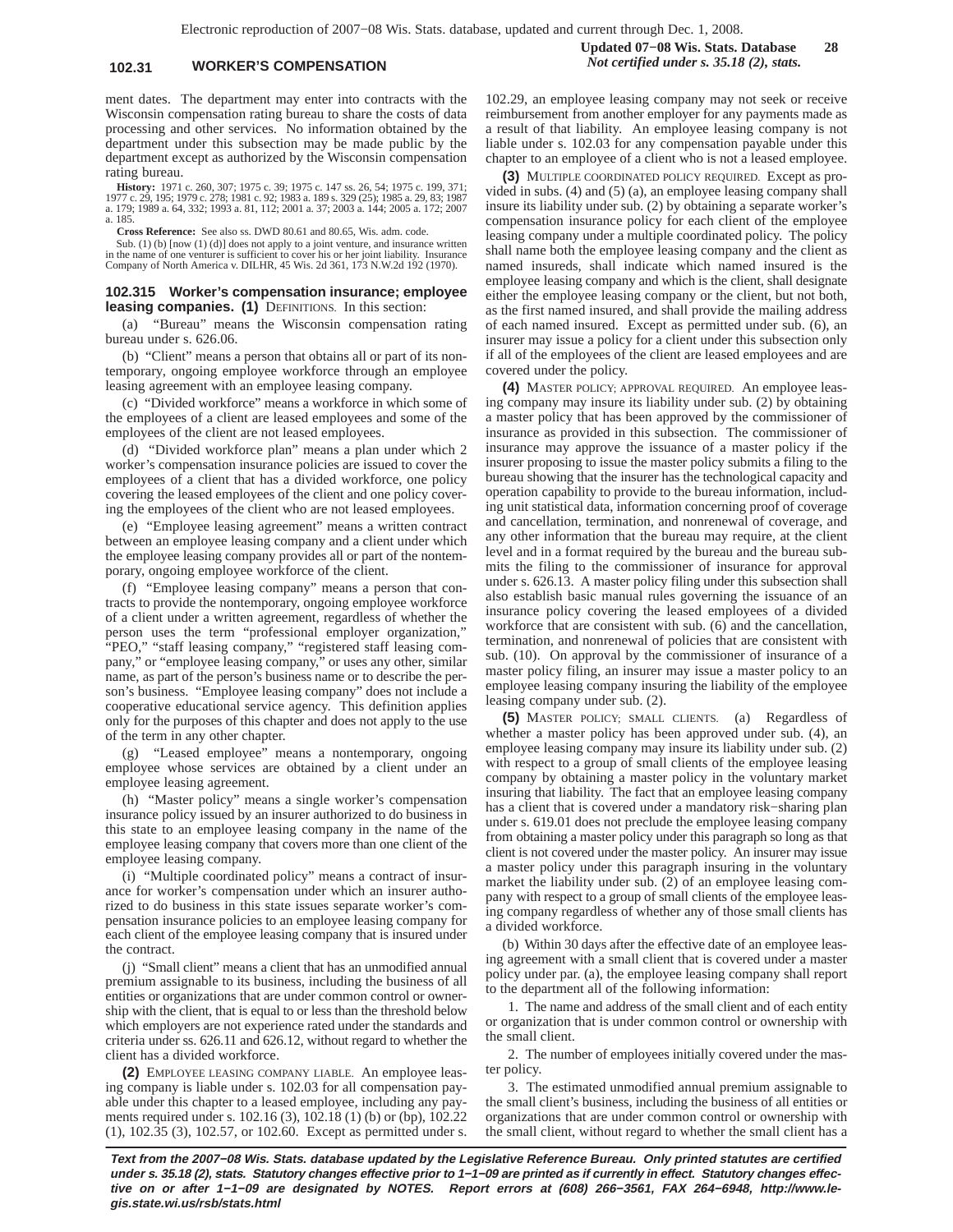### **102.31 WORKER'S COMPENSATION** *Not certified under s. 35.18 (2), stats.*

ment dates. The department may enter into contracts with the Wisconsin compensation rating bureau to share the costs of data processing and other services. No information obtained by the department under this subsection may be made public by the department except as authorized by the Wisconsin compensation rating bureau.

**History:** 1971 c. 260, 307; 1975 c. 39; 1975 c. 147 ss. 26, 54; 1975 c. 199, 371;<br>1977 c. 29, 195; 1979 c. 278; 1981 c. 92; 1983 a. 189 s. 329 (25); 1985 a. 29, 83; 1987<br>a. 179; 1989 a. 64, 332; 1993 a. 81, 112; 2001 a. 3 a. 185.

**Cross Reference:** See also ss. DWD 80.61 and 80.65, Wis. adm. code.

Sub. (1) (b) [now (1) (d)] does not apply to a joint venture, and insurance written in the name of one venturer is sufficient to cover his or her joint liability. Insurance Company of North America v. DILHR, 45 Wis. 2d 361, 173 N.W.2d 192 (1970).

#### **102.315 Worker's compensation insurance; employee leasing companies. (1)** DEFINITIONS. In this section:

(a) "Bureau" means the Wisconsin compensation rating bureau under s. 626.06.

(b) "Client" means a person that obtains all or part of its nontemporary, ongoing employee workforce through an employee leasing agreement with an employee leasing company.

(c) "Divided workforce" means a workforce in which some of the employees of a client are leased employees and some of the employees of the client are not leased employees.

(d) "Divided workforce plan" means a plan under which 2 worker's compensation insurance policies are issued to cover the employees of a client that has a divided workforce, one policy covering the leased employees of the client and one policy covering the employees of the client who are not leased employees.

(e) "Employee leasing agreement" means a written contract between an employee leasing company and a client under which the employee leasing company provides all or part of the nontemporary, ongoing employee workforce of the client.

(f) "Employee leasing company" means a person that contracts to provide the nontemporary, ongoing employee workforce of a client under a written agreement, regardless of whether the person uses the term "professional employer organization," "PEO," "staff leasing company," "registered staff leasing company," or "employee leasing company," or uses any other, similar name, as part of the person's business name or to describe the person's business. "Employee leasing company" does not include a cooperative educational service agency. This definition applies only for the purposes of this chapter and does not apply to the use of the term in any other chapter.

(g) "Leased employee" means a nontemporary, ongoing employee whose services are obtained by a client under an employee leasing agreement.

(h) "Master policy" means a single worker's compensation insurance policy issued by an insurer authorized to do business in this state to an employee leasing company in the name of the employee leasing company that covers more than one client of the employee leasing company.

(i) "Multiple coordinated policy" means a contract of insurance for worker's compensation under which an insurer authorized to do business in this state issues separate worker's compensation insurance policies to an employee leasing company for each client of the employee leasing company that is insured under the contract.

(j) "Small client" means a client that has an unmodified annual premium assignable to its business, including the business of all entities or organizations that are under common control or ownership with the client, that is equal to or less than the threshold below which employers are not experience rated under the standards and criteria under ss. 626.11 and 626.12, without regard to whether the client has a divided workforce.

**(2)** EMPLOYEE LEASING COMPANY LIABLE. An employee leasing company is liable under s. 102.03 for all compensation payable under this chapter to a leased employee, including any payments required under s. 102.16 (3), 102.18 (1) (b) or (bp), 102.22 (1), 102.35 (3), 102.57, or 102.60. Except as permitted under s.

102.29, an employee leasing company may not seek or receive reimbursement from another employer for any payments made as a result of that liability. An employee leasing company is not liable under s. 102.03 for any compensation payable under this chapter to an employee of a client who is not a leased employee.

**(3)** MULTIPLE COORDINATED POLICY REQUIRED. Except as provided in subs. (4) and (5) (a), an employee leasing company shall insure its liability under sub. (2) by obtaining a separate worker's compensation insurance policy for each client of the employee leasing company under a multiple coordinated policy. The policy shall name both the employee leasing company and the client as named insureds, shall indicate which named insured is the employee leasing company and which is the client, shall designate either the employee leasing company or the client, but not both, as the first named insured, and shall provide the mailing address of each named insured. Except as permitted under sub. (6), an insurer may issue a policy for a client under this subsection only if all of the employees of the client are leased employees and are covered under the policy.

**(4)** MASTER POLICY; APPROVAL REQUIRED. An employee leasing company may insure its liability under sub. (2) by obtaining a master policy that has been approved by the commissioner of insurance as provided in this subsection. The commissioner of insurance may approve the issuance of a master policy if the insurer proposing to issue the master policy submits a filing to the bureau showing that the insurer has the technological capacity and operation capability to provide to the bureau information, including unit statistical data, information concerning proof of coverage and cancellation, termination, and nonrenewal of coverage, and any other information that the bureau may require, at the client level and in a format required by the bureau and the bureau submits the filing to the commissioner of insurance for approval under s. 626.13. A master policy filing under this subsection shall also establish basic manual rules governing the issuance of an insurance policy covering the leased employees of a divided workforce that are consistent with sub. (6) and the cancellation, termination, and nonrenewal of policies that are consistent with sub. (10). On approval by the commissioner of insurance of a master policy filing, an insurer may issue a master policy to an employee leasing company insuring the liability of the employee leasing company under sub. (2).

**(5)** MASTER POLICY; SMALL CLIENTS. (a) Regardless of whether a master policy has been approved under sub. (4), an employee leasing company may insure its liability under sub. (2) with respect to a group of small clients of the employee leasing company by obtaining a master policy in the voluntary market insuring that liability. The fact that an employee leasing company has a client that is covered under a mandatory risk−sharing plan under s. 619.01 does not preclude the employee leasing company from obtaining a master policy under this paragraph so long as that client is not covered under the master policy. An insurer may issue a master policy under this paragraph insuring in the voluntary market the liability under sub. (2) of an employee leasing company with respect to a group of small clients of the employee leasing company regardless of whether any of those small clients has a divided workforce.

(b) Within 30 days after the effective date of an employee leasing agreement with a small client that is covered under a master policy under par. (a), the employee leasing company shall report to the department all of the following information:

1. The name and address of the small client and of each entity or organization that is under common control or ownership with the small client.

2. The number of employees initially covered under the master policy.

3. The estimated unmodified annual premium assignable to the small client's business, including the business of all entities or organizations that are under common control or ownership with the small client, without regard to whether the small client has a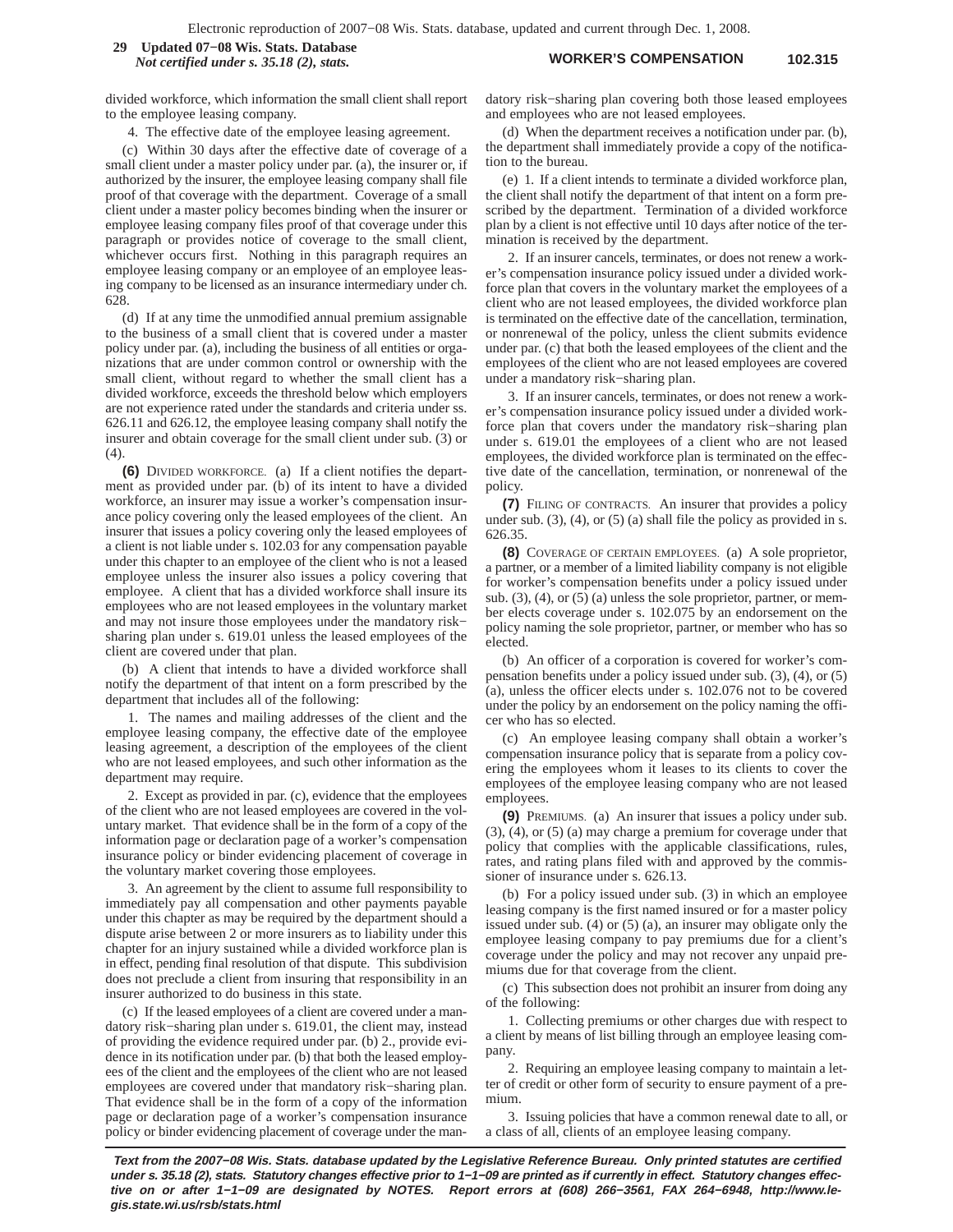#### **WORKER'S COMPENSATION 102.315 29 Updated 07−08 Wis. Stats. Database** *Not certified under s. 35.18 (2), stats.*

divided workforce, which information the small client shall report to the employee leasing company.

4. The effective date of the employee leasing agreement.

(c) Within 30 days after the effective date of coverage of a small client under a master policy under par. (a), the insurer or, if authorized by the insurer, the employee leasing company shall file proof of that coverage with the department. Coverage of a small client under a master policy becomes binding when the insurer or employee leasing company files proof of that coverage under this paragraph or provides notice of coverage to the small client, whichever occurs first. Nothing in this paragraph requires an employee leasing company or an employee of an employee leasing company to be licensed as an insurance intermediary under ch. 628.

(d) If at any time the unmodified annual premium assignable to the business of a small client that is covered under a master policy under par. (a), including the business of all entities or organizations that are under common control or ownership with the small client, without regard to whether the small client has a divided workforce, exceeds the threshold below which employers are not experience rated under the standards and criteria under ss. 626.11 and 626.12, the employee leasing company shall notify the insurer and obtain coverage for the small client under sub. (3) or (4).

**(6)** DIVIDED WORKFORCE. (a) If a client notifies the department as provided under par. (b) of its intent to have a divided workforce, an insurer may issue a worker's compensation insurance policy covering only the leased employees of the client. An insurer that issues a policy covering only the leased employees of a client is not liable under s. 102.03 for any compensation payable under this chapter to an employee of the client who is not a leased employee unless the insurer also issues a policy covering that employee. A client that has a divided workforce shall insure its employees who are not leased employees in the voluntary market and may not insure those employees under the mandatory risk− sharing plan under s. 619.01 unless the leased employees of the client are covered under that plan.

(b) A client that intends to have a divided workforce shall notify the department of that intent on a form prescribed by the department that includes all of the following:

1. The names and mailing addresses of the client and the employee leasing company, the effective date of the employee leasing agreement, a description of the employees of the client who are not leased employees, and such other information as the department may require.

2. Except as provided in par. (c), evidence that the employees of the client who are not leased employees are covered in the voluntary market. That evidence shall be in the form of a copy of the information page or declaration page of a worker's compensation insurance policy or binder evidencing placement of coverage in the voluntary market covering those employees.

3. An agreement by the client to assume full responsibility to immediately pay all compensation and other payments payable under this chapter as may be required by the department should a dispute arise between 2 or more insurers as to liability under this chapter for an injury sustained while a divided workforce plan is in effect, pending final resolution of that dispute. This subdivision does not preclude a client from insuring that responsibility in an insurer authorized to do business in this state.

(c) If the leased employees of a client are covered under a mandatory risk−sharing plan under s. 619.01, the client may, instead of providing the evidence required under par. (b) 2., provide evidence in its notification under par. (b) that both the leased employees of the client and the employees of the client who are not leased employees are covered under that mandatory risk−sharing plan. That evidence shall be in the form of a copy of the information page or declaration page of a worker's compensation insurance policy or binder evidencing placement of coverage under the mandatory risk−sharing plan covering both those leased employees and employees who are not leased employees.

(d) When the department receives a notification under par. (b), the department shall immediately provide a copy of the notification to the bureau.

(e) 1. If a client intends to terminate a divided workforce plan, the client shall notify the department of that intent on a form prescribed by the department. Termination of a divided workforce plan by a client is not effective until 10 days after notice of the termination is received by the department.

2. If an insurer cancels, terminates, or does not renew a worker's compensation insurance policy issued under a divided workforce plan that covers in the voluntary market the employees of a client who are not leased employees, the divided workforce plan is terminated on the effective date of the cancellation, termination, or nonrenewal of the policy, unless the client submits evidence under par. (c) that both the leased employees of the client and the employees of the client who are not leased employees are covered under a mandatory risk−sharing plan.

3. If an insurer cancels, terminates, or does not renew a worker's compensation insurance policy issued under a divided workforce plan that covers under the mandatory risk−sharing plan under s. 619.01 the employees of a client who are not leased employees, the divided workforce plan is terminated on the effective date of the cancellation, termination, or nonrenewal of the policy.

**(7)** FILING OF CONTRACTS. An insurer that provides a policy under sub.  $(3)$ ,  $(4)$ , or  $(5)$   $(a)$  shall file the policy as provided in s. 626.35.

**(8)** COVERAGE OF CERTAIN EMPLOYEES. (a) A sole proprietor, a partner, or a member of a limited liability company is not eligible for worker's compensation benefits under a policy issued under sub. (3), (4), or (5) (a) unless the sole proprietor, partner, or member elects coverage under s. 102.075 by an endorsement on the policy naming the sole proprietor, partner, or member who has so elected.

(b) An officer of a corporation is covered for worker's compensation benefits under a policy issued under sub. (3), (4), or (5) (a), unless the officer elects under s. 102.076 not to be covered under the policy by an endorsement on the policy naming the officer who has so elected.

(c) An employee leasing company shall obtain a worker's compensation insurance policy that is separate from a policy covering the employees whom it leases to its clients to cover the employees of the employee leasing company who are not leased employees.

**(9)** PREMIUMS. (a) An insurer that issues a policy under sub. (3), (4), or (5) (a) may charge a premium for coverage under that policy that complies with the applicable classifications, rules, rates, and rating plans filed with and approved by the commissioner of insurance under s. 626.13.

(b) For a policy issued under sub. (3) in which an employee leasing company is the first named insured or for a master policy issued under sub. (4) or (5) (a), an insurer may obligate only the employee leasing company to pay premiums due for a client's coverage under the policy and may not recover any unpaid premiums due for that coverage from the client.

(c) This subsection does not prohibit an insurer from doing any of the following:

1. Collecting premiums or other charges due with respect to a client by means of list billing through an employee leasing company.

2. Requiring an employee leasing company to maintain a letter of credit or other form of security to ensure payment of a premium.

3. Issuing policies that have a common renewal date to all, or a class of all, clients of an employee leasing company.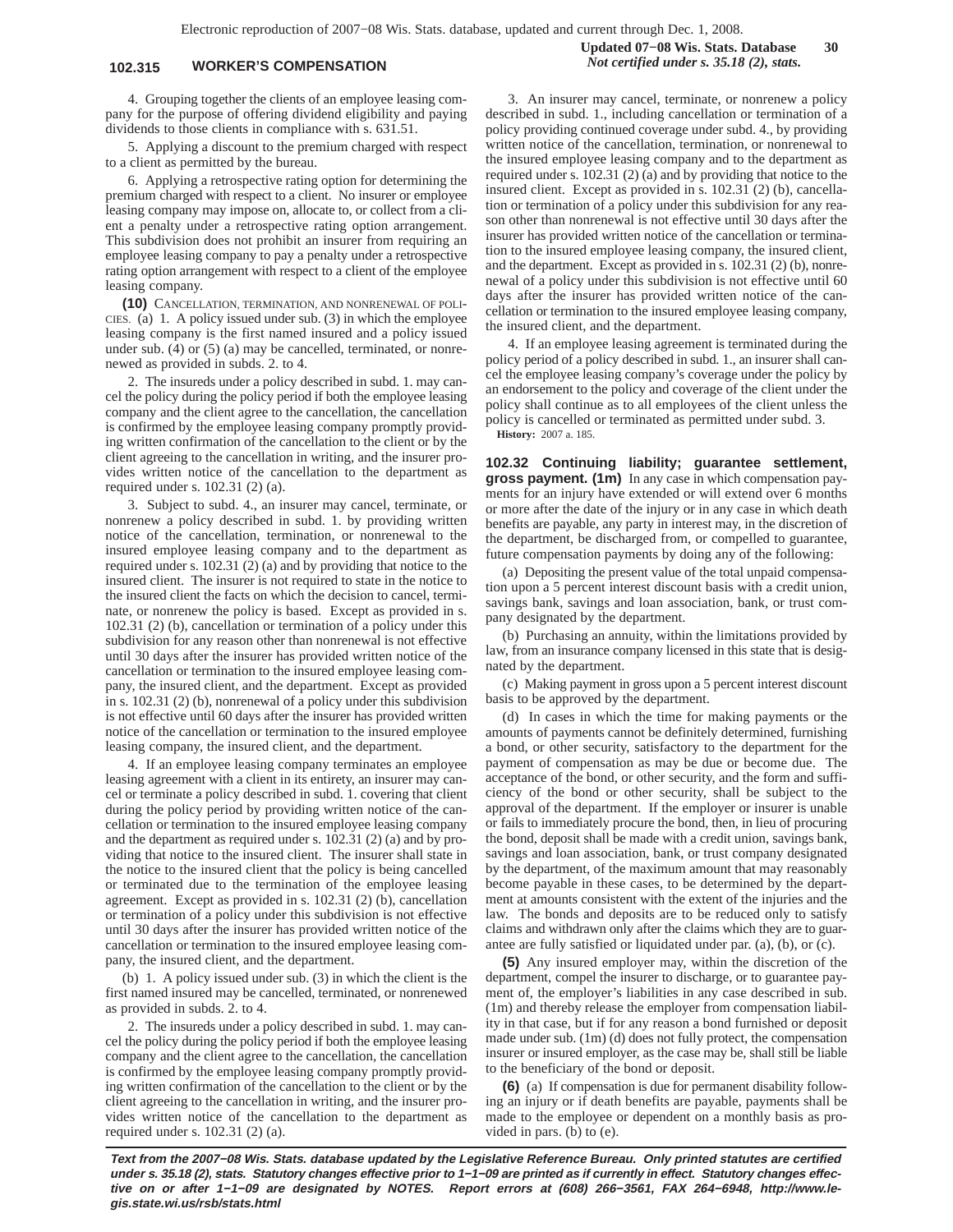## **102.315 WORKER'S COMPENSATION** *Not certified under s. 35.18 (2), stats.*

4. Grouping together the clients of an employee leasing company for the purpose of offering dividend eligibility and paying dividends to those clients in compliance with s. 631.51.

5. Applying a discount to the premium charged with respect to a client as permitted by the bureau.

6. Applying a retrospective rating option for determining the premium charged with respect to a client. No insurer or employee leasing company may impose on, allocate to, or collect from a client a penalty under a retrospective rating option arrangement. This subdivision does not prohibit an insurer from requiring an employee leasing company to pay a penalty under a retrospective rating option arrangement with respect to a client of the employee leasing company.

**(10)** CANCELLATION, TERMINATION, AND NONRENEWAL OF POLI-CIES. (a) 1. A policy issued under sub. (3) in which the employee leasing company is the first named insured and a policy issued under sub. (4) or (5) (a) may be cancelled, terminated, or nonrenewed as provided in subds. 2. to 4.

2. The insureds under a policy described in subd. 1. may cancel the policy during the policy period if both the employee leasing company and the client agree to the cancellation, the cancellation is confirmed by the employee leasing company promptly providing written confirmation of the cancellation to the client or by the client agreeing to the cancellation in writing, and the insurer provides written notice of the cancellation to the department as required under s. 102.31 (2) (a).

3. Subject to subd. 4., an insurer may cancel, terminate, or nonrenew a policy described in subd. 1. by providing written notice of the cancellation, termination, or nonrenewal to the insured employee leasing company and to the department as required under s. 102.31 (2) (a) and by providing that notice to the insured client. The insurer is not required to state in the notice to the insured client the facts on which the decision to cancel, terminate, or nonrenew the policy is based. Except as provided in s. 102.31 (2) (b), cancellation or termination of a policy under this subdivision for any reason other than nonrenewal is not effective until 30 days after the insurer has provided written notice of the cancellation or termination to the insured employee leasing company, the insured client, and the department. Except as provided in s. 102.31 (2) (b), nonrenewal of a policy under this subdivision is not effective until 60 days after the insurer has provided written notice of the cancellation or termination to the insured employee leasing company, the insured client, and the department.

4. If an employee leasing company terminates an employee leasing agreement with a client in its entirety, an insurer may cancel or terminate a policy described in subd. 1. covering that client during the policy period by providing written notice of the cancellation or termination to the insured employee leasing company and the department as required under s. 102.31 (2) (a) and by providing that notice to the insured client. The insurer shall state in the notice to the insured client that the policy is being cancelled or terminated due to the termination of the employee leasing agreement. Except as provided in s. 102.31 (2) (b), cancellation or termination of a policy under this subdivision is not effective until 30 days after the insurer has provided written notice of the cancellation or termination to the insured employee leasing company, the insured client, and the department.

(b) 1. A policy issued under sub. (3) in which the client is the first named insured may be cancelled, terminated, or nonrenewed as provided in subds. 2. to 4.

2. The insureds under a policy described in subd. 1. may cancel the policy during the policy period if both the employee leasing company and the client agree to the cancellation, the cancellation is confirmed by the employee leasing company promptly providing written confirmation of the cancellation to the client or by the client agreeing to the cancellation in writing, and the insurer provides written notice of the cancellation to the department as required under s. 102.31 (2) (a).

3. An insurer may cancel, terminate, or nonrenew a policy described in subd. 1., including cancellation or termination of a policy providing continued coverage under subd. 4., by providing written notice of the cancellation, termination, or nonrenewal to the insured employee leasing company and to the department as required under s. 102.31 (2) (a) and by providing that notice to the insured client. Except as provided in s. 102.31 (2) (b), cancellation or termination of a policy under this subdivision for any reason other than nonrenewal is not effective until 30 days after the insurer has provided written notice of the cancellation or termination to the insured employee leasing company, the insured client, and the department. Except as provided in s. 102.31 (2) (b), nonrenewal of a policy under this subdivision is not effective until 60 days after the insurer has provided written notice of the cancellation or termination to the insured employee leasing company, the insured client, and the department.

4. If an employee leasing agreement is terminated during the policy period of a policy described in subd. 1., an insurer shall cancel the employee leasing company's coverage under the policy by an endorsement to the policy and coverage of the client under the policy shall continue as to all employees of the client unless the policy is cancelled or terminated as permitted under subd. 3. **History:** 2007 a. 185.

**102.32 Continuing liability; guarantee settlement, gross payment. (1m)** In any case in which compensation payments for an injury have extended or will extend over 6 months or more after the date of the injury or in any case in which death benefits are payable, any party in interest may, in the discretion of the department, be discharged from, or compelled to guarantee, future compensation payments by doing any of the following:

(a) Depositing the present value of the total unpaid compensation upon a 5 percent interest discount basis with a credit union, savings bank, savings and loan association, bank, or trust company designated by the department.

(b) Purchasing an annuity, within the limitations provided by law, from an insurance company licensed in this state that is designated by the department.

(c) Making payment in gross upon a 5 percent interest discount basis to be approved by the department.

(d) In cases in which the time for making payments or the amounts of payments cannot be definitely determined, furnishing a bond, or other security, satisfactory to the department for the payment of compensation as may be due or become due. The acceptance of the bond, or other security, and the form and sufficiency of the bond or other security, shall be subject to the approval of the department. If the employer or insurer is unable or fails to immediately procure the bond, then, in lieu of procuring the bond, deposit shall be made with a credit union, savings bank, savings and loan association, bank, or trust company designated by the department, of the maximum amount that may reasonably become payable in these cases, to be determined by the department at amounts consistent with the extent of the injuries and the law. The bonds and deposits are to be reduced only to satisfy claims and withdrawn only after the claims which they are to guarantee are fully satisfied or liquidated under par. (a), (b), or (c).

**(5)** Any insured employer may, within the discretion of the department, compel the insurer to discharge, or to guarantee payment of, the employer's liabilities in any case described in sub. (1m) and thereby release the employer from compensation liability in that case, but if for any reason a bond furnished or deposit made under sub. (1m) (d) does not fully protect, the compensation insurer or insured employer, as the case may be, shall still be liable to the beneficiary of the bond or deposit.

**(6)** (a) If compensation is due for permanent disability following an injury or if death benefits are payable, payments shall be made to the employee or dependent on a monthly basis as provided in pars. (b) to (e).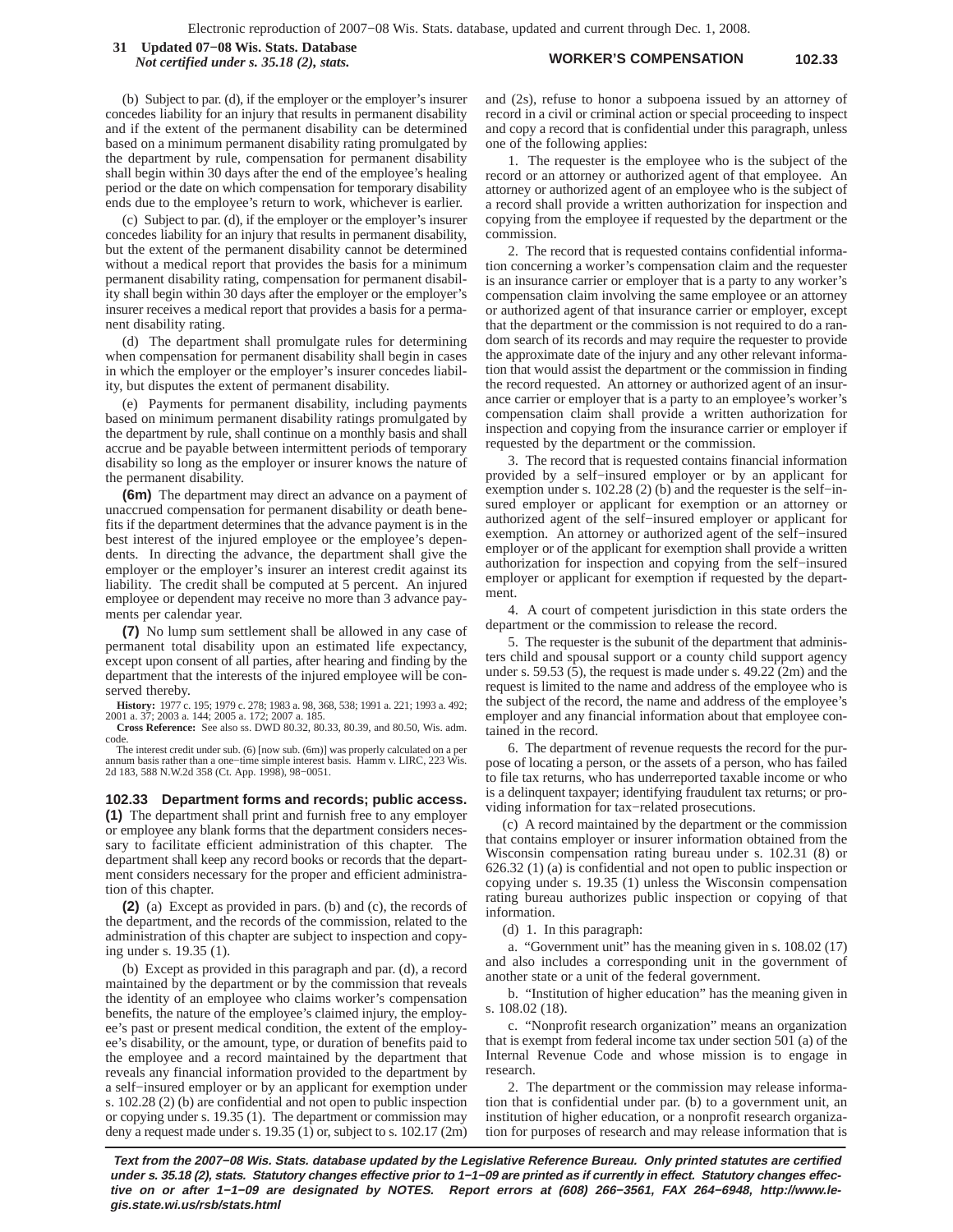**WORKER'S COMPENSATION 102.33 31 Updated 07−08 Wis. Stats. Database** *Not certified under s. 35.18 (2), stats.*

(b) Subject to par. (d), if the employer or the employer's insurer concedes liability for an injury that results in permanent disability and if the extent of the permanent disability can be determined based on a minimum permanent disability rating promulgated by the department by rule, compensation for permanent disability shall begin within 30 days after the end of the employee's healing period or the date on which compensation for temporary disability ends due to the employee's return to work, whichever is earlier.

(c) Subject to par. (d), if the employer or the employer's insurer concedes liability for an injury that results in permanent disability, but the extent of the permanent disability cannot be determined without a medical report that provides the basis for a minimum permanent disability rating, compensation for permanent disability shall begin within 30 days after the employer or the employer's insurer receives a medical report that provides a basis for a permanent disability rating.

(d) The department shall promulgate rules for determining when compensation for permanent disability shall begin in cases in which the employer or the employer's insurer concedes liability, but disputes the extent of permanent disability.

(e) Payments for permanent disability, including payments based on minimum permanent disability ratings promulgated by the department by rule, shall continue on a monthly basis and shall accrue and be payable between intermittent periods of temporary disability so long as the employer or insurer knows the nature of the permanent disability.

**(6m)** The department may direct an advance on a payment of unaccrued compensation for permanent disability or death benefits if the department determines that the advance payment is in the best interest of the injured employee or the employee's dependents. In directing the advance, the department shall give the employer or the employer's insurer an interest credit against its liability. The credit shall be computed at 5 percent. An injured employee or dependent may receive no more than 3 advance payments per calendar year.

**(7)** No lump sum settlement shall be allowed in any case of permanent total disability upon an estimated life expectancy, except upon consent of all parties, after hearing and finding by the department that the interests of the injured employee will be conserved thereby.

**History:** 1977 c. 195; 1979 c. 278; 1983 a. 98, 368, 538; 1991 a. 221; 1993 a. 492; 2001 a. 37; 2003 a. 144; 2005 a. 172; 2007 a. 185.<br>**Cross Reference:** See also ss. DWD 80.32, 80.33, 80.39, and 80.50, Wis. adm.

code.

The interest credit under sub. (6) [now sub. (6m)] was properly calculated on a per annum basis rather than a one−time simple interest basis. Hamm v. LIRC, 223 Wis. 2d 183, 588 N.W.2d 358 (Ct. App. 1998), 98−0051.

**102.33 Department forms and records; public access. (1)** The department shall print and furnish free to any employer or employee any blank forms that the department considers necessary to facilitate efficient administration of this chapter. The department shall keep any record books or records that the department considers necessary for the proper and efficient administration of this chapter.

**(2)** (a) Except as provided in pars. (b) and (c), the records of the department, and the records of the commission, related to the administration of this chapter are subject to inspection and copying under s. 19.35 (1).

(b) Except as provided in this paragraph and par. (d), a record maintained by the department or by the commission that reveals the identity of an employee who claims worker's compensation benefits, the nature of the employee's claimed injury, the employee's past or present medical condition, the extent of the employee's disability, or the amount, type, or duration of benefits paid to the employee and a record maintained by the department that reveals any financial information provided to the department by a self−insured employer or by an applicant for exemption under s. 102.28 (2) (b) are confidential and not open to public inspection or copying under s. 19.35 (1). The department or commission may deny a request made under s. 19.35 (1) or, subject to s. 102.17 (2m)

and (2s), refuse to honor a subpoena issued by an attorney of record in a civil or criminal action or special proceeding to inspect and copy a record that is confidential under this paragraph, unless one of the following applies:

1. The requester is the employee who is the subject of the record or an attorney or authorized agent of that employee. An attorney or authorized agent of an employee who is the subject of a record shall provide a written authorization for inspection and copying from the employee if requested by the department or the commission.

2. The record that is requested contains confidential information concerning a worker's compensation claim and the requester is an insurance carrier or employer that is a party to any worker's compensation claim involving the same employee or an attorney or authorized agent of that insurance carrier or employer, except that the department or the commission is not required to do a random search of its records and may require the requester to provide the approximate date of the injury and any other relevant information that would assist the department or the commission in finding the record requested. An attorney or authorized agent of an insurance carrier or employer that is a party to an employee's worker's compensation claim shall provide a written authorization for inspection and copying from the insurance carrier or employer if requested by the department or the commission.

3. The record that is requested contains financial information provided by a self−insured employer or by an applicant for exemption under s. 102.28 (2) (b) and the requester is the self−insured employer or applicant for exemption or an attorney or authorized agent of the self−insured employer or applicant for exemption. An attorney or authorized agent of the self−insured employer or of the applicant for exemption shall provide a written authorization for inspection and copying from the self−insured employer or applicant for exemption if requested by the department.

4. A court of competent jurisdiction in this state orders the department or the commission to release the record.

5. The requester is the subunit of the department that administers child and spousal support or a county child support agency under s. 59.53 (5), the request is made under s. 49.22 (2m) and the request is limited to the name and address of the employee who is the subject of the record, the name and address of the employee's employer and any financial information about that employee contained in the record.

6. The department of revenue requests the record for the purpose of locating a person, or the assets of a person, who has failed to file tax returns, who has underreported taxable income or who is a delinquent taxpayer; identifying fraudulent tax returns; or providing information for tax−related prosecutions.

(c) A record maintained by the department or the commission that contains employer or insurer information obtained from the Wisconsin compensation rating bureau under s. 102.31 (8) or 626.32 (1) (a) is confidential and not open to public inspection or copying under s. 19.35 (1) unless the Wisconsin compensation rating bureau authorizes public inspection or copying of that information.

(d) 1. In this paragraph:

a. "Government unit" has the meaning given in s. 108.02 (17) and also includes a corresponding unit in the government of another state or a unit of the federal government.

b. "Institution of higher education" has the meaning given in s. 108.02 (18).

c. "Nonprofit research organization" means an organization that is exempt from federal income tax under section 501 (a) of the Internal Revenue Code and whose mission is to engage in research.

2. The department or the commission may release information that is confidential under par. (b) to a government unit, an institution of higher education, or a nonprofit research organization for purposes of research and may release information that is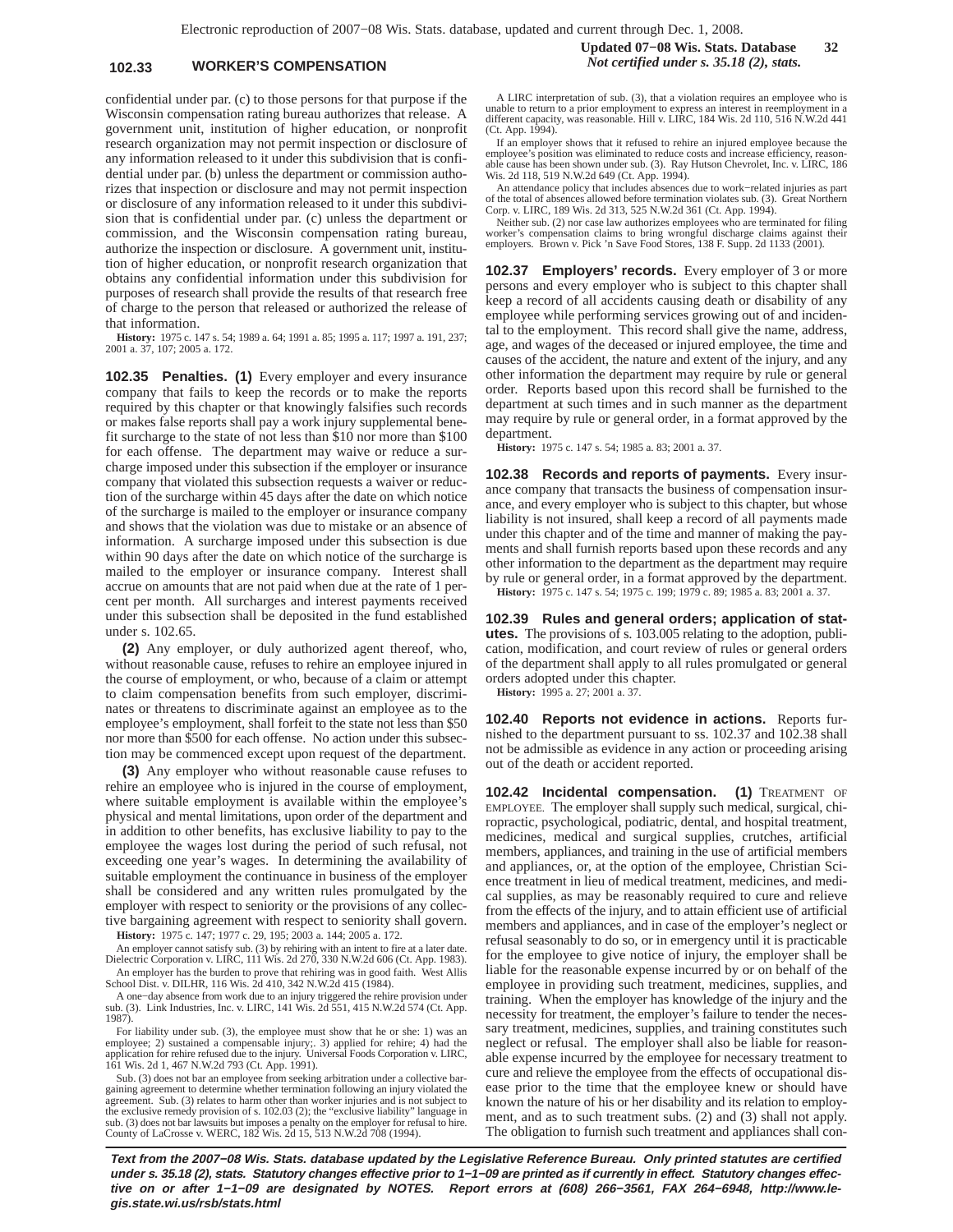## **102.33 WORKER'S COMPENSATION** *Not certified under s. 35.18 (2), stats.*

confidential under par. (c) to those persons for that purpose if the Wisconsin compensation rating bureau authorizes that release. A government unit, institution of higher education, or nonprofit research organization may not permit inspection or disclosure of any information released to it under this subdivision that is confidential under par. (b) unless the department or commission authorizes that inspection or disclosure and may not permit inspection or disclosure of any information released to it under this subdivision that is confidential under par. (c) unless the department or commission, and the Wisconsin compensation rating bureau, authorize the inspection or disclosure. A government unit, institution of higher education, or nonprofit research organization that obtains any confidential information under this subdivision for purposes of research shall provide the results of that research free of charge to the person that released or authorized the release of that information.

**History:** 1975 c. 147 s. 54; 1989 a. 64; 1991 a. 85; 1995 a. 117; 1997 a. 191, 237; 2001 a. 37, 107; 2005 a. 172.

**102.35 Penalties. (1)** Every employer and every insurance company that fails to keep the records or to make the reports required by this chapter or that knowingly falsifies such records or makes false reports shall pay a work injury supplemental benefit surcharge to the state of not less than \$10 nor more than \$100 for each offense. The department may waive or reduce a surcharge imposed under this subsection if the employer or insurance company that violated this subsection requests a waiver or reduction of the surcharge within 45 days after the date on which notice of the surcharge is mailed to the employer or insurance company and shows that the violation was due to mistake or an absence of information. A surcharge imposed under this subsection is due within 90 days after the date on which notice of the surcharge is mailed to the employer or insurance company. Interest shall accrue on amounts that are not paid when due at the rate of 1 percent per month. All surcharges and interest payments received under this subsection shall be deposited in the fund established under s. 102.65.

**(2)** Any employer, or duly authorized agent thereof, who, without reasonable cause, refuses to rehire an employee injured in the course of employment, or who, because of a claim or attempt to claim compensation benefits from such employer, discriminates or threatens to discriminate against an employee as to the employee's employment, shall forfeit to the state not less than \$50 nor more than \$500 for each offense. No action under this subsection may be commenced except upon request of the department.

**(3)** Any employer who without reasonable cause refuses to rehire an employee who is injured in the course of employment, where suitable employment is available within the employee's physical and mental limitations, upon order of the department and in addition to other benefits, has exclusive liability to pay to the employee the wages lost during the period of such refusal, not exceeding one year's wages. In determining the availability of suitable employment the continuance in business of the employer shall be considered and any written rules promulgated by the employer with respect to seniority or the provisions of any collective bargaining agreement with respect to seniority shall govern.

**History:** 1975 c. 147; 1977 c. 29, 195; 2003 a. 144; 2005 a. 172.

An employer cannot satisfy sub. (3) by rehiring with an intent to fire at a later date. Dielectric Corporation v. LIRC, 111 Wis. 2d 270, 330 N.W.2d 606 (Ct. App. 1983). An employer has the burden to prove that rehiring was in good faith. West Allis School Dist. v. DILHR, 116 Wis. 2d 410, 342 N.W.2d 415 (1984).

A one−day absence from work due to an injury triggered the rehire provision under sub. (3). Link Industries, Inc. v. LIRC, 141 Wis. 2d 551, 415 N.W.2d 574 (Ct. App. 1987).

For liability under sub. (3), the employee must show that he or she: 1) was an employee; 2) sustained a compensable injury; 3) applied for rehire; 4) had the application for rehire refused due to the injury. Universal Food

Sub. (3) does not bar an employee from seeking arbitration under a collective bargaining agreement to determine whether termination following an injury violated the agreement. Sub. (3) relates to harm other than worker injuries and is not subject to the exclusive remedy provision of s. 102.03 (2); the "exclusive liability" language in sub. (3) does not bar lawsuits but imposes a penalty on the employer for refusal to hire. County of LaCrosse v. WERC, 182 Wis. 2d 15, 513 N.W.2d 708 (1994).

A LIRC interpretation of sub. (3), that a violation requires an employee who is unable to return to a prior employment to express an interest in reemployment in a different capacity, was reasonable. Hill v. LIRC, 184 Wis. 2d 110, 516 N.W.2d 441 (Ct. App. 1994).

If an employer shows that it refused to rehire an injured employee because the employee's position was eliminated to reduce costs and increase efficiency, reason-able cause has been shown under sub. (3). Ray Hutson Chevrolet, Inc. v. LIRC, 186 Wis. 2d 118, 519 N.W.2d 649 (Ct. App. 1994).

An attendance policy that includes absences due to work−related injuries as part of the total of absences allowed before termination violates sub. (3). Great Northern Corp. v. LIRC, 189 Wis. 2d 313, 525 N.W.2d 361 (Ct. App. 1994).

Neither sub. (2) nor case law authorizes employees who are terminated for filing worker's compensation claims to bring wrongful discharge claims against their employers. Brown v. Pick 'n Save Food Stores, 138 F. Supp. 2d 1133 (2001).

**102.37 Employers' records.** Every employer of 3 or more persons and every employer who is subject to this chapter shall keep a record of all accidents causing death or disability of any employee while performing services growing out of and incidental to the employment. This record shall give the name, address, age, and wages of the deceased or injured employee, the time and causes of the accident, the nature and extent of the injury, and any other information the department may require by rule or general order. Reports based upon this record shall be furnished to the department at such times and in such manner as the department may require by rule or general order, in a format approved by the department.

**History:** 1975 c. 147 s. 54; 1985 a. 83; 2001 a. 37.

**102.38 Records and reports of payments.** Every insurance company that transacts the business of compensation insurance, and every employer who is subject to this chapter, but whose liability is not insured, shall keep a record of all payments made under this chapter and of the time and manner of making the payments and shall furnish reports based upon these records and any other information to the department as the department may require by rule or general order, in a format approved by the department. **History:** 1975 c. 147 s. 54; 1975 c. 199; 1979 c. 89; 1985 a. 83; 2001 a. 37.

**102.39 Rules and general orders; application of statutes.** The provisions of s. 103.005 relating to the adoption, publication, modification, and court review of rules or general orders of the department shall apply to all rules promulgated or general orders adopted under this chapter.

**History:** 1995 a. 27; 2001 a. 37.

**102.40 Reports not evidence in actions.** Reports furnished to the department pursuant to ss. 102.37 and 102.38 shall not be admissible as evidence in any action or proceeding arising out of the death or accident reported.

**102.42 Incidental compensation. (1)** TREATMENT OF EMPLOYEE. The employer shall supply such medical, surgical, chiropractic, psychological, podiatric, dental, and hospital treatment, medicines, medical and surgical supplies, crutches, artificial members, appliances, and training in the use of artificial members and appliances, or, at the option of the employee, Christian Science treatment in lieu of medical treatment, medicines, and medical supplies, as may be reasonably required to cure and relieve from the effects of the injury, and to attain efficient use of artificial members and appliances, and in case of the employer's neglect or refusal seasonably to do so, or in emergency until it is practicable for the employee to give notice of injury, the employer shall be liable for the reasonable expense incurred by or on behalf of the employee in providing such treatment, medicines, supplies, and training. When the employer has knowledge of the injury and the necessity for treatment, the employer's failure to tender the necessary treatment, medicines, supplies, and training constitutes such neglect or refusal. The employer shall also be liable for reasonable expense incurred by the employee for necessary treatment to cure and relieve the employee from the effects of occupational disease prior to the time that the employee knew or should have known the nature of his or her disability and its relation to employment, and as to such treatment subs. (2) and (3) shall not apply. The obligation to furnish such treatment and appliances shall con-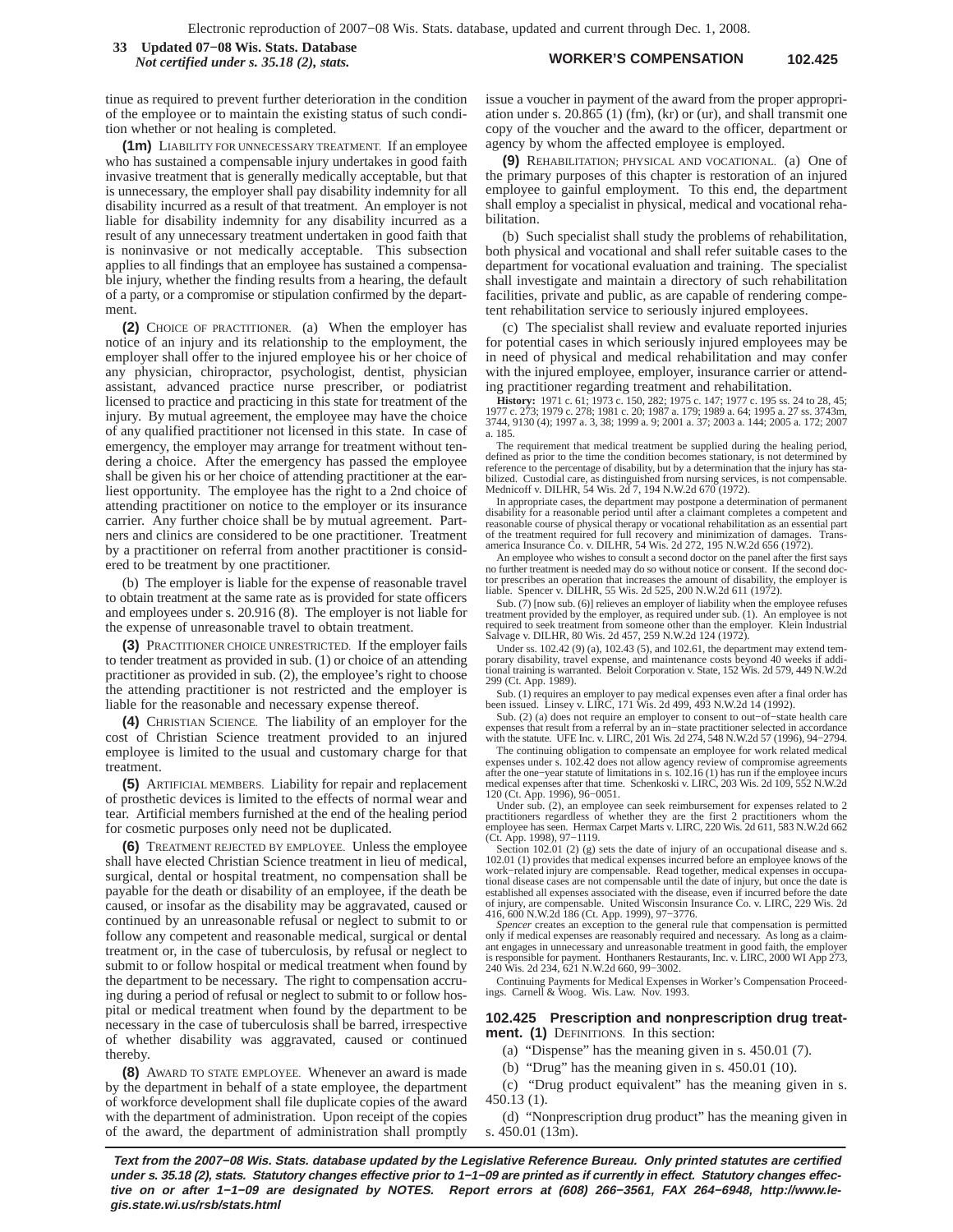**WORKER'S COMPENSATION 102.425 33 Updated 07−08 Wis. Stats. Database** *Not certified under s. 35.18 (2), stats.*

tinue as required to prevent further deterioration in the condition of the employee or to maintain the existing status of such condition whether or not healing is completed.

**(1m)** LIABILITY FOR UNNECESSARY TREATMENT. If an employee who has sustained a compensable injury undertakes in good faith invasive treatment that is generally medically acceptable, but that is unnecessary, the employer shall pay disability indemnity for all disability incurred as a result of that treatment. An employer is not liable for disability indemnity for any disability incurred as a result of any unnecessary treatment undertaken in good faith that is noninvasive or not medically acceptable. This subsection applies to all findings that an employee has sustained a compensable injury, whether the finding results from a hearing, the default of a party, or a compromise or stipulation confirmed by the department.

**(2)** CHOICE OF PRACTITIONER. (a) When the employer has notice of an injury and its relationship to the employment, the employer shall offer to the injured employee his or her choice of any physician, chiropractor, psychologist, dentist, physician assistant, advanced practice nurse prescriber, or podiatrist licensed to practice and practicing in this state for treatment of the injury. By mutual agreement, the employee may have the choice of any qualified practitioner not licensed in this state. In case of emergency, the employer may arrange for treatment without tendering a choice. After the emergency has passed the employee shall be given his or her choice of attending practitioner at the earliest opportunity. The employee has the right to a 2nd choice of attending practitioner on notice to the employer or its insurance carrier. Any further choice shall be by mutual agreement. Partners and clinics are considered to be one practitioner. Treatment by a practitioner on referral from another practitioner is considered to be treatment by one practitioner.

(b) The employer is liable for the expense of reasonable travel to obtain treatment at the same rate as is provided for state officers and employees under s. 20.916 (8). The employer is not liable for the expense of unreasonable travel to obtain treatment.

**(3)** PRACTITIONER CHOICE UNRESTRICTED. If the employer fails to tender treatment as provided in sub. (1) or choice of an attending practitioner as provided in sub. (2), the employee's right to choose the attending practitioner is not restricted and the employer is liable for the reasonable and necessary expense thereof.

**(4)** CHRISTIAN SCIENCE. The liability of an employer for the cost of Christian Science treatment provided to an injured employee is limited to the usual and customary charge for that treatment.

**(5)** ARTIFICIAL MEMBERS. Liability for repair and replacement of prosthetic devices is limited to the effects of normal wear and tear. Artificial members furnished at the end of the healing period for cosmetic purposes only need not be duplicated.

**(6)** TREATMENT REJECTED BY EMPLOYEE. Unless the employee shall have elected Christian Science treatment in lieu of medical, surgical, dental or hospital treatment, no compensation shall be payable for the death or disability of an employee, if the death be caused, or insofar as the disability may be aggravated, caused or continued by an unreasonable refusal or neglect to submit to or follow any competent and reasonable medical, surgical or dental treatment or, in the case of tuberculosis, by refusal or neglect to submit to or follow hospital or medical treatment when found by the department to be necessary. The right to compensation accruing during a period of refusal or neglect to submit to or follow hospital or medical treatment when found by the department to be necessary in the case of tuberculosis shall be barred, irrespective of whether disability was aggravated, caused or continued thereby.

**(8)** AWARD TO STATE EMPLOYEE. Whenever an award is made by the department in behalf of a state employee, the department of workforce development shall file duplicate copies of the award with the department of administration. Upon receipt of the copies of the award, the department of administration shall promptly

issue a voucher in payment of the award from the proper appropriation under s. 20.865 (1) (fm), (kr) or (ur), and shall transmit one copy of the voucher and the award to the officer, department or agency by whom the affected employee is employed.

**(9)** REHABILITATION; PHYSICAL AND VOCATIONAL. (a) One of the primary purposes of this chapter is restoration of an injured employee to gainful employment. To this end, the department shall employ a specialist in physical, medical and vocational rehabilitation.

(b) Such specialist shall study the problems of rehabilitation, both physical and vocational and shall refer suitable cases to the department for vocational evaluation and training. The specialist shall investigate and maintain a directory of such rehabilitation facilities, private and public, as are capable of rendering competent rehabilitation service to seriously injured employees.

(c) The specialist shall review and evaluate reported injuries for potential cases in which seriously injured employees may be in need of physical and medical rehabilitation and may confer with the injured employee, employer, insurance carrier or attending practitioner regarding treatment and rehabilitation.

**History:** 1971 c. 61; 1973 c. 150, 282; 1975 c. 147; 1977 c. 195 ss. 24 to 28, 45;<br>1977 c. 273; 1979 c. 278; 1981 c. 20; 1987 a. 179; 1989 a. 64; 1995 a. 27 ss. 3743m,<br>3744, 9130 (4); 1997 a. 3, 38; 1999 a. 9; 2001 a. 37; a. 185.

The requirement that medical treatment be supplied during the healing period, defined as prior to the time the condition becomes stationary, is not determined by reference to the percentage of disability, but by a determination that the injury has stabilized. Custodial care, as distinguished from nursing services, is not compensable. Mednicoff v. DILHR, 54 Wis. 2d 7, 194 N.W.2d 670 (1972).

In appropriate cases, the department may postpone a determination of permanent disability for a reasonable period until after a claimant completes a competent and reasonable course of physical therapy or vocational rehabilitation as an essential part of the treatment required for full recovery and minimization of damages. Transamerica Insurance Co. v. DILHR, 54 Wis. 2d 272, 195 N.W.2d 656 (1972).

An employee who wishes to consult a second doctor on the panel after the first says no further treatment is needed may do so without notice or consent. If the second doc-<br>tor prescribes an operation that increases the amount of disability, the employer is<br>liable. Spencer v. DILHR, 55 Wis. 2d 525, 200 N.W.

Sub. (7) [now sub. (6)] relieves an employer of liability when the employee refuses treatment provided by the employer, as required under sub. (1). An employee is not required to seek treatment from someone other than the employer. Klein Industrial Salvage v. DILHR, 80 Wis. 2d 457, 259 N.W.2d 124 (1972).

Under ss. 102.42 (9) (a), 102.43 (5), and 102.61, the department may extend temporary disability, travel expense, and maintenance costs beyond 40 weeks if additional training is warranted. Beloit Corporation v. State, 152 Wis. 2d 579, 449 N.W.2d 299 (Ct. App. 1989).

Sub. (1) requires an employer to pay medical expenses even after a final order has been issued. Linsey v. LIRC, 171 Wis. 2d 499, 493 N.W.2d 14 (1992).

Sub. (2) (a) does not require an employer to consent to out−of−state health care expenses that result from a referral by an in−state practitioner selected in accordance with the statute. UFE Inc. v. LIRC, 201 Wis. 2d 274, 548 N.W.2d 57 (1996), 94−2794.

The continuing obligation to compensate an employee for work related medical expenses under s. 102.42 does not allow agency review of compromise agreements<br>after the one--year statute of limitations in s. 102.16 (1) has run if the employee incurs<br>medical expenses after that time. Schenkoski v. LIRC

120 (Ct. App. 1996), 96−0051. Under sub. (2), an employee can seek reimbursement for expenses related to 2 practitioners regardless of whether they are the first 2 practitioners whom the employee has seen. Hermax Carpet Marts v. LIRC, 220 Wis. 2d 611, 583 N.W.2d 662 (Ct. App. 1998), 97−1119.

Section 102.01 (2) (g) sets the date of injury of an occupational disease and s 102.01 (1) provides that medical expenses incurred before an employee knows of the work−related injury are compensable. Read together, medical expenses in occupational disease cases are not compensable until the date of injury, but once the date is established all expenses associated with the disease, even if incurred before the date of injury, are compensable. United Wisconsin Insurance Co. v. LIRC, 229 Wis. 2d

416, 600 N.W.2d 186 (Ct. App. 1999), 97−3776. *Spencer* creates an exception to the general rule that compensation is permitted only if medical expenses are reasonably required and necessary. As long as a claimant engages in unnecessary and unreasonable treatment in good faith, the employer is responsible for payment. Honthaners Restaurants, Inc. v. LIRC, 2000 WI App 273, 240 Wis. 2d 234, 621 N.W.2d 660, 99−3002.

Continuing Payments for Medical Expenses in Worker's Compensation Proceedings. Carnell & Woog. Wis. Law. Nov. 1993.

#### **102.425 Prescription and nonprescription drug treatment. (1)** DEFINITIONS. In this section:

(a) "Dispense" has the meaning given in s. 450.01 (7).

(b) "Drug" has the meaning given in s. 450.01 (10).

(c) "Drug product equivalent" has the meaning given in s. 450.13 (1).

(d) "Nonprescription drug product" has the meaning given in s. 450.01 (13m).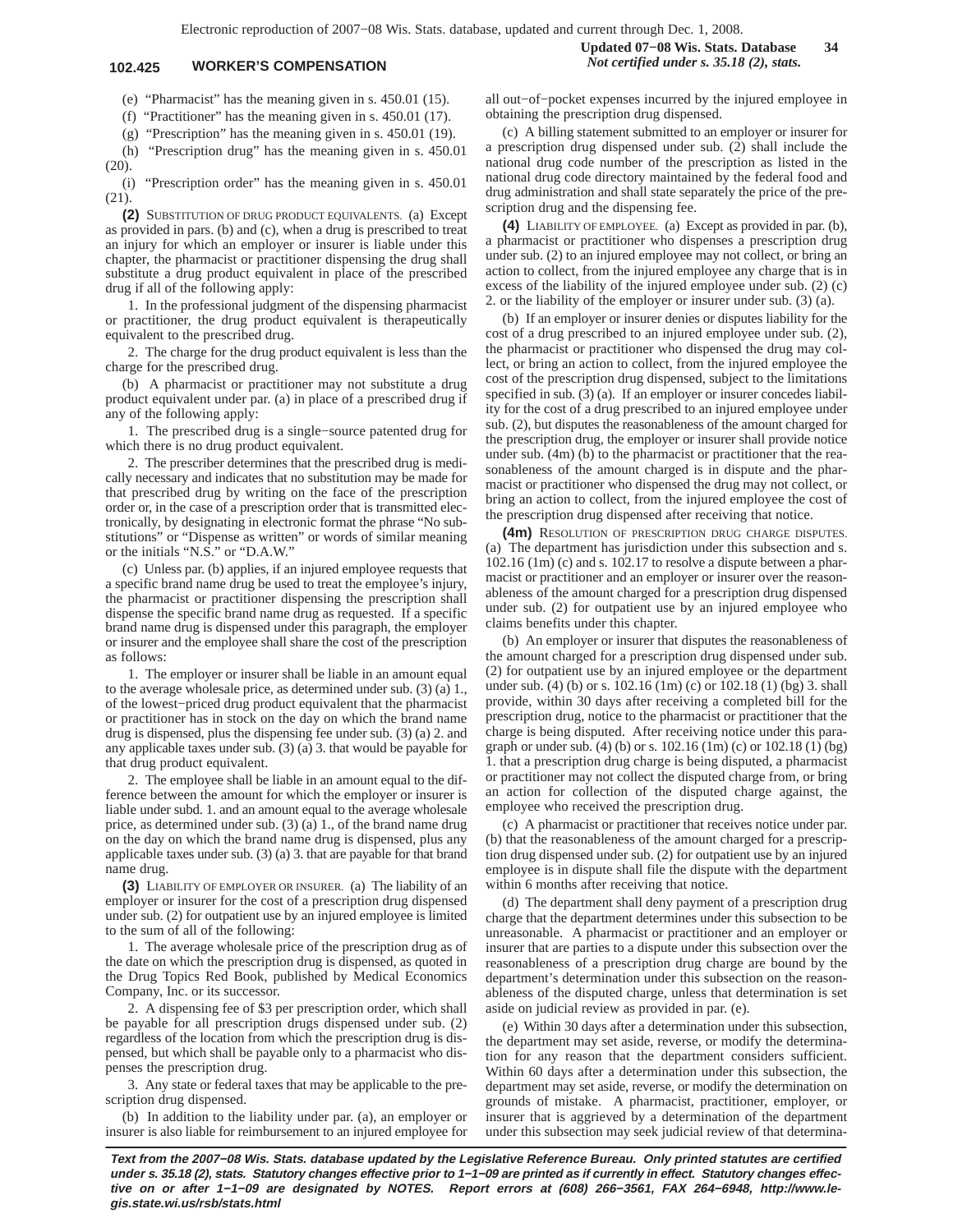## **102.425 WORKER'S COMPENSATION** *Not certified under s. 35.18 (2), stats.*

(e) "Pharmacist" has the meaning given in s. 450.01 (15).

(f) "Practitioner" has the meaning given in s. 450.01 (17).

(g) "Prescription" has the meaning given in s. 450.01 (19).

(h) "Prescription drug" has the meaning given in s. 450.01 (20).

(i) "Prescription order" has the meaning given in s. 450.01 (21).

**(2)** SUBSTITUTION OF DRUG PRODUCT EQUIVALENTS. (a) Except as provided in pars. (b) and (c), when a drug is prescribed to treat an injury for which an employer or insurer is liable under this chapter, the pharmacist or practitioner dispensing the drug shall substitute a drug product equivalent in place of the prescribed drug if all of the following apply:

1. In the professional judgment of the dispensing pharmacist or practitioner, the drug product equivalent is therapeutically equivalent to the prescribed drug.

2. The charge for the drug product equivalent is less than the charge for the prescribed drug.

(b) A pharmacist or practitioner may not substitute a drug product equivalent under par. (a) in place of a prescribed drug if any of the following apply:

1. The prescribed drug is a single−source patented drug for which there is no drug product equivalent.

2. The prescriber determines that the prescribed drug is medically necessary and indicates that no substitution may be made for that prescribed drug by writing on the face of the prescription order or, in the case of a prescription order that is transmitted electronically, by designating in electronic format the phrase "No substitutions" or "Dispense as written" or words of similar meaning or the initials "N.S." or "D.A.W."

(c) Unless par. (b) applies, if an injured employee requests that a specific brand name drug be used to treat the employee's injury, the pharmacist or practitioner dispensing the prescription shall dispense the specific brand name drug as requested. If a specific brand name drug is dispensed under this paragraph, the employer or insurer and the employee shall share the cost of the prescription as follows:

1. The employer or insurer shall be liable in an amount equal to the average wholesale price, as determined under sub. (3) (a) 1., of the lowest−priced drug product equivalent that the pharmacist or practitioner has in stock on the day on which the brand name drug is dispensed, plus the dispensing fee under sub. (3) (a) 2. and any applicable taxes under sub. (3) (a) 3. that would be payable for that drug product equivalent.

2. The employee shall be liable in an amount equal to the difference between the amount for which the employer or insurer is liable under subd. 1. and an amount equal to the average wholesale price, as determined under sub. (3) (a) 1., of the brand name drug on the day on which the brand name drug is dispensed, plus any applicable taxes under sub. (3) (a) 3. that are payable for that brand name drug.

**(3)** LIABILITY OF EMPLOYER OR INSURER. (a) The liability of an employer or insurer for the cost of a prescription drug dispensed under sub. (2) for outpatient use by an injured employee is limited to the sum of all of the following:

1. The average wholesale price of the prescription drug as of the date on which the prescription drug is dispensed, as quoted in the Drug Topics Red Book, published by Medical Economics Company, Inc. or its successor.

2. A dispensing fee of \$3 per prescription order, which shall be payable for all prescription drugs dispensed under sub. (2) regardless of the location from which the prescription drug is dispensed, but which shall be payable only to a pharmacist who dispenses the prescription drug.

3. Any state or federal taxes that may be applicable to the prescription drug dispensed.

(b) In addition to the liability under par. (a), an employer or insurer is also liable for reimbursement to an injured employee for

all out−of−pocket expenses incurred by the injured employee in obtaining the prescription drug dispensed.

(c) A billing statement submitted to an employer or insurer for a prescription drug dispensed under sub. (2) shall include the national drug code number of the prescription as listed in the national drug code directory maintained by the federal food and drug administration and shall state separately the price of the prescription drug and the dispensing fee.

**(4)** LIABILITY OF EMPLOYEE. (a) Except as provided in par. (b), a pharmacist or practitioner who dispenses a prescription drug under sub. (2) to an injured employee may not collect, or bring an action to collect, from the injured employee any charge that is in excess of the liability of the injured employee under sub. (2) (c) 2. or the liability of the employer or insurer under sub. (3) (a).

(b) If an employer or insurer denies or disputes liability for the cost of a drug prescribed to an injured employee under sub. (2), the pharmacist or practitioner who dispensed the drug may collect, or bring an action to collect, from the injured employee the cost of the prescription drug dispensed, subject to the limitations specified in sub. (3) (a). If an employer or insurer concedes liability for the cost of a drug prescribed to an injured employee under sub. (2), but disputes the reasonableness of the amount charged for the prescription drug, the employer or insurer shall provide notice under sub. (4m) (b) to the pharmacist or practitioner that the reasonableness of the amount charged is in dispute and the pharmacist or practitioner who dispensed the drug may not collect, or bring an action to collect, from the injured employee the cost of the prescription drug dispensed after receiving that notice.

**(4m)** RESOLUTION OF PRESCRIPTION DRUG CHARGE DISPUTES. (a) The department has jurisdiction under this subsection and s. 102.16 (1m) (c) and s. 102.17 to resolve a dispute between a pharmacist or practitioner and an employer or insurer over the reasonableness of the amount charged for a prescription drug dispensed under sub. (2) for outpatient use by an injured employee who claims benefits under this chapter.

(b) An employer or insurer that disputes the reasonableness of the amount charged for a prescription drug dispensed under sub. (2) for outpatient use by an injured employee or the department under sub. (4) (b) or s. 102.16 (1m) (c) or 102.18 (1) (bg) 3. shall provide, within 30 days after receiving a completed bill for the prescription drug, notice to the pharmacist or practitioner that the charge is being disputed. After receiving notice under this paragraph or under sub. (4) (b) or s. 102.16 (1m) (c) or 102.18 (1) (bg) 1. that a prescription drug charge is being disputed, a pharmacist or practitioner may not collect the disputed charge from, or bring an action for collection of the disputed charge against, the employee who received the prescription drug.

(c) A pharmacist or practitioner that receives notice under par. (b) that the reasonableness of the amount charged for a prescription drug dispensed under sub. (2) for outpatient use by an injured employee is in dispute shall file the dispute with the department within 6 months after receiving that notice.

(d) The department shall deny payment of a prescription drug charge that the department determines under this subsection to be unreasonable. A pharmacist or practitioner and an employer or insurer that are parties to a dispute under this subsection over the reasonableness of a prescription drug charge are bound by the department's determination under this subsection on the reasonableness of the disputed charge, unless that determination is set aside on judicial review as provided in par. (e).

(e) Within 30 days after a determination under this subsection, the department may set aside, reverse, or modify the determination for any reason that the department considers sufficient. Within 60 days after a determination under this subsection, the department may set aside, reverse, or modify the determination on grounds of mistake. A pharmacist, practitioner, employer, or insurer that is aggrieved by a determination of the department under this subsection may seek judicial review of that determina-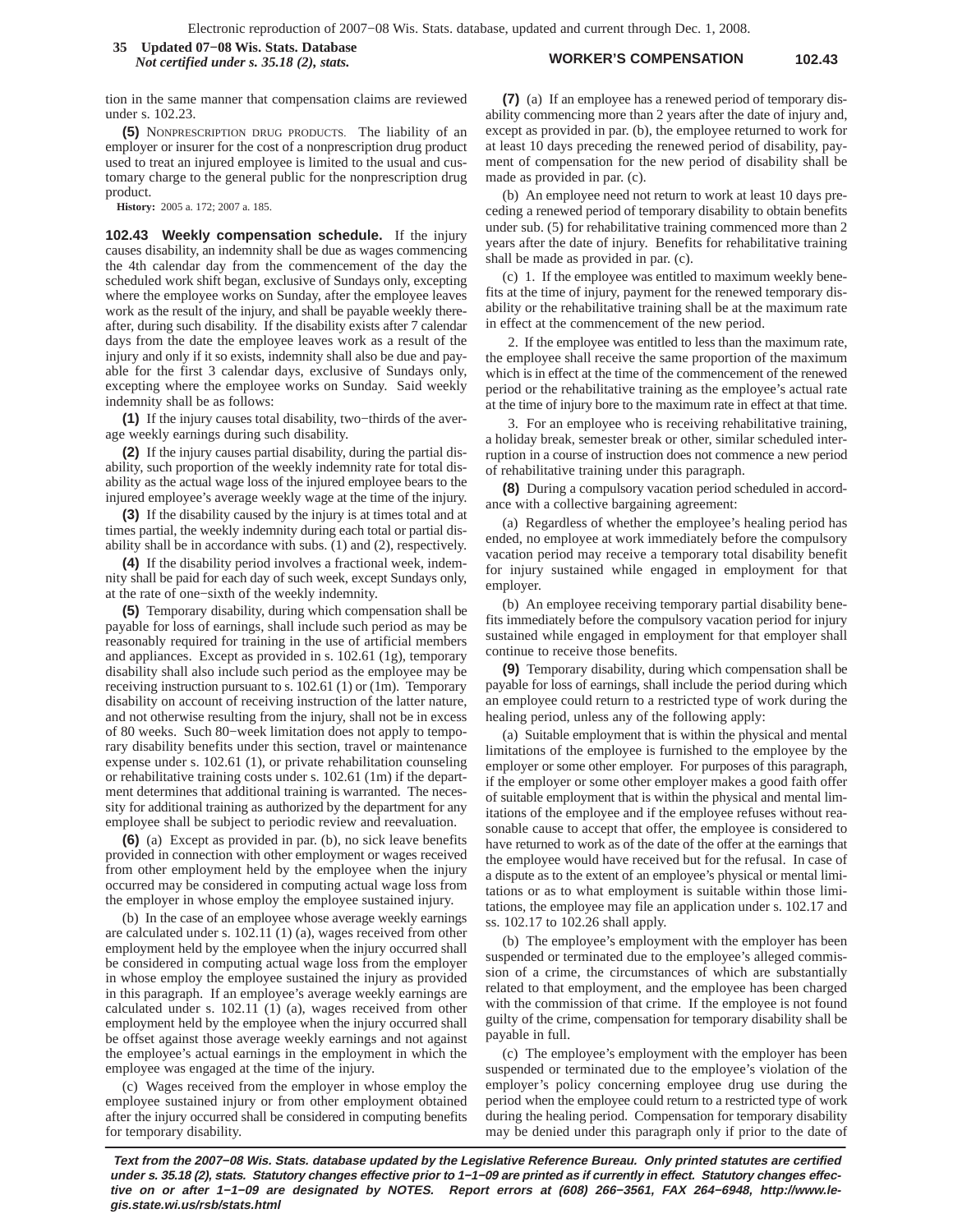#### **WORKER'S COMPENSATION 102.43 35 Updated 07−08 Wis. Stats. Database** *Not certified under s. 35.18 (2), stats.*

tion in the same manner that compensation claims are reviewed under s. 102.23.

**(5)** NONPRESCRIPTION DRUG PRODUCTS. The liability of an employer or insurer for the cost of a nonprescription drug product used to treat an injured employee is limited to the usual and customary charge to the general public for the nonprescription drug product.

**History:** 2005 a. 172; 2007 a. 185.

**102.43 Weekly compensation schedule.** If the injury causes disability, an indemnity shall be due as wages commencing the 4th calendar day from the commencement of the day the scheduled work shift began, exclusive of Sundays only, excepting where the employee works on Sunday, after the employee leaves work as the result of the injury, and shall be payable weekly thereafter, during such disability. If the disability exists after 7 calendar days from the date the employee leaves work as a result of the injury and only if it so exists, indemnity shall also be due and payable for the first 3 calendar days, exclusive of Sundays only, excepting where the employee works on Sunday. Said weekly indemnity shall be as follows:

**(1)** If the injury causes total disability, two−thirds of the average weekly earnings during such disability.

**(2)** If the injury causes partial disability, during the partial disability, such proportion of the weekly indemnity rate for total disability as the actual wage loss of the injured employee bears to the injured employee's average weekly wage at the time of the injury.

**(3)** If the disability caused by the injury is at times total and at times partial, the weekly indemnity during each total or partial disability shall be in accordance with subs. (1) and (2), respectively.

**(4)** If the disability period involves a fractional week, indemnity shall be paid for each day of such week, except Sundays only, at the rate of one−sixth of the weekly indemnity.

**(5)** Temporary disability, during which compensation shall be payable for loss of earnings, shall include such period as may be reasonably required for training in the use of artificial members and appliances. Except as provided in s. 102.61 (1g), temporary disability shall also include such period as the employee may be receiving instruction pursuant to s. 102.61 (1) or (1m). Temporary disability on account of receiving instruction of the latter nature, and not otherwise resulting from the injury, shall not be in excess of 80 weeks. Such 80−week limitation does not apply to temporary disability benefits under this section, travel or maintenance expense under s. 102.61 (1), or private rehabilitation counseling or rehabilitative training costs under s. 102.61 (1m) if the department determines that additional training is warranted. The necessity for additional training as authorized by the department for any employee shall be subject to periodic review and reevaluation.

**(6)** (a) Except as provided in par. (b), no sick leave benefits provided in connection with other employment or wages received from other employment held by the employee when the injury occurred may be considered in computing actual wage loss from the employer in whose employ the employee sustained injury.

(b) In the case of an employee whose average weekly earnings are calculated under s. 102.11 (1) (a), wages received from other employment held by the employee when the injury occurred shall be considered in computing actual wage loss from the employer in whose employ the employee sustained the injury as provided in this paragraph. If an employee's average weekly earnings are calculated under s. 102.11 (1) (a), wages received from other employment held by the employee when the injury occurred shall be offset against those average weekly earnings and not against the employee's actual earnings in the employment in which the employee was engaged at the time of the injury.

(c) Wages received from the employer in whose employ the employee sustained injury or from other employment obtained after the injury occurred shall be considered in computing benefits for temporary disability.

**(7)** (a) If an employee has a renewed period of temporary disability commencing more than 2 years after the date of injury and, except as provided in par. (b), the employee returned to work for at least 10 days preceding the renewed period of disability, payment of compensation for the new period of disability shall be made as provided in par. (c).

(b) An employee need not return to work at least 10 days preceding a renewed period of temporary disability to obtain benefits under sub. (5) for rehabilitative training commenced more than 2 years after the date of injury. Benefits for rehabilitative training shall be made as provided in par. (c).

(c) 1. If the employee was entitled to maximum weekly benefits at the time of injury, payment for the renewed temporary disability or the rehabilitative training shall be at the maximum rate in effect at the commencement of the new period.

2. If the employee was entitled to less than the maximum rate, the employee shall receive the same proportion of the maximum which is in effect at the time of the commencement of the renewed period or the rehabilitative training as the employee's actual rate at the time of injury bore to the maximum rate in effect at that time.

3. For an employee who is receiving rehabilitative training, a holiday break, semester break or other, similar scheduled interruption in a course of instruction does not commence a new period of rehabilitative training under this paragraph.

**(8)** During a compulsory vacation period scheduled in accordance with a collective bargaining agreement:

(a) Regardless of whether the employee's healing period has ended, no employee at work immediately before the compulsory vacation period may receive a temporary total disability benefit for injury sustained while engaged in employment for that employer.

(b) An employee receiving temporary partial disability benefits immediately before the compulsory vacation period for injury sustained while engaged in employment for that employer shall continue to receive those benefits.

**(9)** Temporary disability, during which compensation shall be payable for loss of earnings, shall include the period during which an employee could return to a restricted type of work during the healing period, unless any of the following apply:

(a) Suitable employment that is within the physical and mental limitations of the employee is furnished to the employee by the employer or some other employer. For purposes of this paragraph, if the employer or some other employer makes a good faith offer of suitable employment that is within the physical and mental limitations of the employee and if the employee refuses without reasonable cause to accept that offer, the employee is considered to have returned to work as of the date of the offer at the earnings that the employee would have received but for the refusal. In case of a dispute as to the extent of an employee's physical or mental limitations or as to what employment is suitable within those limitations, the employee may file an application under s. 102.17 and ss. 102.17 to 102.26 shall apply.

(b) The employee's employment with the employer has been suspended or terminated due to the employee's alleged commission of a crime, the circumstances of which are substantially related to that employment, and the employee has been charged with the commission of that crime. If the employee is not found guilty of the crime, compensation for temporary disability shall be payable in full.

(c) The employee's employment with the employer has been suspended or terminated due to the employee's violation of the employer's policy concerning employee drug use during the period when the employee could return to a restricted type of work during the healing period. Compensation for temporary disability may be denied under this paragraph only if prior to the date of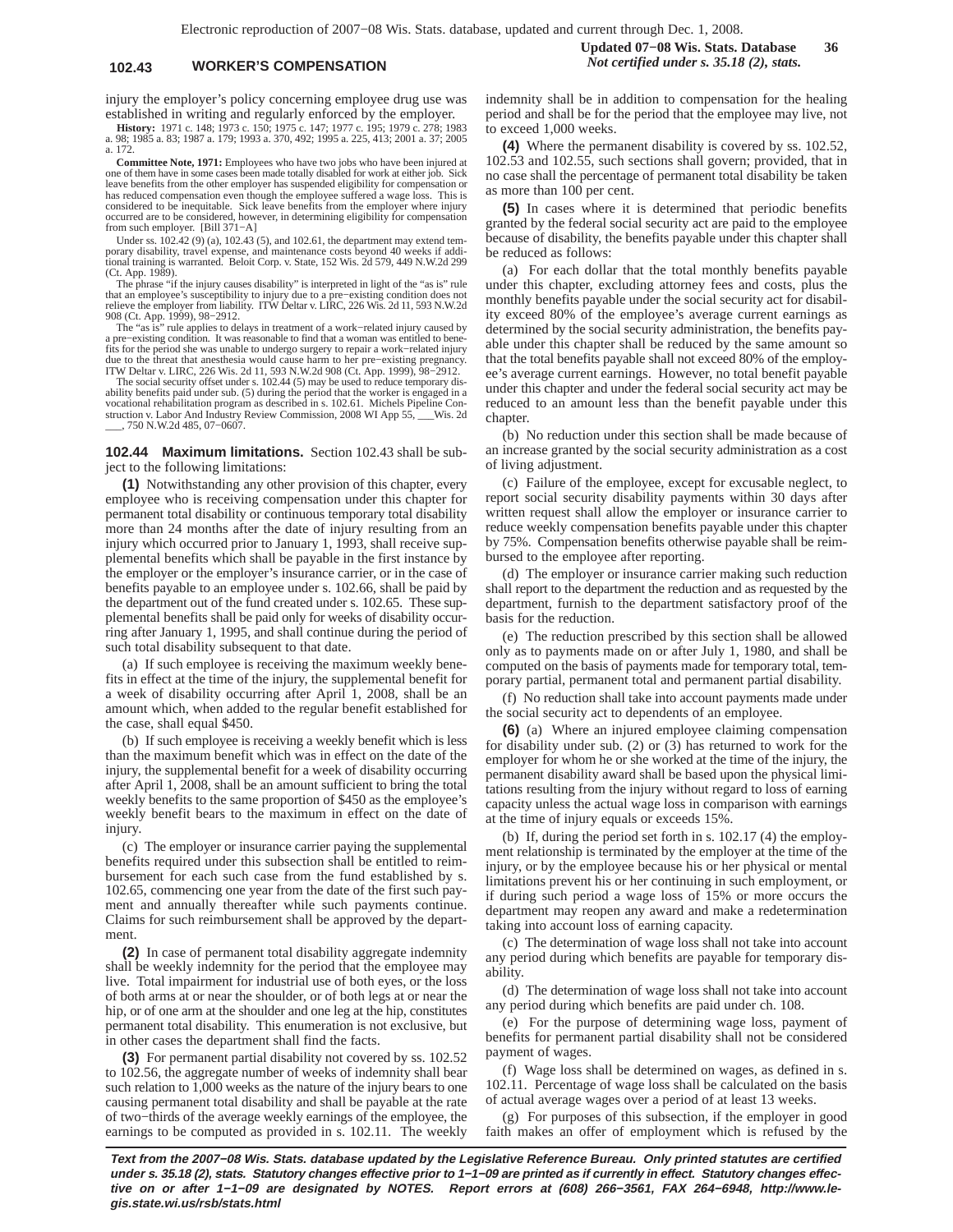## **102.43 WORKER'S COMPENSATION** *Not certified under s. 35.18 (2), stats.*

injury the employer's policy concerning employee drug use was established in writing and regularly enforced by the employer.

**History:** 1971 c. 148; 1973 c. 150; 1975 c. 147; 1977 c. 195; 1979 c. 278; 1983 a. 98; 1985 a. 83; 1987 a. 179; 1993 a. 370, 492; 1995 a. 225, 413; 2001 a. 37; 2005 a. 172.

**Committee Note, 1971:** Employees who have two jobs who have been injured at one of them have in some cases been made totally disabled for work at either job. Sick leave benefits from the other employer has suspended eligibility for compensation or has reduced compensation even though the employee suffered a wage loss. This is considered to be inequitable. Sick leave benefits from the employer where injury occurred are to be considered, however, in determining eligibility for compensation from such employer. [Bill 371−A]

Under ss. 102.42 (9) (a), 102.43 (5), and 102.61, the department may extend tem-porary disability, travel expense, and maintenance costs beyond 40 weeks if additional training is warranted. Beloit Corp. v. State, 152 Wis. 2d 579, 449 N.W.2d 299 (Ct. App. 1989).

The phrase "if the injury causes disability" is interpreted in light of the "as is" rule<br>that an employee's susceptibility to injury due to a pre-existing condition does not<br>relieve the employer from liability. ITW Deltar

a pre−existing condition. It was reasonable to find that a woman was entitled to bene-fits for the period she was unable to undergo surgery to repair a work−related injury due to the threat that anesthesia would cause harm to her pre-existing pregnancy.<br>ITW Deltar v. LIRC, 226 Wis. 2d 11, 593 N.W.2d 908 (Ct. App. 1999), 98-2912.<br>The social security offset under s. 102.44 (5) may be used to r

ability benefits paid under sub. (5) during the period that the worker is engaged in a vocational rehabilitation program as described in s. 102.61. Michels Pipeline Con-struction v. Labor And Industry Review Commission, 2008 WI App 55, \_\_\_Wis. 2d \_\_\_, 750 N.W.2d 485, 07−0607.

**102.44 Maximum limitations.** Section 102.43 shall be subject to the following limitations:

**(1)** Notwithstanding any other provision of this chapter, every employee who is receiving compensation under this chapter for permanent total disability or continuous temporary total disability more than 24 months after the date of injury resulting from an injury which occurred prior to January 1, 1993, shall receive supplemental benefits which shall be payable in the first instance by the employer or the employer's insurance carrier, or in the case of benefits payable to an employee under s. 102.66, shall be paid by the department out of the fund created under s. 102.65. These supplemental benefits shall be paid only for weeks of disability occurring after January 1, 1995, and shall continue during the period of such total disability subsequent to that date.

(a) If such employee is receiving the maximum weekly benefits in effect at the time of the injury, the supplemental benefit for a week of disability occurring after April 1, 2008, shall be an amount which, when added to the regular benefit established for the case, shall equal \$450.

(b) If such employee is receiving a weekly benefit which is less than the maximum benefit which was in effect on the date of the injury, the supplemental benefit for a week of disability occurring after April 1, 2008, shall be an amount sufficient to bring the total weekly benefits to the same proportion of \$450 as the employee's weekly benefit bears to the maximum in effect on the date of injury.

(c) The employer or insurance carrier paying the supplemental benefits required under this subsection shall be entitled to reimbursement for each such case from the fund established by s. 102.65, commencing one year from the date of the first such payment and annually thereafter while such payments continue. Claims for such reimbursement shall be approved by the department.

**(2)** In case of permanent total disability aggregate indemnity shall be weekly indemnity for the period that the employee may live. Total impairment for industrial use of both eyes, or the loss of both arms at or near the shoulder, or of both legs at or near the hip, or of one arm at the shoulder and one leg at the hip, constitutes permanent total disability. This enumeration is not exclusive, but in other cases the department shall find the facts.

**(3)** For permanent partial disability not covered by ss. 102.52 to 102.56, the aggregate number of weeks of indemnity shall bear such relation to 1,000 weeks as the nature of the injury bears to one causing permanent total disability and shall be payable at the rate of two−thirds of the average weekly earnings of the employee, the earnings to be computed as provided in s. 102.11. The weekly

indemnity shall be in addition to compensation for the healing period and shall be for the period that the employee may live, not to exceed 1,000 weeks.

**(4)** Where the permanent disability is covered by ss. 102.52, 102.53 and 102.55, such sections shall govern; provided, that in no case shall the percentage of permanent total disability be taken as more than 100 per cent.

**(5)** In cases where it is determined that periodic benefits granted by the federal social security act are paid to the employee because of disability, the benefits payable under this chapter shall be reduced as follows:

(a) For each dollar that the total monthly benefits payable under this chapter, excluding attorney fees and costs, plus the monthly benefits payable under the social security act for disability exceed 80% of the employee's average current earnings as determined by the social security administration, the benefits payable under this chapter shall be reduced by the same amount so that the total benefits payable shall not exceed 80% of the employee's average current earnings. However, no total benefit payable under this chapter and under the federal social security act may be reduced to an amount less than the benefit payable under this chapter.

(b) No reduction under this section shall be made because of an increase granted by the social security administration as a cost of living adjustment.

(c) Failure of the employee, except for excusable neglect, to report social security disability payments within 30 days after written request shall allow the employer or insurance carrier to reduce weekly compensation benefits payable under this chapter by 75%. Compensation benefits otherwise payable shall be reimbursed to the employee after reporting.

(d) The employer or insurance carrier making such reduction shall report to the department the reduction and as requested by the department, furnish to the department satisfactory proof of the basis for the reduction.

(e) The reduction prescribed by this section shall be allowed only as to payments made on or after July 1, 1980, and shall be computed on the basis of payments made for temporary total, temporary partial, permanent total and permanent partial disability.

(f) No reduction shall take into account payments made under the social security act to dependents of an employee.

**(6)** (a) Where an injured employee claiming compensation for disability under sub. (2) or (3) has returned to work for the employer for whom he or she worked at the time of the injury, the permanent disability award shall be based upon the physical limitations resulting from the injury without regard to loss of earning capacity unless the actual wage loss in comparison with earnings at the time of injury equals or exceeds 15%.

(b) If, during the period set forth in s. 102.17 (4) the employment relationship is terminated by the employer at the time of the injury, or by the employee because his or her physical or mental limitations prevent his or her continuing in such employment, or if during such period a wage loss of 15% or more occurs the department may reopen any award and make a redetermination taking into account loss of earning capacity.

(c) The determination of wage loss shall not take into account any period during which benefits are payable for temporary disability.

(d) The determination of wage loss shall not take into account any period during which benefits are paid under ch. 108.

(e) For the purpose of determining wage loss, payment of benefits for permanent partial disability shall not be considered payment of wages.

(f) Wage loss shall be determined on wages, as defined in s. 102.11. Percentage of wage loss shall be calculated on the basis of actual average wages over a period of at least 13 weeks.

(g) For purposes of this subsection, if the employer in good faith makes an offer of employment which is refused by the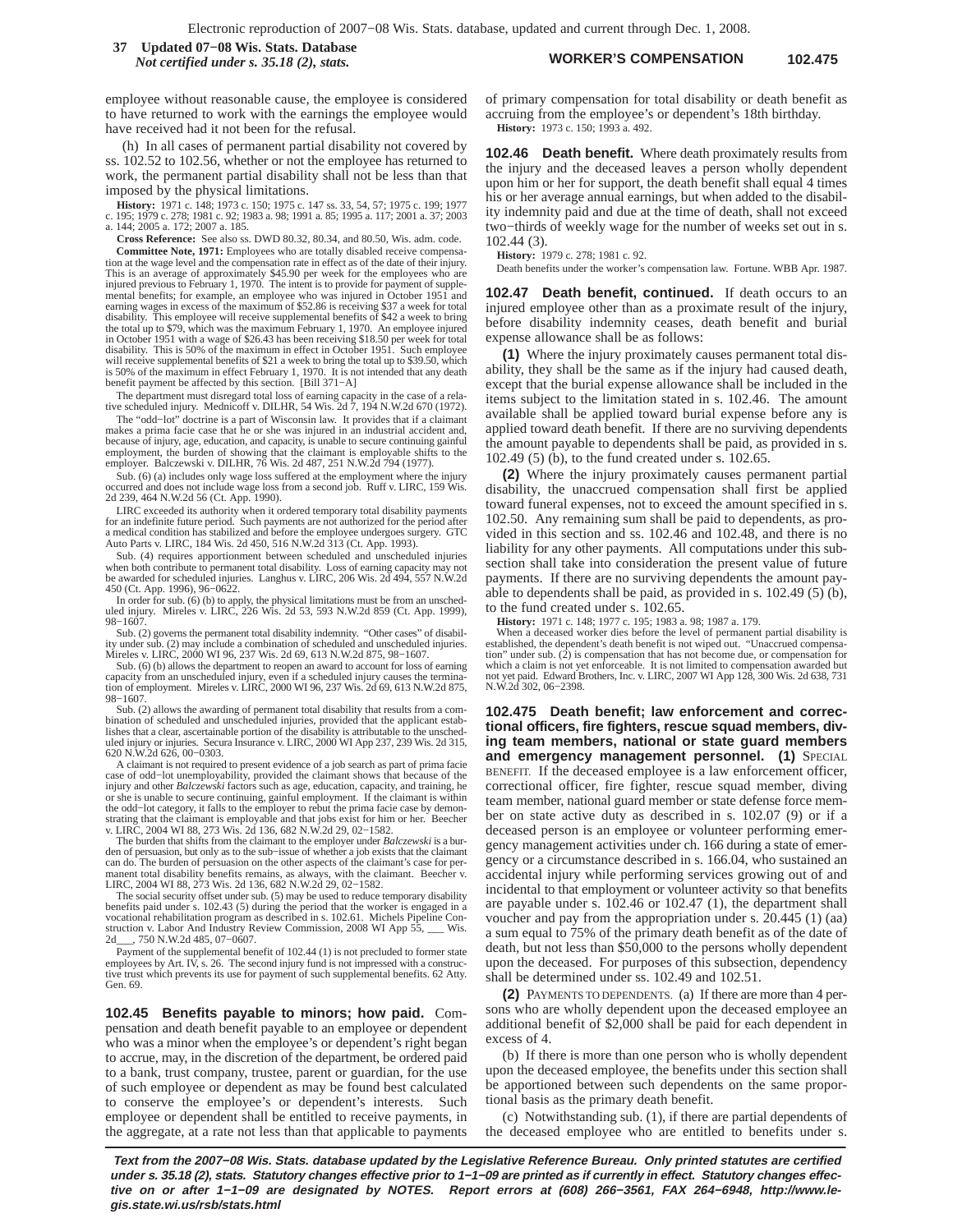**WORKER'S COMPENSATION 102.475 37 Updated 07−08 Wis. Stats. Database** *Not certified under s. 35.18 (2), stats.*

employee without reasonable cause, the employee is considered to have returned to work with the earnings the employee would have received had it not been for the refusal.

(h) In all cases of permanent partial disability not covered by ss. 102.52 to 102.56, whether or not the employee has returned to work, the permanent partial disability shall not be less than that imposed by the physical limitations.

**History:** 1971 c. 148; 1973 c. 150; 1975 c. 147 ss. 33, 54, 57; 1975 c. 199; 1977 c. 195; 1979 c. 278; 1981 c. 92; 1983 a. 98; 1991 a. 85; 1995 a. 117; 2001 a. 37; 2003 a. 144; 2005 a. 172; 2007 a. 185.

**Cross Reference:** See also ss. DWD 80.32, 80.34, and 80.50, Wis. adm. code.

**Committee Note, 1971:** Employees who are totally disabled receive compensation at the wage level and the compensation rate in effect as of the date of their injury. This is an average of approximately \$45.90 per week for the employees who are<br>injured previous to February 1, 1970. The intent is to provide for payment of supple-<br>mental benefits; for example, an employee who was injured earning wages in excess of the maximum of \$52.86 is receiving \$37 a week for total<br>disability. This employee will receive supplemental benefits of \$42 a week to bring<br>the total up to \$79, which was the maximum February 1, in October 1951 with a wage of \$26.43 has been receiving \$18.50 per week for total disability. This is 50% of the maximum in effect in October 1951. Such employee will receive supplemental benefits of \$21 a week to bring the total up to \$39.50, which is 50% of the maximum in effect February 1, 1970. It is not intended that any death benefit payment be affected by this section. [Bill 371−A]

The department must disregard total loss of earning capacity in the case of a rela-tive scheduled injury. Mednicoff v. DILHR, 54 Wis. 2d 7, 194 N.W.2d 670 (1972).

The "odd−lot" doctrine is a part of Wisconsin law. It provides that if a claimant makes a prima facie case that he or she was injured in an industrial accident and, because of injury, age, education, and capacity, is unable to secure continuing gainful employment, the burden of showing that the claimant is employable shifts to the employer. Balczewski v. DILHR, 76 Wis. 2d 487, 251 N.W.2d 794 (1977).

Sub. (6) (a) includes only wage loss suffered at the employment where the injury occurred and does not include wage loss from a second job. Ruff v. LIRC, 159 Wis. 2d 239, 464 N.W.2d 56 (Ct. App. 1990).

LIRC exceeded its authority when it ordered temporary total disability payments for an indefinite future period. Such payments are not authorized for the period after a medical condition has stabilized and before the employee undergoes surgery. GTC Auto Parts v. LIRC, 184 Wis. 2d 450, 516 N.W.2d 313 (Ct. App. 1993).

Sub. (4) requires apportionment between scheduled and unscheduled injuries when both contribute to permanent total disability. Loss of earning capacity may not be awarded for scheduled injuries. Langhus v. LIRC, 206 Wis. 2d 494, 557 N.W.2d 450 (Ct. App. 1996), 96−0622.

In order for sub. (6) (b) to apply, the physical limitations must be from an unsched-uled injury. Mireles v. LIRC, 226 Wis. 2d 53, 593 N.W.2d 859 (Ct. App. 1999), 98−1607.

Sub. (2) governs the permanent total disability indemnity. "Other cases" of disabil-ity under sub. (2) may include a combination of scheduled and unscheduled injuries. Mireles v. LIRC, 2000 WI 96, 237 Wis. 2d 69, 613 N.W.2d 875, 98−1607.

Sub. (6) (b) allows the department to reopen an award to account for loss of earning<br>capacity from an unscheduled injury, even if a scheduled injury causes the termina-<br>tion of employment. Mireles v. LIRC, 2000 WI 96, 237 98−1607.

Sub. (2) allows the awarding of permanent total disability that results from a combination of scheduled and unscheduled injuries, provided that the applicant estab-lishes that a clear, ascertainable portion of the disability is attributable to the unscheduled injury or injuries. Secura Insurance v. LIRC, 2000 WI App 237, 239 Wis. 2d 315, 620 N.W.2d 626, 00−0303.

A claimant is not required to present evidence of a job search as part of prima facie case of odd−lot unemployability, provided the claimant shows that because of the injury and other *Balczewski* factors such as age, education, capacity, and training, he or she is unable to secure continuing, gainful employment. If the claimant is within the odd−lot category, it falls to the employer to rebut the prima facie case by demonstrating that the claimant is employable and that jobs exist for him or her. Beecher v. LIRC, 2004 WI 88, 273 Wis. 2d 136, 682 N.W.2d 29, 02−1582.

The burden that shifts from the claimant to the employer under *Balczewski* is a burden of persuasion, but only as to the sub−issue of whether a job exists that the claimant can do. The burden of persuasion on the other aspects of the claimant's case for per-<br>manent total disability benefits remains, as always, with the claimant. Beecher v.<br>LIRC, 2004 WI 88, 273 Wis. 2d 136, 682 N.W.2d 29, 02–

The social security offset under sub. (5) may be used to reduce temporary disability benefits paid under s. 102.43 (5) during the period that the worker is engaged in a vocational rehabilitation program as described in s. 102.61. Michels Pipeline Con-struction v. Labor And Industry Review Commission, 2008 WI App 55, \_\_\_ Wis. 2d\_\_\_, 750 N.W.2d 485, 07−0607.

Payment of the supplemental benefit of 102.44 (1) is not precluded to former state employees by Art. IV, s. 26. The second injury fund is not impressed with a construc-tive trust which prevents its use for payment of such supplemental benefits. 62 Atty. Gen. 69.

**102.45 Benefits payable to minors; how paid.** Compensation and death benefit payable to an employee or dependent who was a minor when the employee's or dependent's right began to accrue, may, in the discretion of the department, be ordered paid to a bank, trust company, trustee, parent or guardian, for the use of such employee or dependent as may be found best calculated to conserve the employee's or dependent's interests. Such employee or dependent shall be entitled to receive payments, in the aggregate, at a rate not less than that applicable to payments of primary compensation for total disability or death benefit as accruing from the employee's or dependent's 18th birthday. **History:** 1973 c. 150; 1993 a. 492.

**102.46 Death benefit.** Where death proximately results from the injury and the deceased leaves a person wholly dependent upon him or her for support, the death benefit shall equal 4 times his or her average annual earnings, but when added to the disability indemnity paid and due at the time of death, shall not exceed two−thirds of weekly wage for the number of weeks set out in s. 102.44 (3).

**History:** 1979 c. 278; 1981 c. 92.

Death benefits under the worker's compensation law. Fortune. WBB Apr. 1987.

**102.47 Death benefit, continued.** If death occurs to an injured employee other than as a proximate result of the injury, before disability indemnity ceases, death benefit and burial expense allowance shall be as follows:

**(1)** Where the injury proximately causes permanent total disability, they shall be the same as if the injury had caused death, except that the burial expense allowance shall be included in the items subject to the limitation stated in s. 102.46. The amount available shall be applied toward burial expense before any is applied toward death benefit. If there are no surviving dependents the amount payable to dependents shall be paid, as provided in s. 102.49 (5) (b), to the fund created under s. 102.65.

**(2)** Where the injury proximately causes permanent partial disability, the unaccrued compensation shall first be applied toward funeral expenses, not to exceed the amount specified in s. 102.50. Any remaining sum shall be paid to dependents, as provided in this section and ss. 102.46 and 102.48, and there is no liability for any other payments. All computations under this subsection shall take into consideration the present value of future payments. If there are no surviving dependents the amount payable to dependents shall be paid, as provided in s. 102.49 (5) (b), to the fund created under s. 102.65.

**History:** 1971 c. 148; 1977 c. 195; 1983 a. 98; 1987 a. 179. When a deceased worker dies before the level of permanent partial disability is established, the dependent's death benefit is not wiped out. "Unaccrued compensa-<br>tion" under sub. (2) is compensation that has not become due, or compensation for<br>which a claim is not yet enforceable. It is not limited to not yet paid. Edward Brothers, Inc. v. LIRC, 2007 WI App 128, 300 Wis. 2d 638, 731 N.W.2d 302, 06−2398.

**102.475 Death benefit; law enforcement and correctional officers, fire fighters, rescue squad members, diving team members, national or state guard members and emergency management personnel. (1)** SPECIAL BENEFIT. If the deceased employee is a law enforcement officer, correctional officer, fire fighter, rescue squad member, diving team member, national guard member or state defense force member on state active duty as described in s. 102.07 (9) or if a deceased person is an employee or volunteer performing emergency management activities under ch. 166 during a state of emergency or a circumstance described in s. 166.04, who sustained an accidental injury while performing services growing out of and incidental to that employment or volunteer activity so that benefits are payable under s. 102.46 or 102.47 (1), the department shall voucher and pay from the appropriation under s. 20.445 (1) (aa) a sum equal to 75% of the primary death benefit as of the date of death, but not less than \$50,000 to the persons wholly dependent upon the deceased. For purposes of this subsection, dependency shall be determined under ss. 102.49 and 102.51.

**(2)** PAYMENTS TO DEPENDENTS. (a) If there are more than 4 persons who are wholly dependent upon the deceased employee an additional benefit of \$2,000 shall be paid for each dependent in excess of 4.

(b) If there is more than one person who is wholly dependent upon the deceased employee, the benefits under this section shall be apportioned between such dependents on the same proportional basis as the primary death benefit.

(c) Notwithstanding sub. (1), if there are partial dependents of the deceased employee who are entitled to benefits under s.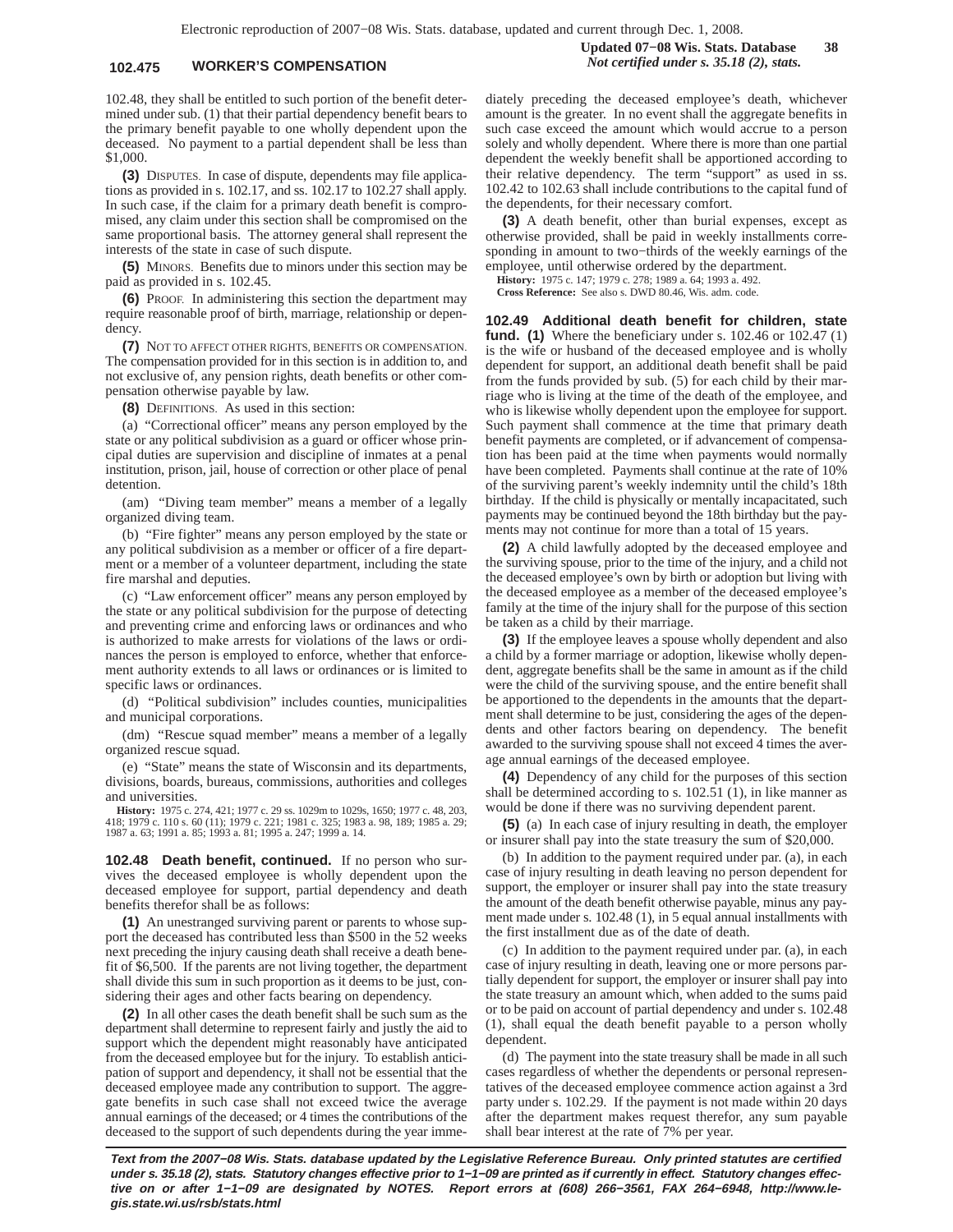## **102.475 WORKER'S COMPENSATION** *Not certified under s. 35.18 (2), stats.*

102.48, they shall be entitled to such portion of the benefit determined under sub. (1) that their partial dependency benefit bears to the primary benefit payable to one wholly dependent upon the deceased. No payment to a partial dependent shall be less than \$1,000.

**(3)** DISPUTES. In case of dispute, dependents may file applications as provided in s. 102.17, and ss. 102.17 to 102.27 shall apply. In such case, if the claim for a primary death benefit is compromised, any claim under this section shall be compromised on the same proportional basis. The attorney general shall represent the interests of the state in case of such dispute.

**(5)** MINORS. Benefits due to minors under this section may be paid as provided in s. 102.45.

**(6)** PROOF. In administering this section the department may require reasonable proof of birth, marriage, relationship or dependency.

**(7)** NOT TO AFFECT OTHER RIGHTS, BENEFITS OR COMPENSATION. The compensation provided for in this section is in addition to, and not exclusive of, any pension rights, death benefits or other compensation otherwise payable by law.

**(8)** DEFINITIONS. As used in this section:

(a) "Correctional officer" means any person employed by the state or any political subdivision as a guard or officer whose principal duties are supervision and discipline of inmates at a penal institution, prison, jail, house of correction or other place of penal detention.

(am) "Diving team member" means a member of a legally organized diving team.

(b) "Fire fighter" means any person employed by the state or any political subdivision as a member or officer of a fire department or a member of a volunteer department, including the state fire marshal and deputies.

(c) "Law enforcement officer" means any person employed by the state or any political subdivision for the purpose of detecting and preventing crime and enforcing laws or ordinances and who is authorized to make arrests for violations of the laws or ordinances the person is employed to enforce, whether that enforcement authority extends to all laws or ordinances or is limited to specific laws or ordinances.

(d) "Political subdivision" includes counties, municipalities and municipal corporations.

(dm) "Rescue squad member" means a member of a legally organized rescue squad.

(e) "State" means the state of Wisconsin and its departments, divisions, boards, bureaus, commissions, authorities and colleges and universities.

**History:** 1975 c. 274, 421; 1977 c. 29 ss. 1029m to 1029s, 1650; 1977 c. 48, 203, 1979 c. 110 s. 60 (11); 1979 c. 221; 1981 c. 325; 1983 a. 29; 1985 a. 29; 1987 a. 29; 1987 a. 29; 1987 a. 29; 1987 a. 29; 1987 a. 20; 1993

**102.48 Death benefit, continued.** If no person who survives the deceased employee is wholly dependent upon the deceased employee for support, partial dependency and death benefits therefor shall be as follows:

**(1)** An unestranged surviving parent or parents to whose support the deceased has contributed less than \$500 in the 52 weeks next preceding the injury causing death shall receive a death benefit of \$6,500. If the parents are not living together, the department shall divide this sum in such proportion as it deems to be just, considering their ages and other facts bearing on dependency.

**(2)** In all other cases the death benefit shall be such sum as the department shall determine to represent fairly and justly the aid to support which the dependent might reasonably have anticipated from the deceased employee but for the injury. To establish anticipation of support and dependency, it shall not be essential that the deceased employee made any contribution to support. The aggregate benefits in such case shall not exceed twice the average annual earnings of the deceased; or 4 times the contributions of the deceased to the support of such dependents during the year immediately preceding the deceased employee's death, whichever amount is the greater. In no event shall the aggregate benefits in such case exceed the amount which would accrue to a person solely and wholly dependent. Where there is more than one partial dependent the weekly benefit shall be apportioned according to their relative dependency. The term "support" as used in ss. 102.42 to 102.63 shall include contributions to the capital fund of the dependents, for their necessary comfort.

**(3)** A death benefit, other than burial expenses, except as otherwise provided, shall be paid in weekly installments corresponding in amount to two−thirds of the weekly earnings of the employee, until otherwise ordered by the department.

**History:** 1975 c. 147; 1979 c. 278; 1989 a. 64; 1993 a. 492.

**Cross Reference:** See also s. DWD 80.46, Wis. adm. code.

**102.49 Additional death benefit for children, state fund. (1)** Where the beneficiary under s. 102.46 or 102.47 (1) is the wife or husband of the deceased employee and is wholly dependent for support, an additional death benefit shall be paid from the funds provided by sub. (5) for each child by their marriage who is living at the time of the death of the employee, and who is likewise wholly dependent upon the employee for support. Such payment shall commence at the time that primary death benefit payments are completed, or if advancement of compensation has been paid at the time when payments would normally have been completed. Payments shall continue at the rate of 10% of the surviving parent's weekly indemnity until the child's 18th birthday. If the child is physically or mentally incapacitated, such payments may be continued beyond the 18th birthday but the payments may not continue for more than a total of 15 years.

**(2)** A child lawfully adopted by the deceased employee and the surviving spouse, prior to the time of the injury, and a child not the deceased employee's own by birth or adoption but living with the deceased employee as a member of the deceased employee's family at the time of the injury shall for the purpose of this section be taken as a child by their marriage.

**(3)** If the employee leaves a spouse wholly dependent and also a child by a former marriage or adoption, likewise wholly dependent, aggregate benefits shall be the same in amount as if the child were the child of the surviving spouse, and the entire benefit shall be apportioned to the dependents in the amounts that the department shall determine to be just, considering the ages of the dependents and other factors bearing on dependency. The benefit awarded to the surviving spouse shall not exceed 4 times the average annual earnings of the deceased employee.

**(4)** Dependency of any child for the purposes of this section shall be determined according to s. 102.51 (1), in like manner as would be done if there was no surviving dependent parent.

**(5)** (a) In each case of injury resulting in death, the employer or insurer shall pay into the state treasury the sum of \$20,000.

(b) In addition to the payment required under par. (a), in each case of injury resulting in death leaving no person dependent for support, the employer or insurer shall pay into the state treasury the amount of the death benefit otherwise payable, minus any payment made under s. 102.48 (1), in 5 equal annual installments with the first installment due as of the date of death.

(c) In addition to the payment required under par. (a), in each case of injury resulting in death, leaving one or more persons partially dependent for support, the employer or insurer shall pay into the state treasury an amount which, when added to the sums paid or to be paid on account of partial dependency and under s. 102.48 (1), shall equal the death benefit payable to a person wholly dependent.

(d) The payment into the state treasury shall be made in all such cases regardless of whether the dependents or personal representatives of the deceased employee commence action against a 3rd party under s. 102.29. If the payment is not made within 20 days after the department makes request therefor, any sum payable shall bear interest at the rate of 7% per year.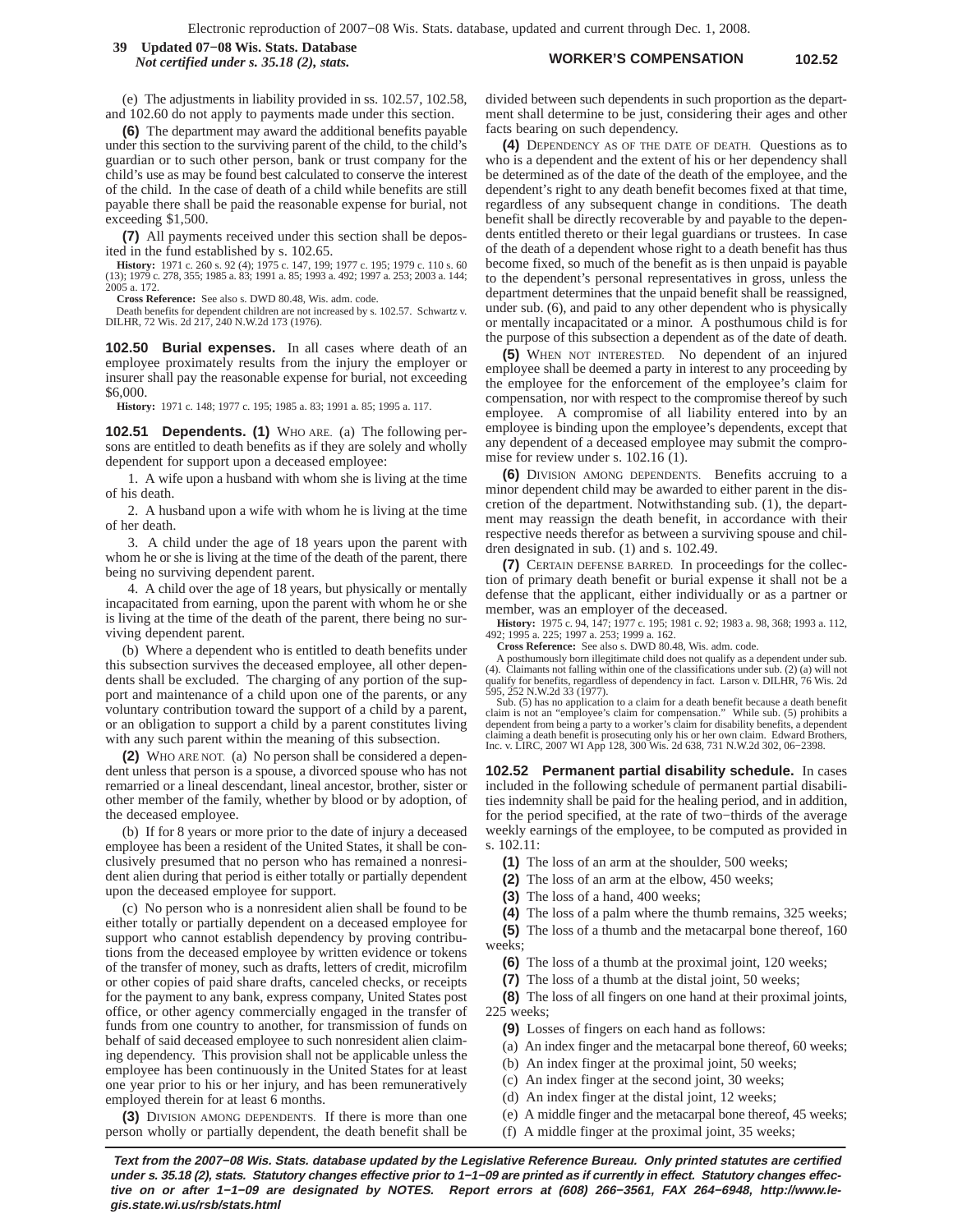#### **WORKER'S COMPENSATION 102.52 39 Updated 07−08 Wis. Stats. Database** *Not certified under s. 35.18 (2), stats.*

(e) The adjustments in liability provided in ss. 102.57, 102.58, and 102.60 do not apply to payments made under this section.

**(6)** The department may award the additional benefits payable under this section to the surviving parent of the child, to the child's guardian or to such other person, bank or trust company for the child's use as may be found best calculated to conserve the interest of the child. In the case of death of a child while benefits are still payable there shall be paid the reasonable expense for burial, not exceeding \$1,500.

**(7)** All payments received under this section shall be deposited in the fund established by s. 102.65.

**History:** 1971 c. 260 s. 92 (4); 1975 c. 147, 199; 1977 c. 195; 1979 c. 110 s. 60 (13); 1979 c. 278, 355; 1985 a. 83; 1991 a. 85; 1993 a. 492; 1997 a. 253; 2003 a. 144; 2005 a. 172.

**Cross Reference:** See also s. DWD 80.48, Wis. adm. code.

Death benefits for dependent children are not increased by s. 102.57. Schwartz v. DILHR, 72 Wis. 2d 217, 240 N.W.2d 173 (1976).

**102.50 Burial expenses.** In all cases where death of an employee proximately results from the injury the employer or insurer shall pay the reasonable expense for burial, not exceeding \$6,000.

**History:** 1971 c. 148; 1977 c. 195; 1985 a. 83; 1991 a. 85; 1995 a. 117.

**102.51 Dependents. (1)** WHO ARE. (a) The following persons are entitled to death benefits as if they are solely and wholly dependent for support upon a deceased employee:

1. A wife upon a husband with whom she is living at the time of his death.

2. A husband upon a wife with whom he is living at the time of her death.

3. A child under the age of 18 years upon the parent with whom he or she is living at the time of the death of the parent, there being no surviving dependent parent.

4. A child over the age of 18 years, but physically or mentally incapacitated from earning, upon the parent with whom he or she is living at the time of the death of the parent, there being no surviving dependent parent.

(b) Where a dependent who is entitled to death benefits under this subsection survives the deceased employee, all other dependents shall be excluded. The charging of any portion of the support and maintenance of a child upon one of the parents, or any voluntary contribution toward the support of a child by a parent, or an obligation to support a child by a parent constitutes living with any such parent within the meaning of this subsection.

**(2)** WHO ARE NOT. (a) No person shall be considered a dependent unless that person is a spouse, a divorced spouse who has not remarried or a lineal descendant, lineal ancestor, brother, sister or other member of the family, whether by blood or by adoption, of the deceased employee.

(b) If for 8 years or more prior to the date of injury a deceased employee has been a resident of the United States, it shall be conclusively presumed that no person who has remained a nonresident alien during that period is either totally or partially dependent upon the deceased employee for support.

(c) No person who is a nonresident alien shall be found to be either totally or partially dependent on a deceased employee for support who cannot establish dependency by proving contributions from the deceased employee by written evidence or tokens of the transfer of money, such as drafts, letters of credit, microfilm or other copies of paid share drafts, canceled checks, or receipts for the payment to any bank, express company, United States post office, or other agency commercially engaged in the transfer of funds from one country to another, for transmission of funds on behalf of said deceased employee to such nonresident alien claiming dependency. This provision shall not be applicable unless the employee has been continuously in the United States for at least one year prior to his or her injury, and has been remuneratively employed therein for at least 6 months.

**(3)** DIVISION AMONG DEPENDENTS. If there is more than one person wholly or partially dependent, the death benefit shall be divided between such dependents in such proportion as the department shall determine to be just, considering their ages and other facts bearing on such dependency.

**(4)** DEPENDENCY AS OF THE DATE OF DEATH. Questions as to who is a dependent and the extent of his or her dependency shall be determined as of the date of the death of the employee, and the dependent's right to any death benefit becomes fixed at that time, regardless of any subsequent change in conditions. The death benefit shall be directly recoverable by and payable to the dependents entitled thereto or their legal guardians or trustees. In case of the death of a dependent whose right to a death benefit has thus become fixed, so much of the benefit as is then unpaid is payable to the dependent's personal representatives in gross, unless the department determines that the unpaid benefit shall be reassigned, under sub. (6), and paid to any other dependent who is physically or mentally incapacitated or a minor. A posthumous child is for the purpose of this subsection a dependent as of the date of death.

**(5)** WHEN NOT INTERESTED. No dependent of an injured employee shall be deemed a party in interest to any proceeding by the employee for the enforcement of the employee's claim for compensation, nor with respect to the compromise thereof by such employee. A compromise of all liability entered into by an employee is binding upon the employee's dependents, except that any dependent of a deceased employee may submit the compromise for review under s. 102.16 (1).

**(6)** DIVISION AMONG DEPENDENTS. Benefits accruing to a minor dependent child may be awarded to either parent in the discretion of the department. Notwithstanding sub. (1), the department may reassign the death benefit, in accordance with their respective needs therefor as between a surviving spouse and children designated in sub. (1) and s. 102.49.

**(7)** CERTAIN DEFENSE BARRED. In proceedings for the collection of primary death benefit or burial expense it shall not be a defense that the applicant, either individually or as a partner or member, was an employer of the deceased.

**History:** 1975 c. 94, 147; 1977 c. 195; 1981 c. 92; 1983 a. 98, 368; 1993 a. 112, 492; 1995 a. 225; 1997 a. 253; 1999 a. 162.

**Cross Reference:** See also s. DWD 80.48, Wis. adm. code.

A posthumously born illegitimate child does not qualify as a dependent under sub. (4). Claimants not falling within one of the classifications under sub. (2) (a) will not qualify for benefits, regardless of dependency in fact. Larson v. DILHR, 76 Wis. 2d 595, 252 N.W.2d 33 (1977).

Sub. (5) has no application to a claim for a death benefit because a death benefit<br>claim is not an "employee's claim for compensation." While sub. (5) prohibits a<br>dependent from being a party to a worker's claim for disabi

**102.52 Permanent partial disability schedule.** In cases included in the following schedule of permanent partial disabilities indemnity shall be paid for the healing period, and in addition, for the period specified, at the rate of two−thirds of the average weekly earnings of the employee, to be computed as provided in s. 102.11:

**(1)** The loss of an arm at the shoulder, 500 weeks;

**(2)** The loss of an arm at the elbow, 450 weeks;

**(3)** The loss of a hand, 400 weeks;

**(4)** The loss of a palm where the thumb remains, 325 weeks;

**(5)** The loss of a thumb and the metacarpal bone thereof, 160 weeks;

**(6)** The loss of a thumb at the proximal joint, 120 weeks;

**(7)** The loss of a thumb at the distal joint, 50 weeks;

**(8)** The loss of all fingers on one hand at their proximal joints, 225 weeks;

**(9)** Losses of fingers on each hand as follows:

(a) An index finger and the metacarpal bone thereof, 60 weeks;

(b) An index finger at the proximal joint, 50 weeks;

(c) An index finger at the second joint, 30 weeks;

(d) An index finger at the distal joint, 12 weeks;

(e) A middle finger and the metacarpal bone thereof, 45 weeks;

(f) A middle finger at the proximal joint, 35 weeks;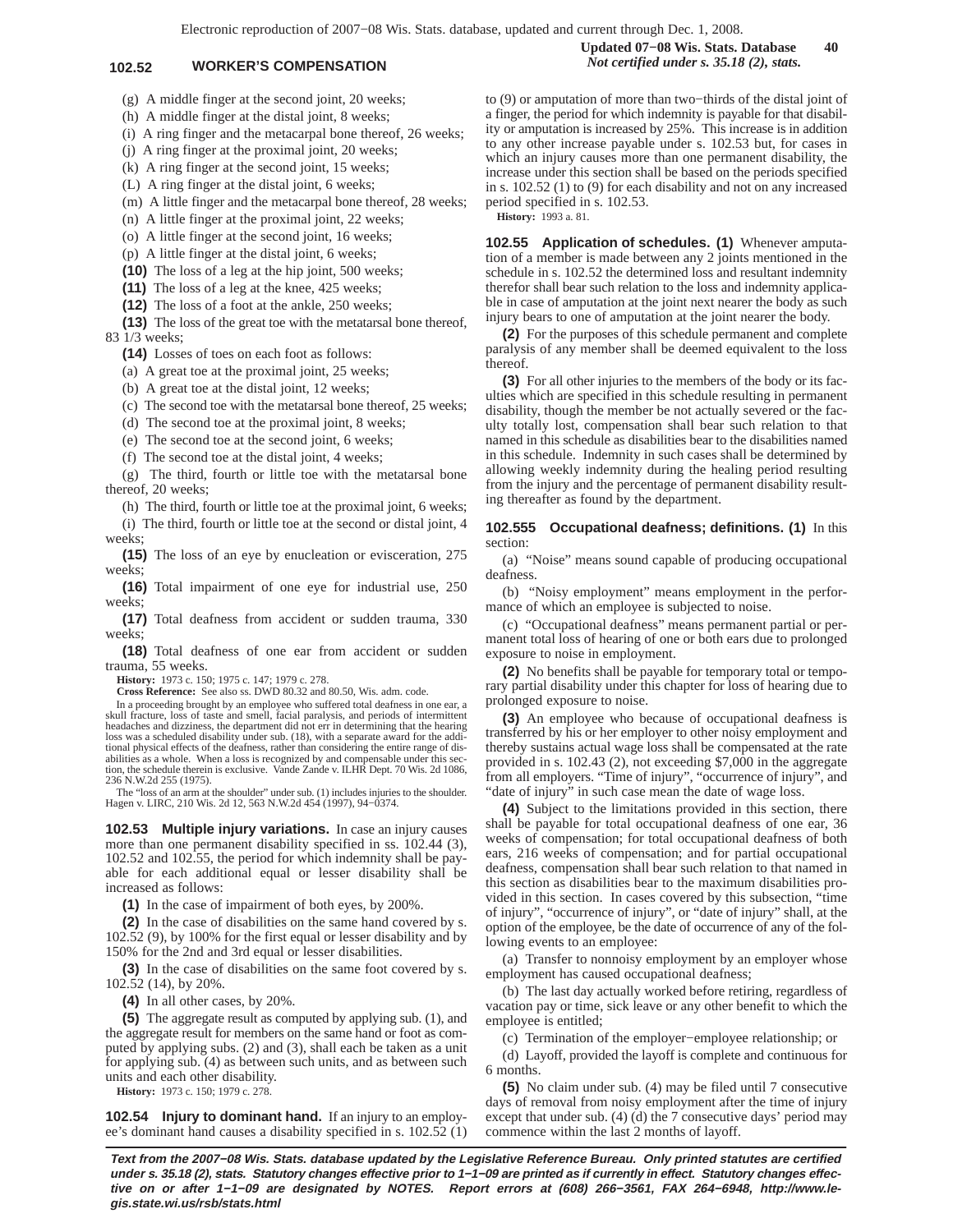(g) A middle finger at the second joint, 20 weeks;

(h) A middle finger at the distal joint, 8 weeks;

(i) A ring finger and the metacarpal bone thereof, 26 weeks;

(j) A ring finger at the proximal joint, 20 weeks;

(k) A ring finger at the second joint, 15 weeks;

(L) A ring finger at the distal joint, 6 weeks;

(m) A little finger and the metacarpal bone thereof, 28 weeks;

(n) A little finger at the proximal joint, 22 weeks;

(o) A little finger at the second joint, 16 weeks;

(p) A little finger at the distal joint, 6 weeks;

**(10)** The loss of a leg at the hip joint, 500 weeks;

**(11)** The loss of a leg at the knee, 425 weeks;

**(12)** The loss of a foot at the ankle, 250 weeks;

**(13)** The loss of the great toe with the metatarsal bone thereof, 83 1/3 weeks;

**(14)** Losses of toes on each foot as follows:

(a) A great toe at the proximal joint, 25 weeks;

(b) A great toe at the distal joint, 12 weeks;

(c) The second toe with the metatarsal bone thereof, 25 weeks;

(d) The second toe at the proximal joint, 8 weeks;

(e) The second toe at the second joint, 6 weeks;

(f) The second toe at the distal joint, 4 weeks;

(g) The third, fourth or little toe with the metatarsal bone thereof, 20 weeks;

(h) The third, fourth or little toe at the proximal joint, 6 weeks; (i) The third, fourth or little toe at the second or distal joint, 4 weeks;

**(15)** The loss of an eye by enucleation or evisceration, 275 weeks;

**(16)** Total impairment of one eye for industrial use, 250 weeks;

**(17)** Total deafness from accident or sudden trauma, 330 weeks;

**(18)** Total deafness of one ear from accident or sudden trauma, 55 weeks.

**History:** 1973 c. 150; 1975 c. 147; 1979 c. 278.

**Cross Reference:** See also ss. DWD 80.32 and 80.50, Wis. adm. code.

In a proceeding brought by an employee who suffered total deafness in one ear, a skull fracture, loss of taste and smell, facial paralysis, and periods of intermittent headaches and dizziness, the department did not err in determining that the hearing loss was a scheduled disability under sub. (18), with a separate award for the addi-tional physical effects of the deafness, rather than considering the entire range of disabilities as a whole. When a loss is recognized by and compensable under this section, the schedule therein is exclusive. Vande Zande v. ILHR Dept. 70 Wis. 2d 1086, 236 N.W.2d 255 (1975).

The "loss of an arm at the shoulder" under sub. (1) includes injuries to the shoulder. Hagen v. LIRC, 210 Wis. 2d 12, 563 N.W.2d 454 (1997), 94−0374.

**102.53 Multiple injury variations.** In case an injury causes more than one permanent disability specified in ss. 102.44 (3), 102.52 and 102.55, the period for which indemnity shall be payable for each additional equal or lesser disability shall be increased as follows:

**(1)** In the case of impairment of both eyes, by 200%.

**(2)** In the case of disabilities on the same hand covered by s. 102.52 (9), by 100% for the first equal or lesser disability and by 150% for the 2nd and 3rd equal or lesser disabilities.

**(3)** In the case of disabilities on the same foot covered by s. 102.52 (14), by 20%.

**(4)** In all other cases, by 20%.

**(5)** The aggregate result as computed by applying sub. (1), and the aggregate result for members on the same hand or foot as computed by applying subs. (2) and (3), shall each be taken as a unit for applying sub. (4) as between such units, and as between such units and each other disability.

**History:** 1973 c. 150; 1979 c. 278.

**102.54 Injury to dominant hand.** If an injury to an employee's dominant hand causes a disability specified in s. 102.52 (1) to (9) or amputation of more than two−thirds of the distal joint of a finger, the period for which indemnity is payable for that disability or amputation is increased by 25%. This increase is in addition to any other increase payable under s. 102.53 but, for cases in which an injury causes more than one permanent disability, the increase under this section shall be based on the periods specified in s. 102.52 (1) to (9) for each disability and not on any increased period specified in s. 102.53.

**History:** 1993 a. 81.

**102.55 Application of schedules. (1)** Whenever amputation of a member is made between any 2 joints mentioned in the schedule in s. 102.52 the determined loss and resultant indemnity therefor shall bear such relation to the loss and indemnity applicable in case of amputation at the joint next nearer the body as such injury bears to one of amputation at the joint nearer the body.

**(2)** For the purposes of this schedule permanent and complete paralysis of any member shall be deemed equivalent to the loss thereof.

**(3)** For all other injuries to the members of the body or its faculties which are specified in this schedule resulting in permanent disability, though the member be not actually severed or the faculty totally lost, compensation shall bear such relation to that named in this schedule as disabilities bear to the disabilities named in this schedule. Indemnity in such cases shall be determined by allowing weekly indemnity during the healing period resulting from the injury and the percentage of permanent disability resulting thereafter as found by the department.

**102.555 Occupational deafness; definitions. (1)** In this section:

(a) "Noise" means sound capable of producing occupational deafness.

(b) "Noisy employment" means employment in the performance of which an employee is subjected to noise.

(c) "Occupational deafness" means permanent partial or permanent total loss of hearing of one or both ears due to prolonged exposure to noise in employment.

**(2)** No benefits shall be payable for temporary total or temporary partial disability under this chapter for loss of hearing due to prolonged exposure to noise.

**(3)** An employee who because of occupational deafness is transferred by his or her employer to other noisy employment and thereby sustains actual wage loss shall be compensated at the rate provided in s. 102.43 (2), not exceeding \$7,000 in the aggregate from all employers. "Time of injury", "occurrence of injury", and "date of injury" in such case mean the date of wage loss.

**(4)** Subject to the limitations provided in this section, there shall be payable for total occupational deafness of one ear, 36 weeks of compensation; for total occupational deafness of both ears, 216 weeks of compensation; and for partial occupational deafness, compensation shall bear such relation to that named in this section as disabilities bear to the maximum disabilities provided in this section. In cases covered by this subsection, "time of injury", "occurrence of injury", or "date of injury" shall, at the option of the employee, be the date of occurrence of any of the following events to an employee:

(a) Transfer to nonnoisy employment by an employer whose employment has caused occupational deafness;

(b) The last day actually worked before retiring, regardless of vacation pay or time, sick leave or any other benefit to which the employee is entitled;

(c) Termination of the employer−employee relationship; or

(d) Layoff, provided the layoff is complete and continuous for 6 months.

**(5)** No claim under sub. (4) may be filed until 7 consecutive days of removal from noisy employment after the time of injury except that under sub. (4) (d) the 7 consecutive days' period may commence within the last 2 months of layoff.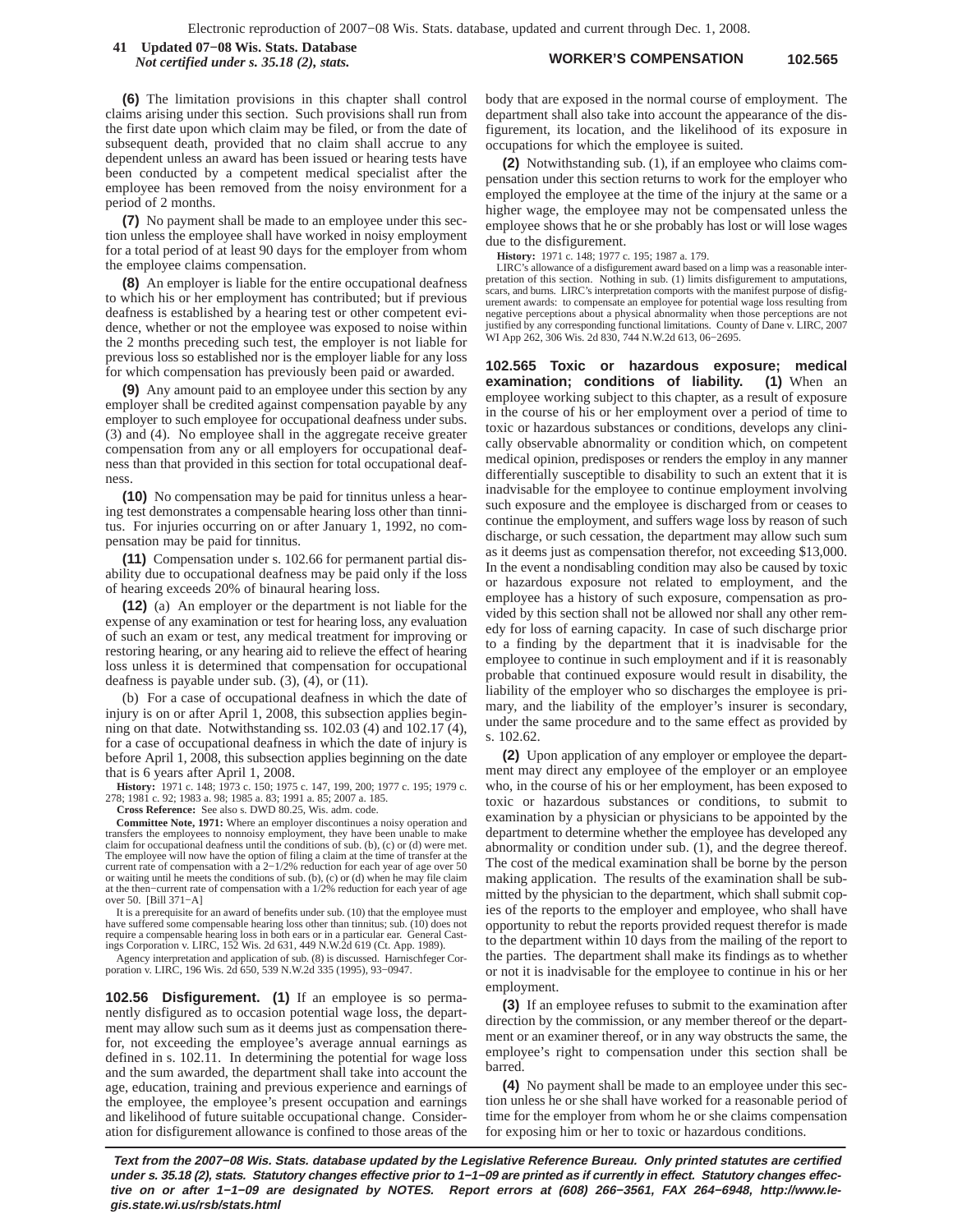**WORKER'S COMPENSATION 102.565 41 Updated 07−08 Wis. Stats. Database** *Not certified under s. 35.18 (2), stats.*

**(6)** The limitation provisions in this chapter shall control claims arising under this section. Such provisions shall run from the first date upon which claim may be filed, or from the date of subsequent death, provided that no claim shall accrue to any dependent unless an award has been issued or hearing tests have been conducted by a competent medical specialist after the employee has been removed from the noisy environment for a period of 2 months.

**(7)** No payment shall be made to an employee under this section unless the employee shall have worked in noisy employment for a total period of at least 90 days for the employer from whom the employee claims compensation.

**(8)** An employer is liable for the entire occupational deafness to which his or her employment has contributed; but if previous deafness is established by a hearing test or other competent evidence, whether or not the employee was exposed to noise within the 2 months preceding such test, the employer is not liable for previous loss so established nor is the employer liable for any loss for which compensation has previously been paid or awarded.

**(9)** Any amount paid to an employee under this section by any employer shall be credited against compensation payable by any employer to such employee for occupational deafness under subs. (3) and (4). No employee shall in the aggregate receive greater compensation from any or all employers for occupational deafness than that provided in this section for total occupational deafness.

**(10)** No compensation may be paid for tinnitus unless a hearing test demonstrates a compensable hearing loss other than tinnitus. For injuries occurring on or after January 1, 1992, no compensation may be paid for tinnitus.

**(11)** Compensation under s. 102.66 for permanent partial disability due to occupational deafness may be paid only if the loss of hearing exceeds 20% of binaural hearing loss.

**(12)** (a) An employer or the department is not liable for the expense of any examination or test for hearing loss, any evaluation of such an exam or test, any medical treatment for improving or restoring hearing, or any hearing aid to relieve the effect of hearing loss unless it is determined that compensation for occupational deafness is payable under sub. (3), (4), or (11).

(b) For a case of occupational deafness in which the date of injury is on or after April 1, 2008, this subsection applies beginning on that date. Notwithstanding ss. 102.03 (4) and 102.17 (4), for a case of occupational deafness in which the date of injury is before April 1, 2008, this subsection applies beginning on the date that is 6 years after April 1, 2008.

**History:** 1971 c. 148; 1973 c. 150; 1975 c. 147, 199, 200; 1977 c. 195; 1979 c. 278; 1981 c. 92; 1983 a. 98; 1985 a. 83; 1991 a. 85; 2007 a. 185. **Cross Reference:** See also s. DWD 80.25, Wis. adm. code.

**Committee Note, 1971:** Where an employer discontinues a noisy operation and transfers the employees to nonnoisy employment, they have been unable to make<br>claim for occupational deafness until the conditions of sub. (b), ( The employee will now have the option of filing a claim at the time of transfer at the current rate of compensation with a 2−1/2% reduction for each year of age over 50 or waiting until he meets the conditions of sub. (b), (c) or (d) when he may file claim at the then−current rate of compensation with a 1/2% reduction for each year of age

over 50. [Bill 371−A] It is a prerequisite for an award of benefits under sub. (10) that the employee must have suffered some compensable hearing loss other than tinnitus; sub. (10) does not require a compensable hearing loss in both ears or in a particular ear. General Castings Corporation v. LIRC, 152 Wis. 2d 631, 449 N.W.2d 619 (Ct. App. 1989).

Agency interpretation and application of sub. (8) is discussed. Harnischfeger Cor-poration v. LIRC, 196 Wis. 2d 650, 539 N.W.2d 335 (1995), 93−0947.

**102.56 Disfigurement. (1)** If an employee is so permanently disfigured as to occasion potential wage loss, the department may allow such sum as it deems just as compensation therefor, not exceeding the employee's average annual earnings as defined in s. 102.11. In determining the potential for wage loss and the sum awarded, the department shall take into account the age, education, training and previous experience and earnings of the employee, the employee's present occupation and earnings and likelihood of future suitable occupational change. Consideration for disfigurement allowance is confined to those areas of the body that are exposed in the normal course of employment. The department shall also take into account the appearance of the disfigurement, its location, and the likelihood of its exposure in occupations for which the employee is suited.

**(2)** Notwithstanding sub. (1), if an employee who claims compensation under this section returns to work for the employer who employed the employee at the time of the injury at the same or a higher wage, the employee may not be compensated unless the employee shows that he or she probably has lost or will lose wages due to the disfigurement.

**History:** 1971 c. 148; 1977 c. 195; 1987 a. 179.

LIRC's allowance of a disfigurement award based on a limp was a reasonable interpretation of this section. Nothing in sub. (1) limits disfigurement to amputations, scars, and burns. LIRC's interpretation comports with the manifest purpose of disfigurement awards: to compensate an employee for potential wage loss resulting from negative perceptions about a physical abnormality when those perceptions are not justified by any corresponding functional limitations. County of Dane v. LIRC, 2007 WI App 262, 306 Wis. 2d 830, 744 N.W.2d 613, 06–2695.

**102.565 Toxic or hazardous exposure; medical examination; conditions of liability. (1)** When an employee working subject to this chapter, as a result of exposure in the course of his or her employment over a period of time to toxic or hazardous substances or conditions, develops any clinically observable abnormality or condition which, on competent medical opinion, predisposes or renders the employ in any manner differentially susceptible to disability to such an extent that it is inadvisable for the employee to continue employment involving such exposure and the employee is discharged from or ceases to continue the employment, and suffers wage loss by reason of such discharge, or such cessation, the department may allow such sum as it deems just as compensation therefor, not exceeding \$13,000. In the event a nondisabling condition may also be caused by toxic or hazardous exposure not related to employment, and the employee has a history of such exposure, compensation as provided by this section shall not be allowed nor shall any other remedy for loss of earning capacity. In case of such discharge prior to a finding by the department that it is inadvisable for the employee to continue in such employment and if it is reasonably probable that continued exposure would result in disability, the liability of the employer who so discharges the employee is primary, and the liability of the employer's insurer is secondary, under the same procedure and to the same effect as provided by s. 102.62.

**(2)** Upon application of any employer or employee the department may direct any employee of the employer or an employee who, in the course of his or her employment, has been exposed to toxic or hazardous substances or conditions, to submit to examination by a physician or physicians to be appointed by the department to determine whether the employee has developed any abnormality or condition under sub. (1), and the degree thereof. The cost of the medical examination shall be borne by the person making application. The results of the examination shall be submitted by the physician to the department, which shall submit copies of the reports to the employer and employee, who shall have opportunity to rebut the reports provided request therefor is made to the department within 10 days from the mailing of the report to the parties. The department shall make its findings as to whether or not it is inadvisable for the employee to continue in his or her employment.

**(3)** If an employee refuses to submit to the examination after direction by the commission, or any member thereof or the department or an examiner thereof, or in any way obstructs the same, the employee's right to compensation under this section shall be barred.

**(4)** No payment shall be made to an employee under this section unless he or she shall have worked for a reasonable period of time for the employer from whom he or she claims compensation for exposing him or her to toxic or hazardous conditions.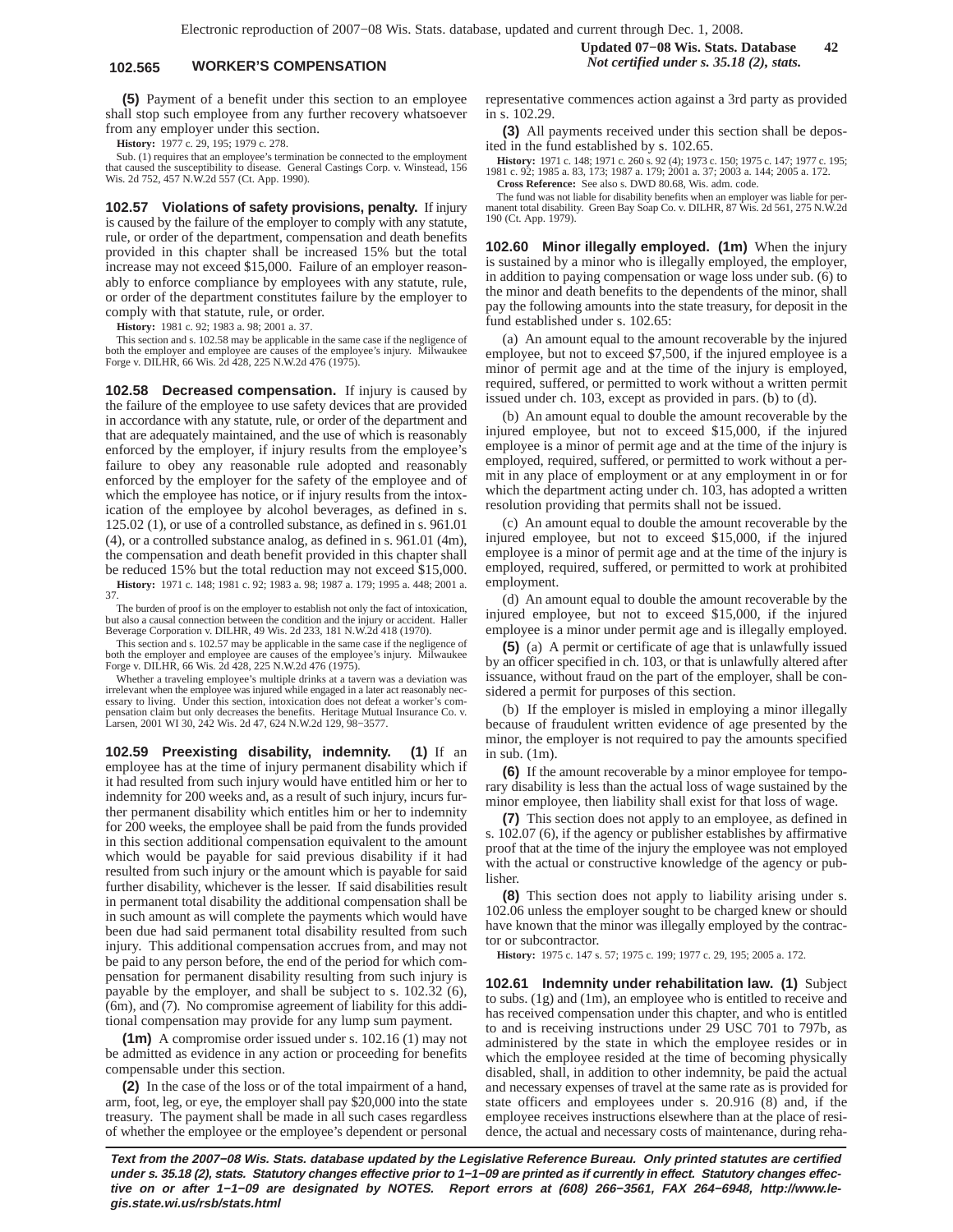## **102.565 WORKER'S COMPENSATION** *Not certified under s. 35.18 (2), stats.*

**(5)** Payment of a benefit under this section to an employee shall stop such employee from any further recovery whatsoever from any employer under this section.

**History:** 1977 c. 29, 195; 1979 c. 278.

Sub. (1) requires that an employee's termination be connected to the employment that caused the susceptibility to disease. General Castings Corp. v. Winstead, 156 Wis. 2d 752, 457 N.W.2d 557 (Ct. App. 1990).

**102.57 Violations of safety provisions, penalty.** If injury is caused by the failure of the employer to comply with any statute, rule, or order of the department, compensation and death benefits provided in this chapter shall be increased 15% but the total increase may not exceed \$15,000. Failure of an employer reasonably to enforce compliance by employees with any statute, rule, or order of the department constitutes failure by the employer to comply with that statute, rule, or order.

**History:** 1981 c. 92; 1983 a. 98; 2001 a. 37.

This section and s. 102.58 may be applicable in the same case if the negligence of both the employer and employee are causes of the employee's injury. Milwaukee Forge v. DILHR, 66 Wis. 2d 428, 225 N.W.2d 476 (1975).

**102.58 Decreased compensation.** If injury is caused by the failure of the employee to use safety devices that are provided in accordance with any statute, rule, or order of the department and that are adequately maintained, and the use of which is reasonably enforced by the employer, if injury results from the employee's failure to obey any reasonable rule adopted and reasonably enforced by the employer for the safety of the employee and of which the employee has notice, or if injury results from the intoxication of the employee by alcohol beverages, as defined in s. 125.02 (1), or use of a controlled substance, as defined in s. 961.01 (4), or a controlled substance analog, as defined in s. 961.01 (4m), the compensation and death benefit provided in this chapter shall be reduced 15% but the total reduction may not exceed \$15,000.

**History:** 1971 c. 148; 1981 c. 92; 1983 a. 98; 1987 a. 179; 1995 a. 448; 2001 a. 37.

The burden of proof is on the employer to establish not only the fact of intoxication, but also a causal connection between the condition and the injury or accident. Haller Beverage Corporation v. DILHR, 49 Wis. 2d 233, 181 N.W.2d 418 (1970).

This section and s. 102.57 may be applicable in the same case if the negligence of both the employer and employee are causes of the employee's injury. Milwaukee Forge v. DILHR, 66 Wis. 2d 428, 225 N.W.2d 476 (1975).

Whether a traveling employee's multiple drinks at a tavern was a deviation was irrelevant when the employee was injured while engaged in a later act reasonably necessary to living. Under this section, intoxication does not defeat a worker's compensation claim but only decreases the benefits. Heritage Mutual Insurance Co. v. Larsen, 2001 WI 30, 242 Wis. 2d 47, 624 N.W.2d 129, 98−3577.

**102.59 Preexisting disability, indemnity. (1)** If an employee has at the time of injury permanent disability which if it had resulted from such injury would have entitled him or her to indemnity for 200 weeks and, as a result of such injury, incurs further permanent disability which entitles him or her to indemnity for 200 weeks, the employee shall be paid from the funds provided in this section additional compensation equivalent to the amount which would be payable for said previous disability if it had resulted from such injury or the amount which is payable for said further disability, whichever is the lesser. If said disabilities result in permanent total disability the additional compensation shall be in such amount as will complete the payments which would have been due had said permanent total disability resulted from such injury. This additional compensation accrues from, and may not be paid to any person before, the end of the period for which compensation for permanent disability resulting from such injury is payable by the employer, and shall be subject to s. 102.32 (6), (6m), and (7). No compromise agreement of liability for this additional compensation may provide for any lump sum payment.

**(1m)** A compromise order issued under s. 102.16 (1) may not be admitted as evidence in any action or proceeding for benefits compensable under this section.

**(2)** In the case of the loss or of the total impairment of a hand, arm, foot, leg, or eye, the employer shall pay \$20,000 into the state treasury. The payment shall be made in all such cases regardless of whether the employee or the employee's dependent or personal representative commences action against a 3rd party as provided in s. 102.29.

**(3)** All payments received under this section shall be deposited in the fund established by s. 102.65.

**History:** 1971 c. 148; 1971 c. 260 s. 92 (4); 1973 c. 150; 1975 c. 147; 1977 c. 195; 1981 c. 92; 1985 a. 83, 173; 1987 a. 179; 2001 a. 37; 2003 a. 144; 2005 a. 172. **Cross Reference:** See also s. DWD 80.68, Wis. adm. code.

The fund was not liable for disability benefits when an employer was liable for per-manent total disability. Green Bay Soap Co. v. DILHR, 87 Wis. 2d 561, 275 N.W.2d 190 (Ct. App. 1979).

**102.60 Minor illegally employed. (1m)** When the injury is sustained by a minor who is illegally employed, the employer, in addition to paying compensation or wage loss under sub. (6) to the minor and death benefits to the dependents of the minor, shall pay the following amounts into the state treasury, for deposit in the fund established under s. 102.65:

(a) An amount equal to the amount recoverable by the injured employee, but not to exceed \$7,500, if the injured employee is a minor of permit age and at the time of the injury is employed, required, suffered, or permitted to work without a written permit issued under ch. 103, except as provided in pars. (b) to (d).

(b) An amount equal to double the amount recoverable by the injured employee, but not to exceed \$15,000, if the injured employee is a minor of permit age and at the time of the injury is employed, required, suffered, or permitted to work without a permit in any place of employment or at any employment in or for which the department acting under ch. 103, has adopted a written resolution providing that permits shall not be issued.

(c) An amount equal to double the amount recoverable by the injured employee, but not to exceed \$15,000, if the injured employee is a minor of permit age and at the time of the injury is employed, required, suffered, or permitted to work at prohibited employment.

(d) An amount equal to double the amount recoverable by the injured employee, but not to exceed \$15,000, if the injured employee is a minor under permit age and is illegally employed.

**(5)** (a) A permit or certificate of age that is unlawfully issued by an officer specified in ch. 103, or that is unlawfully altered after issuance, without fraud on the part of the employer, shall be considered a permit for purposes of this section.

(b) If the employer is misled in employing a minor illegally because of fraudulent written evidence of age presented by the minor, the employer is not required to pay the amounts specified in sub. (1m).

**(6)** If the amount recoverable by a minor employee for temporary disability is less than the actual loss of wage sustained by the minor employee, then liability shall exist for that loss of wage.

**(7)** This section does not apply to an employee, as defined in s. 102.07 (6), if the agency or publisher establishes by affirmative proof that at the time of the injury the employee was not employed with the actual or constructive knowledge of the agency or publisher.

**(8)** This section does not apply to liability arising under s. 102.06 unless the employer sought to be charged knew or should have known that the minor was illegally employed by the contractor or subcontractor.

**History:** 1975 c. 147 s. 57; 1975 c. 199; 1977 c. 29, 195; 2005 a. 172.

**102.61 Indemnity under rehabilitation law. (1)** Subject to subs. (1g) and (1m), an employee who is entitled to receive and has received compensation under this chapter, and who is entitled to and is receiving instructions under 29 USC 701 to 797b, as administered by the state in which the employee resides or in which the employee resided at the time of becoming physically disabled, shall, in addition to other indemnity, be paid the actual and necessary expenses of travel at the same rate as is provided for state officers and employees under s. 20.916 (8) and, if the employee receives instructions elsewhere than at the place of residence, the actual and necessary costs of maintenance, during reha-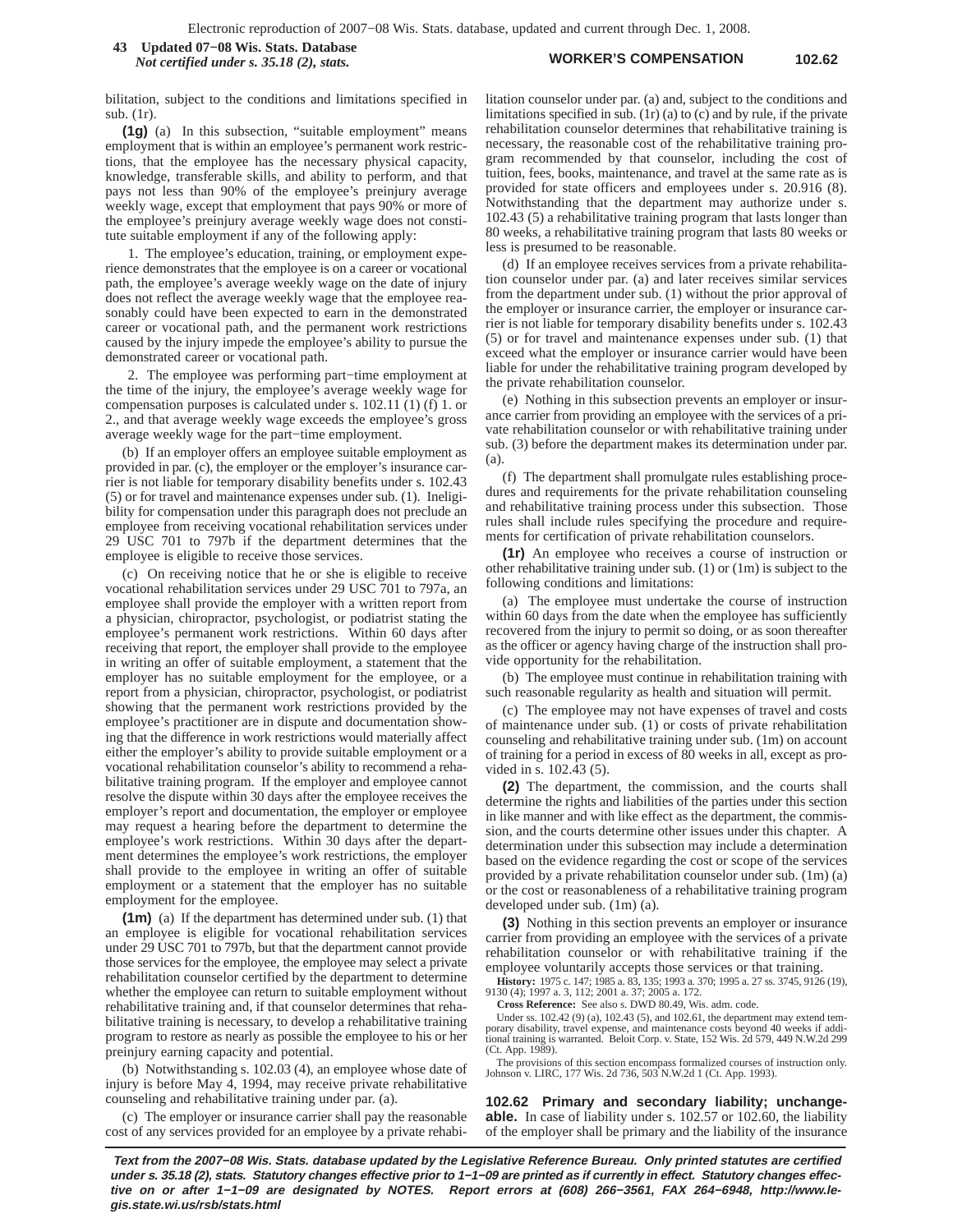#### **WORKER'S COMPENSATION 102.62 43 Updated 07−08 Wis. Stats. Database** *Not certified under s. 35.18 (2), stats.*

bilitation, subject to the conditions and limitations specified in sub. (1r).

**(1g)** (a) In this subsection, "suitable employment" means employment that is within an employee's permanent work restrictions, that the employee has the necessary physical capacity, knowledge, transferable skills, and ability to perform, and that pays not less than 90% of the employee's preinjury average weekly wage, except that employment that pays 90% or more of the employee's preinjury average weekly wage does not constitute suitable employment if any of the following apply:

1. The employee's education, training, or employment experience demonstrates that the employee is on a career or vocational path, the employee's average weekly wage on the date of injury does not reflect the average weekly wage that the employee reasonably could have been expected to earn in the demonstrated career or vocational path, and the permanent work restrictions caused by the injury impede the employee's ability to pursue the demonstrated career or vocational path.

2. The employee was performing part−time employment at the time of the injury, the employee's average weekly wage for compensation purposes is calculated under s. 102.11 (1) (f) 1. or 2., and that average weekly wage exceeds the employee's gross average weekly wage for the part−time employment.

(b) If an employer offers an employee suitable employment as provided in par. (c), the employer or the employer's insurance carrier is not liable for temporary disability benefits under s. 102.43 (5) or for travel and maintenance expenses under sub. (1). Ineligibility for compensation under this paragraph does not preclude an employee from receiving vocational rehabilitation services under 29 USC 701 to 797b if the department determines that the employee is eligible to receive those services.

(c) On receiving notice that he or she is eligible to receive vocational rehabilitation services under 29 USC 701 to 797a, an employee shall provide the employer with a written report from a physician, chiropractor, psychologist, or podiatrist stating the employee's permanent work restrictions. Within 60 days after receiving that report, the employer shall provide to the employee in writing an offer of suitable employment, a statement that the employer has no suitable employment for the employee, or a report from a physician, chiropractor, psychologist, or podiatrist showing that the permanent work restrictions provided by the employee's practitioner are in dispute and documentation showing that the difference in work restrictions would materially affect either the employer's ability to provide suitable employment or a vocational rehabilitation counselor's ability to recommend a rehabilitative training program. If the employer and employee cannot resolve the dispute within 30 days after the employee receives the employer's report and documentation, the employer or employee may request a hearing before the department to determine the employee's work restrictions. Within 30 days after the department determines the employee's work restrictions, the employer shall provide to the employee in writing an offer of suitable employment or a statement that the employer has no suitable employment for the employee.

**(1m)** (a) If the department has determined under sub. (1) that an employee is eligible for vocational rehabilitation services under 29 USC 701 to 797b, but that the department cannot provide those services for the employee, the employee may select a private rehabilitation counselor certified by the department to determine whether the employee can return to suitable employment without rehabilitative training and, if that counselor determines that rehabilitative training is necessary, to develop a rehabilitative training program to restore as nearly as possible the employee to his or her preinjury earning capacity and potential.

(b) Notwithstanding s. 102.03 (4), an employee whose date of injury is before May 4, 1994, may receive private rehabilitative counseling and rehabilitative training under par. (a).

(c) The employer or insurance carrier shall pay the reasonable cost of any services provided for an employee by a private rehabilitation counselor under par. (a) and, subject to the conditions and limitations specified in sub. (1r) (a) to (c) and by rule, if the private rehabilitation counselor determines that rehabilitative training is necessary, the reasonable cost of the rehabilitative training program recommended by that counselor, including the cost of tuition, fees, books, maintenance, and travel at the same rate as is provided for state officers and employees under s. 20.916 (8). Notwithstanding that the department may authorize under s. 102.43 (5) a rehabilitative training program that lasts longer than 80 weeks, a rehabilitative training program that lasts 80 weeks or less is presumed to be reasonable.

(d) If an employee receives services from a private rehabilitation counselor under par. (a) and later receives similar services from the department under sub. (1) without the prior approval of the employer or insurance carrier, the employer or insurance carrier is not liable for temporary disability benefits under s. 102.43 (5) or for travel and maintenance expenses under sub. (1) that exceed what the employer or insurance carrier would have been liable for under the rehabilitative training program developed by the private rehabilitation counselor.

(e) Nothing in this subsection prevents an employer or insurance carrier from providing an employee with the services of a private rehabilitation counselor or with rehabilitative training under sub. (3) before the department makes its determination under par. (a).

(f) The department shall promulgate rules establishing procedures and requirements for the private rehabilitation counseling and rehabilitative training process under this subsection. Those rules shall include rules specifying the procedure and requirements for certification of private rehabilitation counselors.

**(1r)** An employee who receives a course of instruction or other rehabilitative training under sub. (1) or (1m) is subject to the following conditions and limitations:

(a) The employee must undertake the course of instruction within 60 days from the date when the employee has sufficiently recovered from the injury to permit so doing, or as soon thereafter as the officer or agency having charge of the instruction shall provide opportunity for the rehabilitation.

(b) The employee must continue in rehabilitation training with such reasonable regularity as health and situation will permit.

(c) The employee may not have expenses of travel and costs of maintenance under sub. (1) or costs of private rehabilitation counseling and rehabilitative training under sub. (1m) on account of training for a period in excess of 80 weeks in all, except as provided in s. 102.43 (5).

**(2)** The department, the commission, and the courts shall determine the rights and liabilities of the parties under this section in like manner and with like effect as the department, the commission, and the courts determine other issues under this chapter. A determination under this subsection may include a determination based on the evidence regarding the cost or scope of the services provided by a private rehabilitation counselor under sub. (1m) (a) or the cost or reasonableness of a rehabilitative training program developed under sub. (1m) (a).

**(3)** Nothing in this section prevents an employer or insurance carrier from providing an employee with the services of a private rehabilitation counselor or with rehabilitative training if the employee voluntarily accepts those services or that training.

**History:** 1975 c. 147; 1985 a. 83, 135; 1993 a. 370; 1995 a. 27 ss. 3745, 9126 (19), 9130 (4); 1997 a. 3, 112; 2001 a. 37; 2005 a. 172.

**Cross Reference:** See also s. DWD 80.49, Wis. adm. code.

Under ss. 102.42 (9) (a), 102.43 (5), and 102.61, the department may extend temporary disability, travel expense, and maintenance costs beyond 40 weeks if additional training is warranted. Beloit Corp. v. State, 152 Wis. 2d 579, 449 N.W.2d 299 (Ct. App. 1989).

The provisions of this section encompass formalized courses of instruction only. Johnson v. LIRC, 177 Wis. 2d 736, 503 N.W.2d 1 (Ct. App. 1993).

**102.62 Primary and secondary liability; unchangeable.** In case of liability under s. 102.57 or 102.60, the liability of the employer shall be primary and the liability of the insurance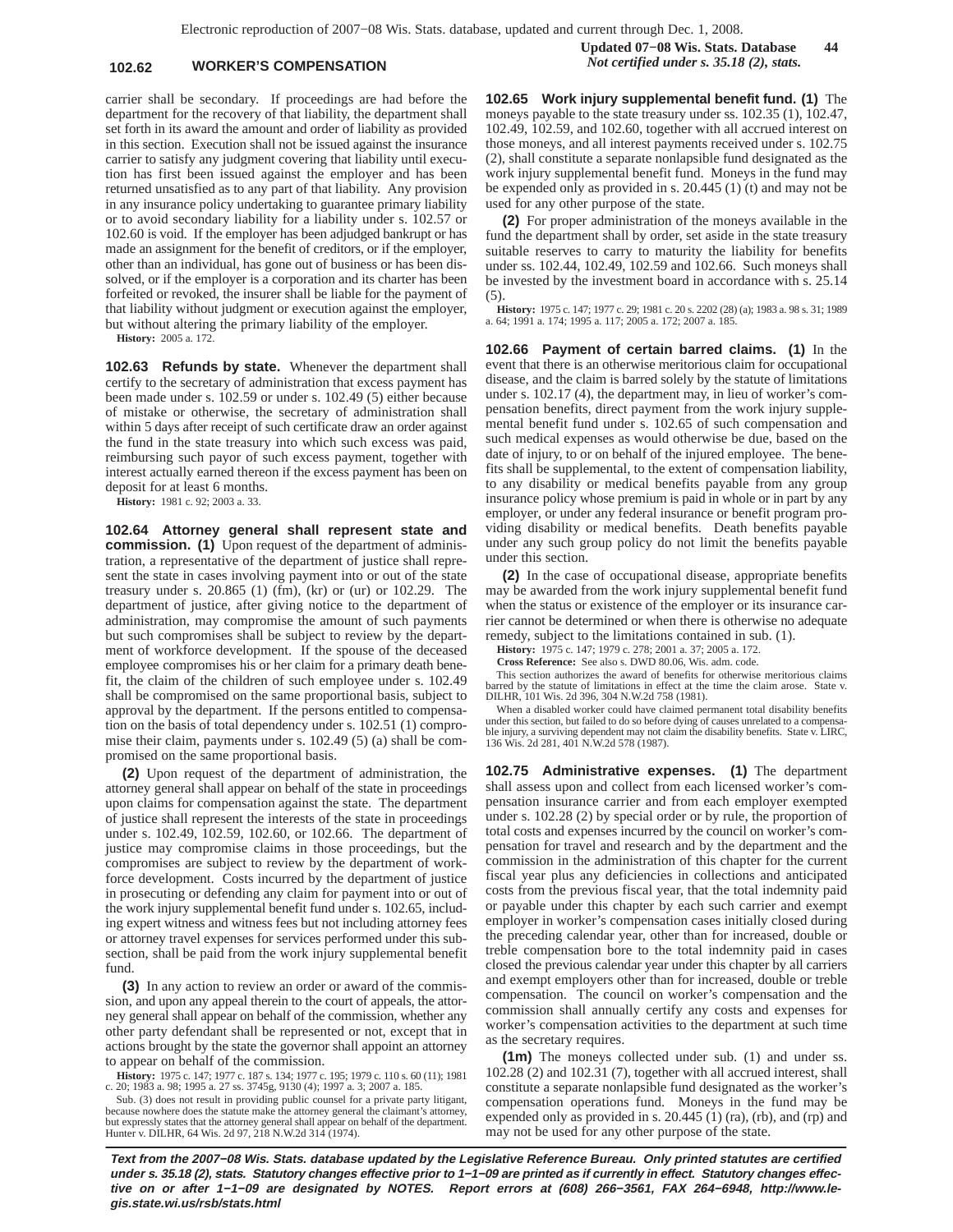## **102.62 WORKER'S COMPENSATION** *Not certified under s. 35.18 (2), stats.*

carrier shall be secondary. If proceedings are had before the department for the recovery of that liability, the department shall set forth in its award the amount and order of liability as provided in this section. Execution shall not be issued against the insurance carrier to satisfy any judgment covering that liability until execution has first been issued against the employer and has been returned unsatisfied as to any part of that liability. Any provision in any insurance policy undertaking to guarantee primary liability or to avoid secondary liability for a liability under s. 102.57 or 102.60 is void. If the employer has been adjudged bankrupt or has made an assignment for the benefit of creditors, or if the employer, other than an individual, has gone out of business or has been dissolved, or if the employer is a corporation and its charter has been forfeited or revoked, the insurer shall be liable for the payment of that liability without judgment or execution against the employer, but without altering the primary liability of the employer.

**History:** 2005 a. 172.

**102.63 Refunds by state.** Whenever the department shall certify to the secretary of administration that excess payment has been made under s. 102.59 or under s. 102.49 (5) either because of mistake or otherwise, the secretary of administration shall within 5 days after receipt of such certificate draw an order against the fund in the state treasury into which such excess was paid, reimbursing such payor of such excess payment, together with interest actually earned thereon if the excess payment has been on deposit for at least 6 months.

**History:** 1981 c. 92; 2003 a. 33.

**102.64 Attorney general shall represent state and commission. (1)** Upon request of the department of administration, a representative of the department of justice shall represent the state in cases involving payment into or out of the state treasury under s. 20.865 (1) (fm), (kr) or (ur) or 102.29. The department of justice, after giving notice to the department of administration, may compromise the amount of such payments but such compromises shall be subject to review by the department of workforce development. If the spouse of the deceased employee compromises his or her claim for a primary death benefit, the claim of the children of such employee under s. 102.49 shall be compromised on the same proportional basis, subject to approval by the department. If the persons entitled to compensation on the basis of total dependency under s. 102.51 (1) compromise their claim, payments under s. 102.49 (5) (a) shall be compromised on the same proportional basis.

**(2)** Upon request of the department of administration, the attorney general shall appear on behalf of the state in proceedings upon claims for compensation against the state. The department of justice shall represent the interests of the state in proceedings under s. 102.49, 102.59, 102.60, or 102.66. The department of justice may compromise claims in those proceedings, but the compromises are subject to review by the department of workforce development. Costs incurred by the department of justice in prosecuting or defending any claim for payment into or out of the work injury supplemental benefit fund under s. 102.65, including expert witness and witness fees but not including attorney fees or attorney travel expenses for services performed under this subsection, shall be paid from the work injury supplemental benefit fund.

**(3)** In any action to review an order or award of the commission, and upon any appeal therein to the court of appeals, the attorney general shall appear on behalf of the commission, whether any other party defendant shall be represented or not, except that in actions brought by the state the governor shall appoint an attorney to appear on behalf of the commission.

**History:** 1975 c. 147; 1977 c. 187 s. 134; 1977 c. 195; 1979 c. 110 s. 60 (11); 1981 c. 20; 1983 a. 98; 1995 a. 27 ss. 3745g, 9130 (4); 1997 a. 3; 2007 a. 185.

Sub. (3) does not result in providing public counsel for a private party litigant, because nowhere does the statute make the attorney general the claimant's attorney, but expressly states that the attorney general shall appear on behalf of the department. Hunter v. DILHR, 64 Wis. 2d 97, 218 N.W.2d 314 (1974). **102.65 Work injury supplemental benefit fund. (1)** The moneys payable to the state treasury under ss. 102.35 (1), 102.47, 102.49, 102.59, and 102.60, together with all accrued interest on those moneys, and all interest payments received under s. 102.75 (2), shall constitute a separate nonlapsible fund designated as the work injury supplemental benefit fund. Moneys in the fund may be expended only as provided in s. 20.445 (1) (t) and may not be used for any other purpose of the state.

**(2)** For proper administration of the moneys available in the fund the department shall by order, set aside in the state treasury suitable reserves to carry to maturity the liability for benefits under ss. 102.44, 102.49, 102.59 and 102.66. Such moneys shall be invested by the investment board in accordance with s. 25.14 (5).

**History:** 1975 c. 147; 1977 c. 29; 1981 c. 20 s. 2202 (28) (a); 1983 a. 98 s. 31; 1989 a. 64; 1991 a. 174; 1995 a. 117; 2005 a. 172; 2007 a. 185.

**102.66 Payment of certain barred claims. (1)** In the event that there is an otherwise meritorious claim for occupational disease, and the claim is barred solely by the statute of limitations under s. 102.17 (4), the department may, in lieu of worker's compensation benefits, direct payment from the work injury supplemental benefit fund under s. 102.65 of such compensation and such medical expenses as would otherwise be due, based on the date of injury, to or on behalf of the injured employee. The benefits shall be supplemental, to the extent of compensation liability, to any disability or medical benefits payable from any group insurance policy whose premium is paid in whole or in part by any employer, or under any federal insurance or benefit program providing disability or medical benefits. Death benefits payable under any such group policy do not limit the benefits payable under this section.

**(2)** In the case of occupational disease, appropriate benefits may be awarded from the work injury supplemental benefit fund when the status or existence of the employer or its insurance carrier cannot be determined or when there is otherwise no adequate remedy, subject to the limitations contained in sub. (1).

**History:** 1975 c. 147; 1979 c. 278; 2001 a. 37; 2005 a. 172.

**Cross Reference:** See also s. DWD 80.06, Wis. adm. code.

This section authorizes the award of benefits for otherwise meritorious claims barred by the statute of limitations in effect at the time the claim arose. State v. DILHR, 101 Wis. 2d 396, 304 N.W.2d 758 (1981).

When a disabled worker could have claimed permanent total disability benefits under this section, but failed to do so before dying of causes unrelated to a compensable injury, a surviving dependent may not claim the disability benefits. State v. LIRC, 136 Wis. 2d 281, 401 N.W.2d 578 (1987).

**102.75 Administrative expenses. (1)** The department shall assess upon and collect from each licensed worker's compensation insurance carrier and from each employer exempted under s. 102.28 (2) by special order or by rule, the proportion of total costs and expenses incurred by the council on worker's compensation for travel and research and by the department and the commission in the administration of this chapter for the current fiscal year plus any deficiencies in collections and anticipated costs from the previous fiscal year, that the total indemnity paid or payable under this chapter by each such carrier and exempt employer in worker's compensation cases initially closed during the preceding calendar year, other than for increased, double or treble compensation bore to the total indemnity paid in cases closed the previous calendar year under this chapter by all carriers and exempt employers other than for increased, double or treble compensation. The council on worker's compensation and the commission shall annually certify any costs and expenses for worker's compensation activities to the department at such time as the secretary requires.

**(1m)** The moneys collected under sub. (1) and under ss. 102.28 (2) and 102.31 (7), together with all accrued interest, shall constitute a separate nonlapsible fund designated as the worker's compensation operations fund. Moneys in the fund may be expended only as provided in s. 20.445 (1) (ra), (rb), and (rp) and may not be used for any other purpose of the state.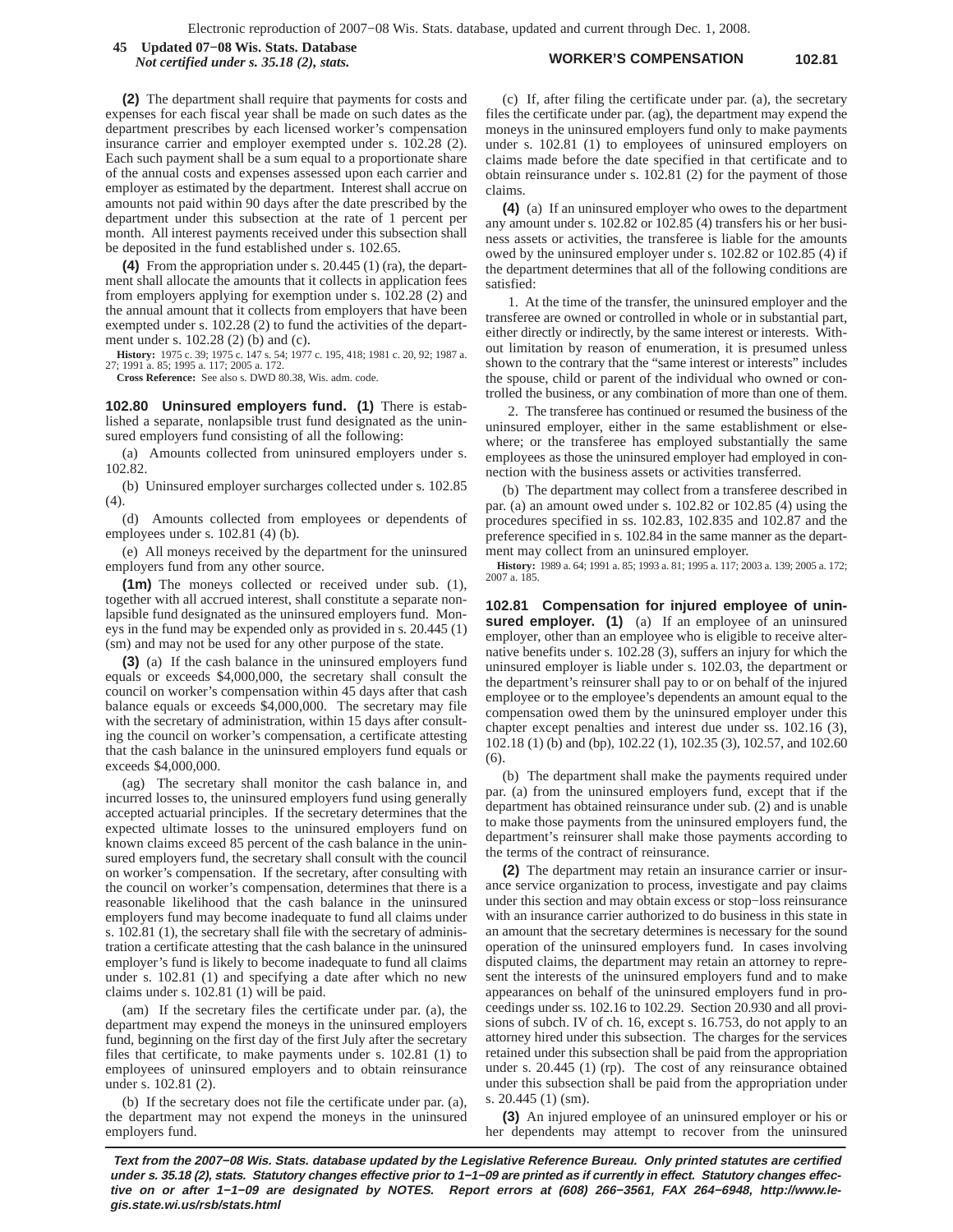**WORKER'S COMPENSATION 102.81 45 Updated 07−08 Wis. Stats. Database** *Not certified under s. 35.18 (2), stats.*

**(2)** The department shall require that payments for costs and expenses for each fiscal year shall be made on such dates as the department prescribes by each licensed worker's compensation insurance carrier and employer exempted under s. 102.28 (2). Each such payment shall be a sum equal to a proportionate share of the annual costs and expenses assessed upon each carrier and employer as estimated by the department. Interest shall accrue on amounts not paid within 90 days after the date prescribed by the department under this subsection at the rate of 1 percent per month. All interest payments received under this subsection shall be deposited in the fund established under s. 102.65.

**(4)** From the appropriation under s. 20.445 (1) (ra), the department shall allocate the amounts that it collects in application fees from employers applying for exemption under s. 102.28 (2) and the annual amount that it collects from employers that have been exempted under s. 102.28 (2) to fund the activities of the department under s. 102.28 (2) (b) and (c).

**History:** 1975 c. 39; 1975 c. 147 s. 54; 1977 c. 195, 418; 1981 c. 20, 92; 1987 a. 27; 1991 a. 85; 1995 a. 117; 2005 a. 172.

**Cross Reference:** See also s. DWD 80.38, Wis. adm. code.

**102.80 Uninsured employers fund. (1)** There is established a separate, nonlapsible trust fund designated as the uninsured employers fund consisting of all the following:

(a) Amounts collected from uninsured employers under s. 102.82.

(b) Uninsured employer surcharges collected under s. 102.85 (4).

(d) Amounts collected from employees or dependents of employees under s. 102.81 (4) (b).

(e) All moneys received by the department for the uninsured employers fund from any other source.

**(1m)** The moneys collected or received under sub. (1), together with all accrued interest, shall constitute a separate nonlapsible fund designated as the uninsured employers fund. Moneys in the fund may be expended only as provided in s. 20.445 (1) (sm) and may not be used for any other purpose of the state.

**(3)** (a) If the cash balance in the uninsured employers fund equals or exceeds \$4,000,000, the secretary shall consult the council on worker's compensation within 45 days after that cash balance equals or exceeds \$4,000,000. The secretary may file with the secretary of administration, within 15 days after consulting the council on worker's compensation, a certificate attesting that the cash balance in the uninsured employers fund equals or exceeds \$4,000,000.

(ag) The secretary shall monitor the cash balance in, and incurred losses to, the uninsured employers fund using generally accepted actuarial principles. If the secretary determines that the expected ultimate losses to the uninsured employers fund on known claims exceed 85 percent of the cash balance in the uninsured employers fund, the secretary shall consult with the council on worker's compensation. If the secretary, after consulting with the council on worker's compensation, determines that there is a reasonable likelihood that the cash balance in the uninsured employers fund may become inadequate to fund all claims under s. 102.81 (1), the secretary shall file with the secretary of administration a certificate attesting that the cash balance in the uninsured employer's fund is likely to become inadequate to fund all claims under s. 102.81 (1) and specifying a date after which no new claims under s. 102.81 (1) will be paid.

(am) If the secretary files the certificate under par. (a), the department may expend the moneys in the uninsured employers fund, beginning on the first day of the first July after the secretary files that certificate, to make payments under s. 102.81 (1) to employees of uninsured employers and to obtain reinsurance under s. 102.81 (2).

(b) If the secretary does not file the certificate under par. (a), the department may not expend the moneys in the uninsured employers fund.

(c) If, after filing the certificate under par. (a), the secretary files the certificate under par. (ag), the department may expend the moneys in the uninsured employers fund only to make payments under s. 102.81 (1) to employees of uninsured employers on claims made before the date specified in that certificate and to obtain reinsurance under s. 102.81 (2) for the payment of those claims.

**(4)** (a) If an uninsured employer who owes to the department any amount under s. 102.82 or 102.85 (4) transfers his or her business assets or activities, the transferee is liable for the amounts owed by the uninsured employer under s. 102.82 or 102.85 (4) if the department determines that all of the following conditions are satisfied:

1. At the time of the transfer, the uninsured employer and the transferee are owned or controlled in whole or in substantial part, either directly or indirectly, by the same interest or interests. Without limitation by reason of enumeration, it is presumed unless shown to the contrary that the "same interest or interests" includes the spouse, child or parent of the individual who owned or controlled the business, or any combination of more than one of them.

2. The transferee has continued or resumed the business of the uninsured employer, either in the same establishment or elsewhere; or the transferee has employed substantially the same employees as those the uninsured employer had employed in connection with the business assets or activities transferred.

(b) The department may collect from a transferee described in par. (a) an amount owed under s. 102.82 or 102.85 (4) using the procedures specified in ss. 102.83, 102.835 and 102.87 and the preference specified in s. 102.84 in the same manner as the department may collect from an uninsured employer.

**History:** 1989 a. 64; 1991 a. 85; 1993 a. 81; 1995 a. 117; 2003 a. 139; 2005 a. 172; 2007 a. 185.

**102.81 Compensation for injured employee of uninsured employer. (1)** (a) If an employee of an uninsured employer, other than an employee who is eligible to receive alternative benefits under s. 102.28 (3), suffers an injury for which the uninsured employer is liable under s. 102.03, the department or the department's reinsurer shall pay to or on behalf of the injured employee or to the employee's dependents an amount equal to the compensation owed them by the uninsured employer under this chapter except penalties and interest due under ss. 102.16 (3), 102.18 (1) (b) and (bp), 102.22 (1), 102.35 (3), 102.57, and 102.60  $(6)$ 

(b) The department shall make the payments required under par. (a) from the uninsured employers fund, except that if the department has obtained reinsurance under sub. (2) and is unable to make those payments from the uninsured employers fund, the department's reinsurer shall make those payments according to the terms of the contract of reinsurance.

**(2)** The department may retain an insurance carrier or insurance service organization to process, investigate and pay claims under this section and may obtain excess or stop−loss reinsurance with an insurance carrier authorized to do business in this state in an amount that the secretary determines is necessary for the sound operation of the uninsured employers fund. In cases involving disputed claims, the department may retain an attorney to represent the interests of the uninsured employers fund and to make appearances on behalf of the uninsured employers fund in proceedings under ss. 102.16 to 102.29. Section 20.930 and all provisions of subch. IV of ch. 16, except s. 16.753, do not apply to an attorney hired under this subsection. The charges for the services retained under this subsection shall be paid from the appropriation under s. 20.445 (1) (rp). The cost of any reinsurance obtained under this subsection shall be paid from the appropriation under s. 20.445 (1) (sm).

**(3)** An injured employee of an uninsured employer or his or her dependents may attempt to recover from the uninsured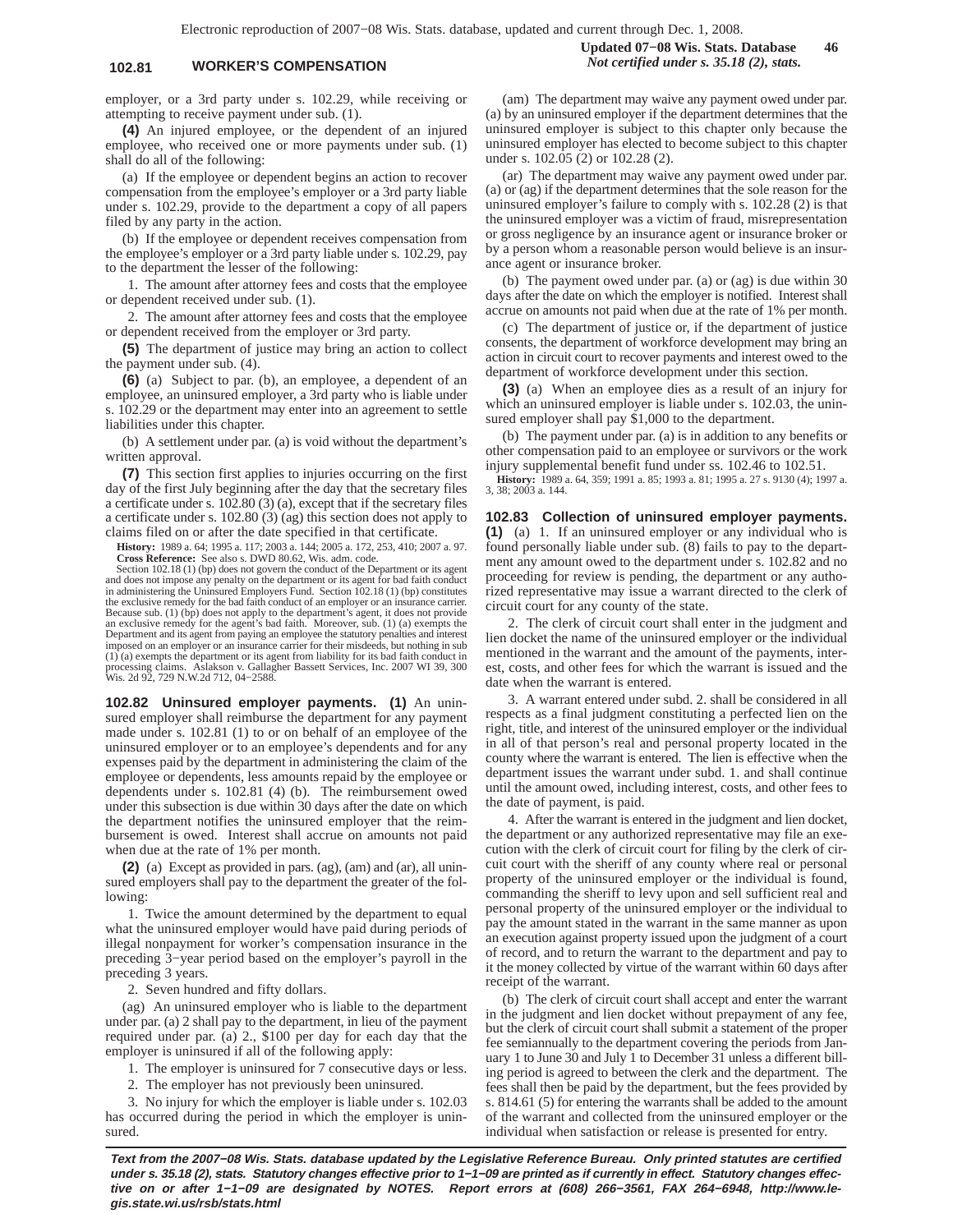## **102.81 WORKER'S COMPENSATION** *Not certified under s. 35.18 (2), stats.*

employer, or a 3rd party under s. 102.29, while receiving or attempting to receive payment under sub. (1).

**(4)** An injured employee, or the dependent of an injured employee, who received one or more payments under sub. (1) shall do all of the following:

(a) If the employee or dependent begins an action to recover compensation from the employee's employer or a 3rd party liable under s. 102.29, provide to the department a copy of all papers filed by any party in the action.

(b) If the employee or dependent receives compensation from the employee's employer or a 3rd party liable under s. 102.29, pay to the department the lesser of the following:

1. The amount after attorney fees and costs that the employee or dependent received under sub. (1).

2. The amount after attorney fees and costs that the employee or dependent received from the employer or 3rd party.

**(5)** The department of justice may bring an action to collect the payment under sub. (4).

**(6)** (a) Subject to par. (b), an employee, a dependent of an employee, an uninsured employer, a 3rd party who is liable under s. 102.29 or the department may enter into an agreement to settle liabilities under this chapter.

(b) A settlement under par. (a) is void without the department's written approval.

**(7)** This section first applies to injuries occurring on the first day of the first July beginning after the day that the secretary files a certificate under s. 102.80 (3) (a), except that if the secretary files a certificate under s. 102.80 (3) (ag) this section does not apply to claims filed on or after the date specified in that certificate.

**History:** 1989 a. 64; 1995 a. 117; 2003 a. 144; 2005 a. 172, 253, 410; 2007 a. 97. **Cross Reference:** See also s. DWD 80.62, Wis. adm. code.

Section 102.18 (1) (bp) does not govern the conduct of the Department or its agent and does not impose any penalty on the department or its agent for bad faith conduct in administering the Uninsured Employers Fund. Section 102.18 (1) (bp) constitutes the exclusive remedy for the bad faith conduct of an employer or an insurance carrier.<br>Because sub. (1) (bp) does not apply to the department's agent, it does not provide<br>an exclusive remedy for the agent's bad faith. More Department and its agent from paying an employee the statutory penalties and interest imposed on an employer or an insurance carrier for their misdeeds, but nothing in sub (1) (a) exempts the department or its agent from liability for its bad faith conduct in processing claims. Aslakson v. Gallagher Bassett Services, Inc. 2007 WI 39, 300 Wis. 2d 92, 729 N.W.2d 712, 04−2588.

**102.82 Uninsured employer payments. (1)** An uninsured employer shall reimburse the department for any payment made under s. 102.81 (1) to or on behalf of an employee of the uninsured employer or to an employee's dependents and for any expenses paid by the department in administering the claim of the employee or dependents, less amounts repaid by the employee or dependents under s. 102.81 (4) (b). The reimbursement owed under this subsection is due within 30 days after the date on which the department notifies the uninsured employer that the reimbursement is owed. Interest shall accrue on amounts not paid when due at the rate of 1% per month.

**(2)** (a) Except as provided in pars. (ag), (am) and (ar), all uninsured employers shall pay to the department the greater of the following:

1. Twice the amount determined by the department to equal what the uninsured employer would have paid during periods of illegal nonpayment for worker's compensation insurance in the preceding 3−year period based on the employer's payroll in the preceding 3 years.

2. Seven hundred and fifty dollars.

(ag) An uninsured employer who is liable to the department under par. (a) 2 shall pay to the department, in lieu of the payment required under par. (a) 2., \$100 per day for each day that the employer is uninsured if all of the following apply:

1. The employer is uninsured for 7 consecutive days or less.

2. The employer has not previously been uninsured.

3. No injury for which the employer is liable under s. 102.03 has occurred during the period in which the employer is uninsured.

(am) The department may waive any payment owed under par. (a) by an uninsured employer if the department determines that the uninsured employer is subject to this chapter only because the uninsured employer has elected to become subject to this chapter under s. 102.05 (2) or 102.28 (2).

(ar) The department may waive any payment owed under par. (a) or (ag) if the department determines that the sole reason for the uninsured employer's failure to comply with s. 102.28 (2) is that the uninsured employer was a victim of fraud, misrepresentation or gross negligence by an insurance agent or insurance broker or by a person whom a reasonable person would believe is an insurance agent or insurance broker.

(b) The payment owed under par. (a) or (ag) is due within 30 days after the date on which the employer is notified. Interest shall accrue on amounts not paid when due at the rate of 1% per month.

(c) The department of justice or, if the department of justice consents, the department of workforce development may bring an action in circuit court to recover payments and interest owed to the department of workforce development under this section.

**(3)** (a) When an employee dies as a result of an injury for which an uninsured employer is liable under s. 102.03, the uninsured employer shall pay \$1,000 to the department.

(b) The payment under par. (a) is in addition to any benefits or other compensation paid to an employee or survivors or the work injury supplemental benefit fund under ss. 102.46 to 102.51.

**History:** 1989 a. 64, 359; 1991 a. 85; 1993 a. 81; 1995 a. 27 s. 9130 (4); 1997 a. 3, 38; 2003 a. 144.

**102.83 Collection of uninsured employer payments. (1)** (a) 1. If an uninsured employer or any individual who is found personally liable under sub. (8) fails to pay to the department any amount owed to the department under s. 102.82 and no proceeding for review is pending, the department or any authorized representative may issue a warrant directed to the clerk of circuit court for any county of the state.

2. The clerk of circuit court shall enter in the judgment and lien docket the name of the uninsured employer or the individual mentioned in the warrant and the amount of the payments, interest, costs, and other fees for which the warrant is issued and the date when the warrant is entered.

3. A warrant entered under subd. 2. shall be considered in all respects as a final judgment constituting a perfected lien on the right, title, and interest of the uninsured employer or the individual in all of that person's real and personal property located in the county where the warrant is entered. The lien is effective when the department issues the warrant under subd. 1. and shall continue until the amount owed, including interest, costs, and other fees to the date of payment, is paid.

4. After the warrant is entered in the judgment and lien docket, the department or any authorized representative may file an execution with the clerk of circuit court for filing by the clerk of circuit court with the sheriff of any county where real or personal property of the uninsured employer or the individual is found, commanding the sheriff to levy upon and sell sufficient real and personal property of the uninsured employer or the individual to pay the amount stated in the warrant in the same manner as upon an execution against property issued upon the judgment of a court of record, and to return the warrant to the department and pay to it the money collected by virtue of the warrant within 60 days after receipt of the warrant.

(b) The clerk of circuit court shall accept and enter the warrant in the judgment and lien docket without prepayment of any fee, but the clerk of circuit court shall submit a statement of the proper fee semiannually to the department covering the periods from January 1 to June 30 and July 1 to December 31 unless a different billing period is agreed to between the clerk and the department. The fees shall then be paid by the department, but the fees provided by s. 814.61 (5) for entering the warrants shall be added to the amount of the warrant and collected from the uninsured employer or the individual when satisfaction or release is presented for entry.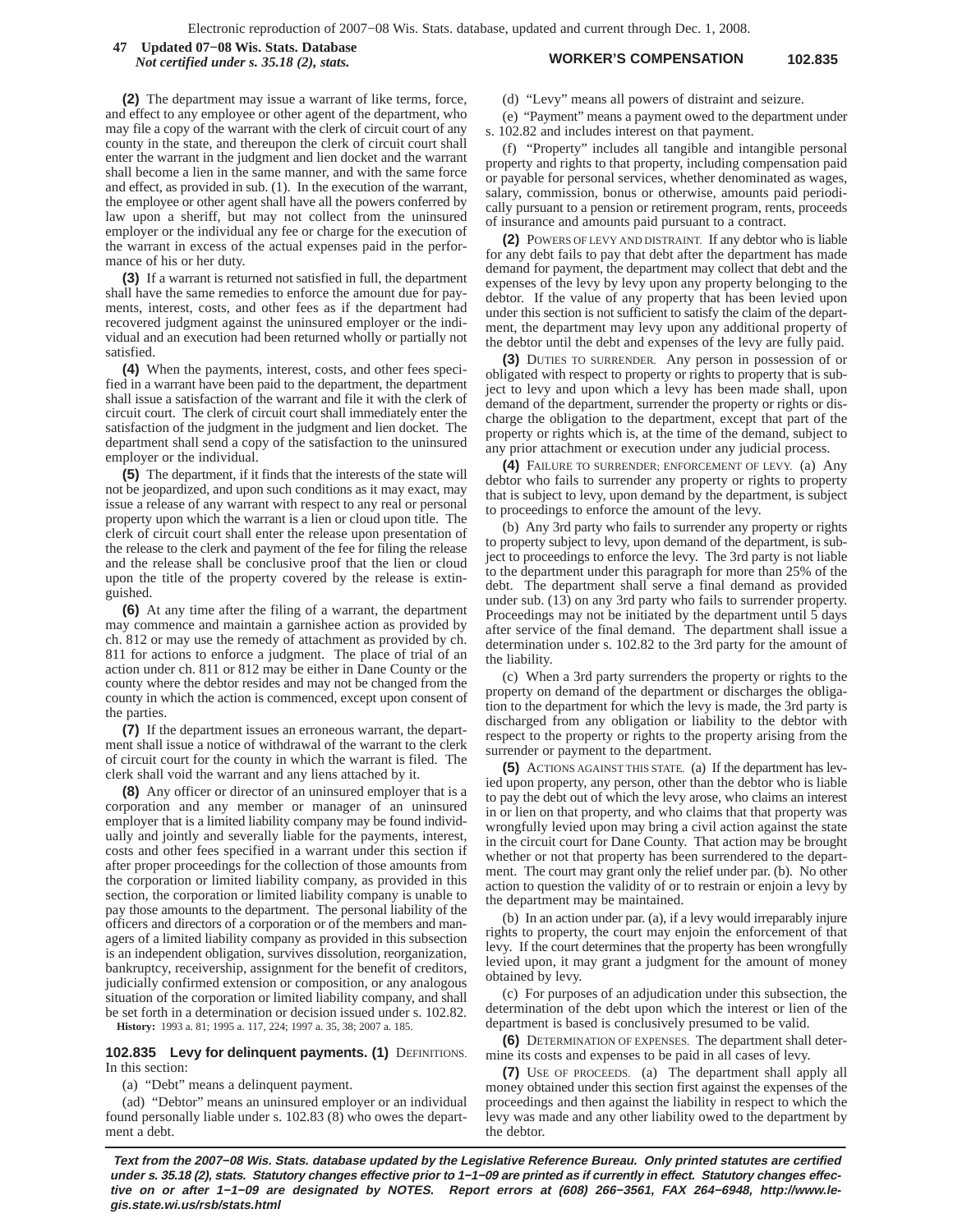**WORKER'S COMPENSATION 102.835 47 Updated 07−08 Wis. Stats. Database** *Not certified under s. 35.18 (2), stats.*

**(2)** The department may issue a warrant of like terms, force, and effect to any employee or other agent of the department, who may file a copy of the warrant with the clerk of circuit court of any county in the state, and thereupon the clerk of circuit court shall enter the warrant in the judgment and lien docket and the warrant shall become a lien in the same manner, and with the same force and effect, as provided in sub. (1). In the execution of the warrant, the employee or other agent shall have all the powers conferred by law upon a sheriff, but may not collect from the uninsured employer or the individual any fee or charge for the execution of the warrant in excess of the actual expenses paid in the performance of his or her duty.

**(3)** If a warrant is returned not satisfied in full, the department shall have the same remedies to enforce the amount due for payments, interest, costs, and other fees as if the department had recovered judgment against the uninsured employer or the individual and an execution had been returned wholly or partially not satisfied.

**(4)** When the payments, interest, costs, and other fees specified in a warrant have been paid to the department, the department shall issue a satisfaction of the warrant and file it with the clerk of circuit court. The clerk of circuit court shall immediately enter the satisfaction of the judgment in the judgment and lien docket. The department shall send a copy of the satisfaction to the uninsured employer or the individual.

**(5)** The department, if it finds that the interests of the state will not be jeopardized, and upon such conditions as it may exact, may issue a release of any warrant with respect to any real or personal property upon which the warrant is a lien or cloud upon title. The clerk of circuit court shall enter the release upon presentation of the release to the clerk and payment of the fee for filing the release and the release shall be conclusive proof that the lien or cloud upon the title of the property covered by the release is extinguished.

**(6)** At any time after the filing of a warrant, the department may commence and maintain a garnishee action as provided by ch. 812 or may use the remedy of attachment as provided by ch. 811 for actions to enforce a judgment. The place of trial of an action under ch. 811 or 812 may be either in Dane County or the county where the debtor resides and may not be changed from the county in which the action is commenced, except upon consent of the parties.

**(7)** If the department issues an erroneous warrant, the department shall issue a notice of withdrawal of the warrant to the clerk of circuit court for the county in which the warrant is filed. The clerk shall void the warrant and any liens attached by it.

**(8)** Any officer or director of an uninsured employer that is a corporation and any member or manager of an uninsured employer that is a limited liability company may be found individually and jointly and severally liable for the payments, interest, costs and other fees specified in a warrant under this section if after proper proceedings for the collection of those amounts from the corporation or limited liability company, as provided in this section, the corporation or limited liability company is unable to pay those amounts to the department. The personal liability of the officers and directors of a corporation or of the members and managers of a limited liability company as provided in this subsection is an independent obligation, survives dissolution, reorganization, bankruptcy, receivership, assignment for the benefit of creditors, judicially confirmed extension or composition, or any analogous situation of the corporation or limited liability company, and shall be set forth in a determination or decision issued under s. 102.82. **History:** 1993 a. 81; 1995 a. 117, 224; 1997 a. 35, 38; 2007 a. 185.

**102.835 Levy for delinquent payments. (1) DEFINITIONS.** In this section:

(a) "Debt" means a delinquent payment.

(ad) "Debtor" means an uninsured employer or an individual found personally liable under s. 102.83 (8) who owes the department a debt.

(d) "Levy" means all powers of distraint and seizure.

(e) "Payment" means a payment owed to the department under s. 102.82 and includes interest on that payment.

(f) "Property" includes all tangible and intangible personal property and rights to that property, including compensation paid or payable for personal services, whether denominated as wages, salary, commission, bonus or otherwise, amounts paid periodically pursuant to a pension or retirement program, rents, proceeds of insurance and amounts paid pursuant to a contract.

**(2)** POWERS OF LEVY AND DISTRAINT. If any debtor who is liable for any debt fails to pay that debt after the department has made demand for payment, the department may collect that debt and the expenses of the levy by levy upon any property belonging to the debtor. If the value of any property that has been levied upon under this section is not sufficient to satisfy the claim of the department, the department may levy upon any additional property of the debtor until the debt and expenses of the levy are fully paid.

**(3)** DUTIES TO SURRENDER. Any person in possession of or obligated with respect to property or rights to property that is subject to levy and upon which a levy has been made shall, upon demand of the department, surrender the property or rights or discharge the obligation to the department, except that part of the property or rights which is, at the time of the demand, subject to any prior attachment or execution under any judicial process.

**(4)** FAILURE TO SURRENDER; ENFORCEMENT OF LEVY. (a) Any debtor who fails to surrender any property or rights to property that is subject to levy, upon demand by the department, is subject to proceedings to enforce the amount of the levy.

(b) Any 3rd party who fails to surrender any property or rights to property subject to levy, upon demand of the department, is subject to proceedings to enforce the levy. The 3rd party is not liable to the department under this paragraph for more than 25% of the debt. The department shall serve a final demand as provided under sub. (13) on any 3rd party who fails to surrender property. Proceedings may not be initiated by the department until 5 days after service of the final demand. The department shall issue a determination under s. 102.82 to the 3rd party for the amount of the liability.

(c) When a 3rd party surrenders the property or rights to the property on demand of the department or discharges the obligation to the department for which the levy is made, the 3rd party is discharged from any obligation or liability to the debtor with respect to the property or rights to the property arising from the surrender or payment to the department.

**(5)** ACTIONS AGAINST THIS STATE. (a) If the department has levied upon property, any person, other than the debtor who is liable to pay the debt out of which the levy arose, who claims an interest in or lien on that property, and who claims that that property was wrongfully levied upon may bring a civil action against the state in the circuit court for Dane County. That action may be brought whether or not that property has been surrendered to the department. The court may grant only the relief under par. (b). No other action to question the validity of or to restrain or enjoin a levy by the department may be maintained.

(b) In an action under par. (a), if a levy would irreparably injure rights to property, the court may enjoin the enforcement of that levy. If the court determines that the property has been wrongfully levied upon, it may grant a judgment for the amount of money obtained by levy.

(c) For purposes of an adjudication under this subsection, the determination of the debt upon which the interest or lien of the department is based is conclusively presumed to be valid.

**(6)** DETERMINATION OF EXPENSES. The department shall determine its costs and expenses to be paid in all cases of levy.

**(7)** USE OF PROCEEDS. (a) The department shall apply all money obtained under this section first against the expenses of the proceedings and then against the liability in respect to which the levy was made and any other liability owed to the department by the debtor.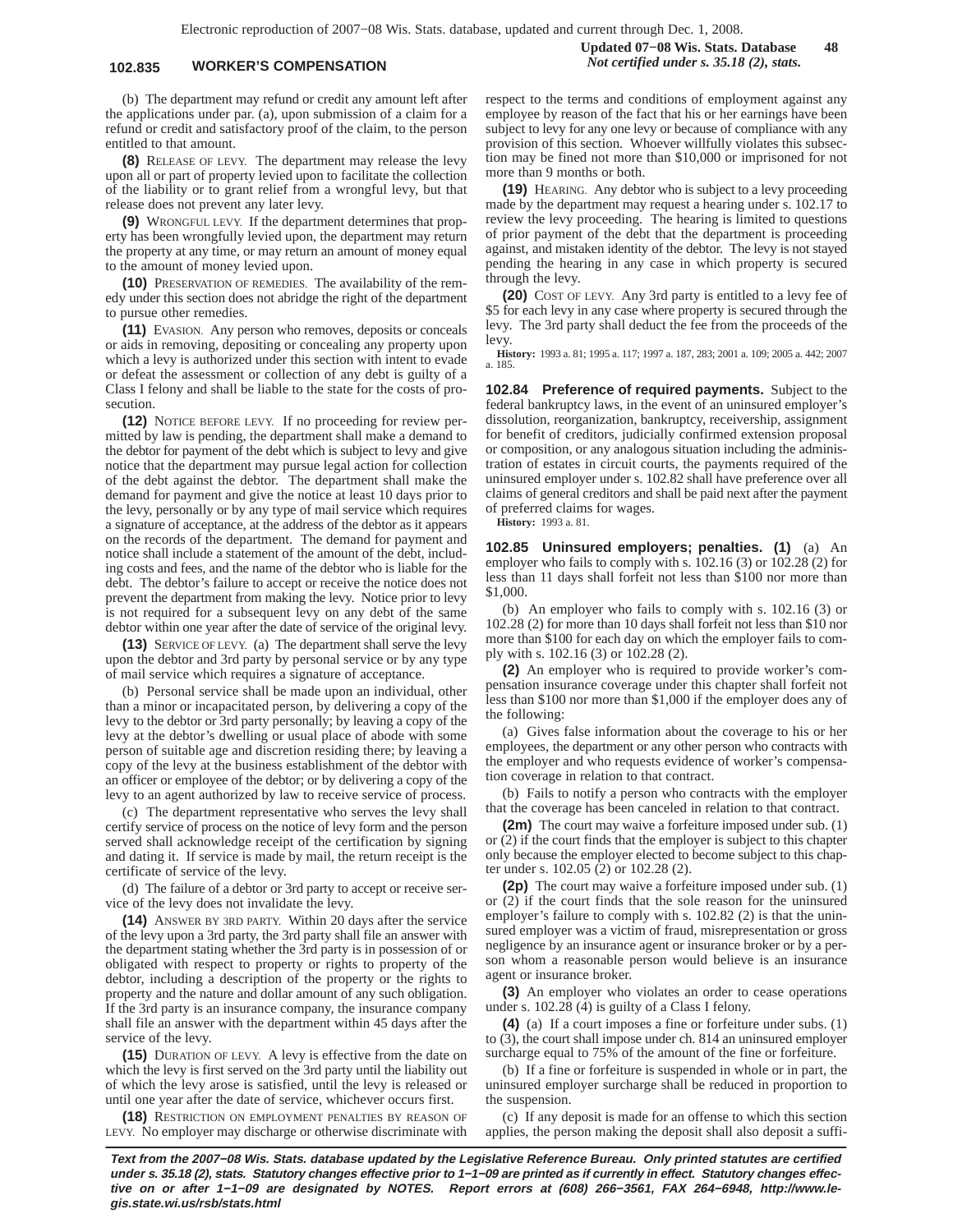## **102.835 WORKER'S COMPENSATION** *Not certified under s. 35.18 (2), stats.*

**Updated 07−08 Wis. Stats. Database 48**

(b) The department may refund or credit any amount left after the applications under par. (a), upon submission of a claim for a refund or credit and satisfactory proof of the claim, to the person entitled to that amount.

**(8)** RELEASE OF LEVY. The department may release the levy upon all or part of property levied upon to facilitate the collection of the liability or to grant relief from a wrongful levy, but that release does not prevent any later levy.

**(9)** WRONGFUL LEVY. If the department determines that property has been wrongfully levied upon, the department may return the property at any time, or may return an amount of money equal to the amount of money levied upon.

**(10)** PRESERVATION OF REMEDIES. The availability of the remedy under this section does not abridge the right of the department to pursue other remedies.

**(11)** EVASION. Any person who removes, deposits or conceals or aids in removing, depositing or concealing any property upon which a levy is authorized under this section with intent to evade or defeat the assessment or collection of any debt is guilty of a Class I felony and shall be liable to the state for the costs of prosecution.

**(12)** NOTICE BEFORE LEVY. If no proceeding for review permitted by law is pending, the department shall make a demand to the debtor for payment of the debt which is subject to levy and give notice that the department may pursue legal action for collection of the debt against the debtor. The department shall make the demand for payment and give the notice at least 10 days prior to the levy, personally or by any type of mail service which requires a signature of acceptance, at the address of the debtor as it appears on the records of the department. The demand for payment and notice shall include a statement of the amount of the debt, including costs and fees, and the name of the debtor who is liable for the debt. The debtor's failure to accept or receive the notice does not prevent the department from making the levy. Notice prior to levy is not required for a subsequent levy on any debt of the same debtor within one year after the date of service of the original levy.

**(13)** SERVICE OF LEVY. (a) The department shall serve the levy upon the debtor and 3rd party by personal service or by any type of mail service which requires a signature of acceptance.

(b) Personal service shall be made upon an individual, other than a minor or incapacitated person, by delivering a copy of the levy to the debtor or 3rd party personally; by leaving a copy of the levy at the debtor's dwelling or usual place of abode with some person of suitable age and discretion residing there; by leaving a copy of the levy at the business establishment of the debtor with an officer or employee of the debtor; or by delivering a copy of the levy to an agent authorized by law to receive service of process.

(c) The department representative who serves the levy shall certify service of process on the notice of levy form and the person served shall acknowledge receipt of the certification by signing and dating it. If service is made by mail, the return receipt is the certificate of service of the levy.

(d) The failure of a debtor or 3rd party to accept or receive service of the levy does not invalidate the levy.

**(14)** ANSWER BY 3RD PARTY. Within 20 days after the service of the levy upon a 3rd party, the 3rd party shall file an answer with the department stating whether the 3rd party is in possession of or obligated with respect to property or rights to property of the debtor, including a description of the property or the rights to property and the nature and dollar amount of any such obligation. If the 3rd party is an insurance company, the insurance company shall file an answer with the department within 45 days after the service of the levy.

**(15)** DURATION OF LEVY. A levy is effective from the date on which the levy is first served on the 3rd party until the liability out of which the levy arose is satisfied, until the levy is released or until one year after the date of service, whichever occurs first.

**(18)** RESTRICTION ON EMPLOYMENT PENALTIES BY REASON OF LEVY. No employer may discharge or otherwise discriminate with respect to the terms and conditions of employment against any employee by reason of the fact that his or her earnings have been subject to levy for any one levy or because of compliance with any provision of this section. Whoever willfully violates this subsection may be fined not more than \$10,000 or imprisoned for not more than 9 months or both.

**(19)** HEARING. Any debtor who is subject to a levy proceeding made by the department may request a hearing under s. 102.17 to review the levy proceeding. The hearing is limited to questions of prior payment of the debt that the department is proceeding against, and mistaken identity of the debtor. The levy is not stayed pending the hearing in any case in which property is secured through the levy.

**(20)** COST OF LEVY. Any 3rd party is entitled to a levy fee of \$5 for each levy in any case where property is secured through the levy. The 3rd party shall deduct the fee from the proceeds of the levy.

**History:** 1993 a. 81; 1995 a. 117; 1997 a. 187, 283; 2001 a. 109; 2005 a. 442; 2007 a. 185.

**102.84 Preference of required payments.** Subject to the federal bankruptcy laws, in the event of an uninsured employer's dissolution, reorganization, bankruptcy, receivership, assignment for benefit of creditors, judicially confirmed extension proposal or composition, or any analogous situation including the administration of estates in circuit courts, the payments required of the uninsured employer under s. 102.82 shall have preference over all claims of general creditors and shall be paid next after the payment of preferred claims for wages.

**History:** 1993 a. 81.

**102.85 Uninsured employers; penalties. (1)** (a) An employer who fails to comply with s. 102.16 (3) or 102.28 (2) for less than 11 days shall forfeit not less than \$100 nor more than \$1,000.

(b) An employer who fails to comply with s. 102.16 (3) or 102.28 (2) for more than 10 days shall forfeit not less than \$10 nor more than \$100 for each day on which the employer fails to comply with s. 102.16 (3) or 102.28 (2).

**(2)** An employer who is required to provide worker's compensation insurance coverage under this chapter shall forfeit not less than \$100 nor more than \$1,000 if the employer does any of the following:

(a) Gives false information about the coverage to his or her employees, the department or any other person who contracts with the employer and who requests evidence of worker's compensation coverage in relation to that contract.

(b) Fails to notify a person who contracts with the employer that the coverage has been canceled in relation to that contract.

**(2m)** The court may waive a forfeiture imposed under sub. (1) or (2) if the court finds that the employer is subject to this chapter only because the employer elected to become subject to this chapter under s. 102.05 (2) or 102.28 (2).

**(2p)** The court may waive a forfeiture imposed under sub. (1) or (2) if the court finds that the sole reason for the uninsured employer's failure to comply with s. 102.82 (2) is that the uninsured employer was a victim of fraud, misrepresentation or gross negligence by an insurance agent or insurance broker or by a person whom a reasonable person would believe is an insurance agent or insurance broker.

**(3)** An employer who violates an order to cease operations under s. 102.28 (4) is guilty of a Class I felony.

**(4)** (a) If a court imposes a fine or forfeiture under subs. (1) to (3), the court shall impose under ch. 814 an uninsured employer surcharge equal to 75% of the amount of the fine or forfeiture.

(b) If a fine or forfeiture is suspended in whole or in part, the uninsured employer surcharge shall be reduced in proportion to the suspension.

(c) If any deposit is made for an offense to which this section applies, the person making the deposit shall also deposit a suffi-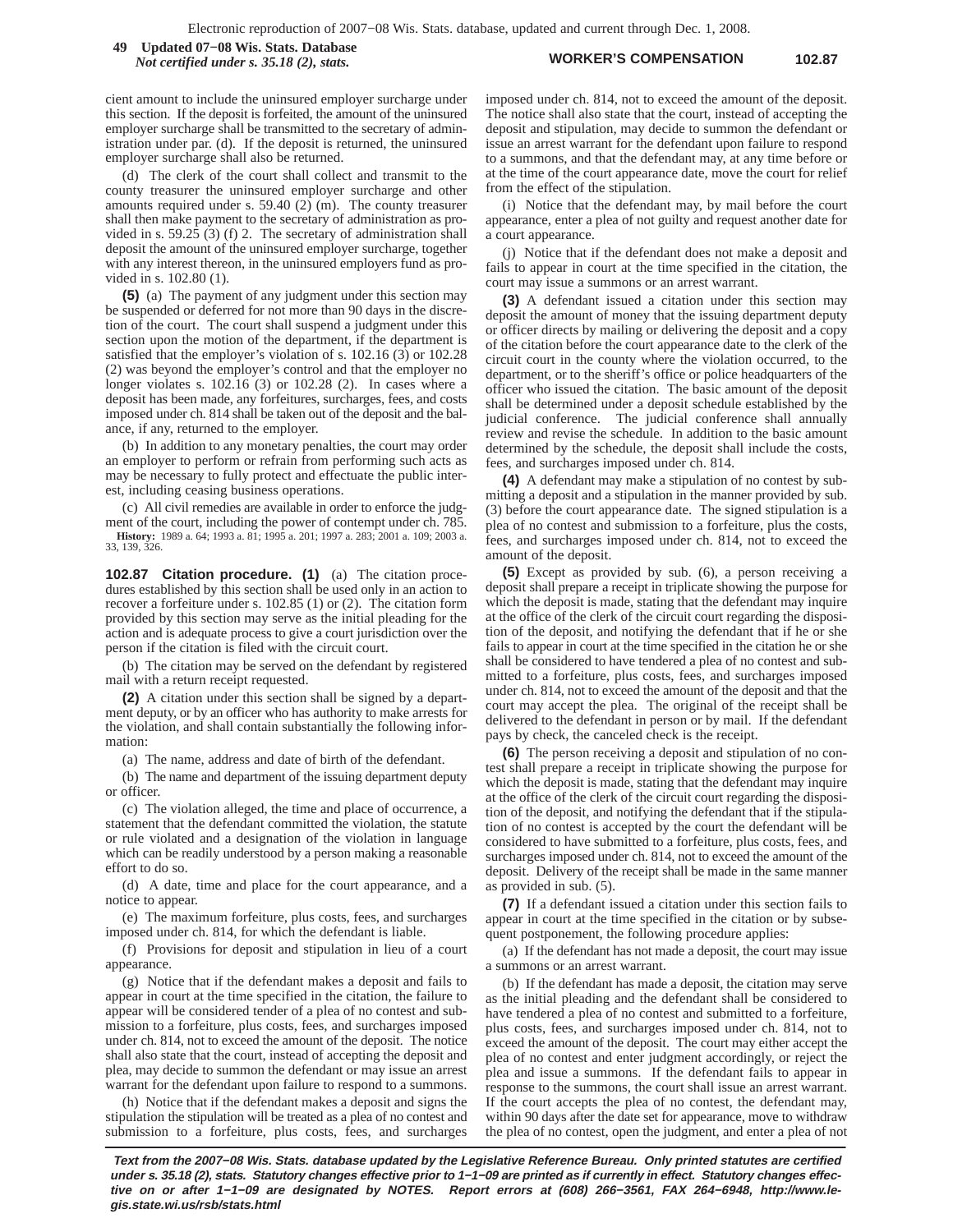**WORKER'S COMPENSATION 102.87 49 Updated 07−08 Wis. Stats. Database** *Not certified under s. 35.18 (2), stats.*

cient amount to include the uninsured employer surcharge under this section. If the deposit is forfeited, the amount of the uninsured employer surcharge shall be transmitted to the secretary of administration under par. (d). If the deposit is returned, the uninsured employer surcharge shall also be returned.

(d) The clerk of the court shall collect and transmit to the county treasurer the uninsured employer surcharge and other amounts required under s. 59.40 (2) (m). The county treasurer shall then make payment to the secretary of administration as provided in s. 59.25 (3) (f) 2. The secretary of administration shall deposit the amount of the uninsured employer surcharge, together with any interest thereon, in the uninsured employers fund as provided in s. 102.80 (1).

**(5)** (a) The payment of any judgment under this section may be suspended or deferred for not more than 90 days in the discretion of the court. The court shall suspend a judgment under this section upon the motion of the department, if the department is satisfied that the employer's violation of s. 102.16 (3) or 102.28 (2) was beyond the employer's control and that the employer no longer violates s. 102.16 (3) or 102.28 (2). In cases where a deposit has been made, any forfeitures, surcharges, fees, and costs imposed under ch. 814 shall be taken out of the deposit and the balance, if any, returned to the employer.

(b) In addition to any monetary penalties, the court may order an employer to perform or refrain from performing such acts as may be necessary to fully protect and effectuate the public interest, including ceasing business operations.

(c) All civil remedies are available in order to enforce the judgment of the court, including the power of contempt under ch. 785. **History:** 1989 a. 64; 1993 a. 81; 1995 a. 201; 1997 a. 283; 2001 a. 109; 2003 a. 33, 139, 326.

**102.87 Citation procedure. (1)** (a) The citation procedures established by this section shall be used only in an action to recover a forfeiture under s. 102.85 (1) or (2). The citation form provided by this section may serve as the initial pleading for the action and is adequate process to give a court jurisdiction over the person if the citation is filed with the circuit court.

(b) The citation may be served on the defendant by registered mail with a return receipt requested.

**(2)** A citation under this section shall be signed by a department deputy, or by an officer who has authority to make arrests for the violation, and shall contain substantially the following information:

(a) The name, address and date of birth of the defendant.

(b) The name and department of the issuing department deputy or officer.

(c) The violation alleged, the time and place of occurrence, a statement that the defendant committed the violation, the statute or rule violated and a designation of the violation in language which can be readily understood by a person making a reasonable effort to do so.

(d) A date, time and place for the court appearance, and a notice to appear.

(e) The maximum forfeiture, plus costs, fees, and surcharges imposed under ch. 814, for which the defendant is liable.

(f) Provisions for deposit and stipulation in lieu of a court appearance.

(g) Notice that if the defendant makes a deposit and fails to appear in court at the time specified in the citation, the failure to appear will be considered tender of a plea of no contest and submission to a forfeiture, plus costs, fees, and surcharges imposed under ch. 814, not to exceed the amount of the deposit. The notice shall also state that the court, instead of accepting the deposit and plea, may decide to summon the defendant or may issue an arrest warrant for the defendant upon failure to respond to a summons.

(h) Notice that if the defendant makes a deposit and signs the stipulation the stipulation will be treated as a plea of no contest and submission to a forfeiture, plus costs, fees, and surcharges

imposed under ch. 814, not to exceed the amount of the deposit. The notice shall also state that the court, instead of accepting the deposit and stipulation, may decide to summon the defendant or issue an arrest warrant for the defendant upon failure to respond to a summons, and that the defendant may, at any time before or at the time of the court appearance date, move the court for relief from the effect of the stipulation.

(i) Notice that the defendant may, by mail before the court appearance, enter a plea of not guilty and request another date for a court appearance.

(j) Notice that if the defendant does not make a deposit and fails to appear in court at the time specified in the citation, the court may issue a summons or an arrest warrant.

**(3)** A defendant issued a citation under this section may deposit the amount of money that the issuing department deputy or officer directs by mailing or delivering the deposit and a copy of the citation before the court appearance date to the clerk of the circuit court in the county where the violation occurred, to the department, or to the sheriff's office or police headquarters of the officer who issued the citation. The basic amount of the deposit shall be determined under a deposit schedule established by the judicial conference. The judicial conference shall annually review and revise the schedule. In addition to the basic amount determined by the schedule, the deposit shall include the costs, fees, and surcharges imposed under ch. 814.

**(4)** A defendant may make a stipulation of no contest by submitting a deposit and a stipulation in the manner provided by sub. (3) before the court appearance date. The signed stipulation is a plea of no contest and submission to a forfeiture, plus the costs, fees, and surcharges imposed under ch. 814, not to exceed the amount of the deposit.

**(5)** Except as provided by sub. (6), a person receiving a deposit shall prepare a receipt in triplicate showing the purpose for which the deposit is made, stating that the defendant may inquire at the office of the clerk of the circuit court regarding the disposition of the deposit, and notifying the defendant that if he or she fails to appear in court at the time specified in the citation he or she shall be considered to have tendered a plea of no contest and submitted to a forfeiture, plus costs, fees, and surcharges imposed under ch. 814, not to exceed the amount of the deposit and that the court may accept the plea. The original of the receipt shall be delivered to the defendant in person or by mail. If the defendant pays by check, the canceled check is the receipt.

**(6)** The person receiving a deposit and stipulation of no contest shall prepare a receipt in triplicate showing the purpose for which the deposit is made, stating that the defendant may inquire at the office of the clerk of the circuit court regarding the disposition of the deposit, and notifying the defendant that if the stipulation of no contest is accepted by the court the defendant will be considered to have submitted to a forfeiture, plus costs, fees, and surcharges imposed under ch. 814, not to exceed the amount of the deposit. Delivery of the receipt shall be made in the same manner as provided in sub. (5).

**(7)** If a defendant issued a citation under this section fails to appear in court at the time specified in the citation or by subsequent postponement, the following procedure applies:

(a) If the defendant has not made a deposit, the court may issue a summons or an arrest warrant.

(b) If the defendant has made a deposit, the citation may serve as the initial pleading and the defendant shall be considered to have tendered a plea of no contest and submitted to a forfeiture, plus costs, fees, and surcharges imposed under ch. 814, not to exceed the amount of the deposit. The court may either accept the plea of no contest and enter judgment accordingly, or reject the plea and issue a summons. If the defendant fails to appear in response to the summons, the court shall issue an arrest warrant. If the court accepts the plea of no contest, the defendant may, within 90 days after the date set for appearance, move to withdraw the plea of no contest, open the judgment, and enter a plea of not